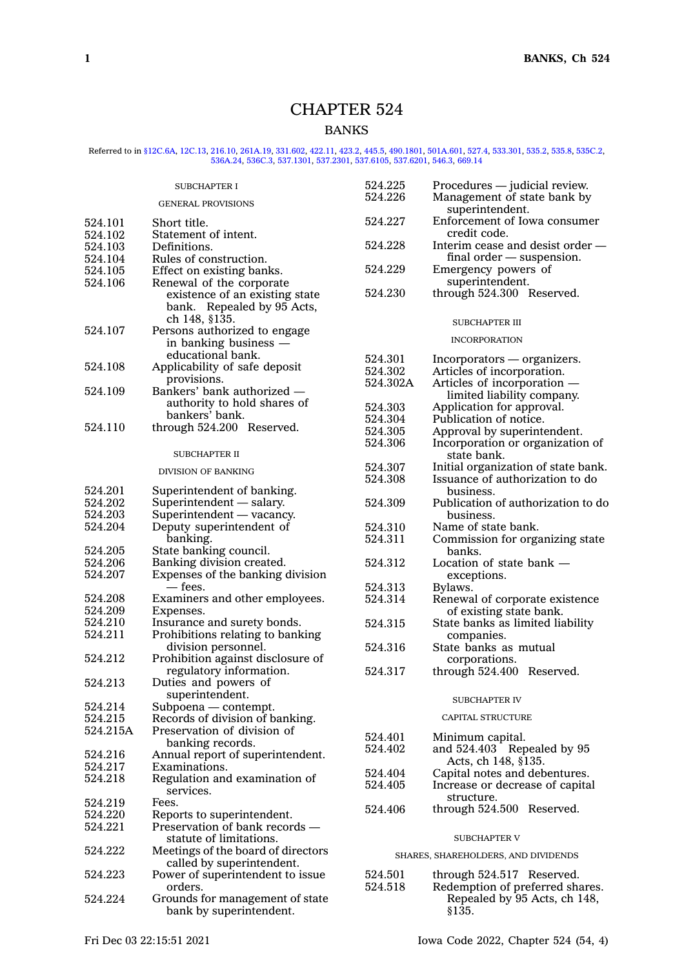# CHAPTER 524

# BANKS

# Referred to in [§12C.6A](https://www.legis.iowa.gov/docs/code/12C.6A.pdf), [12C.13](https://www.legis.iowa.gov/docs/code/12C.13.pdf), [216.10,](https://www.legis.iowa.gov/docs/code/216.10.pdf) [261A.19](https://www.legis.iowa.gov/docs/code/261A.19.pdf), [331.602](https://www.legis.iowa.gov/docs/code/331.602.pdf), [422.11](https://www.legis.iowa.gov/docs/code/422.11.pdf), [423.2](https://www.legis.iowa.gov/docs/code/423.2.pdf), [445.5](https://www.legis.iowa.gov/docs/code/445.5.pdf), [490.1801](https://www.legis.iowa.gov/docs/code/490.1801.pdf), [501A.601](https://www.legis.iowa.gov/docs/code/501A.601.pdf), [527.4](https://www.legis.iowa.gov/docs/code/527.4.pdf), [533.301](https://www.legis.iowa.gov/docs/code/533.301.pdf), [535.2](https://www.legis.iowa.gov/docs/code/535.2.pdf), [535.8](https://www.legis.iowa.gov/docs/code/535.8.pdf), [535C.2](https://www.legis.iowa.gov/docs/code/535C.2.pdf)<br>[536A.24](https://www.legis.iowa.gov/docs/code/536A.24.pdf), [536C.3](https://www.legis.iowa.gov/docs/code/536C.3.pdf), [537.1301](https://www.legis.iowa.gov/docs/code/537.1301.pdf), [537.2301](https://www.legis.iowa.gov/docs/code/537.2301.pdf), [537.6105](https://www.legis.iowa.gov/docs/code/537.6105.pdf), [537.6201](https://www.legis.iowa.gov/docs/code/537.6201.pdf), [546.3](https://www.legis.iowa.gov/docs/code/546.3.pdf), [669.14](https://www.legis.iowa.gov/docs/code/669.14.pdf)

|                           | <b>SUBCHAPTER I</b>                                          | 524.225            | Procedures — judicial review.                                   |
|---------------------------|--------------------------------------------------------------|--------------------|-----------------------------------------------------------------|
| <b>GENERAL PROVISIONS</b> |                                                              | 524.226            | Management of state bank by<br>superintendent.                  |
| 524.101                   | Short title.                                                 | 524.227            | Enforcement of Iowa consumer<br>credit code.                    |
| 524.102<br>524.103        | Statement of intent.<br>Definitions.                         | 524.228            | Interim cease and desist order —                                |
| 524.104                   | Rules of construction.                                       |                    | $final order$ - suspension.                                     |
| 524.105                   | Effect on existing banks.                                    | 524.229            | Emergency powers of                                             |
| 524.106                   | Renewal of the corporate                                     |                    | superintendent.                                                 |
|                           | existence of an existing state                               | 524.230            | through 524.300 Reserved.                                       |
|                           | bank. Repealed by 95 Acts,                                   |                    |                                                                 |
|                           | ch 148, §135.                                                |                    | <b>SUBCHAPTER III</b>                                           |
| 524.107                   | Persons authorized to engage                                 |                    |                                                                 |
|                           | in banking business —                                        |                    | <b>INCORPORATION</b>                                            |
|                           | educational bank.                                            |                    |                                                                 |
| 524.108                   | Applicability of safe deposit                                | 524.301<br>524.302 | Incorporators - organizers.<br>Articles of incorporation.       |
|                           | provisions.                                                  | 524.302A           |                                                                 |
| 524.109                   | Bankers' bank authorized -                                   |                    | Articles of incorporation —                                     |
|                           | authority to hold shares of                                  | 524.303            | limited liability company.<br>Application for approval.         |
|                           | bankers' bank.                                               | 524.304            | Publication of notice.                                          |
| 524.110                   | through 524.200 Reserved.                                    | 524.305            | Approval by superintendent.                                     |
|                           |                                                              | 524.306            | Incorporation or organization of                                |
|                           | <b>SUBCHAPTER II</b>                                         |                    | state bank.                                                     |
|                           |                                                              | 524.307            | Initial organization of state bank.                             |
|                           | <b>DIVISION OF BANKING</b>                                   | 524.308            | Issuance of authorization to do                                 |
| 524.201                   | Superintendent of banking.                                   |                    | business.                                                       |
| 524.202                   | Superintendent — salary.                                     | 524.309            | Publication of authorization to do                              |
| 524.203                   | Superintendent - vacancy.                                    |                    | business.                                                       |
| 524.204                   | Deputy superintendent of                                     | 524.310            | Name of state bank.                                             |
|                           | banking.                                                     | 524.311            | Commission for organizing state                                 |
| 524.205                   | State banking council.                                       |                    | banks.                                                          |
| 524.206                   | Banking division created.                                    | 524.312            | Location of state bank -                                        |
| 524.207                   | Expenses of the banking division                             |                    | exceptions.                                                     |
|                           | — fees.                                                      | 524.313            | Bylaws.                                                         |
| 524.208                   | Examiners and other employees.                               | 524.314            | Renewal of corporate existence                                  |
| 524.209                   | Expenses.                                                    |                    | of existing state bank.                                         |
| 524.210                   | Insurance and surety bonds.                                  | 524.315            | State banks as limited liability                                |
| 524.211                   | Prohibitions relating to banking                             |                    | companies.                                                      |
|                           | division personnel.                                          | 524.316            | State banks as mutual                                           |
| 524.212                   | Prohibition against disclosure of                            |                    | corporations.                                                   |
|                           | regulatory information.                                      | 524.317            | through 524.400 Reserved.                                       |
| 524.213                   | Duties and powers of                                         |                    |                                                                 |
|                           | superintendent.                                              |                    | <b>SUBCHAPTER IV</b>                                            |
| 524.214                   | Subpoena - contempt.                                         |                    |                                                                 |
| 524.215                   | Records of division of banking.                              |                    | <b>CAPITAL STRUCTURE</b>                                        |
| 524.215A                  | Preservation of division of                                  | 524.401            | Minimum capital.                                                |
|                           | banking records.                                             | 524.402            | and 524.403 Repealed by 95                                      |
| 524.216                   | Annual report of superintendent.                             |                    | Acts, ch 148, §135.                                             |
| 524.217                   | Examinations.                                                | 524.404            | Capital notes and debentures.                                   |
| 524.218                   | Regulation and examination of                                | 524.405            | Increase or decrease of capital                                 |
|                           | services.                                                    |                    | structure.                                                      |
| 524.219                   | Fees.                                                        | 524.406            | through 524.500 Reserved.                                       |
| 524.220                   | Reports to superintendent.<br>Preservation of bank records — |                    |                                                                 |
| 524.221                   | statute of limitations.                                      |                    | <b>SUBCHAPTER V</b>                                             |
|                           |                                                              |                    |                                                                 |
| 524.222                   | Meetings of the board of directors                           |                    | SHARES, SHAREHOLDERS, AND DIVIDENDS                             |
|                           | called by superintendent.                                    |                    |                                                                 |
| 524.223                   | Power of superintendent to issue                             | 524.501            | through 524.517 Reserved.                                       |
| 524.224                   | orders.<br>Grounds for management of state                   | 524.518            | Redemption of preferred shares.<br>Repealed by 95 Acts, ch 148, |
|                           | bank by superintendent.                                      |                    | \$135.                                                          |
|                           |                                                              |                    |                                                                 |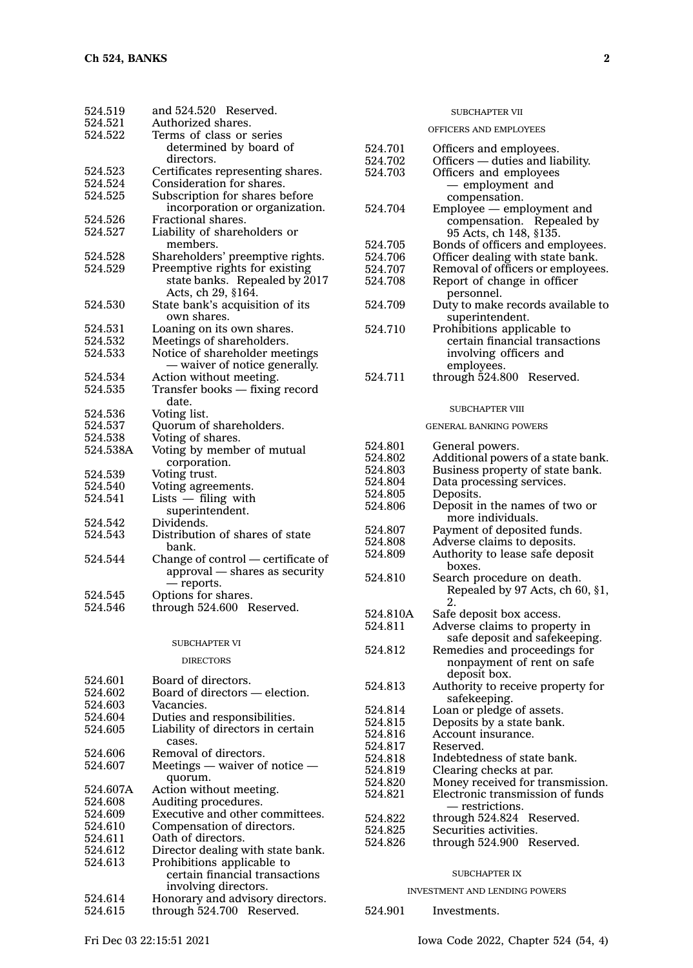| 524.519<br>524.521 | and 524.520 Reserved.<br>Authorized shares. |
|--------------------|---------------------------------------------|
|                    |                                             |
| 524.522            | Terms of class or series                    |
|                    | determined by board of<br>directors.        |
| 524.523            | Certificates representing shares.           |
| 524.524            | Consideration for shares.                   |
| 524.525            | Subscription for shares before              |
|                    | incorporation or organization.              |
| 524.526            | Fractional shares.                          |
| 524.527            | Liability of shareholders or                |
|                    | members.                                    |
| 524.528            | Shareholders' preemptive rights.            |
| 524.529            | Preemptive rights for existing              |
|                    | state banks. Repealed by 2017               |
|                    | Acts, ch 29, §164.                          |
| 524.530            | State bank's acquisition of its             |
|                    | own shares.                                 |
| 524.531            | Loaning on its own shares.                  |
| 524.532            | Meetings of shareholders.                   |
| 524.533            | Notice of shareholder meetings              |
|                    | - waiver of notice generally.               |
| 524.534            | Action without meeting.                     |
| 524.535            | Transfer books — fixing record<br>date.     |
| 524.536            | Voting list.                                |
| 524.537            | Quorum of shareholders.                     |
| 524.538            | Voting of shares.                           |
| 524.538A           | Voting by member of mutual                  |
|                    | corporation.                                |
| 524.539            | Voting trust.                               |
| 524.540            | Voting agreements.                          |
| 524.541            | Lists - filing with                         |
|                    | superintendent.                             |
| 524.542            | Dividends.                                  |
| 524.543            | Distribution of shares of state             |
|                    | bank.                                       |
| 524.544            | Change of control - certificate of          |
|                    | approval - shares as security               |
|                    | — reports.                                  |
| 524.545            | Options for shares.                         |
| 524.546            | through 524.600 Reserved.                   |
|                    |                                             |
|                    | <b>SUBCHAPTER VI</b>                        |
|                    | <b>DIRECTORS</b>                            |
| 524.601            | Board of directors.                         |
| 524.602            | Board of directors - election.              |
| 524.603            | Vacancies.                                  |
| 524.604            | Duties and responsibilities.                |
| 524.605            | Liability of directors in certain           |
|                    | cases.                                      |
| 524.606            | Removal of directors.                       |

524.607 Meetings — waiver of notice quorum. 524.607A Action without meeting.<br>524.608 Auditing procedures. 524.608 Auditing procedures.<br>524.609 Executive and other c

524.610 Compensation of directors.

524.612 Director dealing with state bank.<br>524.613 Prohibitions applicable to Prohibitions applicable to certain financial transactions

involving directors. 524.614 Honorary and advisory directors.<br>524.615 through 524.700 Reserved. through 524.700 Reserved.

524.611 Oath of directors.

Executive and other committees.

#### OFFICERS AND EMPLOYEES

| 524.701            | Officers and employees.                             |
|--------------------|-----------------------------------------------------|
| 524.702            | Officers — duties and liability.                    |
| 524.703            | Officers and employees                              |
|                    | - employment and                                    |
|                    |                                                     |
|                    | compensation.                                       |
| 524.704            | Employee — employment and                           |
|                    | compensation. Repealed by                           |
|                    | 95 Acts, ch 148, §135.                              |
| 524.705            | Bonds of officers and employees.                    |
| 524.706            | Officer dealing with state bank.                    |
| 524.707            | Removal of officers or employees.                   |
| 524.708            | Report of change in officer                         |
|                    | personnel.                                          |
| 524.709            | Duty to make records available to                   |
|                    |                                                     |
|                    | superintendent.                                     |
| 524.710            | Prohibitions applicable to                          |
|                    | certain financial transactions                      |
|                    | involving officers and                              |
|                    | employees.                                          |
| 524.711            | through 524.800<br>Reserved.                        |
|                    |                                                     |
|                    |                                                     |
|                    | SUBCHAPTER VIII                                     |
|                    | <b>GENERAL BANKING POWERS</b>                       |
|                    |                                                     |
| 524.801            | General powers.                                     |
| 524.802            | Additional powers of a state bank.                  |
| 524.803            | Business property of state bank.                    |
| 524.804            | Data processing services.                           |
| 524.805            | Deposits.                                           |
|                    |                                                     |
|                    |                                                     |
| 524.806            | Deposit in the names of two or                      |
|                    | more individuals.                                   |
| 524.807            | Payment of deposited funds.                         |
| 524.808            | Adverse claims to deposits.                         |
| 524.809            | Authority to lease safe deposit                     |
|                    | boxes.                                              |
| 524.810            | Search procedure on death.                          |
|                    | Repealed by 97 Acts, ch 60, §1,                     |
|                    | 2.                                                  |
| 524.810A           | Safe deposit box access.                            |
| 524.811            | Adverse claims to property in                       |
|                    |                                                     |
| 524.812            | safe deposit and safekeeping.                       |
|                    | Remedies and proceedings for                        |
|                    | nonpayment of rent on safe                          |
|                    | deposit box.                                        |
| 524.813            | Authority to receive property for                   |
|                    | safekeeping.                                        |
| 524.814            | Loan or pledge of assets.                           |
| 524.815            | Deposits by a state bank.                           |
| 524.816            | Account insurance.                                  |
| 524.817            | Reserved.                                           |
| 524.818            | Indebtedness of state bank.                         |
| 524.819            | Clearing checks at par.                             |
| 524.820            |                                                     |
| 524.821            | Money received for transmission.                    |
|                    | Electronic transmission of funds<br>— restrictions. |
|                    |                                                     |
| 524.822            | through 524.824 Reserved.                           |
| 524.825<br>524.826 | Securities activities.<br>through 524.900 Reserved. |

#### SUBCHAPTER IX

#### INVESTMENT AND LENDING POWERS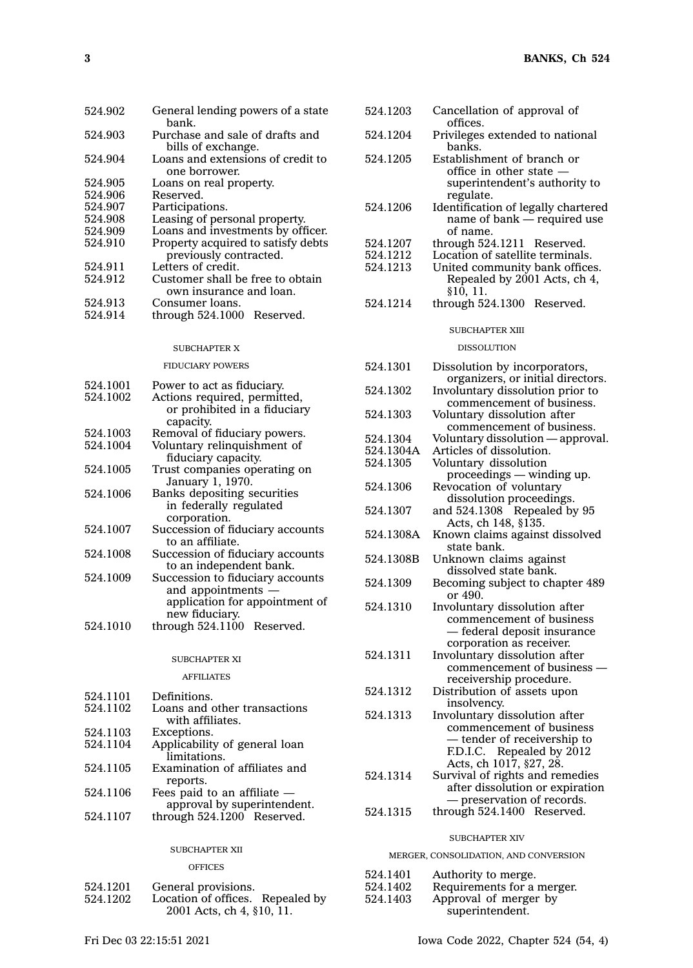| 524.902 | General lending powers of a state<br>bank.            |  |  |
|---------|-------------------------------------------------------|--|--|
| 524.903 | Purchase and sale of drafts and<br>bills of exchange. |  |  |
| 524.904 | Loans and extensions of credit to<br>one borrower.    |  |  |
| 524.905 | Loans on real property.                               |  |  |
| 524.906 | Reserved.                                             |  |  |
| 524.907 | Participations.                                       |  |  |
| 524.908 | Leasing of personal property.                         |  |  |
| 524.909 | Loans and investments by officer.                     |  |  |
| 524.910 | Property acquired to satisfy debts                    |  |  |
|         | previously contracted.                                |  |  |
| 524.911 | Letters of credit.                                    |  |  |
| 524.912 | Customer shall be free to obtain                      |  |  |
|         | own insurance and loan.                               |  |  |
| 524.913 | Consumer loans.                                       |  |  |
| 524.914 | through $524.1000$ Reserved.                          |  |  |

#### SUBCHAPTER X

# FIDUCIARY POWERS

| Power to act as fiduciary.       |
|----------------------------------|
| Actions required, permitted,     |
| or prohibited in a fiduciary     |
| capacity.                        |
| Removal of fiduciary powers.     |
| Voluntary relinquishment of      |
| fiduciary capacity.              |
| Trust companies operating on     |
| January 1, 1970.                 |
| Banks depositing securities      |
| in federally regulated           |
| corporation.                     |
| Succession of fiduciary accounts |
| to an affiliate.                 |
| Succession of fiduciary accounts |
| to an independent bank.          |
| Succession to fiduciary accounts |
| and appointments -               |
| application for appointment of   |
| new fiduciary.                   |
| through 524.1100 Reserved.       |
|                                  |

# SUBCHAPTER XI

AFFILIATES

| 524.1101 | Definitions.                  |
|----------|-------------------------------|
| 524.1102 | Loans and other transactions  |
|          | with affiliates.              |
| 524.1103 | Exceptions.                   |
| 524.1104 | Applicability of general loan |
|          | limitations.                  |
| 524.1105 | Examination of affiliates and |
|          | reports.                      |
| 524.1106 | Fees paid to an affiliate $-$ |
|          | approval by superintendent.   |

524.1107 through 524.1200 Reserved.

#### SUBCHAPTER XII

**OFFICES** 

| 524.1201  | General provisions. |  |
|-----------|---------------------|--|
| ___ _ . _ |                     |  |

524.1202 Location of offices. Repealed by 2001 Acts, ch 4, §10, 11.

| 524.1203 | Cancellation of approval of                                    |
|----------|----------------------------------------------------------------|
| 524.1204 | offices.<br>Privileges extended to national                    |
| 524.1205 | banks.<br>Establishment of branch or                           |
|          | office in other state $-$                                      |
|          | superintendent's authority to<br>regulate.                     |
| 524.1206 | Identification of legally chartered                            |
|          | name of bank — required use<br>of name.                        |
| 524.1207 | through $524.1211$ Reserved.                                   |
| 524.1212 | Location of satellite terminals.                               |
| 524.1213 | United community bank offices.<br>Repealed by 2001 Acts, ch 4, |
|          | §10.11.                                                        |
| 524.1214 | through $524.1300$ Reserved.                                   |
|          | SUBCHAPTER XIII                                                |

#### DISSOLUTION

| 524.1301  | Dissolution by incorporators,                                                                      |
|-----------|----------------------------------------------------------------------------------------------------|
| 524.1302  | organizers, or initial directors.<br>Involuntary dissolution prior to<br>commencement of business. |
| 524.1303  | Voluntary dissolution after<br>commencement of business.                                           |
| 524.1304  | Voluntary dissolution - approval.                                                                  |
| 524.1304A | Articles of dissolution.                                                                           |
| 524.1305  | Voluntary dissolution                                                                              |
|           | proceedings - winding up.                                                                          |
| 524.1306  | Revocation of voluntary                                                                            |
|           | dissolution proceedings.                                                                           |
| 524.1307  | and 524.1308 Repealed by 95<br>Acts, ch 148, §135.                                                 |
| 524.1308A | Known claims against dissolved                                                                     |
|           | state bank.                                                                                        |
| 524.1308B | Unknown claims against                                                                             |
|           | dissolved state bank.                                                                              |
| 524.1309  | Becoming subject to chapter 489                                                                    |
|           | or 490.                                                                                            |
| 524.1310  | Involuntary dissolution after                                                                      |
|           | commencement of business                                                                           |
|           | — federal deposit insurance                                                                        |
|           | corporation as receiver.                                                                           |
| 524.1311  | Involuntary dissolution after                                                                      |
|           | commencement of business -                                                                         |
|           | receivership procedure.                                                                            |
| 524.1312  | Distribution of assets upon                                                                        |
|           | insolvency.                                                                                        |
| 524.1313  | Involuntary dissolution after                                                                      |
|           | commencement of business                                                                           |
|           | — tender of receivership to                                                                        |
|           | F.D.I.C. Repealed by 2012                                                                          |
|           | Acts, ch 1017, §27, 28.                                                                            |
| 524.1314  | Survival of rights and remedies                                                                    |
|           | after dissolution or expiration                                                                    |
|           | - preservation of records.                                                                         |
| 524.1315  | through 524.1400 Reserved.                                                                         |
|           | <b>SUBCHAPTER XIV</b>                                                                              |
|           | MERGER, CONSOLIDATION, AND CONVERSION                                                              |
|           |                                                                                                    |
| 524.1401  | Authority to merge.                                                                                |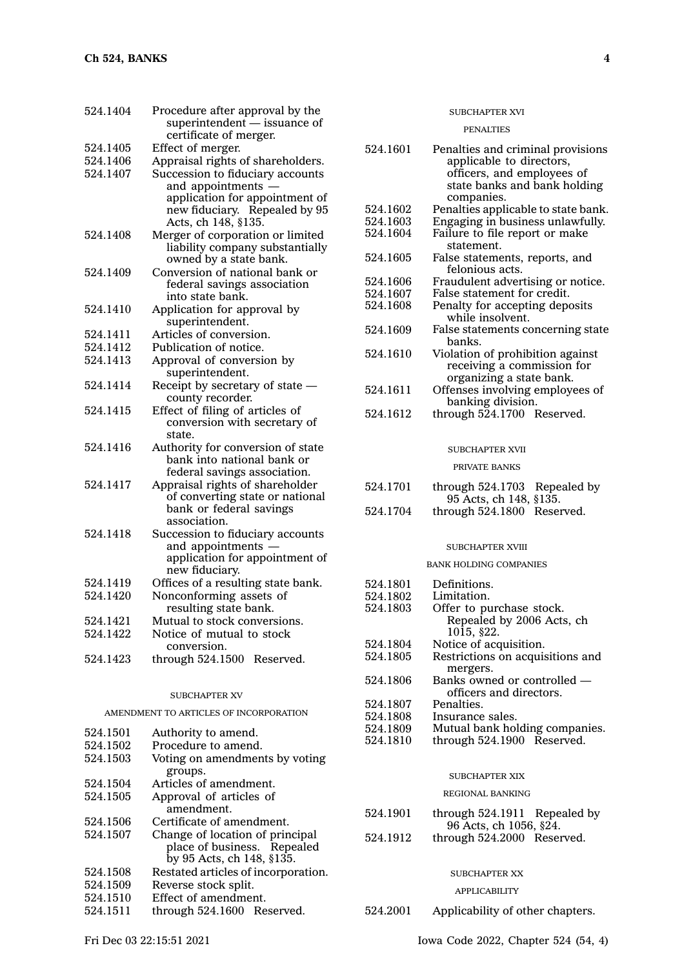| 524.1404                               | Procedure after approval by the<br>superintendent - issuance of                                                                                |  |  |
|----------------------------------------|------------------------------------------------------------------------------------------------------------------------------------------------|--|--|
|                                        | certificate of merger.                                                                                                                         |  |  |
| 524.1405                               | Effect of merger.                                                                                                                              |  |  |
| 524.1406                               | Appraisal rights of shareholders.                                                                                                              |  |  |
| 524.1407                               | Succession to fiduciary accounts<br>and appointments<br>application for appointment of<br>new fiduciary. Repealed by 95<br>Acts, ch 148, §135. |  |  |
| 524.1408                               | Merger of corporation or limited<br>liability company substantially<br>owned by a state bank.                                                  |  |  |
| 524.1409                               | Conversion of national bank or<br>federal savings association<br>into state bank.                                                              |  |  |
| 524.1410                               | Application for approval by<br>superintendent.                                                                                                 |  |  |
| 524.1411                               | Articles of conversion.                                                                                                                        |  |  |
| 524.1412                               | Publication of notice.                                                                                                                         |  |  |
| 524.1413                               | Approval of conversion by                                                                                                                      |  |  |
|                                        | superintendent.                                                                                                                                |  |  |
| 524.1414                               | Receipt by secretary of state -<br>county recorder.                                                                                            |  |  |
| 524.1415                               | Effect of filing of articles of                                                                                                                |  |  |
|                                        | conversion with secretary of<br>state.                                                                                                         |  |  |
| 524.1416                               | Authority for conversion of state<br>bank into national bank or                                                                                |  |  |
| 524.1417                               | federal savings association.<br>Appraisal rights of shareholder                                                                                |  |  |
|                                        | of converting state or national                                                                                                                |  |  |
|                                        | bank or federal savings                                                                                                                        |  |  |
|                                        | association.                                                                                                                                   |  |  |
| 524.1418                               | Succession to fiduciary accounts                                                                                                               |  |  |
|                                        | and appointments                                                                                                                               |  |  |
|                                        | application for appointment of<br>new fiduciary.                                                                                               |  |  |
| 524.1419                               | Offices of a resulting state bank.                                                                                                             |  |  |
| 524.1420                               | Nonconforming assets of                                                                                                                        |  |  |
|                                        | resulting state bank.                                                                                                                          |  |  |
| 524.1421                               | Mutual to stock conversions.                                                                                                                   |  |  |
| 524.1422                               | Notice of mutual to stock                                                                                                                      |  |  |
|                                        | conversion.                                                                                                                                    |  |  |
| 524.1423                               | through 524.1500<br>Reserved.                                                                                                                  |  |  |
| <b>SUBCHAPTER XV</b>                   |                                                                                                                                                |  |  |
| AMENDMENT TO ARTICLES OF INCORPORATION |                                                                                                                                                |  |  |
| 524.1501                               | Authority to amend.                                                                                                                            |  |  |
| 524.1502                               | Procedure to amend.                                                                                                                            |  |  |
| 524.1503                               | Voting on amendments by voting                                                                                                                 |  |  |
| 524.1504                               | groups.<br>Articles of amendment.                                                                                                              |  |  |
| 524.1505                               | Approval of articles of                                                                                                                        |  |  |
|                                        | amendment.                                                                                                                                     |  |  |
| 524.1506                               | Certificate of amendment.                                                                                                                      |  |  |
| EOM1EOM                                | Change of logation of nuis                                                                                                                     |  |  |

| 524.1501 | Authority to amend.                                            | 047.100J | Mutual balin holding company    |
|----------|----------------------------------------------------------------|----------|---------------------------------|
| 524.1502 | Procedure to amend.                                            | 524.1810 | through 524.1900 Reserved.      |
| 524.1503 | Voting on amendments by voting                                 |          |                                 |
|          | groups.                                                        |          | <b>SUBCHAPTER XIX</b>           |
| 524.1504 | Articles of amendment.                                         |          |                                 |
| 524.1505 | Approval of articles of                                        |          | <b>REGIONAL BANKING</b>         |
|          | amendment.                                                     | 524.1901 | through $524.1911$ Repealed b   |
| 524.1506 | Certificate of amendment.                                      |          | 96 Acts, ch 1056, §24.          |
| 524.1507 | Change of location of principal<br>place of business. Repealed | 524.1912 | through 524,2000 Reserved.      |
|          | by 95 Acts, ch 148, §135.                                      |          |                                 |
| 524.1508 | Restated articles of incorporation.                            |          | <b>SUBCHAPTER XX</b>            |
| 524.1509 | Reverse stock split.                                           |          | <b>APPLICABILITY</b>            |
| 524.1510 | Effect of amendment.                                           |          |                                 |
| 524.1511 | through 524.1600 Reserved.                                     | 524.2001 | Applicability of other chapters |
|          |                                                                |          |                                 |

## SUBCHAPTER XVI

#### PENALTIES

| 524.1601             | Penalties and criminal provisions<br>applicable to directors,<br>officers, and employees of<br>state banks and bank holding |
|----------------------|-----------------------------------------------------------------------------------------------------------------------------|
|                      | companies.                                                                                                                  |
| 524.1602<br>524.1603 | Penalties applicable to state bank.                                                                                         |
| 524.1604             | Engaging in business unlawfully.<br>Failure to file report or make                                                          |
|                      | statement.                                                                                                                  |
| 524.1605             | False statements, reports, and                                                                                              |
|                      | felonious acts.                                                                                                             |
| 524.1606             | Fraudulent advertising or notice.                                                                                           |
| 524.1607             | False statement for credit.                                                                                                 |
| 524.1608             | Penalty for accepting deposits                                                                                              |
| 524.1609             | while insolvent.<br>False statements concerning state<br>banks.                                                             |
| 524.1610             | Violation of prohibition against                                                                                            |
|                      | receiving a commission for<br>organizing a state bank.                                                                      |
| 524.1611             | Offenses involving employees of                                                                                             |
|                      | banking division.                                                                                                           |
| 524.1612             | through 524.1700 Reserved.                                                                                                  |
|                      | SUBCHAPTER XVII                                                                                                             |
|                      | PRIVATE BANKS                                                                                                               |
|                      |                                                                                                                             |
| 524.1701             | through 524.1703<br>Repealed by                                                                                             |
| 524.1704             | 95 Acts, ch 148, §135.<br>through 524.1800 Reserved.                                                                        |
|                      | SUBCHAPTER XVIII                                                                                                            |
|                      | <b>BANK HOLDING COMPANIES</b>                                                                                               |
|                      |                                                                                                                             |
| 524.1801             | Definitions.                                                                                                                |
| 524.1802<br>524.1803 | Limitation.                                                                                                                 |
|                      | Offer to purchase stock.<br>Repealed by 2006 Acts, ch<br>$10\overline{15}$ , §22.                                           |
| 524.1804             | Notice of acquisition.                                                                                                      |
| 524.1805             | Restrictions on acquisitions and<br>mergers.                                                                                |
| 524.1806             | Banks owned or controlled -                                                                                                 |
|                      | officers and directors.                                                                                                     |
| 524.1807             | Penalties.                                                                                                                  |
| 524.1808             | Insurance sales.                                                                                                            |
| 524.1809             | Mutual bank holding companies.<br>through 524.1900 Reserved.                                                                |
| 524.1810             |                                                                                                                             |
|                      | <b>SUBCHAPTER XIX</b>                                                                                                       |
|                      | <b>REGIONAL BANKING</b>                                                                                                     |
| 524.1901             | through 524.1911 Repealed by<br>96 Acts, ch 1056, §24.                                                                      |
| 524.1912             | through 524.2000 Reserved.                                                                                                  |
|                      |                                                                                                                             |
|                      |                                                                                                                             |
|                      | <b>SUBCHAPTER XX</b>                                                                                                        |
|                      | APPLICABILITY                                                                                                               |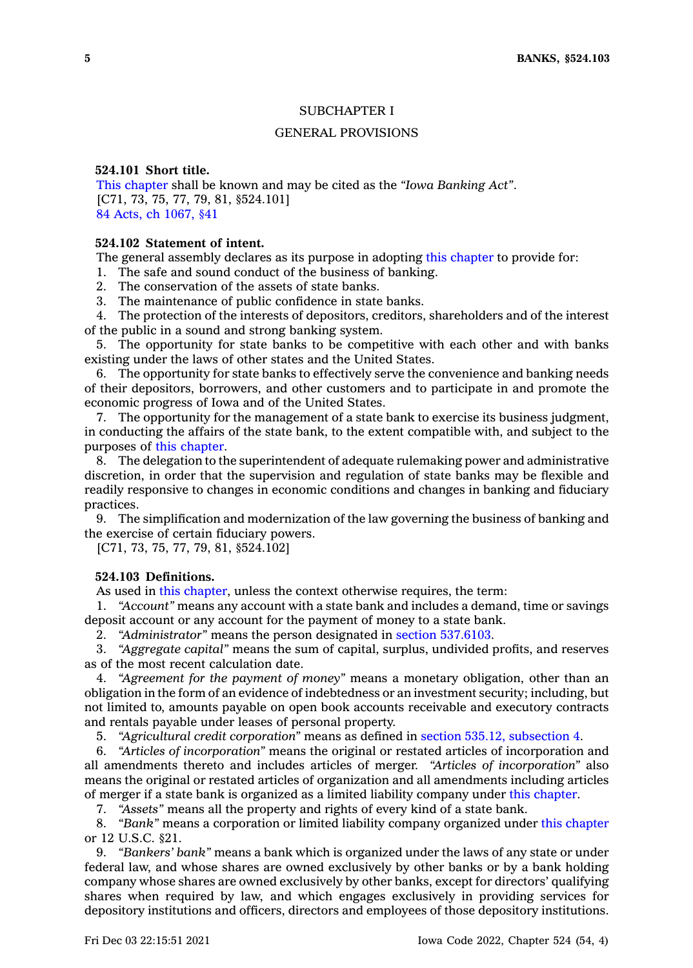# SUBCHAPTER I

## GENERAL PROVISIONS

#### **524.101 Short title.**

This [chapter](https://www.legis.iowa.gov/docs/code//524.pdf) shall be known and may be cited as the *"Iowa Banking Act"*. [C71, 73, 75, 77, 79, 81, §524.101] 84 Acts, ch [1067,](https://www.legis.iowa.gov/docs/acts/1984/CH1067.pdf) §41

# **524.102 Statement of intent.**

The general assembly declares as its purpose in adopting this [chapter](https://www.legis.iowa.gov/docs/code//524.pdf) to provide for:

1. The safe and sound conduct of the business of banking.

2. The conservation of the assets of state banks.

3. The maintenance of public confidence in state banks.

4. The protection of the interests of depositors, creditors, shareholders and of the interest of the public in <sup>a</sup> sound and strong banking system.

5. The opportunity for state banks to be competitive with each other and with banks existing under the laws of other states and the United States.

6. The opportunity for state banks to effectively serve the convenience and banking needs of their depositors, borrowers, and other customers and to participate in and promote the economic progress of Iowa and of the United States.

7. The opportunity for the management of <sup>a</sup> state bank to exercise its business judgment, in conducting the affairs of the state bank, to the extent compatible with, and subject to the purposes of this [chapter](https://www.legis.iowa.gov/docs/code//524.pdf).

8. The delegation to the superintendent of adequate rulemaking power and administrative discretion, in order that the supervision and regulation of state banks may be flexible and readily responsive to changes in economic conditions and changes in banking and fiduciary practices.

9. The simplification and modernization of the law governing the business of banking and the exercise of certain fiduciary powers.

[C71, 73, 75, 77, 79, 81, §524.102]

# **524.103 Definitions.**

As used in this [chapter](https://www.legis.iowa.gov/docs/code//524.pdf), unless the context otherwise requires, the term:

1. *"Account"* means any account with <sup>a</sup> state bank and includes <sup>a</sup> demand, time or savings deposit account or any account for the payment of money to <sup>a</sup> state bank.

2. *"Administrator"* means the person designated in section [537.6103](https://www.legis.iowa.gov/docs/code/537.6103.pdf).

3. *"Aggregate capital"* means the sum of capital, surplus, undivided profits, and reserves as of the most recent calculation date.

4. *"Agreement for the payment of money"* means <sup>a</sup> monetary obligation, other than an obligation in the form of an evidence of indebtedness or an investment security; including, but not limited to, amounts payable on open book accounts receivable and executory contracts and rentals payable under leases of personal property.

5. *"Agricultural credit corporation"* means as defined in section 535.12, [subsection](https://www.legis.iowa.gov/docs/code/535.12.pdf) 4.

6. *"Articles of incorporation"* means the original or restated articles of incorporation and all amendments thereto and includes articles of merger. *"Articles of incorporation"* also means the original or restated articles of organization and all amendments including articles of merger if <sup>a</sup> state bank is organized as <sup>a</sup> limited liability company under this [chapter](https://www.legis.iowa.gov/docs/code//524.pdf).

7. *"Assets"* means all the property and rights of every kind of <sup>a</sup> state bank.

8. *"Bank"* means <sup>a</sup> corporation or limited liability company organized under this [chapter](https://www.legis.iowa.gov/docs/code//524.pdf) or 12 U.S.C. §21.

9. *"Bankers' bank"* means <sup>a</sup> bank which is organized under the laws of any state or under federal law, and whose shares are owned exclusively by other banks or by <sup>a</sup> bank holding company whose shares are owned exclusively by other banks, except for directors' qualifying shares when required by law, and which engages exclusively in providing services for depository institutions and officers, directors and employees of those depository institutions.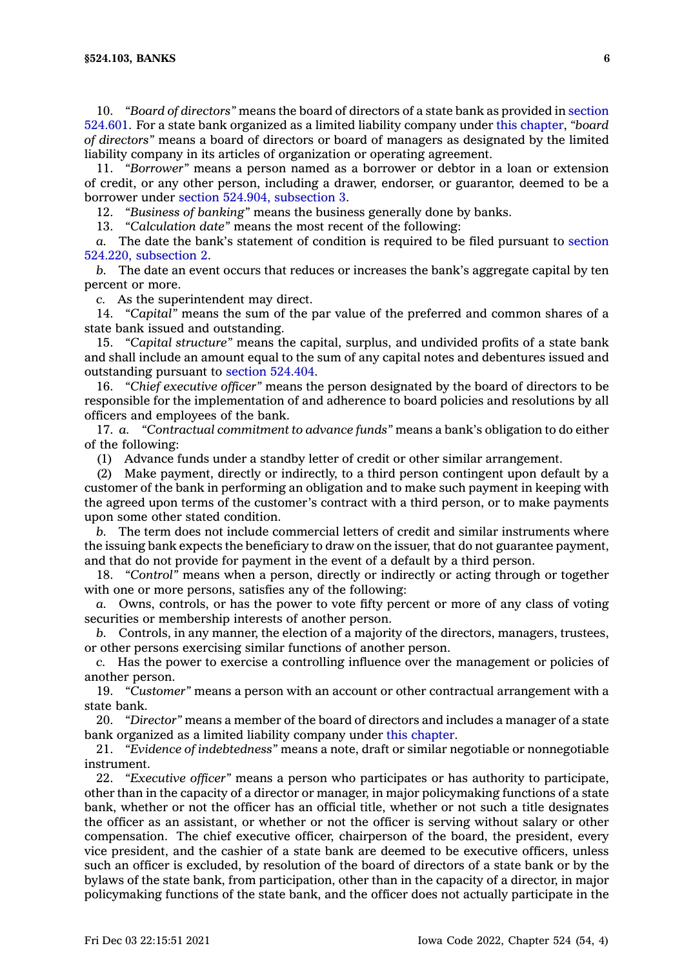10. *"Board of directors"* means the board of directors of <sup>a</sup> state bank as provided in [section](https://www.legis.iowa.gov/docs/code/524.601.pdf) [524.601](https://www.legis.iowa.gov/docs/code/524.601.pdf). For <sup>a</sup> state bank organized as <sup>a</sup> limited liability company under this [chapter](https://www.legis.iowa.gov/docs/code//524.pdf), *"board of directors"* means <sup>a</sup> board of directors or board of managers as designated by the limited liability company in its articles of organization or operating agreement.

11. *"Borrower"* means <sup>a</sup> person named as <sup>a</sup> borrower or debtor in <sup>a</sup> loan or extension of credit, or any other person, including <sup>a</sup> drawer, endorser, or guarantor, deemed to be <sup>a</sup> borrower under section 524.904, [subsection](https://www.legis.iowa.gov/docs/code/524.904.pdf) 3.

12. *"Business of banking"* means the business generally done by banks.

13. *"Calculation date"* means the most recent of the following:

*a.* The date the bank's statement of condition is required to be filed pursuant to [section](https://www.legis.iowa.gov/docs/code/524.220.pdf) 524.220, [subsection](https://www.legis.iowa.gov/docs/code/524.220.pdf) 2.

*b.* The date an event occurs that reduces or increases the bank's aggregate capital by ten percent or more.

*c.* As the superintendent may direct.

14. *"Capital"* means the sum of the par value of the preferred and common shares of <sup>a</sup> state bank issued and outstanding.

15. *"Capital structure"* means the capital, surplus, and undivided profits of <sup>a</sup> state bank and shall include an amount equal to the sum of any capital notes and debentures issued and outstanding pursuant to section [524.404](https://www.legis.iowa.gov/docs/code/524.404.pdf).

16. *"Chief executive officer"* means the person designated by the board of directors to be responsible for the implementation of and adherence to board policies and resolutions by all officers and employees of the bank.

17. *a. "Contractual commitment to advance funds"* means <sup>a</sup> bank's obligation to do either of the following:

(1) Advance funds under <sup>a</sup> standby letter of credit or other similar arrangement.

(2) Make payment, directly or indirectly, to <sup>a</sup> third person contingent upon default by <sup>a</sup> customer of the bank in performing an obligation and to make such payment in keeping with the agreed upon terms of the customer's contract with <sup>a</sup> third person, or to make payments upon some other stated condition.

*b.* The term does not include commercial letters of credit and similar instruments where the issuing bank expects the beneficiary to draw on the issuer, that do not guarantee payment, and that do not provide for payment in the event of <sup>a</sup> default by <sup>a</sup> third person.

18. *"Control"* means when <sup>a</sup> person, directly or indirectly or acting through or together with one or more persons, satisfies any of the following:

*a.* Owns, controls, or has the power to vote fifty percent or more of any class of voting securities or membership interests of another person.

*b.* Controls, in any manner, the election of <sup>a</sup> majority of the directors, managers, trustees, or other persons exercising similar functions of another person.

*c.* Has the power to exercise <sup>a</sup> controlling influence over the management or policies of another person.

19. *"Customer"* means <sup>a</sup> person with an account or other contractual arrangement with <sup>a</sup> state bank.

20. *"Director"* means <sup>a</sup> member of the board of directors and includes <sup>a</sup> manager of <sup>a</sup> state bank organized as <sup>a</sup> limited liability company under this [chapter](https://www.legis.iowa.gov/docs/code//524.pdf).

21. *"Evidence of indebtedness"* means <sup>a</sup> note, draft or similar negotiable or nonnegotiable instrument.

22. *"Executive officer"* means <sup>a</sup> person who participates or has authority to participate, other than in the capacity of <sup>a</sup> director or manager, in major policymaking functions of <sup>a</sup> state bank, whether or not the officer has an official title, whether or not such <sup>a</sup> title designates the officer as an assistant, or whether or not the officer is serving without salary or other compensation. The chief executive officer, chairperson of the board, the president, every vice president, and the cashier of <sup>a</sup> state bank are deemed to be executive officers, unless such an officer is excluded, by resolution of the board of directors of <sup>a</sup> state bank or by the bylaws of the state bank, from participation, other than in the capacity of <sup>a</sup> director, in major policymaking functions of the state bank, and the officer does not actually participate in the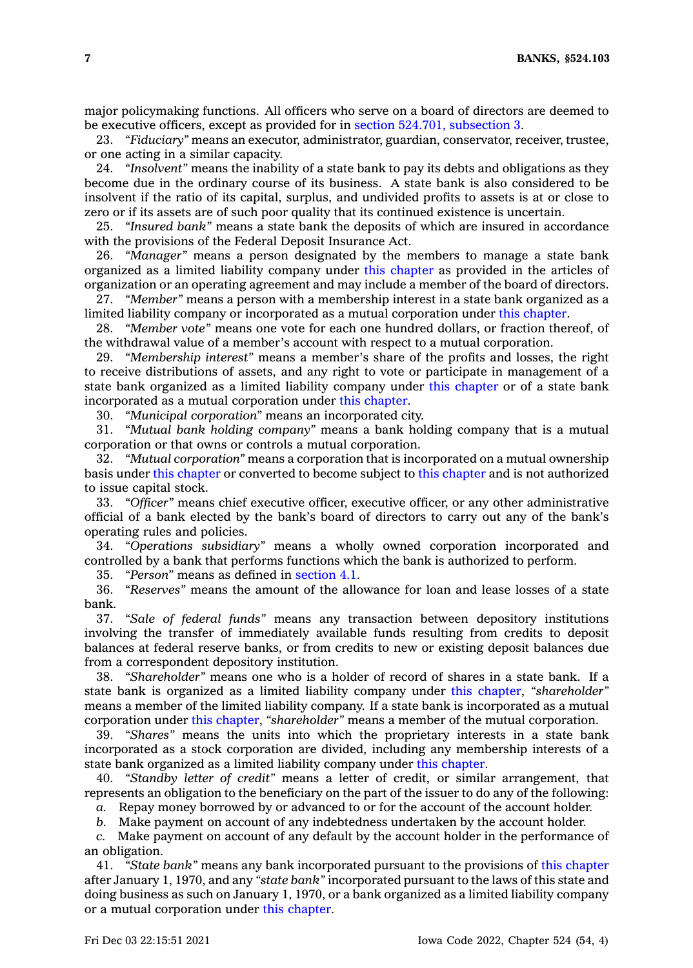major policymaking functions. All officers who serve on <sup>a</sup> board of directors are deemed to be executive officers, except as provided for in section 524.701, [subsection](https://www.legis.iowa.gov/docs/code/524.701.pdf) 3.

23. *"Fiduciary"* means an executor, administrator, guardian, conservator, receiver, trustee, or one acting in <sup>a</sup> similar capacity.

24. *"Insolvent"* means the inability of <sup>a</sup> state bank to pay its debts and obligations as they become due in the ordinary course of its business. A state bank is also considered to be insolvent if the ratio of its capital, surplus, and undivided profits to assets is at or close to zero or if its assets are of such poor quality that its continued existence is uncertain.

25. *"Insured bank"* means <sup>a</sup> state bank the deposits of which are insured in accordance with the provisions of the Federal Deposit Insurance Act.

26. *"Manager"* means <sup>a</sup> person designated by the members to manage <sup>a</sup> state bank organized as <sup>a</sup> limited liability company under this [chapter](https://www.legis.iowa.gov/docs/code//524.pdf) as provided in the articles of organization or an operating agreement and may include <sup>a</sup> member of the board of directors.

27. *"Member"* means <sup>a</sup> person with <sup>a</sup> membership interest in <sup>a</sup> state bank organized as <sup>a</sup> limited liability company or incorporated as <sup>a</sup> mutual corporation under this [chapter](https://www.legis.iowa.gov/docs/code//524.pdf).

28. *"Member vote"* means one vote for each one hundred dollars, or fraction thereof, of the withdrawal value of <sup>a</sup> member's account with respect to <sup>a</sup> mutual corporation.

29. *"Membership interest"* means <sup>a</sup> member's share of the profits and losses, the right to receive distributions of assets, and any right to vote or participate in management of <sup>a</sup> state bank organized as <sup>a</sup> limited liability company under this [chapter](https://www.legis.iowa.gov/docs/code//524.pdf) or of <sup>a</sup> state bank incorporated as <sup>a</sup> mutual corporation under this [chapter](https://www.legis.iowa.gov/docs/code//524.pdf).

30. *"Municipal corporation"* means an incorporated city.

31. *"Mutual bank holding company"* means <sup>a</sup> bank holding company that is <sup>a</sup> mutual corporation or that owns or controls <sup>a</sup> mutual corporation.

32. *"Mutual corporation"* means <sup>a</sup> corporation that is incorporated on <sup>a</sup> mutual ownership basis under this [chapter](https://www.legis.iowa.gov/docs/code//524.pdf) or converted to become subject to this [chapter](https://www.legis.iowa.gov/docs/code//524.pdf) and is not authorized to issue capital stock.

33. *"Officer"* means chief executive officer, executive officer, or any other administrative official of <sup>a</sup> bank elected by the bank's board of directors to carry out any of the bank's operating rules and policies.

34. *"Operations subsidiary"* means <sup>a</sup> wholly owned corporation incorporated and controlled by <sup>a</sup> bank that performs functions which the bank is authorized to perform.

35. *"Person"* means as defined in [section](https://www.legis.iowa.gov/docs/code/4.1.pdf) 4.1.

36. *"Reserves"* means the amount of the allowance for loan and lease losses of <sup>a</sup> state bank.

37. *"Sale of federal funds"* means any transaction between depository institutions involving the transfer of immediately available funds resulting from credits to deposit balances at federal reserve banks, or from credits to new or existing deposit balances due from <sup>a</sup> correspondent depository institution.

38. *"Shareholder"* means one who is <sup>a</sup> holder of record of shares in <sup>a</sup> state bank. If <sup>a</sup> state bank is organized as <sup>a</sup> limited liability company under this [chapter](https://www.legis.iowa.gov/docs/code//524.pdf), *"shareholder"* means <sup>a</sup> member of the limited liability company. If <sup>a</sup> state bank is incorporated as <sup>a</sup> mutual corporation under this [chapter](https://www.legis.iowa.gov/docs/code//524.pdf), *"shareholder"* means <sup>a</sup> member of the mutual corporation.

39. *"Shares"* means the units into which the proprietary interests in <sup>a</sup> state bank incorporated as <sup>a</sup> stock corporation are divided, including any membership interests of <sup>a</sup> state bank organized as <sup>a</sup> limited liability company under this [chapter](https://www.legis.iowa.gov/docs/code//524.pdf).

40. *"Standby letter of credit"* means <sup>a</sup> letter of credit, or similar arrangement, that represents an obligation to the beneficiary on the part of the issuer to do any of the following:

*a.* Repay money borrowed by or advanced to or for the account of the account holder.

*b.* Make payment on account of any indebtedness undertaken by the account holder.

*c.* Make payment on account of any default by the account holder in the performance of an obligation.

41. *"State bank"* means any bank incorporated pursuant to the provisions of this [chapter](https://www.legis.iowa.gov/docs/code//524.pdf) after January 1, 1970, and any *"state bank"* incorporated pursuant to the laws of this state and doing business as such on January 1, 1970, or <sup>a</sup> bank organized as <sup>a</sup> limited liability company or <sup>a</sup> mutual corporation under this [chapter](https://www.legis.iowa.gov/docs/code//524.pdf).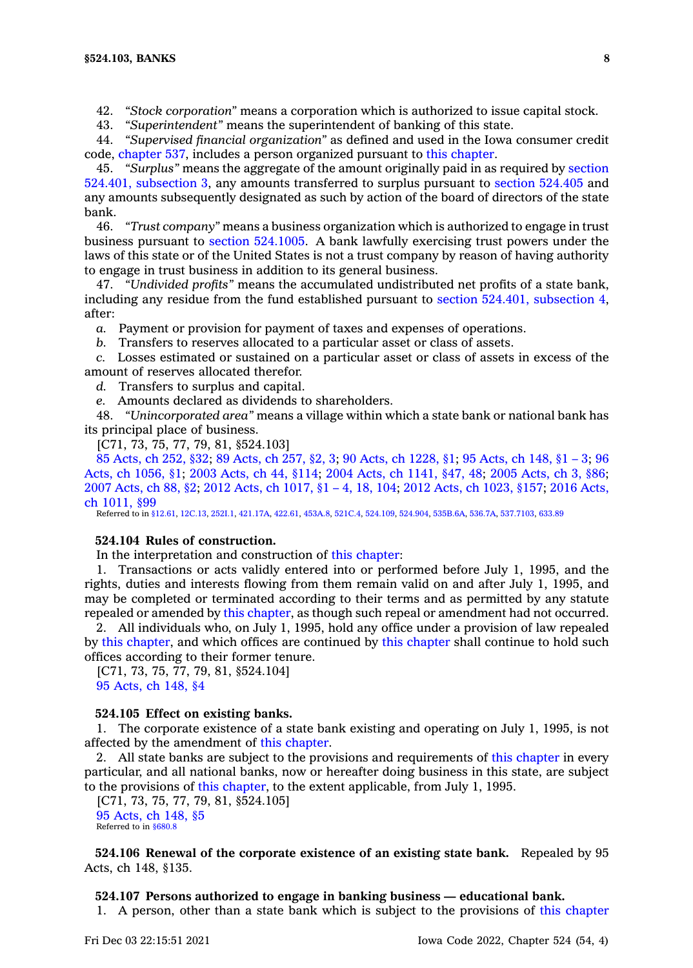42. *"Stock corporation"* means <sup>a</sup> corporation which is authorized to issue capital stock.

43. *"Superintendent"* means the superintendent of banking of this state.

44. *"Supervised financial organization"* as defined and used in the Iowa consumer credit code, [chapter](https://www.legis.iowa.gov/docs/code//537.pdf) 537, includes <sup>a</sup> person organized pursuant to this [chapter](https://www.legis.iowa.gov/docs/code//524.pdf).

45. *"Surplus"* means the aggregate of the amount originally paid in as required by [section](https://www.legis.iowa.gov/docs/code/524.401.pdf) 524.401, [subsection](https://www.legis.iowa.gov/docs/code/524.401.pdf) 3, any amounts transferred to surplus pursuant to section [524.405](https://www.legis.iowa.gov/docs/code/524.405.pdf) and any amounts subsequently designated as such by action of the board of directors of the state bank.

46. *"Trust company"* means <sup>a</sup> business organization which is authorized to engage in trust business pursuant to section [524.1005](https://www.legis.iowa.gov/docs/code/524.1005.pdf). A bank lawfully exercising trust powers under the laws of this state or of the United States is not <sup>a</sup> trust company by reason of having authority to engage in trust business in addition to its general business.

47. *"Undivided profits"* means the accumulated undistributed net profits of <sup>a</sup> state bank, including any residue from the fund established pursuant to section 524.401, [subsection](https://www.legis.iowa.gov/docs/code/524.401.pdf) 4, after:

*a.* Payment or provision for payment of taxes and expenses of operations.

*b.* Transfers to reserves allocated to <sup>a</sup> particular asset or class of assets.

*c.* Losses estimated or sustained on <sup>a</sup> particular asset or class of assets in excess of the amount of reserves allocated therefor.

*d.* Transfers to surplus and capital.

*e.* Amounts declared as dividends to shareholders.

48. *"Unincorporated area"* means <sup>a</sup> village within which <sup>a</sup> state bank or national bank has its principal place of business.

[C71, 73, 75, 77, 79, 81, §524.103]

85 [Acts,](https://www.legis.iowa.gov/docs/acts/1985/CH0252.pdf) ch 252, §32; 89 [Acts,](https://www.legis.iowa.gov/docs/acts/89/CH0257.pdf) ch 257, §2, 3; 90 Acts, ch [1228,](https://www.legis.iowa.gov/docs/acts/90/CH1228.pdf) §1; 95 [Acts,](https://www.legis.iowa.gov/docs/acts/95/CH0148.pdf) ch 148, §1 – 3; [96](https://www.legis.iowa.gov/docs/acts/96/CH1056.pdf) Acts, ch [1056,](https://www.legis.iowa.gov/docs/acts/96/CH1056.pdf) §1; 2003 [Acts,](https://www.legis.iowa.gov/docs/acts/2003/CH0044.pdf) ch 44, §114; 2004 Acts, ch [1141,](https://www.legis.iowa.gov/docs/acts/2004/CH1141.pdf) §47, 48; 2005 [Acts,](https://www.legis.iowa.gov/docs/acts/2005/CH0003.pdf) ch 3, §86; 2007 [Acts,](https://www.legis.iowa.gov/docs/acts/2007/CH0088.pdf) ch 88, §2; 2012 Acts, ch [1017,](https://www.legis.iowa.gov/docs/acts/2012/CH1017.pdf) §1 – 4, 18, 104; 2012 Acts, ch [1023,](https://www.legis.iowa.gov/docs/acts/2012/CH1023.pdf) §157; 2016 [Acts,](https://www.legis.iowa.gov/docs/acts/2016/CH1011.pdf) ch [1011,](https://www.legis.iowa.gov/docs/acts/2016/CH1011.pdf) §99

Referred to in [§12.61](https://www.legis.iowa.gov/docs/code/12.61.pdf), [12C.13,](https://www.legis.iowa.gov/docs/code/12C.13.pdf) [252I.1,](https://www.legis.iowa.gov/docs/code/252I.1.pdf) [421.17A](https://www.legis.iowa.gov/docs/code/421.17A.pdf), [422.61](https://www.legis.iowa.gov/docs/code/422.61.pdf), [453A.8](https://www.legis.iowa.gov/docs/code/453A.8.pdf), [521C.4](https://www.legis.iowa.gov/docs/code/521C.4.pdf), [524.109](https://www.legis.iowa.gov/docs/code/524.109.pdf), [524.904](https://www.legis.iowa.gov/docs/code/524.904.pdf), [535B.6A,](https://www.legis.iowa.gov/docs/code/535B.6A.pdf) [536.7A](https://www.legis.iowa.gov/docs/code/536.7A.pdf), [537.7103](https://www.legis.iowa.gov/docs/code/537.7103.pdf), [633.89](https://www.legis.iowa.gov/docs/code/633.89.pdf)

#### **524.104 Rules of construction.**

In the interpretation and construction of this [chapter](https://www.legis.iowa.gov/docs/code//524.pdf):

1. Transactions or acts validly entered into or performed before July 1, 1995, and the rights, duties and interests flowing from them remain valid on and after July 1, 1995, and may be completed or terminated according to their terms and as permitted by any statute repealed or amended by this [chapter](https://www.legis.iowa.gov/docs/code//524.pdf), as though such repeal or amendment had not occurred.

2. All individuals who, on July 1, 1995, hold any office under <sup>a</sup> provision of law repealed by this [chapter](https://www.legis.iowa.gov/docs/code//524.pdf), and which offices are continued by this [chapter](https://www.legis.iowa.gov/docs/code//524.pdf) shall continue to hold such offices according to their former tenure.

[C71, 73, 75, 77, 79, 81, §524.104] 95 [Acts,](https://www.legis.iowa.gov/docs/acts/1995/CH0148.pdf) ch 148, §4

## **524.105 Effect on existing banks.**

1. The corporate existence of <sup>a</sup> state bank existing and operating on July 1, 1995, is not affected by the amendment of this [chapter](https://www.legis.iowa.gov/docs/code//524.pdf).

2. All state banks are subject to the provisions and requirements of this [chapter](https://www.legis.iowa.gov/docs/code//524.pdf) in every particular, and all national banks, now or hereafter doing business in this state, are subject to the provisions of this [chapter](https://www.legis.iowa.gov/docs/code//524.pdf), to the extent applicable, from July 1, 1995.

[C71, 73, 75, 77, 79, 81, §524.105] 95 [Acts,](https://www.legis.iowa.gov/docs/acts/1995/CH0148.pdf) ch 148, §5 Referred to in [§680.8](https://www.legis.iowa.gov/docs/code/680.8.pdf)

**524.106 Renewal of the corporate existence of an existing state bank.** Repealed by 95 Acts, ch 148, §135.

## **524.107 Persons authorized to engage in banking business — educational bank.**

1. A person, other than <sup>a</sup> state bank which is subject to the provisions of this [chapter](https://www.legis.iowa.gov/docs/code//524.pdf)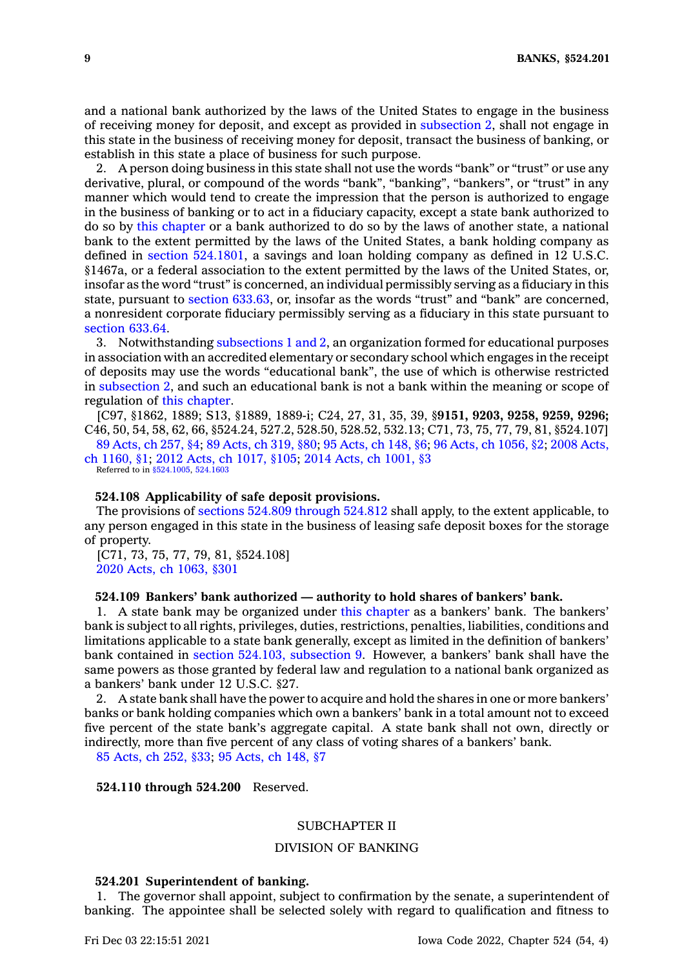and <sup>a</sup> national bank authorized by the laws of the United States to engage in the business of receiving money for deposit, and except as provided in [subsection](https://www.legis.iowa.gov/docs/code/524.107.pdf) 2, shall not engage in this state in the business of receiving money for deposit, transact the business of banking, or establish in this state <sup>a</sup> place of business for such purpose.

2. A person doing business in this state shall not use the words "bank" or "trust" or use any derivative, plural, or compound of the words "bank", "banking", "bankers", or "trust" in any manner which would tend to create the impression that the person is authorized to engage in the business of banking or to act in <sup>a</sup> fiduciary capacity, except <sup>a</sup> state bank authorized to do so by this [chapter](https://www.legis.iowa.gov/docs/code//524.pdf) or <sup>a</sup> bank authorized to do so by the laws of another state, <sup>a</sup> national bank to the extent permitted by the laws of the United States, <sup>a</sup> bank holding company as defined in section [524.1801](https://www.legis.iowa.gov/docs/code/524.1801.pdf), <sup>a</sup> savings and loan holding company as defined in 12 U.S.C. §1467a, or <sup>a</sup> federal association to the extent permitted by the laws of the United States, or, insofar as the word "trust" is concerned, an individual permissibly serving as <sup>a</sup> fiduciary in this state, pursuant to section [633.63](https://www.legis.iowa.gov/docs/code/633.63.pdf), or, insofar as the words "trust" and "bank" are concerned, <sup>a</sup> nonresident corporate fiduciary permissibly serving as <sup>a</sup> fiduciary in this state pursuant to [section](https://www.legis.iowa.gov/docs/code/633.64.pdf) 633.64.

3. Notwithstanding [subsections](https://www.legis.iowa.gov/docs/code/524.107.pdf) 1 and 2, an organization formed for educational purposes in association with an accredited elementary or secondary school which engages in the receipt of deposits may use the words "educational bank", the use of which is otherwise restricted in [subsection](https://www.legis.iowa.gov/docs/code/524.107.pdf) 2, and such an educational bank is not <sup>a</sup> bank within the meaning or scope of regulation of this [chapter](https://www.legis.iowa.gov/docs/code//524.pdf).

[C97, §1862, 1889; S13, §1889, 1889-i; C24, 27, 31, 35, 39, §**9151, 9203, 9258, 9259, 9296;** C46, 50, 54, 58, 62, 66, §524.24, 527.2, 528.50, 528.52, 532.13; C71, 73, 75, 77, 79, 81, §524.107] 89 [Acts,](https://www.legis.iowa.gov/docs/acts/1989/CH0257.pdf) ch 257, §4; 89 [Acts,](https://www.legis.iowa.gov/docs/acts/89/CH0319.pdf) ch 319, §80; 95 [Acts,](https://www.legis.iowa.gov/docs/acts/95/CH0148.pdf) ch 148, §6; 96 Acts, ch [1056,](https://www.legis.iowa.gov/docs/acts/96/CH1056.pdf) §2; 2008 [Acts,](https://www.legis.iowa.gov/docs/acts/2008/CH1160.pdf)

ch [1160,](https://www.legis.iowa.gov/docs/acts/2008/CH1160.pdf) §1; 2012 Acts, ch [1017,](https://www.legis.iowa.gov/docs/acts/2012/CH1017.pdf) §105; 2014 Acts, ch [1001,](https://www.legis.iowa.gov/docs/acts/2014/CH1001.pdf) §3 Referred to in [§524.1005](https://www.legis.iowa.gov/docs/code/524.1005.pdf), [524.1603](https://www.legis.iowa.gov/docs/code/524.1603.pdf)

# **524.108 Applicability of safe deposit provisions.**

The provisions of sections 524.809 [through](https://www.legis.iowa.gov/docs/code/524.809.pdf) 524.812 shall apply, to the extent applicable, to any person engaged in this state in the business of leasing safe deposit boxes for the storage of property.

[C71, 73, 75, 77, 79, 81, §524.108] 2020 Acts, ch [1063,](https://www.legis.iowa.gov/docs/acts/2020/CH1063.pdf) §301

## **524.109 Bankers' bank authorized — authority to hold shares of bankers' bank.**

1. A state bank may be organized under this [chapter](https://www.legis.iowa.gov/docs/code//524.pdf) as <sup>a</sup> bankers' bank. The bankers' bank is subject to all rights, privileges, duties, restrictions, penalties, liabilities, conditions and limitations applicable to <sup>a</sup> state bank generally, except as limited in the definition of bankers' bank contained in section 524.103, [subsection](https://www.legis.iowa.gov/docs/code/524.103.pdf) 9. However, <sup>a</sup> bankers' bank shall have the same powers as those granted by federal law and regulation to <sup>a</sup> national bank organized as <sup>a</sup> bankers' bank under 12 U.S.C. §27.

2. A state bank shall have the power to acquire and hold the shares in one or more bankers' banks or bank holding companies which own <sup>a</sup> bankers' bank in <sup>a</sup> total amount not to exceed five percent of the state bank's aggregate capital. A state bank shall not own, directly or indirectly, more than five percent of any class of voting shares of <sup>a</sup> bankers' bank.

85 [Acts,](https://www.legis.iowa.gov/docs/acts/1985/CH0252.pdf) ch 252, §33; 95 [Acts,](https://www.legis.iowa.gov/docs/acts/1995/CH0148.pdf) ch 148, §7

**524.110 through 524.200** Reserved.

#### SUBCHAPTER II

#### DIVISION OF BANKING

# **524.201 Superintendent of banking.**

1. The governor shall appoint, subject to confirmation by the senate, <sup>a</sup> superintendent of banking. The appointee shall be selected solely with regard to qualification and fitness to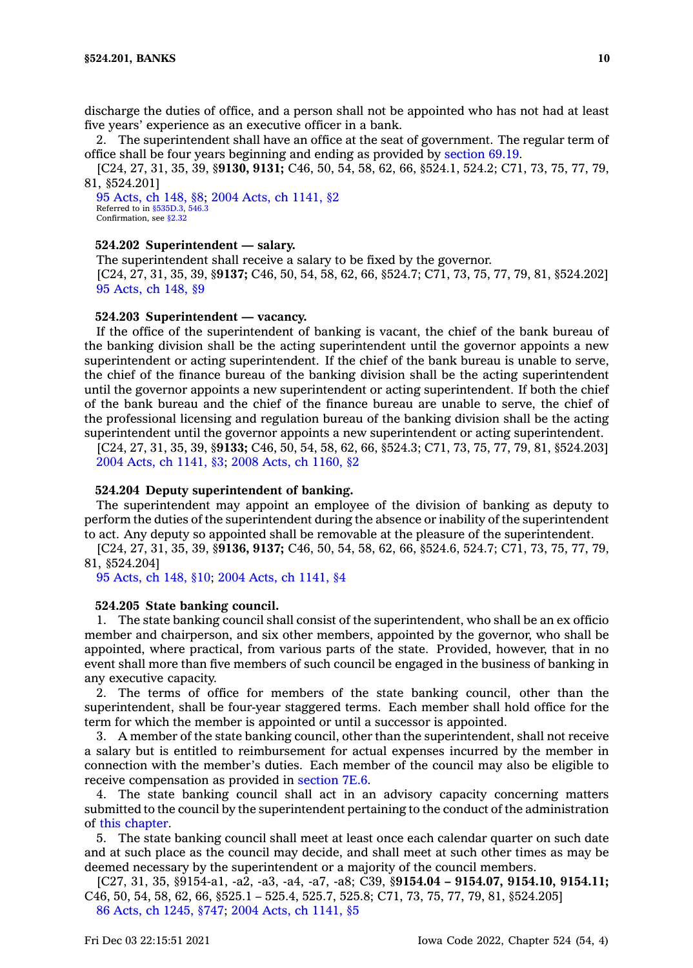discharge the duties of office, and <sup>a</sup> person shall not be appointed who has not had at least five years' experience as an executive officer in <sup>a</sup> bank.

2. The superintendent shall have an office at the seat of government. The regular term of office shall be four years beginning and ending as provided by [section](https://www.legis.iowa.gov/docs/code/69.19.pdf) 69.19.

[C24, 27, 31, 35, 39, §**9130, 9131;** C46, 50, 54, 58, 62, 66, §524.1, 524.2; C71, 73, 75, 77, 79, 81, §524.201]

95 [Acts,](https://www.legis.iowa.gov/docs/acts/1995/CH0148.pdf) ch 148, §8; 2004 Acts, ch [1141,](https://www.legis.iowa.gov/docs/acts/2004/CH1141.pdf) §2 Referred to in [§535D.3](https://www.legis.iowa.gov/docs/code/535D.3.pdf), [546.3](https://www.legis.iowa.gov/docs/code/546.3.pdf) Confirmation, see [§2.32](https://www.legis.iowa.gov/docs/code/2.32.pdf)

# **524.202 Superintendent —salary.**

The superintendent shall receive <sup>a</sup> salary to be fixed by the governor. [C24, 27, 31, 35, 39, §**9137;** C46, 50, 54, 58, 62, 66, §524.7; C71, 73, 75, 77, 79, 81, §524.202] 95 [Acts,](https://www.legis.iowa.gov/docs/acts/1995/CH0148.pdf) ch 148, §9

# **524.203 Superintendent —vacancy.**

If the office of the superintendent of banking is vacant, the chief of the bank bureau of the banking division shall be the acting superintendent until the governor appoints <sup>a</sup> new superintendent or acting superintendent. If the chief of the bank bureau is unable to serve, the chief of the finance bureau of the banking division shall be the acting superintendent until the governor appoints <sup>a</sup> new superintendent or acting superintendent. If both the chief of the bank bureau and the chief of the finance bureau are unable to serve, the chief of the professional licensing and regulation bureau of the banking division shall be the acting superintendent until the governor appoints <sup>a</sup> new superintendent or acting superintendent.

[C24, 27, 31, 35, 39, §**9133;** C46, 50, 54, 58, 62, 66, §524.3; C71, 73, 75, 77, 79, 81, §524.203] 2004 Acts, ch [1141,](https://www.legis.iowa.gov/docs/acts/2004/CH1141.pdf) §3; 2008 Acts, ch [1160,](https://www.legis.iowa.gov/docs/acts/2008/CH1160.pdf) §2

#### **524.204 Deputy superintendent of banking.**

The superintendent may appoint an employee of the division of banking as deputy to perform the duties of the superintendent during the absence or inability of the superintendent to act. Any deputy so appointed shall be removable at the pleasure of the superintendent.

[C24, 27, 31, 35, 39, §**9136, 9137;** C46, 50, 54, 58, 62, 66, §524.6, 524.7; C71, 73, 75, 77, 79, 81, §524.204]

95 [Acts,](https://www.legis.iowa.gov/docs/acts/1995/CH0148.pdf) ch 148, §10; 2004 Acts, ch [1141,](https://www.legis.iowa.gov/docs/acts/2004/CH1141.pdf) §4

#### **524.205 State banking council.**

1. The state banking council shall consist of the superintendent, who shall be an ex officio member and chairperson, and six other members, appointed by the governor, who shall be appointed, where practical, from various parts of the state. Provided, however, that in no event shall more than five members of such council be engaged in the business of banking in any executive capacity.

2. The terms of office for members of the state banking council, other than the superintendent, shall be four-year staggered terms. Each member shall hold office for the term for which the member is appointed or until <sup>a</sup> successor is appointed.

3. A member of the state banking council, other than the superintendent, shall not receive <sup>a</sup> salary but is entitled to reimbursement for actual expenses incurred by the member in connection with the member's duties. Each member of the council may also be eligible to receive compensation as provided in [section](https://www.legis.iowa.gov/docs/code/7E.6.pdf) 7E.6.

4. The state banking council shall act in an advisory capacity concerning matters submitted to the council by the superintendent pertaining to the conduct of the administration of this [chapter](https://www.legis.iowa.gov/docs/code//524.pdf).

5. The state banking council shall meet at least once each calendar quarter on such date and at such place as the council may decide, and shall meet at such other times as may be deemed necessary by the superintendent or <sup>a</sup> majority of the council members.

[C27, 31, 35, §9154-a1, -a2, -a3, -a4, -a7, -a8; C39, §**9154.04 – 9154.07, 9154.10, 9154.11;** C46, 50, 54, 58, 62, 66, §525.1 – 525.4, 525.7, 525.8; C71, 73, 75, 77, 79, 81, §524.205] 86 Acts, ch [1245,](https://www.legis.iowa.gov/docs/acts/1986/CH1245.pdf) §747; 2004 Acts, ch [1141,](https://www.legis.iowa.gov/docs/acts/2004/CH1141.pdf) §5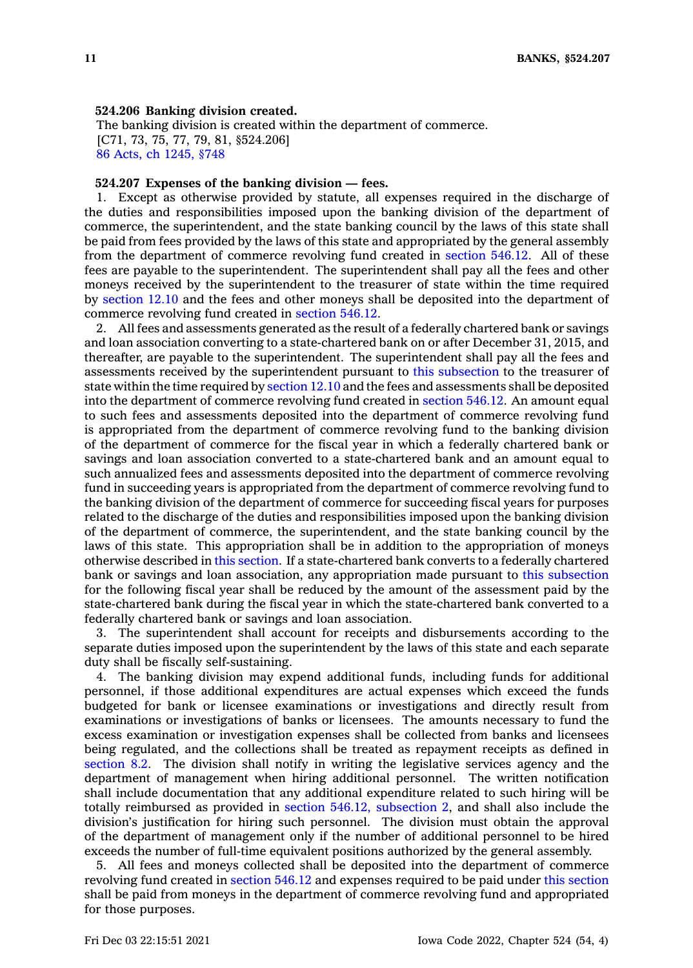#### **524.206 Banking division created.**

The banking division is created within the department of commerce. [C71, 73, 75, 77, 79, 81, §524.206] 86 Acts, ch [1245,](https://www.legis.iowa.gov/docs/acts/1986/CH1245.pdf) §748

## **524.207 Expenses of the banking division — fees.**

1. Except as otherwise provided by statute, all expenses required in the discharge of the duties and responsibilities imposed upon the banking division of the department of commerce, the superintendent, and the state banking council by the laws of this state shall be paid from fees provided by the laws of this state and appropriated by the general assembly from the department of commerce revolving fund created in [section](https://www.legis.iowa.gov/docs/code/546.12.pdf) 546.12. All of these fees are payable to the superintendent. The superintendent shall pay all the fees and other moneys received by the superintendent to the treasurer of state within the time required by [section](https://www.legis.iowa.gov/docs/code/12.10.pdf) 12.10 and the fees and other moneys shall be deposited into the department of commerce revolving fund created in [section](https://www.legis.iowa.gov/docs/code/546.12.pdf) 546.12.

2. All fees and assessments generated as the result of <sup>a</sup> federally chartered bank or savings and loan association converting to <sup>a</sup> state-chartered bank on or after December 31, 2015, and thereafter, are payable to the superintendent. The superintendent shall pay all the fees and assessments received by the superintendent pursuant to this [subsection](https://www.legis.iowa.gov/docs/code/524.207.pdf) to the treasurer of state within the time required by [section](https://www.legis.iowa.gov/docs/code/12.10.pdf) 12.10 and the fees and assessments shall be deposited into the department of commerce revolving fund created in [section](https://www.legis.iowa.gov/docs/code/546.12.pdf) 546.12. An amount equal to such fees and assessments deposited into the department of commerce revolving fund is appropriated from the department of commerce revolving fund to the banking division of the department of commerce for the fiscal year in which <sup>a</sup> federally chartered bank or savings and loan association converted to <sup>a</sup> state-chartered bank and an amount equal to such annualized fees and assessments deposited into the department of commerce revolving fund in succeeding years is appropriated from the department of commerce revolving fund to the banking division of the department of commerce for succeeding fiscal years for purposes related to the discharge of the duties and responsibilities imposed upon the banking division of the department of commerce, the superintendent, and the state banking council by the laws of this state. This appropriation shall be in addition to the appropriation of moneys otherwise described in this [section](https://www.legis.iowa.gov/docs/code/524.207.pdf). If <sup>a</sup> state-chartered bank converts to <sup>a</sup> federally chartered bank or savings and loan association, any appropriation made pursuant to this [subsection](https://www.legis.iowa.gov/docs/code/524.207.pdf) for the following fiscal year shall be reduced by the amount of the assessment paid by the state-chartered bank during the fiscal year in which the state-chartered bank converted to <sup>a</sup> federally chartered bank or savings and loan association.

3. The superintendent shall account for receipts and disbursements according to the separate duties imposed upon the superintendent by the laws of this state and each separate duty shall be fiscally self-sustaining.

4. The banking division may expend additional funds, including funds for additional personnel, if those additional expenditures are actual expenses which exceed the funds budgeted for bank or licensee examinations or investigations and directly result from examinations or investigations of banks or licensees. The amounts necessary to fund the excess examination or investigation expenses shall be collected from banks and licensees being regulated, and the collections shall be treated as repayment receipts as defined in [section](https://www.legis.iowa.gov/docs/code/8.2.pdf) 8.2. The division shall notify in writing the legislative services agency and the department of management when hiring additional personnel. The written notification shall include documentation that any additional expenditure related to such hiring will be totally reimbursed as provided in section 546.12, [subsection](https://www.legis.iowa.gov/docs/code/546.12.pdf) 2, and shall also include the division's justification for hiring such personnel. The division must obtain the approval of the department of management only if the number of additional personnel to be hired exceeds the number of full-time equivalent positions authorized by the general assembly.

5. All fees and moneys collected shall be deposited into the department of commerce revolving fund created in [section](https://www.legis.iowa.gov/docs/code/546.12.pdf) 546.12 and expenses required to be paid under this [section](https://www.legis.iowa.gov/docs/code/524.207.pdf) shall be paid from moneys in the department of commerce revolving fund and appropriated for those purposes.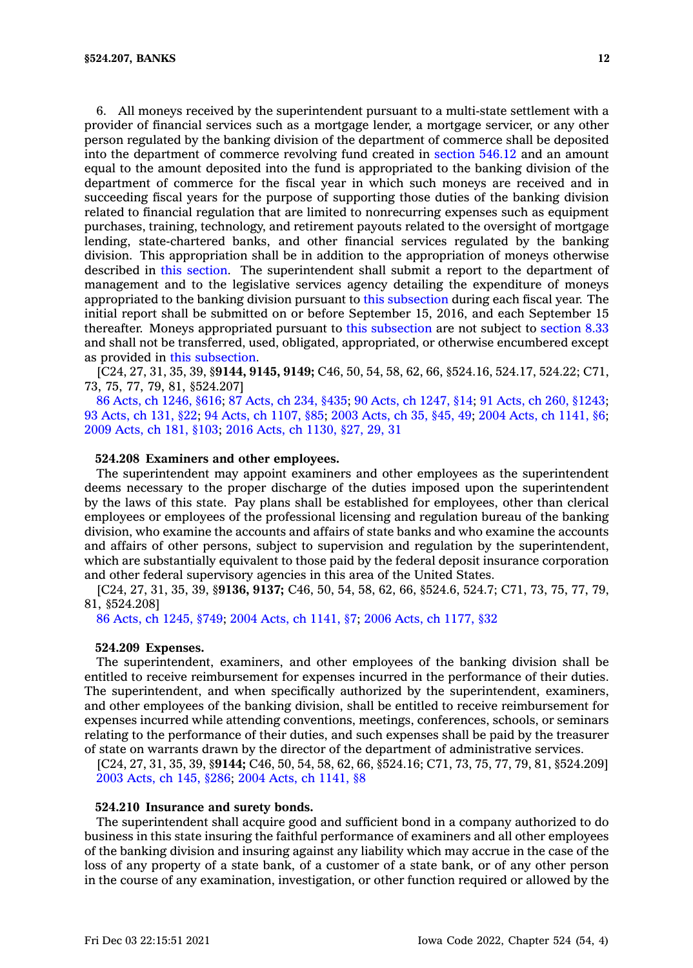6. All moneys received by the superintendent pursuant to <sup>a</sup> multi-state settlement with <sup>a</sup> provider of financial services such as <sup>a</sup> mortgage lender, <sup>a</sup> mortgage servicer, or any other person regulated by the banking division of the department of commerce shall be deposited into the department of commerce revolving fund created in [section](https://www.legis.iowa.gov/docs/code/546.12.pdf) 546.12 and an amount equal to the amount deposited into the fund is appropriated to the banking division of the department of commerce for the fiscal year in which such moneys are received and in succeeding fiscal years for the purpose of supporting those duties of the banking division related to financial regulation that are limited to nonrecurring expenses such as equipment purchases, training, technology, and retirement payouts related to the oversight of mortgage lending, state-chartered banks, and other financial services regulated by the banking division. This appropriation shall be in addition to the appropriation of moneys otherwise described in this [section](https://www.legis.iowa.gov/docs/code/524.207.pdf). The superintendent shall submit <sup>a</sup> report to the department of management and to the legislative services agency detailing the expenditure of moneys appropriated to the banking division pursuant to this [subsection](https://www.legis.iowa.gov/docs/code/524.207.pdf) during each fiscal year. The initial report shall be submitted on or before September 15, 2016, and each September 15 thereafter. Moneys appropriated pursuant to this [subsection](https://www.legis.iowa.gov/docs/code/524.207.pdf) are not subject to [section](https://www.legis.iowa.gov/docs/code/8.33.pdf) 8.33 and shall not be transferred, used, obligated, appropriated, or otherwise encumbered except as provided in this [subsection](https://www.legis.iowa.gov/docs/code/524.207.pdf).

[C24, 27, 31, 35, 39, §**9144, 9145, 9149;** C46, 50, 54, 58, 62, 66, §524.16, 524.17, 524.22; C71, 73, 75, 77, 79, 81, §524.207]

86 Acts, ch [1246,](https://www.legis.iowa.gov/docs/acts/1986/CH1246.pdf) §616; 87 [Acts,](https://www.legis.iowa.gov/docs/acts/87/CH0234.pdf) ch 234, §435; 90 Acts, ch [1247,](https://www.legis.iowa.gov/docs/acts/90/CH1247.pdf) §14; 91 Acts, ch 260, [§1243](https://www.legis.iowa.gov/docs/acts/91/CH0260.pdf); 93 [Acts,](https://www.legis.iowa.gov/docs/acts/93/CH0131.pdf) ch 131, §22; 94 Acts, ch [1107,](https://www.legis.iowa.gov/docs/acts/94/CH1107.pdf) §85; 2003 [Acts,](https://www.legis.iowa.gov/docs/acts/2003/CH0035.pdf) ch 35, §45, 49; 2004 Acts, ch [1141,](https://www.legis.iowa.gov/docs/acts/2004/CH1141.pdf) §6; 2009 [Acts,](https://www.legis.iowa.gov/docs/acts/2009/CH0181.pdf) ch 181, §103; 2016 Acts, ch [1130,](https://www.legis.iowa.gov/docs/acts/2016/CH1130.pdf) §27, 29, 31

# **524.208 Examiners and other employees.**

The superintendent may appoint examiners and other employees as the superintendent deems necessary to the proper discharge of the duties imposed upon the superintendent by the laws of this state. Pay plans shall be established for employees, other than clerical employees or employees of the professional licensing and regulation bureau of the banking division, who examine the accounts and affairs of state banks and who examine the accounts and affairs of other persons, subject to supervision and regulation by the superintendent, which are substantially equivalent to those paid by the federal deposit insurance corporation and other federal supervisory agencies in this area of the United States.

[C24, 27, 31, 35, 39, §**9136, 9137;** C46, 50, 54, 58, 62, 66, §524.6, 524.7; C71, 73, 75, 77, 79, 81, §524.208]

86 Acts, ch [1245,](https://www.legis.iowa.gov/docs/acts/1986/CH1245.pdf) §749; 2004 Acts, ch [1141,](https://www.legis.iowa.gov/docs/acts/2004/CH1141.pdf) §7; 2006 Acts, ch [1177,](https://www.legis.iowa.gov/docs/acts/2006/CH1177.pdf) §32

#### **524.209 Expenses.**

The superintendent, examiners, and other employees of the banking division shall be entitled to receive reimbursement for expenses incurred in the performance of their duties. The superintendent, and when specifically authorized by the superintendent, examiners, and other employees of the banking division, shall be entitled to receive reimbursement for expenses incurred while attending conventions, meetings, conferences, schools, or seminars relating to the performance of their duties, and such expenses shall be paid by the treasurer of state on warrants drawn by the director of the department of administrative services.

[C24, 27, 31, 35, 39, §**9144;** C46, 50, 54, 58, 62, 66, §524.16; C71, 73, 75, 77, 79, 81, §524.209] 2003 [Acts,](https://www.legis.iowa.gov/docs/acts/2003/CH0145.pdf) ch 145, §286; 2004 Acts, ch [1141,](https://www.legis.iowa.gov/docs/acts/2004/CH1141.pdf) §8

# **524.210 Insurance and surety bonds.**

The superintendent shall acquire good and sufficient bond in <sup>a</sup> company authorized to do business in this state insuring the faithful performance of examiners and all other employees of the banking division and insuring against any liability which may accrue in the case of the loss of any property of <sup>a</sup> state bank, of <sup>a</sup> customer of <sup>a</sup> state bank, or of any other person in the course of any examination, investigation, or other function required or allowed by the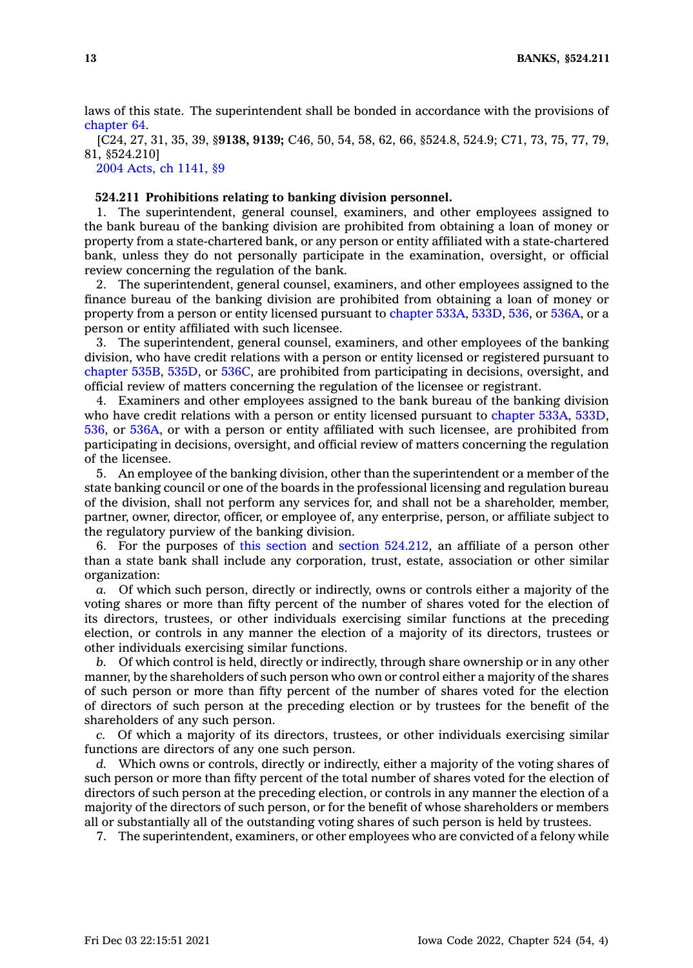laws of this state. The superintendent shall be bonded in accordance with the provisions of [chapter](https://www.legis.iowa.gov/docs/code//64.pdf) 64.

[C24, 27, 31, 35, 39, §**9138, 9139;** C46, 50, 54, 58, 62, 66, §524.8, 524.9; C71, 73, 75, 77, 79, 81, §524.210]

2004 Acts, ch [1141,](https://www.legis.iowa.gov/docs/acts/2004/CH1141.pdf) §9

# **524.211 Prohibitions relating to banking division personnel.**

1. The superintendent, general counsel, examiners, and other employees assigned to the bank bureau of the banking division are prohibited from obtaining <sup>a</sup> loan of money or property from <sup>a</sup> state-chartered bank, or any person or entity affiliated with <sup>a</sup> state-chartered bank, unless they do not personally participate in the examination, oversight, or official review concerning the regulation of the bank.

2. The superintendent, general counsel, examiners, and other employees assigned to the finance bureau of the banking division are prohibited from obtaining <sup>a</sup> loan of money or property from <sup>a</sup> person or entity licensed pursuant to [chapter](https://www.legis.iowa.gov/docs/code//533A.pdf) 533A, [533D](https://www.legis.iowa.gov/docs/code//533D.pdf), [536](https://www.legis.iowa.gov/docs/code//536.pdf), or [536A](https://www.legis.iowa.gov/docs/code//536A.pdf), or <sup>a</sup> person or entity affiliated with such licensee.

3. The superintendent, general counsel, examiners, and other employees of the banking division, who have credit relations with <sup>a</sup> person or entity licensed or registered pursuant to [chapter](https://www.legis.iowa.gov/docs/code//535B.pdf) 535B, [535D](https://www.legis.iowa.gov/docs/code//535D.pdf), or [536C](https://www.legis.iowa.gov/docs/code//536C.pdf), are prohibited from participating in decisions, oversight, and official review of matters concerning the regulation of the licensee or registrant.

4. Examiners and other employees assigned to the bank bureau of the banking division who have credit relations with <sup>a</sup> person or entity licensed pursuant to [chapter](https://www.legis.iowa.gov/docs/code//533A.pdf) 533A, [533D](https://www.legis.iowa.gov/docs/code//533D.pdf), [536](https://www.legis.iowa.gov/docs/code//536.pdf), or [536A](https://www.legis.iowa.gov/docs/code//536A.pdf), or with <sup>a</sup> person or entity affiliated with such licensee, are prohibited from participating in decisions, oversight, and official review of matters concerning the regulation of the licensee.

5. An employee of the banking division, other than the superintendent or <sup>a</sup> member of the state banking council or one of the boards in the professional licensing and regulation bureau of the division, shall not perform any services for, and shall not be <sup>a</sup> shareholder, member, partner, owner, director, officer, or employee of, any enterprise, person, or affiliate subject to the regulatory purview of the banking division.

6. For the purposes of this [section](https://www.legis.iowa.gov/docs/code/524.211.pdf) and section [524.212](https://www.legis.iowa.gov/docs/code/524.212.pdf), an affiliate of <sup>a</sup> person other than <sup>a</sup> state bank shall include any corporation, trust, estate, association or other similar organization:

*a.* Of which such person, directly or indirectly, owns or controls either <sup>a</sup> majority of the voting shares or more than fifty percent of the number of shares voted for the election of its directors, trustees, or other individuals exercising similar functions at the preceding election, or controls in any manner the election of <sup>a</sup> majority of its directors, trustees or other individuals exercising similar functions.

*b.* Of which control is held, directly or indirectly, through share ownership or in any other manner, by the shareholders of such person who own or control either <sup>a</sup> majority of the shares of such person or more than fifty percent of the number of shares voted for the election of directors of such person at the preceding election or by trustees for the benefit of the shareholders of any such person.

*c.* Of which <sup>a</sup> majority of its directors, trustees, or other individuals exercising similar functions are directors of any one such person.

*d.* Which owns or controls, directly or indirectly, either <sup>a</sup> majority of the voting shares of such person or more than fifty percent of the total number of shares voted for the election of directors of such person at the preceding election, or controls in any manner the election of <sup>a</sup> majority of the directors of such person, or for the benefit of whose shareholders or members all or substantially all of the outstanding voting shares of such person is held by trustees.

7. The superintendent, examiners, or other employees who are convicted of <sup>a</sup> felony while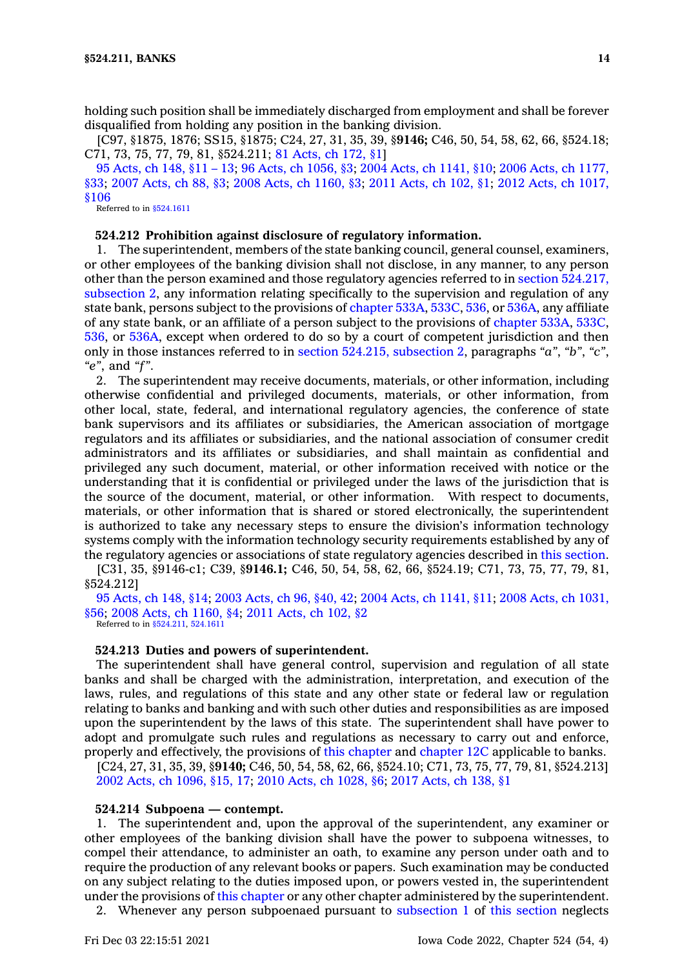holding such position shall be immediately discharged from employment and shall be forever disqualified from holding any position in the banking division.

[C97, §1875, 1876; SS15, §1875; C24, 27, 31, 35, 39, §**9146;** C46, 50, 54, 58, 62, 66, §524.18; C71, 73, 75, 77, 79, 81, §524.211; 81 [Acts,](https://www.legis.iowa.gov/docs/acts/1981/CH0172.pdf) ch 172, §1]

95 [Acts,](https://www.legis.iowa.gov/docs/acts/1995/CH0148.pdf) ch 148, §11 – 13; 96 Acts, ch [1056,](https://www.legis.iowa.gov/docs/acts/96/CH1056.pdf) §3; 2004 Acts, ch [1141,](https://www.legis.iowa.gov/docs/acts/2004/CH1141.pdf) §10; 2006 Acts, ch [1177,](https://www.legis.iowa.gov/docs/acts/2006/CH1177.pdf) [§33](https://www.legis.iowa.gov/docs/acts/2006/CH1177.pdf); 2007 [Acts,](https://www.legis.iowa.gov/docs/acts/2007/CH0088.pdf) ch 88, §3; 2008 Acts, ch [1160,](https://www.legis.iowa.gov/docs/acts/2008/CH1160.pdf) §3; 2011 [Acts,](https://www.legis.iowa.gov/docs/acts/2011/CH0102.pdf) ch 102, §1; 2012 Acts, ch [1017,](https://www.legis.iowa.gov/docs/acts/2012/CH1017.pdf) [§106](https://www.legis.iowa.gov/docs/acts/2012/CH1017.pdf)

Referred to in [§524.1611](https://www.legis.iowa.gov/docs/code/524.1611.pdf)

## **524.212 Prohibition against disclosure of regulatory information.**

1. The superintendent, members of the state banking council, general counsel, examiners, or other employees of the banking division shall not disclose, in any manner, to any person other than the person examined and those regulatory agencies referred to in section [524.217,](https://www.legis.iowa.gov/docs/code/524.217.pdf) [subsection](https://www.legis.iowa.gov/docs/code/524.217.pdf) 2, any information relating specifically to the supervision and regulation of any state bank, persons subject to the provisions of [chapter](https://www.legis.iowa.gov/docs/code//533A.pdf) 533A, [533C](https://www.legis.iowa.gov/docs/code//533C.pdf), [536](https://www.legis.iowa.gov/docs/code//536.pdf), or [536A](https://www.legis.iowa.gov/docs/code//536A.pdf), any affiliate of any state bank, or an affiliate of <sup>a</sup> person subject to the provisions of [chapter](https://www.legis.iowa.gov/docs/code//533A.pdf) 533A, [533C](https://www.legis.iowa.gov/docs/code//533C.pdf), [536](https://www.legis.iowa.gov/docs/code//536.pdf), or [536A](https://www.legis.iowa.gov/docs/code//536A.pdf), except when ordered to do so by <sup>a</sup> court of competent jurisdiction and then only in those instances referred to in section 524.215, [subsection](https://www.legis.iowa.gov/docs/code/524.215.pdf) 2, paragraphs *"a"*, *"b"*, *"c"*, *"e"*, and *"f"*.

2. The superintendent may receive documents, materials, or other information, including otherwise confidential and privileged documents, materials, or other information, from other local, state, federal, and international regulatory agencies, the conference of state bank supervisors and its affiliates or subsidiaries, the American association of mortgage regulators and its affiliates or subsidiaries, and the national association of consumer credit administrators and its affiliates or subsidiaries, and shall maintain as confidential and privileged any such document, material, or other information received with notice or the understanding that it is confidential or privileged under the laws of the jurisdiction that is the source of the document, material, or other information. With respect to documents, materials, or other information that is shared or stored electronically, the superintendent is authorized to take any necessary steps to ensure the division's information technology systems comply with the information technology security requirements established by any of the regulatory agencies or associations of state regulatory agencies described in this [section](https://www.legis.iowa.gov/docs/code/524.212.pdf).

[C31, 35, §9146-c1; C39, §**9146.1;** C46, 50, 54, 58, 62, 66, §524.19; C71, 73, 75, 77, 79, 81, §524.212]

95 [Acts,](https://www.legis.iowa.gov/docs/acts/1995/CH0148.pdf) ch 148, §14; 2003 [Acts,](https://www.legis.iowa.gov/docs/acts/2003/CH0096.pdf) ch 96, §40, 42; 2004 Acts, ch [1141,](https://www.legis.iowa.gov/docs/acts/2004/CH1141.pdf) §11; 2008 Acts, ch [1031,](https://www.legis.iowa.gov/docs/acts/2008/CH1031.pdf) [§56](https://www.legis.iowa.gov/docs/acts/2008/CH1031.pdf); 2008 Acts, ch [1160,](https://www.legis.iowa.gov/docs/acts/2008/CH1160.pdf) §4; 2011 [Acts,](https://www.legis.iowa.gov/docs/acts/2011/CH0102.pdf) ch 102, §2 Referred to in [§524.211](https://www.legis.iowa.gov/docs/code/524.211.pdf), [524.1611](https://www.legis.iowa.gov/docs/code/524.1611.pdf)

#### **524.213 Duties and powers of superintendent.**

The superintendent shall have general control, supervision and regulation of all state banks and shall be charged with the administration, interpretation, and execution of the laws, rules, and regulations of this state and any other state or federal law or regulation relating to banks and banking and with such other duties and responsibilities as are imposed upon the superintendent by the laws of this state. The superintendent shall have power to adopt and promulgate such rules and regulations as necessary to carry out and enforce, properly and effectively, the provisions of this [chapter](https://www.legis.iowa.gov/docs/code//524.pdf) and [chapter](https://www.legis.iowa.gov/docs/code//12C.pdf) 12C applicable to banks.

[C24, 27, 31, 35, 39, §**9140;** C46, 50, 54, 58, 62, 66, §524.10; C71, 73, 75, 77, 79, 81, §524.213] 2002 Acts, ch [1096,](https://www.legis.iowa.gov/docs/acts/2002/CH1096.pdf) §15, 17; 2010 Acts, ch [1028,](https://www.legis.iowa.gov/docs/acts/2010/CH1028.pdf) §6; 2017 [Acts,](https://www.legis.iowa.gov/docs/acts/2017/CH0138.pdf) ch 138, §1

## **524.214 Subpoena — contempt.**

1. The superintendent and, upon the approval of the superintendent, any examiner or other employees of the banking division shall have the power to subpoena witnesses, to compel their attendance, to administer an oath, to examine any person under oath and to require the production of any relevant books or papers. Such examination may be conducted on any subject relating to the duties imposed upon, or powers vested in, the superintendent under the provisions of this [chapter](https://www.legis.iowa.gov/docs/code//524.pdf) or any other chapter administered by the superintendent.

2. Whenever any person subpoenaed pursuant to [subsection](https://www.legis.iowa.gov/docs/code/524.214.pdf) 1 of this [section](https://www.legis.iowa.gov/docs/code/524.214.pdf) neglects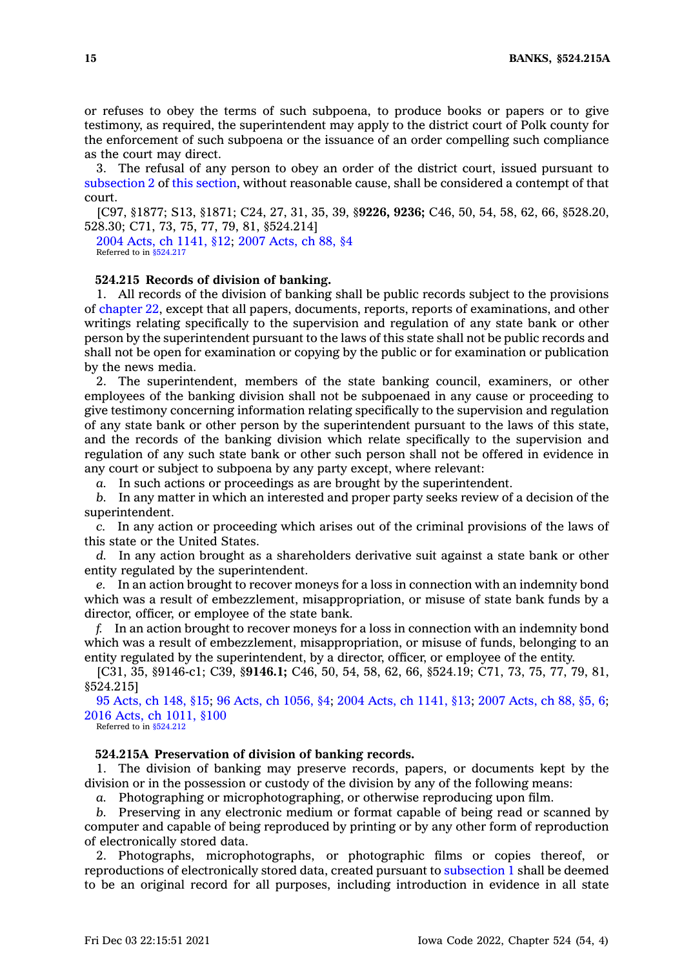or refuses to obey the terms of such subpoena, to produce books or papers or to give testimony, as required, the superintendent may apply to the district court of Polk county for the enforcement of such subpoena or the issuance of an order compelling such compliance as the court may direct.

3. The refusal of any person to obey an order of the district court, issued pursuant to [subsection](https://www.legis.iowa.gov/docs/code/524.214.pdf) 2 of this [section](https://www.legis.iowa.gov/docs/code/524.214.pdf), without reasonable cause, shall be considered <sup>a</sup> contempt of that court.

[C97, §1877; S13, §1871; C24, 27, 31, 35, 39, §**9226, 9236;** C46, 50, 54, 58, 62, 66, §528.20, 528.30; C71, 73, 75, 77, 79, 81, §524.214]

2004 Acts, ch [1141,](https://www.legis.iowa.gov/docs/acts/2004/CH1141.pdf) §12; 2007 [Acts,](https://www.legis.iowa.gov/docs/acts/2007/CH0088.pdf) ch 88, §4 Referred to in [§524.217](https://www.legis.iowa.gov/docs/code/524.217.pdf)

# **524.215 Records of division of banking.**

1. All records of the division of banking shall be public records subject to the provisions of [chapter](https://www.legis.iowa.gov/docs/code//22.pdf) 22, except that all papers, documents, reports, reports of examinations, and other writings relating specifically to the supervision and regulation of any state bank or other person by the superintendent pursuant to the laws of this state shall not be public records and shall not be open for examination or copying by the public or for examination or publication by the news media.

2. The superintendent, members of the state banking council, examiners, or other employees of the banking division shall not be subpoenaed in any cause or proceeding to give testimony concerning information relating specifically to the supervision and regulation of any state bank or other person by the superintendent pursuant to the laws of this state, and the records of the banking division which relate specifically to the supervision and regulation of any such state bank or other such person shall not be offered in evidence in any court or subject to subpoena by any party except, where relevant:

*a.* In such actions or proceedings as are brought by the superintendent.

*b.* In any matter in which an interested and proper party seeks review of <sup>a</sup> decision of the superintendent.

*c.* In any action or proceeding which arises out of the criminal provisions of the laws of this state or the United States.

*d.* In any action brought as <sup>a</sup> shareholders derivative suit against <sup>a</sup> state bank or other entity regulated by the superintendent.

*e.* In an action brought to recover moneys for <sup>a</sup> loss in connection with an indemnity bond which was <sup>a</sup> result of embezzlement, misappropriation, or misuse of state bank funds by <sup>a</sup> director, officer, or employee of the state bank.

*f.* In an action brought to recover moneys for <sup>a</sup> loss in connection with an indemnity bond which was <sup>a</sup> result of embezzlement, misappropriation, or misuse of funds, belonging to an entity regulated by the superintendent, by <sup>a</sup> director, officer, or employee of the entity.

[C31, 35, §9146-c1; C39, §**9146.1;** C46, 50, 54, 58, 62, 66, §524.19; C71, 73, 75, 77, 79, 81, §524.215]

95 [Acts,](https://www.legis.iowa.gov/docs/acts/1995/CH0148.pdf) ch 148, §15; 96 Acts, ch [1056,](https://www.legis.iowa.gov/docs/acts/96/CH1056.pdf) §4; 2004 Acts, ch [1141,](https://www.legis.iowa.gov/docs/acts/2004/CH1141.pdf) §13; 2007 [Acts,](https://www.legis.iowa.gov/docs/acts/2007/CH0088.pdf) ch 88, §5, 6; 2016 Acts, ch [1011,](https://www.legis.iowa.gov/docs/acts/2016/CH1011.pdf) §100

Referred to in \$524,212

#### **524.215A Preservation of division of banking records.**

1. The division of banking may preserve records, papers, or documents kept by the division or in the possession or custody of the division by any of the following means:

*a.* Photographing or microphotographing, or otherwise reproducing upon film.

*b.* Preserving in any electronic medium or format capable of being read or scanned by computer and capable of being reproduced by printing or by any other form of reproduction of electronically stored data.

2. Photographs, microphotographs, or photographic films or copies thereof, or reproductions of electronically stored data, created pursuant to [subsection](https://www.legis.iowa.gov/docs/code/524.215A.pdf) 1 shall be deemed to be an original record for all purposes, including introduction in evidence in all state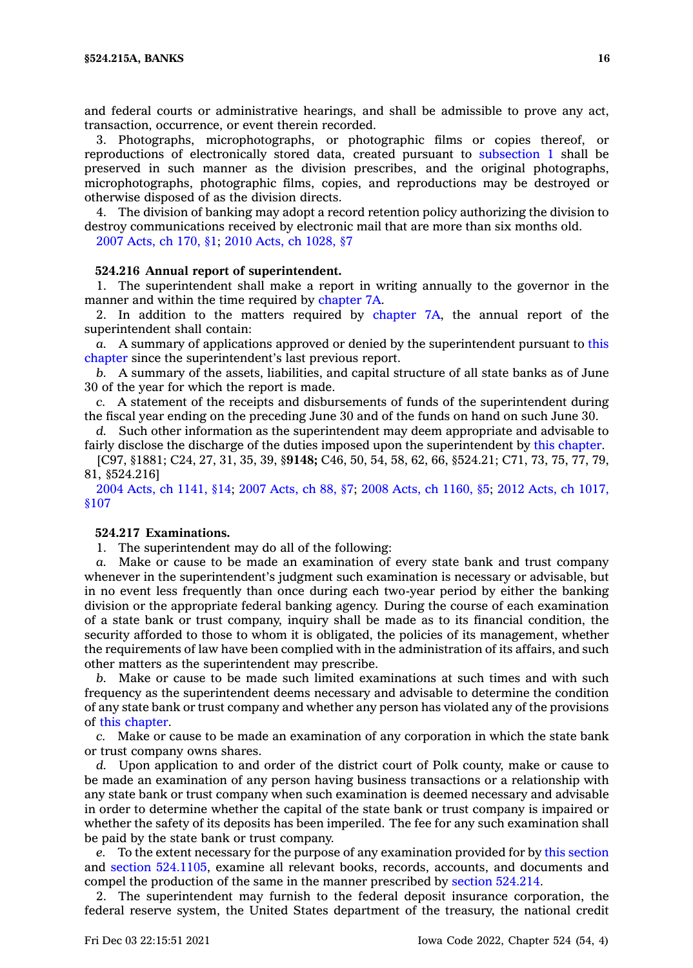and federal courts or administrative hearings, and shall be admissible to prove any act, transaction, occurrence, or event therein recorded.

3. Photographs, microphotographs, or photographic films or copies thereof, or reproductions of electronically stored data, created pursuant to [subsection](https://www.legis.iowa.gov/docs/code/524.215A.pdf) 1 shall be preserved in such manner as the division prescribes, and the original photographs, microphotographs, photographic films, copies, and reproductions may be destroyed or otherwise disposed of as the division directs.

4. The division of banking may adopt <sup>a</sup> record retention policy authorizing the division to destroy communications received by electronic mail that are more than six months old.

2007 [Acts,](https://www.legis.iowa.gov/docs/acts/2007/CH0170.pdf) ch 170, §1; 2010 Acts, ch [1028,](https://www.legis.iowa.gov/docs/acts/2010/CH1028.pdf) §7

# **524.216 Annual report of superintendent.**

1. The superintendent shall make <sup>a</sup> report in writing annually to the governor in the manner and within the time required by [chapter](https://www.legis.iowa.gov/docs/code//7A.pdf) 7A.

2. In addition to the matters required by [chapter](https://www.legis.iowa.gov/docs/code//7A.pdf) 7A, the annual report of the superintendent shall contain:

*a.* A summary of applications approved or denied by the superintendent pursuant to [this](https://www.legis.iowa.gov/docs/code//524.pdf) [chapter](https://www.legis.iowa.gov/docs/code//524.pdf) since the superintendent's last previous report.

*b.* A summary of the assets, liabilities, and capital structure of all state banks as of June 30 of the year for which the report is made.

*c.* A statement of the receipts and disbursements of funds of the superintendent during the fiscal year ending on the preceding June 30 and of the funds on hand on such June 30.

*d.* Such other information as the superintendent may deem appropriate and advisable to fairly disclose the discharge of the duties imposed upon the superintendent by this [chapter](https://www.legis.iowa.gov/docs/code//524.pdf).

[C97, §1881; C24, 27, 31, 35, 39, §**9148;** C46, 50, 54, 58, 62, 66, §524.21; C71, 73, 75, 77, 79, 81, §524.216]

2004 Acts, ch [1141,](https://www.legis.iowa.gov/docs/acts/2004/CH1141.pdf) §14; 2007 [Acts,](https://www.legis.iowa.gov/docs/acts/2007/CH0088.pdf) ch 88, §7; 2008 Acts, ch [1160,](https://www.legis.iowa.gov/docs/acts/2008/CH1160.pdf) §5; 2012 Acts, ch [1017,](https://www.legis.iowa.gov/docs/acts/2012/CH1017.pdf) [§107](https://www.legis.iowa.gov/docs/acts/2012/CH1017.pdf)

#### **524.217 Examinations.**

1. The superintendent may do all of the following:

*a.* Make or cause to be made an examination of every state bank and trust company whenever in the superintendent's judgment such examination is necessary or advisable, but in no event less frequently than once during each two-year period by either the banking division or the appropriate federal banking agency. During the course of each examination of <sup>a</sup> state bank or trust company, inquiry shall be made as to its financial condition, the security afforded to those to whom it is obligated, the policies of its management, whether the requirements of law have been complied with in the administration of its affairs, and such other matters as the superintendent may prescribe.

*b.* Make or cause to be made such limited examinations at such times and with such frequency as the superintendent deems necessary and advisable to determine the condition of any state bank or trust company and whether any person has violated any of the provisions of this [chapter](https://www.legis.iowa.gov/docs/code//524.pdf).

*c.* Make or cause to be made an examination of any corporation in which the state bank or trust company owns shares.

*d.* Upon application to and order of the district court of Polk county, make or cause to be made an examination of any person having business transactions or <sup>a</sup> relationship with any state bank or trust company when such examination is deemed necessary and advisable in order to determine whether the capital of the state bank or trust company is impaired or whether the safety of its deposits has been imperiled. The fee for any such examination shall be paid by the state bank or trust company.

*e.* To the extent necessary for the purpose of any examination provided for by this [section](https://www.legis.iowa.gov/docs/code/524.217.pdf) and section [524.1105](https://www.legis.iowa.gov/docs/code/524.1105.pdf), examine all relevant books, records, accounts, and documents and compel the production of the same in the manner prescribed by section [524.214](https://www.legis.iowa.gov/docs/code/524.214.pdf).

2. The superintendent may furnish to the federal deposit insurance corporation, the federal reserve system, the United States department of the treasury, the national credit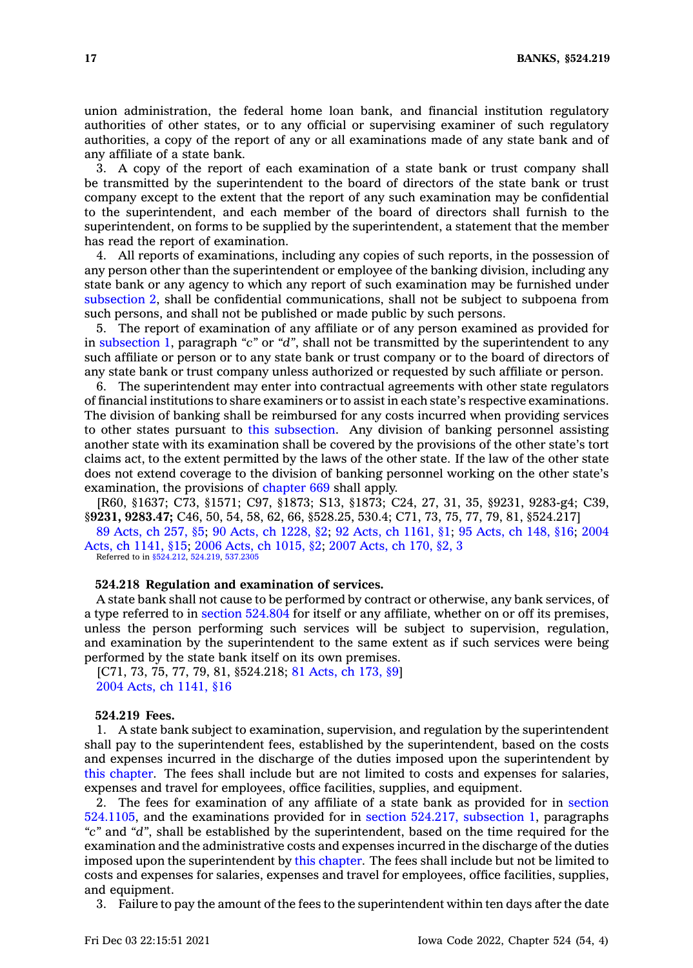union administration, the federal home loan bank, and financial institution regulatory authorities of other states, or to any official or supervising examiner of such regulatory authorities, <sup>a</sup> copy of the report of any or all examinations made of any state bank and of any affiliate of <sup>a</sup> state bank.

3. A copy of the report of each examination of <sup>a</sup> state bank or trust company shall be transmitted by the superintendent to the board of directors of the state bank or trust company except to the extent that the report of any such examination may be confidential to the superintendent, and each member of the board of directors shall furnish to the superintendent, on forms to be supplied by the superintendent, <sup>a</sup> statement that the member has read the report of examination.

4. All reports of examinations, including any copies of such reports, in the possession of any person other than the superintendent or employee of the banking division, including any state bank or any agency to which any report of such examination may be furnished under [subsection](https://www.legis.iowa.gov/docs/code/524.217.pdf) 2, shall be confidential communications, shall not be subject to subpoena from such persons, and shall not be published or made public by such persons.

5. The report of examination of any affiliate or of any person examined as provided for in [subsection](https://www.legis.iowa.gov/docs/code/524.217.pdf) 1, paragraph *"c"* or *"d"*, shall not be transmitted by the superintendent to any such affiliate or person or to any state bank or trust company or to the board of directors of any state bank or trust company unless authorized or requested by such affiliate or person.

6. The superintendent may enter into contractual agreements with other state regulators of financial institutions to share examiners or to assist in each state's respective examinations. The division of banking shall be reimbursed for any costs incurred when providing services to other states pursuant to this [subsection](https://www.legis.iowa.gov/docs/code/524.217.pdf). Any division of banking personnel assisting another state with its examination shall be covered by the provisions of the other state's tort claims act, to the extent permitted by the laws of the other state. If the law of the other state does not extend coverage to the division of banking personnel working on the other state's examination, the provisions of [chapter](https://www.legis.iowa.gov/docs/code//669.pdf) 669 shall apply.

[R60, §1637; C73, §1571; C97, §1873; S13, §1873; C24, 27, 31, 35, §9231, 9283-g4; C39, §**9231, 9283.47;** C46, 50, 54, 58, 62, 66, §528.25, 530.4; C71, 73, 75, 77, 79, 81, §524.217]

89 [Acts,](https://www.legis.iowa.gov/docs/acts/1989/CH0257.pdf) ch 257, §5; 90 Acts, ch [1228,](https://www.legis.iowa.gov/docs/acts/1990/CH1228.pdf) §2; 92 Acts, ch [1161,](https://www.legis.iowa.gov/docs/acts/1992/CH1161.pdf) §1; 95 [Acts,](https://www.legis.iowa.gov/docs/acts/1995/CH0148.pdf) ch 148, §16; [2004](https://www.legis.iowa.gov/docs/acts/2004/CH1141.pdf) Acts, ch [1141,](https://www.legis.iowa.gov/docs/acts/2004/CH1141.pdf) §15; 2006 Acts, ch [1015,](https://www.legis.iowa.gov/docs/acts/2006/CH1015.pdf) §2; 2007 [Acts,](https://www.legis.iowa.gov/docs/acts/2007/CH0170.pdf) ch 170, §2, 3

Referred to in [§524.212](https://www.legis.iowa.gov/docs/code/524.212.pdf), [524.219](https://www.legis.iowa.gov/docs/code/524.219.pdf), [537.2305](https://www.legis.iowa.gov/docs/code/537.2305.pdf)

# **524.218 Regulation and examination of services.**

A state bank shall not cause to be performed by contract or otherwise, any bank services, of <sup>a</sup> type referred to in section [524.804](https://www.legis.iowa.gov/docs/code/524.804.pdf) for itself or any affiliate, whether on or off its premises, unless the person performing such services will be subject to supervision, regulation, and examination by the superintendent to the same extent as if such services were being performed by the state bank itself on its own premises.

[C71, 73, 75, 77, 79, 81, §524.218; 81 [Acts,](https://www.legis.iowa.gov/docs/acts/1981/CH0173.pdf) ch 173, §9] 2004 Acts, ch [1141,](https://www.legis.iowa.gov/docs/acts/2004/CH1141.pdf) §16

#### **524.219 Fees.**

1. A state bank subject to examination, supervision, and regulation by the superintendent shall pay to the superintendent fees, established by the superintendent, based on the costs and expenses incurred in the discharge of the duties imposed upon the superintendent by this [chapter](https://www.legis.iowa.gov/docs/code//524.pdf). The fees shall include but are not limited to costs and expenses for salaries, expenses and travel for employees, office facilities, supplies, and equipment.

2. The fees for examination of any affiliate of <sup>a</sup> state bank as provided for in [section](https://www.legis.iowa.gov/docs/code/524.1105.pdf) [524.1105](https://www.legis.iowa.gov/docs/code/524.1105.pdf), and the examinations provided for in section 524.217, [subsection](https://www.legis.iowa.gov/docs/code/524.217.pdf) 1, paragraphs *"c"* and *"d"*, shall be established by the superintendent, based on the time required for the examination and the administrative costs and expenses incurred in the discharge of the duties imposed upon the superintendent by this [chapter](https://www.legis.iowa.gov/docs/code//524.pdf). The fees shall include but not be limited to costs and expenses for salaries, expenses and travel for employees, office facilities, supplies, and equipment.

3. Failure to pay the amount of the fees to the superintendent within ten days after the date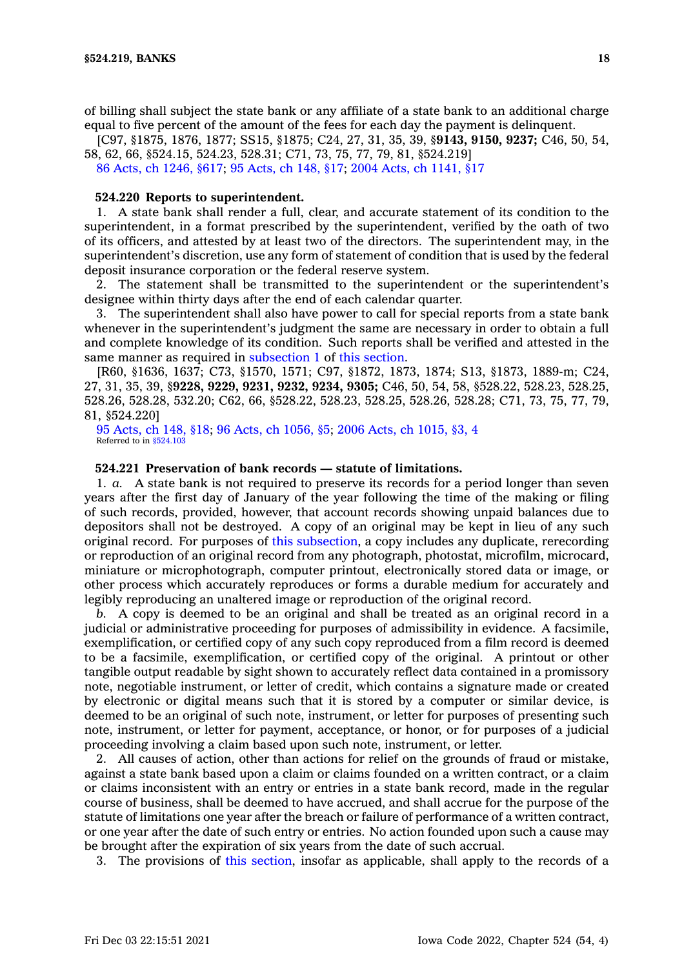of billing shall subject the state bank or any affiliate of <sup>a</sup> state bank to an additional charge equal to five percent of the amount of the fees for each day the payment is delinquent.

[C97, §1875, 1876, 1877; SS15, §1875; C24, 27, 31, 35, 39, §**9143, 9150, 9237;** C46, 50, 54, 58, 62, 66, §524.15, 524.23, 528.31; C71, 73, 75, 77, 79, 81, §524.219]

86 Acts, ch [1246,](https://www.legis.iowa.gov/docs/acts/1986/CH1246.pdf) §617; 95 [Acts,](https://www.legis.iowa.gov/docs/acts/1995/CH0148.pdf) ch 148, §17; 2004 Acts, ch [1141,](https://www.legis.iowa.gov/docs/acts/2004/CH1141.pdf) §17

# **524.220 Reports to superintendent.**

1. A state bank shall render <sup>a</sup> full, clear, and accurate statement of its condition to the superintendent, in <sup>a</sup> format prescribed by the superintendent, verified by the oath of two of its officers, and attested by at least two of the directors. The superintendent may, in the superintendent's discretion, use any form of statement of condition that is used by the federal deposit insurance corporation or the federal reserve system.

2. The statement shall be transmitted to the superintendent or the superintendent's designee within thirty days after the end of each calendar quarter.

3. The superintendent shall also have power to call for special reports from <sup>a</sup> state bank whenever in the superintendent's judgment the same are necessary in order to obtain <sup>a</sup> full and complete knowledge of its condition. Such reports shall be verified and attested in the same manner as required in [subsection](https://www.legis.iowa.gov/docs/code/524.220.pdf) 1 of this [section](https://www.legis.iowa.gov/docs/code/524.220.pdf).

[R60, §1636, 1637; C73, §1570, 1571; C97, §1872, 1873, 1874; S13, §1873, 1889-m; C24, 27, 31, 35, 39, §**9228, 9229, 9231, 9232, 9234, 9305;** C46, 50, 54, 58, §528.22, 528.23, 528.25, 528.26, 528.28, 532.20; C62, 66, §528.22, 528.23, 528.25, 528.26, 528.28; C71, 73, 75, 77, 79, 81, §524.220]

95 [Acts,](https://www.legis.iowa.gov/docs/acts/1995/CH0148.pdf) ch 148, §18; 96 Acts, ch [1056,](https://www.legis.iowa.gov/docs/acts/1996/CH1056.pdf) §5; 2006 Acts, ch [1015,](https://www.legis.iowa.gov/docs/acts/2006/CH1015.pdf) §3, 4 Referred to in [§524.103](https://www.legis.iowa.gov/docs/code/524.103.pdf)

## **524.221 Preservation of bank records — statute of limitations.**

1. *a.* A state bank is not required to preserve its records for <sup>a</sup> period longer than seven years after the first day of January of the year following the time of the making or filing of such records, provided, however, that account records showing unpaid balances due to depositors shall not be destroyed. A copy of an original may be kept in lieu of any such original record. For purposes of this [subsection](https://www.legis.iowa.gov/docs/code/524.221.pdf), <sup>a</sup> copy includes any duplicate, rerecording or reproduction of an original record from any photograph, photostat, microfilm, microcard, miniature or microphotograph, computer printout, electronically stored data or image, or other process which accurately reproduces or forms <sup>a</sup> durable medium for accurately and legibly reproducing an unaltered image or reproduction of the original record.

*b.* A copy is deemed to be an original and shall be treated as an original record in <sup>a</sup> judicial or administrative proceeding for purposes of admissibility in evidence. A facsimile, exemplification, or certified copy of any such copy reproduced from <sup>a</sup> film record is deemed to be <sup>a</sup> facsimile, exemplification, or certified copy of the original. A printout or other tangible output readable by sight shown to accurately reflect data contained in <sup>a</sup> promissory note, negotiable instrument, or letter of credit, which contains <sup>a</sup> signature made or created by electronic or digital means such that it is stored by <sup>a</sup> computer or similar device, is deemed to be an original of such note, instrument, or letter for purposes of presenting such note, instrument, or letter for payment, acceptance, or honor, or for purposes of <sup>a</sup> judicial proceeding involving <sup>a</sup> claim based upon such note, instrument, or letter.

2. All causes of action, other than actions for relief on the grounds of fraud or mistake, against <sup>a</sup> state bank based upon <sup>a</sup> claim or claims founded on <sup>a</sup> written contract, or <sup>a</sup> claim or claims inconsistent with an entry or entries in <sup>a</sup> state bank record, made in the regular course of business, shall be deemed to have accrued, and shall accrue for the purpose of the statute of limitations one year after the breach or failure of performance of <sup>a</sup> written contract, or one year after the date of such entry or entries. No action founded upon such <sup>a</sup> cause may be brought after the expiration of six years from the date of such accrual.

3. The provisions of this [section](https://www.legis.iowa.gov/docs/code/524.221.pdf), insofar as applicable, shall apply to the records of <sup>a</sup>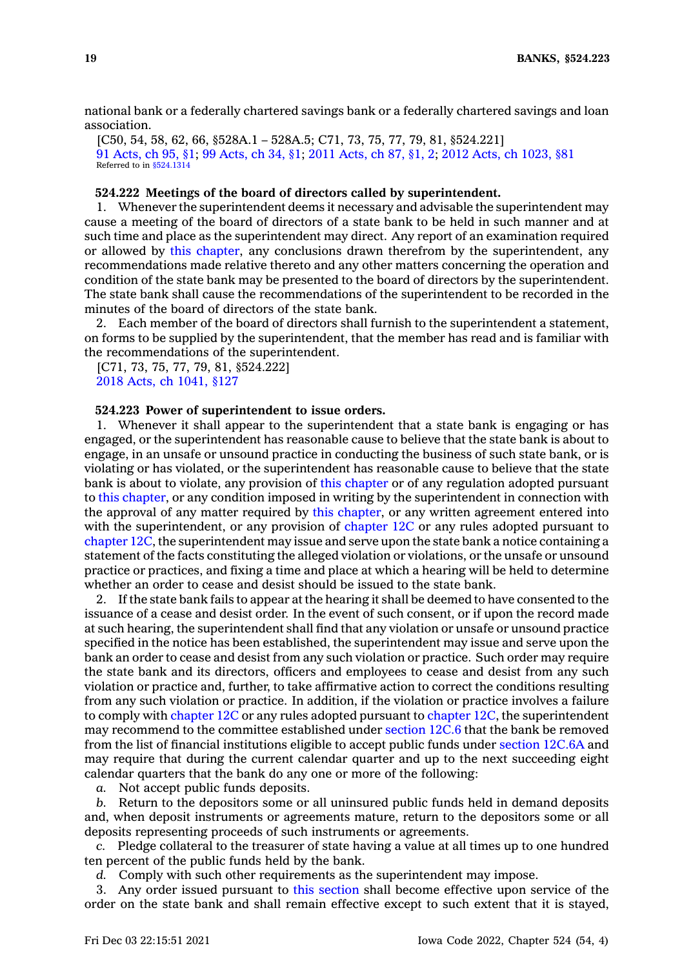national bank or <sup>a</sup> federally chartered savings bank or <sup>a</sup> federally chartered savings and loan association.

[C50, 54, 58, 62, 66, §528A.1 – 528A.5; C71, 73, 75, 77, 79, 81, §524.221] 91 [Acts,](https://www.legis.iowa.gov/docs/acts/1991/CH0095.pdf) ch 95, §1; 99 [Acts,](https://www.legis.iowa.gov/docs/acts/99/CH0034.pdf) ch 34, §1; 2011 [Acts,](https://www.legis.iowa.gov/docs/acts/2011/CH0087.pdf) ch 87, §1, 2; 2012 Acts, ch [1023,](https://www.legis.iowa.gov/docs/acts/2012/CH1023.pdf) §81 Referred to in [§524.1314](https://www.legis.iowa.gov/docs/code/524.1314.pdf)

# **524.222 Meetings of the board of directors called by superintendent.**

1. Whenever the superintendent deems it necessary and advisable the superintendent may cause <sup>a</sup> meeting of the board of directors of <sup>a</sup> state bank to be held in such manner and at such time and place as the superintendent may direct. Any report of an examination required or allowed by this [chapter](https://www.legis.iowa.gov/docs/code//524.pdf), any conclusions drawn therefrom by the superintendent, any recommendations made relative thereto and any other matters concerning the operation and condition of the state bank may be presented to the board of directors by the superintendent. The state bank shall cause the recommendations of the superintendent to be recorded in the minutes of the board of directors of the state bank.

2. Each member of the board of directors shall furnish to the superintendent <sup>a</sup> statement, on forms to be supplied by the superintendent, that the member has read and is familiar with the recommendations of the superintendent.

[C71, 73, 75, 77, 79, 81, §524.222] 2018 Acts, ch [1041,](https://www.legis.iowa.gov/docs/acts/2018/CH1041.pdf) §127

# **524.223 Power of superintendent to issue orders.**

1. Whenever it shall appear to the superintendent that <sup>a</sup> state bank is engaging or has engaged, or the superintendent has reasonable cause to believe that the state bank is about to engage, in an unsafe or unsound practice in conducting the business of such state bank, or is violating or has violated, or the superintendent has reasonable cause to believe that the state bank is about to violate, any provision of this [chapter](https://www.legis.iowa.gov/docs/code//524.pdf) or of any regulation adopted pursuant to this [chapter](https://www.legis.iowa.gov/docs/code//524.pdf), or any condition imposed in writing by the superintendent in connection with the approval of any matter required by this [chapter](https://www.legis.iowa.gov/docs/code//524.pdf), or any written agreement entered into with the superintendent, or any provision of [chapter](https://www.legis.iowa.gov/docs/code//12C.pdf) 12C or any rules adopted pursuant to [chapter](https://www.legis.iowa.gov/docs/code//12C.pdf) 12C, the superintendent may issue and serve upon the state bank <sup>a</sup> notice containing <sup>a</sup> statement of the facts constituting the alleged violation or violations, or the unsafe or unsound practice or practices, and fixing <sup>a</sup> time and place at which <sup>a</sup> hearing will be held to determine whether an order to cease and desist should be issued to the state bank.

2. If the state bank fails to appear at the hearing it shall be deemed to have consented to the issuance of <sup>a</sup> cease and desist order. In the event of such consent, or if upon the record made at such hearing, the superintendent shall find that any violation or unsafe or unsound practice specified in the notice has been established, the superintendent may issue and serve upon the bank an order to cease and desist from any such violation or practice. Such order may require the state bank and its directors, officers and employees to cease and desist from any such violation or practice and, further, to take affirmative action to correct the conditions resulting from any such violation or practice. In addition, if the violation or practice involves <sup>a</sup> failure to comply with [chapter](https://www.legis.iowa.gov/docs/code//12C.pdf) 12C or any rules adopted pursuant to [chapter](https://www.legis.iowa.gov/docs/code//12C.pdf) 12C, the superintendent may recommend to the committee established under [section](https://www.legis.iowa.gov/docs/code/12C.6.pdf) 12C.6 that the bank be removed from the list of financial institutions eligible to accept public funds under [section](https://www.legis.iowa.gov/docs/code/12C.6A.pdf) 12C.6A and may require that during the current calendar quarter and up to the next succeeding eight calendar quarters that the bank do any one or more of the following:

*a.* Not accept public funds deposits.

*b.* Return to the depositors some or all uninsured public funds held in demand deposits and, when deposit instruments or agreements mature, return to the depositors some or all deposits representing proceeds of such instruments or agreements.

*c.* Pledge collateral to the treasurer of state having <sup>a</sup> value at all times up to one hundred ten percent of the public funds held by the bank.

*d.* Comply with such other requirements as the superintendent may impose.

3. Any order issued pursuant to this [section](https://www.legis.iowa.gov/docs/code/524.223.pdf) shall become effective upon service of the order on the state bank and shall remain effective except to such extent that it is stayed,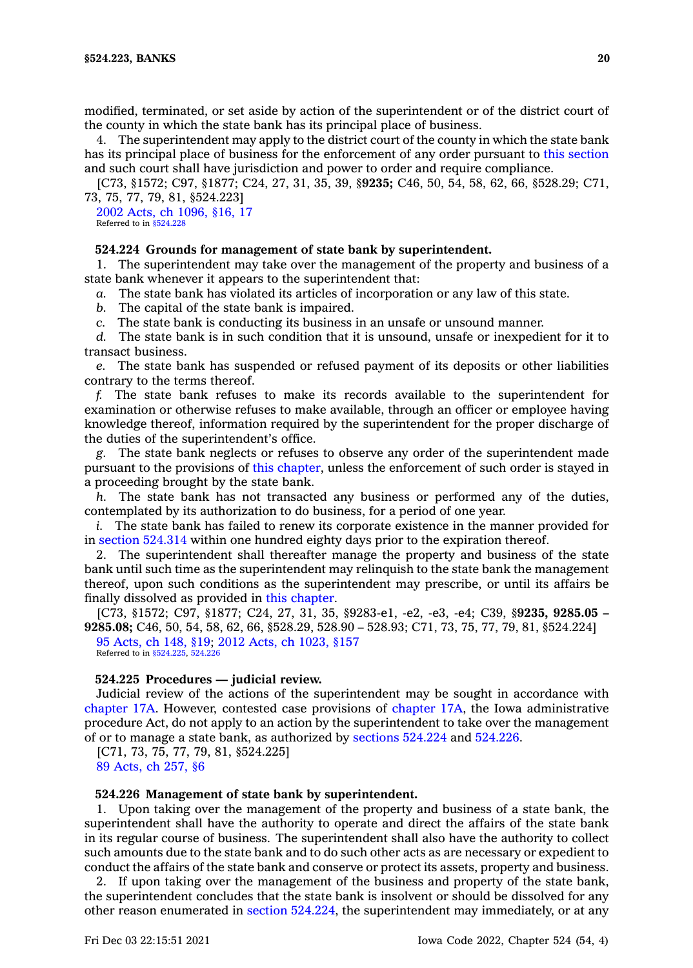modified, terminated, or set aside by action of the superintendent or of the district court of the county in which the state bank has its principal place of business.

4. The superintendent may apply to the district court of the county in which the state bank has its principal place of business for the enforcement of any order pursuant to this [section](https://www.legis.iowa.gov/docs/code/524.223.pdf) and such court shall have jurisdiction and power to order and require compliance.

[C73, §1572; C97, §1877; C24, 27, 31, 35, 39, §**9235;** C46, 50, 54, 58, 62, 66, §528.29; C71, 73, 75, 77, 79, 81, §524.223]

2002 Acts, ch [1096,](https://www.legis.iowa.gov/docs/acts/2002/CH1096.pdf) §16, 17 Referred to in [§524.228](https://www.legis.iowa.gov/docs/code/524.228.pdf)

#### **524.224 Grounds for management of state bank by superintendent.**

1. The superintendent may take over the management of the property and business of <sup>a</sup> state bank whenever it appears to the superintendent that:

*a.* The state bank has violated its articles of incorporation or any law of this state.

*b.* The capital of the state bank is impaired.

*c.* The state bank is conducting its business in an unsafe or unsound manner.

*d.* The state bank is in such condition that it is unsound, unsafe or inexpedient for it to transact business.

*e.* The state bank has suspended or refused payment of its deposits or other liabilities contrary to the terms thereof.

*f.* The state bank refuses to make its records available to the superintendent for examination or otherwise refuses to make available, through an officer or employee having knowledge thereof, information required by the superintendent for the proper discharge of the duties of the superintendent's office.

*g.* The state bank neglects or refuses to observe any order of the superintendent made pursuant to the provisions of this [chapter](https://www.legis.iowa.gov/docs/code//524.pdf), unless the enforcement of such order is stayed in <sup>a</sup> proceeding brought by the state bank.

*h.* The state bank has not transacted any business or performed any of the duties, contemplated by its authorization to do business, for <sup>a</sup> period of one year.

*i.* The state bank has failed to renew its corporate existence in the manner provided for in section [524.314](https://www.legis.iowa.gov/docs/code/524.314.pdf) within one hundred eighty days prior to the expiration thereof.

2. The superintendent shall thereafter manage the property and business of the state bank until such time as the superintendent may relinquish to the state bank the management thereof, upon such conditions as the superintendent may prescribe, or until its affairs be finally dissolved as provided in this [chapter](https://www.legis.iowa.gov/docs/code//524.pdf).

[C73, §1572; C97, §1877; C24, 27, 31, 35, §9283-e1, -e2, -e3, -e4; C39, §**9235, 9285.05 – 9285.08;** C46, 50, 54, 58, 62, 66, §528.29, 528.90 – 528.93; C71, 73, 75, 77, 79, 81, §524.224] 95 [Acts,](https://www.legis.iowa.gov/docs/acts/1995/CH0148.pdf) ch 148, §19; 2012 Acts, ch [1023,](https://www.legis.iowa.gov/docs/acts/2012/CH1023.pdf) §157

Referred to in [§524.225](https://www.legis.iowa.gov/docs/code/524.225.pdf), [524.226](https://www.legis.iowa.gov/docs/code/524.226.pdf)

#### **524.225 Procedures — judicial review.**

Judicial review of the actions of the superintendent may be sought in accordance with [chapter](https://www.legis.iowa.gov/docs/code//17A.pdf) 17A. However, contested case provisions of [chapter](https://www.legis.iowa.gov/docs/code//17A.pdf) 17A, the Iowa administrative procedure Act, do not apply to an action by the superintendent to take over the management of or to manage <sup>a</sup> state bank, as authorized by [sections](https://www.legis.iowa.gov/docs/code/524.224.pdf) 524.224 and [524.226](https://www.legis.iowa.gov/docs/code/524.226.pdf).

[C71, 73, 75, 77, 79, 81, §524.225] 89 [Acts,](https://www.legis.iowa.gov/docs/acts/1989/CH0257.pdf) ch 257, §6

### **524.226 Management of state bank by superintendent.**

1. Upon taking over the management of the property and business of <sup>a</sup> state bank, the superintendent shall have the authority to operate and direct the affairs of the state bank in its regular course of business. The superintendent shall also have the authority to collect such amounts due to the state bank and to do such other acts as are necessary or expedient to conduct the affairs of the state bank and conserve or protect its assets, property and business.

2. If upon taking over the management of the business and property of the state bank, the superintendent concludes that the state bank is insolvent or should be dissolved for any other reason enumerated in section [524.224](https://www.legis.iowa.gov/docs/code/524.224.pdf), the superintendent may immediately, or at any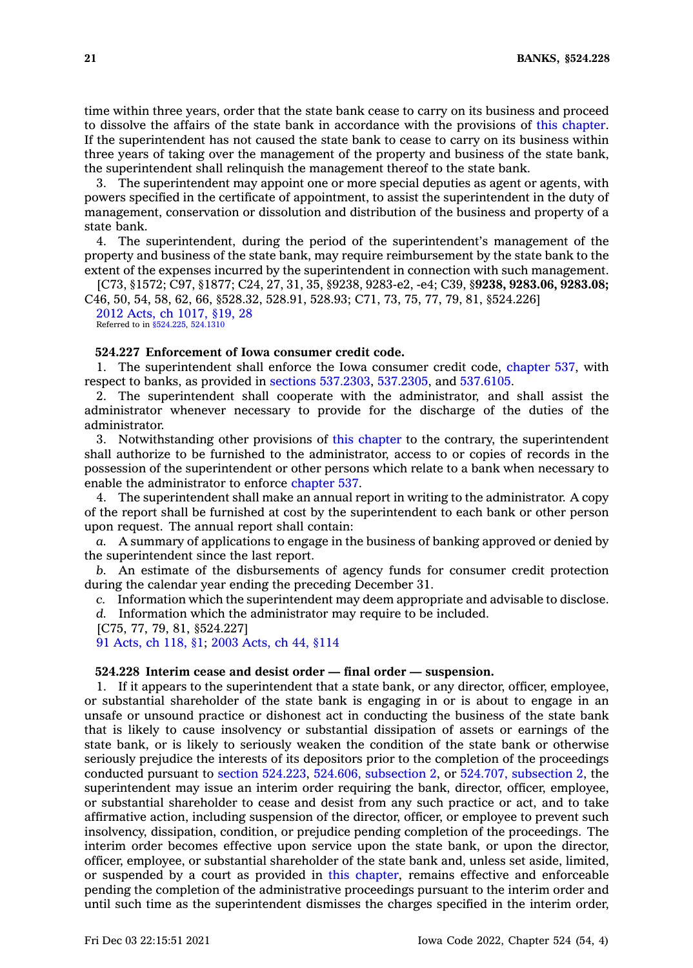time within three years, order that the state bank cease to carry on its business and proceed to dissolve the affairs of the state bank in accordance with the provisions of this [chapter](https://www.legis.iowa.gov/docs/code//524.pdf). If the superintendent has not caused the state bank to cease to carry on its business within three years of taking over the management of the property and business of the state bank, the superintendent shall relinquish the management thereof to the state bank.

3. The superintendent may appoint one or more special deputies as agent or agents, with powers specified in the certificate of appointment, to assist the superintendent in the duty of management, conservation or dissolution and distribution of the business and property of <sup>a</sup> state bank.

4. The superintendent, during the period of the superintendent's management of the property and business of the state bank, may require reimbursement by the state bank to the extent of the expenses incurred by the superintendent in connection with such management.

[C73, §1572; C97, §1877; C24, 27, 31, 35, §9238, 9283-e2, -e4; C39, §**9238, 9283.06, 9283.08;** C46, 50, 54, 58, 62, 66, §528.32, 528.91, 528.93; C71, 73, 75, 77, 79, 81, §524.226] 2012 Acts, ch [1017,](https://www.legis.iowa.gov/docs/acts/2012/CH1017.pdf) §19, 28

Referred to in [§524.225](https://www.legis.iowa.gov/docs/code/524.225.pdf), [524.1310](https://www.legis.iowa.gov/docs/code/524.1310.pdf)

# **524.227 Enforcement of Iowa consumer credit code.**

1. The superintendent shall enforce the Iowa consumer credit code, [chapter](https://www.legis.iowa.gov/docs/code//537.pdf) 537, with respect to banks, as provided in sections [537.2303](https://www.legis.iowa.gov/docs/code/537.2303.pdf), [537.2305](https://www.legis.iowa.gov/docs/code/537.2305.pdf), and [537.6105](https://www.legis.iowa.gov/docs/code/537.6105.pdf).

2. The superintendent shall cooperate with the administrator, and shall assist the administrator whenever necessary to provide for the discharge of the duties of the administrator.

3. Notwithstanding other provisions of this [chapter](https://www.legis.iowa.gov/docs/code//524.pdf) to the contrary, the superintendent shall authorize to be furnished to the administrator, access to or copies of records in the possession of the superintendent or other persons which relate to <sup>a</sup> bank when necessary to enable the administrator to enforce [chapter](https://www.legis.iowa.gov/docs/code//537.pdf) 537.

4. The superintendent shall make an annual report in writing to the administrator. A copy of the report shall be furnished at cost by the superintendent to each bank or other person upon request. The annual report shall contain:

*a.* A summary of applications to engage in the business of banking approved or denied by the superintendent since the last report.

*b.* An estimate of the disbursements of agency funds for consumer credit protection during the calendar year ending the preceding December 31.

*c.* Information which the superintendent may deem appropriate and advisable to disclose.

*d.* Information which the administrator may require to be included.

[C75, 77, 79, 81, §524.227]

91 [Acts,](https://www.legis.iowa.gov/docs/acts/1991/CH0118.pdf) ch 118, §1; 2003 [Acts,](https://www.legis.iowa.gov/docs/acts/2003/CH0044.pdf) ch 44, §114

# **524.228 Interim cease and desist order — final order — suspension.**

1. If it appears to the superintendent that <sup>a</sup> state bank, or any director, officer, employee, or substantial shareholder of the state bank is engaging in or is about to engage in an unsafe or unsound practice or dishonest act in conducting the business of the state bank that is likely to cause insolvency or substantial dissipation of assets or earnings of the state bank, or is likely to seriously weaken the condition of the state bank or otherwise seriously prejudice the interests of its depositors prior to the completion of the proceedings conducted pursuant to section [524.223](https://www.legis.iowa.gov/docs/code/524.223.pdf), 524.606, [subsection](https://www.legis.iowa.gov/docs/code/524.606.pdf) 2, or 524.707, [subsection](https://www.legis.iowa.gov/docs/code/524.707.pdf) 2, the superintendent may issue an interim order requiring the bank, director, officer, employee, or substantial shareholder to cease and desist from any such practice or act, and to take affirmative action, including suspension of the director, officer, or employee to prevent such insolvency, dissipation, condition, or prejudice pending completion of the proceedings. The interim order becomes effective upon service upon the state bank, or upon the director, officer, employee, or substantial shareholder of the state bank and, unless set aside, limited, or suspended by <sup>a</sup> court as provided in this [chapter](https://www.legis.iowa.gov/docs/code//524.pdf), remains effective and enforceable pending the completion of the administrative proceedings pursuant to the interim order and until such time as the superintendent dismisses the charges specified in the interim order,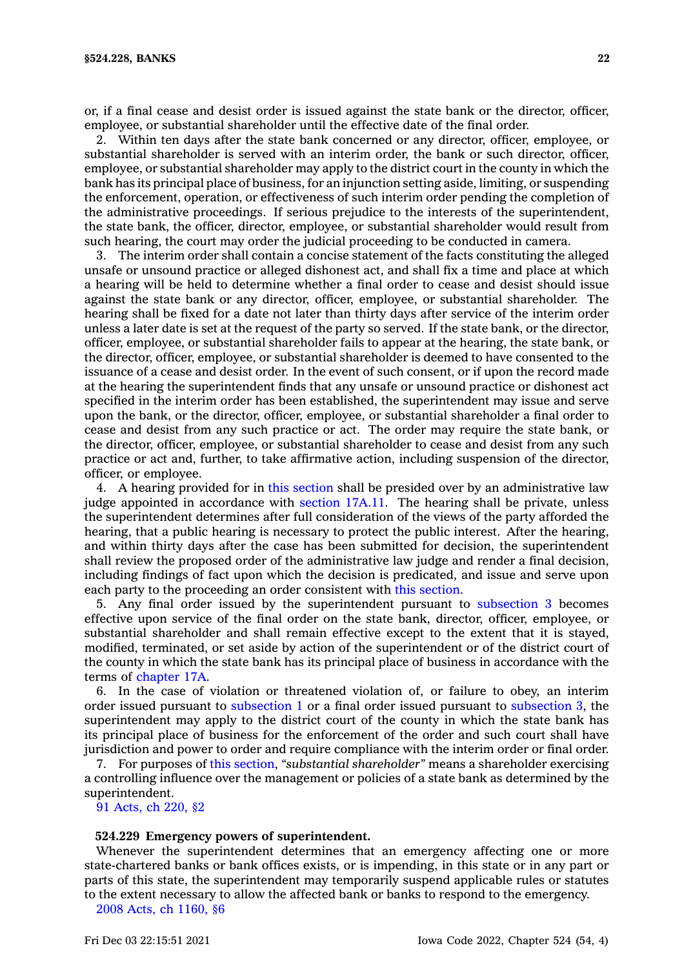or, if <sup>a</sup> final cease and desist order is issued against the state bank or the director, officer, employee, or substantial shareholder until the effective date of the final order.

2. Within ten days after the state bank concerned or any director, officer, employee, or substantial shareholder is served with an interim order, the bank or such director, officer, employee, or substantial shareholder may apply to the district court in the county in which the bank has its principal place of business, for an injunction setting aside, limiting, or suspending the enforcement, operation, or effectiveness of such interim order pending the completion of the administrative proceedings. If serious prejudice to the interests of the superintendent, the state bank, the officer, director, employee, or substantial shareholder would result from such hearing, the court may order the judicial proceeding to be conducted in camera.

3. The interim order shall contain <sup>a</sup> concise statement of the facts constituting the alleged unsafe or unsound practice or alleged dishonest act, and shall fix <sup>a</sup> time and place at which <sup>a</sup> hearing will be held to determine whether <sup>a</sup> final order to cease and desist should issue against the state bank or any director, officer, employee, or substantial shareholder. The hearing shall be fixed for <sup>a</sup> date not later than thirty days after service of the interim order unless <sup>a</sup> later date is set at the request of the party so served. If the state bank, or the director, officer, employee, or substantial shareholder fails to appear at the hearing, the state bank, or the director, officer, employee, or substantial shareholder is deemed to have consented to the issuance of <sup>a</sup> cease and desist order. In the event of such consent, or if upon the record made at the hearing the superintendent finds that any unsafe or unsound practice or dishonest act specified in the interim order has been established, the superintendent may issue and serve upon the bank, or the director, officer, employee, or substantial shareholder <sup>a</sup> final order to cease and desist from any such practice or act. The order may require the state bank, or the director, officer, employee, or substantial shareholder to cease and desist from any such practice or act and, further, to take affirmative action, including suspension of the director, officer, or employee.

4. A hearing provided for in this [section](https://www.legis.iowa.gov/docs/code/524.228.pdf) shall be presided over by an administrative law judge appointed in accordance with [section](https://www.legis.iowa.gov/docs/code/17A.11.pdf) 17A.11. The hearing shall be private, unless the superintendent determines after full consideration of the views of the party afforded the hearing, that <sup>a</sup> public hearing is necessary to protect the public interest. After the hearing, and within thirty days after the case has been submitted for decision, the superintendent shall review the proposed order of the administrative law judge and render <sup>a</sup> final decision, including findings of fact upon which the decision is predicated, and issue and serve upon each party to the proceeding an order consistent with this [section](https://www.legis.iowa.gov/docs/code/524.228.pdf).

5. Any final order issued by the superintendent pursuant to [subsection](https://www.legis.iowa.gov/docs/code/524.228.pdf) 3 becomes effective upon service of the final order on the state bank, director, officer, employee, or substantial shareholder and shall remain effective except to the extent that it is stayed, modified, terminated, or set aside by action of the superintendent or of the district court of the county in which the state bank has its principal place of business in accordance with the terms of [chapter](https://www.legis.iowa.gov/docs/code//17A.pdf) 17A.

6. In the case of violation or threatened violation of, or failure to obey, an interim order issued pursuant to [subsection](https://www.legis.iowa.gov/docs/code/524.228.pdf) 1 or <sup>a</sup> final order issued pursuant to [subsection](https://www.legis.iowa.gov/docs/code/524.228.pdf) 3, the superintendent may apply to the district court of the county in which the state bank has its principal place of business for the enforcement of the order and such court shall have jurisdiction and power to order and require compliance with the interim order or final order.

7. For purposes of this [section](https://www.legis.iowa.gov/docs/code/524.228.pdf), *"substantial shareholder"* means <sup>a</sup> shareholder exercising <sup>a</sup> controlling influence over the management or policies of <sup>a</sup> state bank as determined by the superintendent.

91 [Acts,](https://www.legis.iowa.gov/docs/acts/1991/CH0220.pdf) ch 220, §2

# **524.229 Emergency powers of superintendent.**

Whenever the superintendent determines that an emergency affecting one or more state-chartered banks or bank offices exists, or is impending, in this state or in any part or parts of this state, the superintendent may temporarily suspend applicable rules or statutes to the extent necessary to allow the affected bank or banks to respond to the emergency.

2008 Acts, ch [1160,](https://www.legis.iowa.gov/docs/acts/2008/CH1160.pdf) §6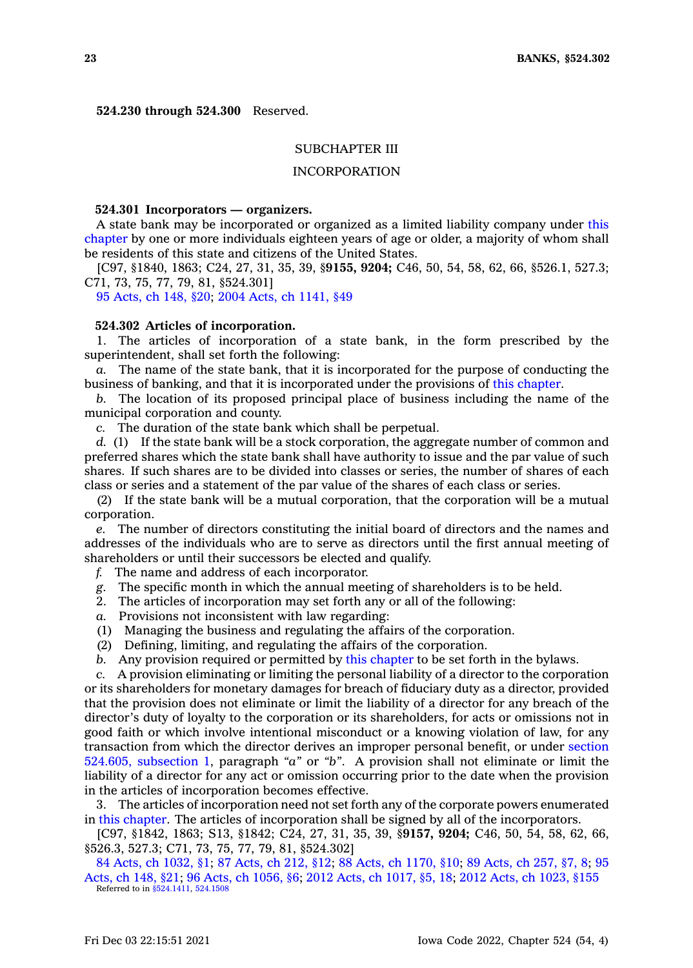**524.230 through 524.300** Reserved.

# SUBCHAPTER III

# INCORPORATION

## **524.301 Incorporators — organizers.**

A state bank may be incorporated or organized as <sup>a</sup> limited liability company under [this](https://www.legis.iowa.gov/docs/code//524.pdf) [chapter](https://www.legis.iowa.gov/docs/code//524.pdf) by one or more individuals eighteen years of age or older, <sup>a</sup> majority of whom shall be residents of this state and citizens of the United States.

[C97, §1840, 1863; C24, 27, 31, 35, 39, §**9155, 9204;** C46, 50, 54, 58, 62, 66, §526.1, 527.3; C71, 73, 75, 77, 79, 81, §524.301]

95 [Acts,](https://www.legis.iowa.gov/docs/acts/1995/CH0148.pdf) ch 148, §20; 2004 Acts, ch [1141,](https://www.legis.iowa.gov/docs/acts/2004/CH1141.pdf) §49

#### **524.302 Articles of incorporation.**

1. The articles of incorporation of <sup>a</sup> state bank, in the form prescribed by the superintendent, shall set forth the following:

*a.* The name of the state bank, that it is incorporated for the purpose of conducting the business of banking, and that it is incorporated under the provisions of this [chapter](https://www.legis.iowa.gov/docs/code//524.pdf).

*b.* The location of its proposed principal place of business including the name of the municipal corporation and county.

*c.* The duration of the state bank which shall be perpetual.

*d.* (1) If the state bank will be <sup>a</sup> stock corporation, the aggregate number of common and preferred shares which the state bank shall have authority to issue and the par value of such shares. If such shares are to be divided into classes or series, the number of shares of each class or series and <sup>a</sup> statement of the par value of the shares of each class or series.

(2) If the state bank will be <sup>a</sup> mutual corporation, that the corporation will be <sup>a</sup> mutual corporation.

*e.* The number of directors constituting the initial board of directors and the names and addresses of the individuals who are to serve as directors until the first annual meeting of shareholders or until their successors be elected and qualify.

- *f.* The name and address of each incorporator.
- *g.* The specific month in which the annual meeting of shareholders is to be held.
- 2. The articles of incorporation may set forth any or all of the following:
- *a.* Provisions not inconsistent with law regarding:
- (1) Managing the business and regulating the affairs of the corporation.
- (2) Defining, limiting, and regulating the affairs of the corporation.
- *b.* Any provision required or permitted by this [chapter](https://www.legis.iowa.gov/docs/code//524.pdf) to be set forth in the bylaws.

*c.* A provision eliminating or limiting the personal liability of <sup>a</sup> director to the corporation or its shareholders for monetary damages for breach of fiduciary duty as <sup>a</sup> director, provided that the provision does not eliminate or limit the liability of <sup>a</sup> director for any breach of the director's duty of loyalty to the corporation or its shareholders, for acts or omissions not in good faith or which involve intentional misconduct or <sup>a</sup> knowing violation of law, for any transaction from which the director derives an improper personal benefit, or under [section](https://www.legis.iowa.gov/docs/code/524.605.pdf) 524.605, [subsection](https://www.legis.iowa.gov/docs/code/524.605.pdf) 1, paragraph *"a"* or *"b"*. A provision shall not eliminate or limit the liability of <sup>a</sup> director for any act or omission occurring prior to the date when the provision in the articles of incorporation becomes effective.

3. The articles of incorporation need not set forth any of the corporate powers enumerated in this [chapter](https://www.legis.iowa.gov/docs/code//524.pdf). The articles of incorporation shall be signed by all of the incorporators.

[C97, §1842, 1863; S13, §1842; C24, 27, 31, 35, 39, §**9157, 9204;** C46, 50, 54, 58, 62, 66, §526.3, 527.3; C71, 73, 75, 77, 79, 81, §524.302]

84 Acts, ch [1032,](https://www.legis.iowa.gov/docs/acts/1984/CH1032.pdf) §1; 87 [Acts,](https://www.legis.iowa.gov/docs/acts/87/CH0212.pdf) ch 212, §12; 88 Acts, ch [1170,](https://www.legis.iowa.gov/docs/acts/88/CH1170.pdf) §10; 89 [Acts,](https://www.legis.iowa.gov/docs/acts/89/CH0257.pdf) ch 257, §7, 8; [95](https://www.legis.iowa.gov/docs/acts/95/CH0148.pdf) [Acts,](https://www.legis.iowa.gov/docs/acts/95/CH0148.pdf) ch 148, §21; 96 Acts, ch [1056,](https://www.legis.iowa.gov/docs/acts/96/CH1056.pdf) §6; 2012 Acts, ch [1017,](https://www.legis.iowa.gov/docs/acts/2012/CH1017.pdf) §5, 18; 2012 Acts, ch [1023,](https://www.legis.iowa.gov/docs/acts/2012/CH1023.pdf) §155 Referred to in [§524.1411](https://www.legis.iowa.gov/docs/code/524.1411.pdf), [524.1508](https://www.legis.iowa.gov/docs/code/524.1508.pdf)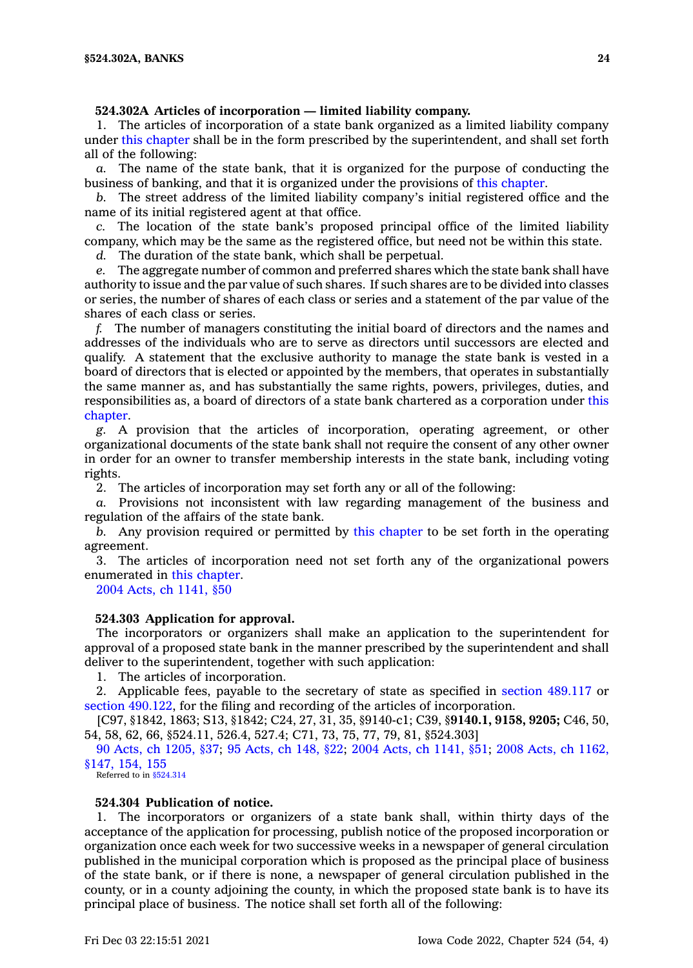# **524.302A Articles of incorporation — limited liability company.**

1. The articles of incorporation of <sup>a</sup> state bank organized as <sup>a</sup> limited liability company under this [chapter](https://www.legis.iowa.gov/docs/code//524.pdf) shall be in the form prescribed by the superintendent, and shall set forth all of the following:

*a.* The name of the state bank, that it is organized for the purpose of conducting the business of banking, and that it is organized under the provisions of this [chapter](https://www.legis.iowa.gov/docs/code//524.pdf).

*b.* The street address of the limited liability company's initial registered office and the name of its initial registered agent at that office.

*c.* The location of the state bank's proposed principal office of the limited liability company, which may be the same as the registered office, but need not be within this state.

*d.* The duration of the state bank, which shall be perpetual.

*e.* The aggregate number of common and preferred shares which the state bank shall have authority to issue and the par value of such shares. If such shares are to be divided into classes or series, the number of shares of each class or series and <sup>a</sup> statement of the par value of the shares of each class or series.

*f.* The number of managers constituting the initial board of directors and the names and addresses of the individuals who are to serve as directors until successors are elected and qualify. A statement that the exclusive authority to manage the state bank is vested in <sup>a</sup> board of directors that is elected or appointed by the members, that operates in substantially the same manner as, and has substantially the same rights, powers, privileges, duties, and responsibilities as, <sup>a</sup> board of directors of <sup>a</sup> state bank chartered as <sup>a</sup> corporation under [this](https://www.legis.iowa.gov/docs/code//524.pdf) [chapter](https://www.legis.iowa.gov/docs/code//524.pdf).

*g.* A provision that the articles of incorporation, operating agreement, or other organizational documents of the state bank shall not require the consent of any other owner in order for an owner to transfer membership interests in the state bank, including voting rights.

2. The articles of incorporation may set forth any or all of the following:

*a.* Provisions not inconsistent with law regarding management of the business and regulation of the affairs of the state bank.

*b.* Any provision required or permitted by this [chapter](https://www.legis.iowa.gov/docs/code//524.pdf) to be set forth in the operating agreement.

3. The articles of incorporation need not set forth any of the organizational powers enumerated in this [chapter](https://www.legis.iowa.gov/docs/code//524.pdf).

2004 Acts, ch [1141,](https://www.legis.iowa.gov/docs/acts/2004/CH1141.pdf) §50

# **524.303 Application for approval.**

The incorporators or organizers shall make an application to the superintendent for approval of <sup>a</sup> proposed state bank in the manner prescribed by the superintendent and shall deliver to the superintendent, together with such application:

1. The articles of incorporation.

2. Applicable fees, payable to the secretary of state as specified in section [489.117](https://www.legis.iowa.gov/docs/code/489.117.pdf) or section [490.122](https://www.legis.iowa.gov/docs/code/490.122.pdf), for the filing and recording of the articles of incorporation.

[C97, §1842, 1863; S13, §1842; C24, 27, 31, 35, §9140-c1; C39, §**9140.1, 9158, 9205;** C46, 50, 54, 58, 62, 66, §524.11, 526.4, 527.4; C71, 73, 75, 77, 79, 81, §524.303]

90 Acts, ch [1205,](https://www.legis.iowa.gov/docs/acts/1990/CH1205.pdf) §37; 95 [Acts,](https://www.legis.iowa.gov/docs/acts/95/CH0148.pdf) ch 148, §22; 2004 Acts, ch [1141,](https://www.legis.iowa.gov/docs/acts/2004/CH1141.pdf) §51; 2008 Acts, ch [1162,](https://www.legis.iowa.gov/docs/acts/2008/CH1162.pdf) [§147,](https://www.legis.iowa.gov/docs/acts/2008/CH1162.pdf) 154, 155

Referred to in [§524.314](https://www.legis.iowa.gov/docs/code/524.314.pdf)

# **524.304 Publication of notice.**

1. The incorporators or organizers of <sup>a</sup> state bank shall, within thirty days of the acceptance of the application for processing, publish notice of the proposed incorporation or organization once each week for two successive weeks in <sup>a</sup> newspaper of general circulation published in the municipal corporation which is proposed as the principal place of business of the state bank, or if there is none, <sup>a</sup> newspaper of general circulation published in the county, or in <sup>a</sup> county adjoining the county, in which the proposed state bank is to have its principal place of business. The notice shall set forth all of the following: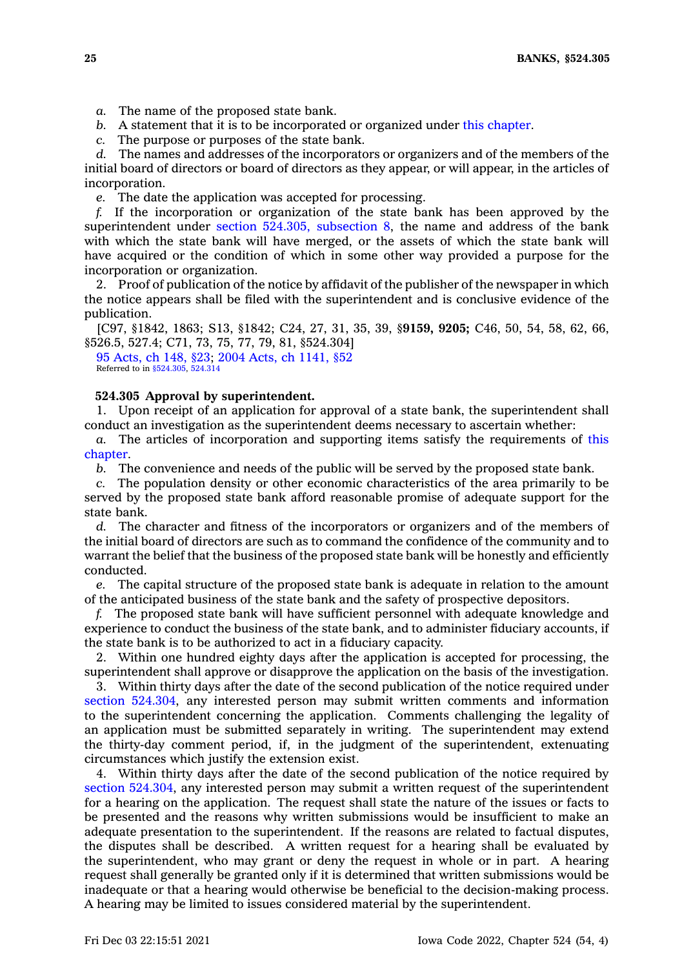- *a.* The name of the proposed state bank.
- *b.* A statement that it is to be incorporated or organized under this [chapter](https://www.legis.iowa.gov/docs/code//524.pdf).
- *c.* The purpose or purposes of the state bank.

*d.* The names and addresses of the incorporators or organizers and of the members of the initial board of directors or board of directors as they appear, or will appear, in the articles of incorporation.

*e.* The date the application was accepted for processing.

*f.* If the incorporation or organization of the state bank has been approved by the superintendent under section 524.305, [subsection](https://www.legis.iowa.gov/docs/code/524.305.pdf) 8, the name and address of the bank with which the state bank will have merged, or the assets of which the state bank will have acquired or the condition of which in some other way provided <sup>a</sup> purpose for the incorporation or organization.

2. Proof of publication of the notice by affidavit of the publisher of the newspaper in which the notice appears shall be filed with the superintendent and is conclusive evidence of the publication.

[C97, §1842, 1863; S13, §1842; C24, 27, 31, 35, 39, §**9159, 9205;** C46, 50, 54, 58, 62, 66, §526.5, 527.4; C71, 73, 75, 77, 79, 81, §524.304]

95 [Acts,](https://www.legis.iowa.gov/docs/acts/1995/CH0148.pdf) ch 148, §23; 2004 Acts, ch [1141,](https://www.legis.iowa.gov/docs/acts/2004/CH1141.pdf) §52 Referred to in [§524.305](https://www.legis.iowa.gov/docs/code/524.305.pdf), [524.314](https://www.legis.iowa.gov/docs/code/524.314.pdf)

## **524.305 Approval by superintendent.**

1. Upon receipt of an application for approval of <sup>a</sup> state bank, the superintendent shall conduct an investigation as the superintendent deems necessary to ascertain whether:

*a.* The articles of incorporation and supporting items satisfy the requirements of [this](https://www.legis.iowa.gov/docs/code//524.pdf) [chapter](https://www.legis.iowa.gov/docs/code//524.pdf).

*b.* The convenience and needs of the public will be served by the proposed state bank.

*c.* The population density or other economic characteristics of the area primarily to be served by the proposed state bank afford reasonable promise of adequate support for the state bank.

*d.* The character and fitness of the incorporators or organizers and of the members of the initial board of directors are such as to command the confidence of the community and to warrant the belief that the business of the proposed state bank will be honestly and efficiently conducted.

*e.* The capital structure of the proposed state bank is adequate in relation to the amount of the anticipated business of the state bank and the safety of prospective depositors.

*f.* The proposed state bank will have sufficient personnel with adequate knowledge and experience to conduct the business of the state bank, and to administer fiduciary accounts, if the state bank is to be authorized to act in <sup>a</sup> fiduciary capacity.

2. Within one hundred eighty days after the application is accepted for processing, the superintendent shall approve or disapprove the application on the basis of the investigation.

3. Within thirty days after the date of the second publication of the notice required under section [524.304](https://www.legis.iowa.gov/docs/code/524.304.pdf), any interested person may submit written comments and information to the superintendent concerning the application. Comments challenging the legality of an application must be submitted separately in writing. The superintendent may extend the thirty-day comment period, if, in the judgment of the superintendent, extenuating circumstances which justify the extension exist.

4. Within thirty days after the date of the second publication of the notice required by section [524.304](https://www.legis.iowa.gov/docs/code/524.304.pdf), any interested person may submit <sup>a</sup> written request of the superintendent for <sup>a</sup> hearing on the application. The request shall state the nature of the issues or facts to be presented and the reasons why written submissions would be insufficient to make an adequate presentation to the superintendent. If the reasons are related to factual disputes, the disputes shall be described. A written request for <sup>a</sup> hearing shall be evaluated by the superintendent, who may grant or deny the request in whole or in part. A hearing request shall generally be granted only if it is determined that written submissions would be inadequate or that <sup>a</sup> hearing would otherwise be beneficial to the decision-making process. A hearing may be limited to issues considered material by the superintendent.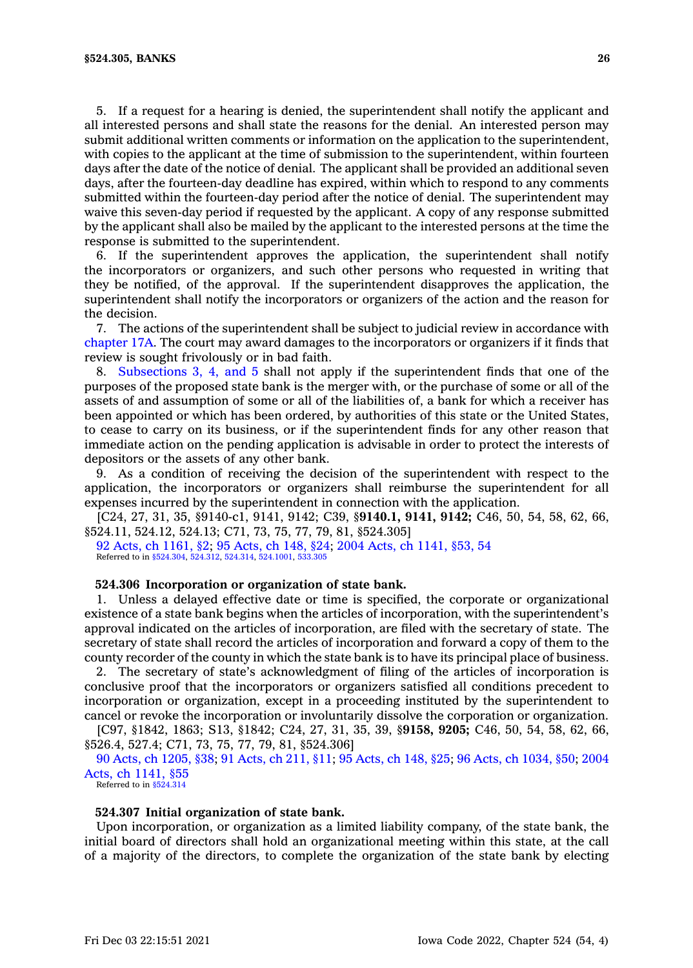5. If <sup>a</sup> request for <sup>a</sup> hearing is denied, the superintendent shall notify the applicant and all interested persons and shall state the reasons for the denial. An interested person may submit additional written comments or information on the application to the superintendent, with copies to the applicant at the time of submission to the superintendent, within fourteen days after the date of the notice of denial. The applicant shall be provided an additional seven days, after the fourteen-day deadline has expired, within which to respond to any comments submitted within the fourteen-day period after the notice of denial. The superintendent may waive this seven-day period if requested by the applicant. A copy of any response submitted by the applicant shall also be mailed by the applicant to the interested persons at the time the response is submitted to the superintendent.

6. If the superintendent approves the application, the superintendent shall notify the incorporators or organizers, and such other persons who requested in writing that they be notified, of the approval. If the superintendent disapproves the application, the superintendent shall notify the incorporators or organizers of the action and the reason for the decision.

7. The actions of the superintendent shall be subject to judicial review in accordance with [chapter](https://www.legis.iowa.gov/docs/code//17A.pdf) 17A. The court may award damages to the incorporators or organizers if it finds that review is sought frivolously or in bad faith.

8. [Subsections](https://www.legis.iowa.gov/docs/code/524.305.pdf) 3, 4, and 5 shall not apply if the superintendent finds that one of the purposes of the proposed state bank is the merger with, or the purchase of some or all of the assets of and assumption of some or all of the liabilities of, <sup>a</sup> bank for which <sup>a</sup> receiver has been appointed or which has been ordered, by authorities of this state or the United States, to cease to carry on its business, or if the superintendent finds for any other reason that immediate action on the pending application is advisable in order to protect the interests of depositors or the assets of any other bank.

9. As <sup>a</sup> condition of receiving the decision of the superintendent with respect to the application, the incorporators or organizers shall reimburse the superintendent for all expenses incurred by the superintendent in connection with the application.

[C24, 27, 31, 35, §9140-c1, 9141, 9142; C39, §**9140.1, 9141, 9142;** C46, 50, 54, 58, 62, 66, §524.11, 524.12, 524.13; C71, 73, 75, 77, 79, 81, §524.305]

92 Acts, ch [1161,](https://www.legis.iowa.gov/docs/acts/1992/CH1161.pdf) §2; 95 [Acts,](https://www.legis.iowa.gov/docs/acts/1995/CH0148.pdf) ch 148, §24; 2004 Acts, ch [1141,](https://www.legis.iowa.gov/docs/acts/2004/CH1141.pdf) §53, 54 Referred to in [§524.304](https://www.legis.iowa.gov/docs/code/524.304.pdf), [524.312,](https://www.legis.iowa.gov/docs/code/524.312.pdf) [524.314](https://www.legis.iowa.gov/docs/code/524.314.pdf), [524.1001,](https://www.legis.iowa.gov/docs/code/524.1001.pdf) [533.305](https://www.legis.iowa.gov/docs/code/533.305.pdf)

# **524.306 Incorporation or organization of state bank.**

1. Unless <sup>a</sup> delayed effective date or time is specified, the corporate or organizational existence of <sup>a</sup> state bank begins when the articles of incorporation, with the superintendent's approval indicated on the articles of incorporation, are filed with the secretary of state. The secretary of state shall record the articles of incorporation and forward <sup>a</sup> copy of them to the county recorder of the county in which the state bank is to have its principal place of business.

2. The secretary of state's acknowledgment of filing of the articles of incorporation is conclusive proof that the incorporators or organizers satisfied all conditions precedent to incorporation or organization, except in <sup>a</sup> proceeding instituted by the superintendent to cancel or revoke the incorporation or involuntarily dissolve the corporation or organization.

[C97, §1842, 1863; S13, §1842; C24, 27, 31, 35, 39, §**9158, 9205;** C46, 50, 54, 58, 62, 66, §526.4, 527.4; C71, 73, 75, 77, 79, 81, §524.306]

90 Acts, ch [1205,](https://www.legis.iowa.gov/docs/acts/1990/CH1205.pdf) §38; 91 [Acts,](https://www.legis.iowa.gov/docs/acts/1991/CH0211.pdf) ch 211, §11; 95 [Acts,](https://www.legis.iowa.gov/docs/acts/1995/CH0148.pdf) ch 148, §25; 96 Acts, ch [1034,](https://www.legis.iowa.gov/docs/acts/1996/CH1034.pdf) §50; [2004](https://www.legis.iowa.gov/docs/acts/2004/CH1141.pdf) Acts, ch [1141,](https://www.legis.iowa.gov/docs/acts/2004/CH1141.pdf) §55

Referred to in [§524.314](https://www.legis.iowa.gov/docs/code/524.314.pdf)

#### **524.307 Initial organization of state bank.**

Upon incorporation, or organization as <sup>a</sup> limited liability company, of the state bank, the initial board of directors shall hold an organizational meeting within this state, at the call of <sup>a</sup> majority of the directors, to complete the organization of the state bank by electing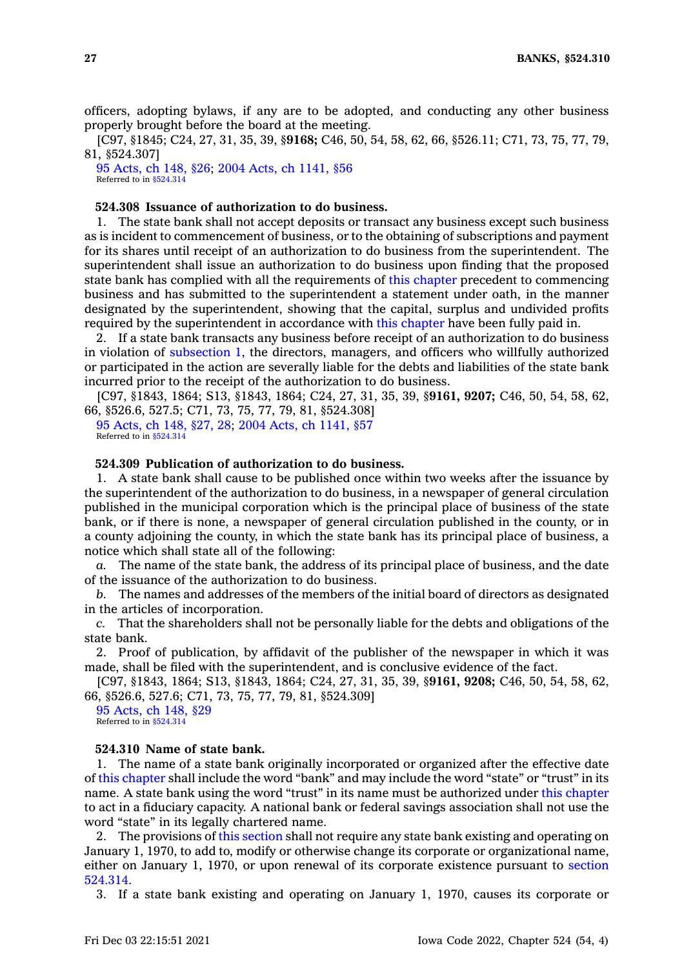officers, adopting bylaws, if any are to be adopted, and conducting any other business properly brought before the board at the meeting.

[C97, §1845; C24, 27, 31, 35, 39, §**9168;** C46, 50, 54, 58, 62, 66, §526.11; C71, 73, 75, 77, 79, 81, §524.307]

95 [Acts,](https://www.legis.iowa.gov/docs/acts/1995/CH0148.pdf) ch 148, §26; 2004 Acts, ch [1141,](https://www.legis.iowa.gov/docs/acts/2004/CH1141.pdf) §56 Referred to in [§524.314](https://www.legis.iowa.gov/docs/code/524.314.pdf)

# **524.308 Issuance of authorization to do business.**

1. The state bank shall not accept deposits or transact any business except such business as is incident to commencement of business, or to the obtaining of subscriptions and payment for its shares until receipt of an authorization to do business from the superintendent. The superintendent shall issue an authorization to do business upon finding that the proposed state bank has complied with all the requirements of this [chapter](https://www.legis.iowa.gov/docs/code//524.pdf) precedent to commencing business and has submitted to the superintendent <sup>a</sup> statement under oath, in the manner designated by the superintendent, showing that the capital, surplus and undivided profits required by the superintendent in accordance with this [chapter](https://www.legis.iowa.gov/docs/code//524.pdf) have been fully paid in.

2. If <sup>a</sup> state bank transacts any business before receipt of an authorization to do business in violation of [subsection](https://www.legis.iowa.gov/docs/code/524.308.pdf) 1, the directors, managers, and officers who willfully authorized or participated in the action are severally liable for the debts and liabilities of the state bank incurred prior to the receipt of the authorization to do business.

[C97, §1843, 1864; S13, §1843, 1864; C24, 27, 31, 35, 39, §**9161, 9207;** C46, 50, 54, 58, 62, 66, §526.6, 527.5; C71, 73, 75, 77, 79, 81, §524.308]

95 [Acts,](https://www.legis.iowa.gov/docs/acts/1995/CH0148.pdf) ch 148, §27, 28; 2004 Acts, ch [1141,](https://www.legis.iowa.gov/docs/acts/2004/CH1141.pdf) §57 Referred to in [§524.314](https://www.legis.iowa.gov/docs/code/524.314.pdf)

#### **524.309 Publication of authorization to do business.**

1. A state bank shall cause to be published once within two weeks after the issuance by the superintendent of the authorization to do business, in <sup>a</sup> newspaper of general circulation published in the municipal corporation which is the principal place of business of the state bank, or if there is none, <sup>a</sup> newspaper of general circulation published in the county, or in <sup>a</sup> county adjoining the county, in which the state bank has its principal place of business, <sup>a</sup> notice which shall state all of the following:

*a.* The name of the state bank, the address of its principal place of business, and the date of the issuance of the authorization to do business.

*b.* The names and addresses of the members of the initial board of directors as designated in the articles of incorporation.

*c.* That the shareholders shall not be personally liable for the debts and obligations of the state bank.

2. Proof of publication, by affidavit of the publisher of the newspaper in which it was made, shall be filed with the superintendent, and is conclusive evidence of the fact.

[C97, §1843, 1864; S13, §1843, 1864; C24, 27, 31, 35, 39, §**9161, 9208;** C46, 50, 54, 58, 62, 66, §526.6, 527.6; C71, 73, 75, 77, 79, 81, §524.309]

95 [Acts,](https://www.legis.iowa.gov/docs/acts/1995/CH0148.pdf) ch 148, §29 Referred to in [§524.314](https://www.legis.iowa.gov/docs/code/524.314.pdf)

#### **524.310 Name of state bank.**

1. The name of <sup>a</sup> state bank originally incorporated or organized after the effective date of this [chapter](https://www.legis.iowa.gov/docs/code//524.pdf) shall include the word "bank" and may include the word "state" or "trust" in its name. A state bank using the word "trust" in its name must be authorized under this [chapter](https://www.legis.iowa.gov/docs/code//524.pdf) to act in <sup>a</sup> fiduciary capacity. A national bank or federal savings association shall not use the word "state" in its legally chartered name.

2. The provisions of this [section](https://www.legis.iowa.gov/docs/code/524.310.pdf) shall not require any state bank existing and operating on January 1, 1970, to add to, modify or otherwise change its corporate or organizational name, either on January 1, 1970, or upon renewal of its corporate existence pursuant to [section](https://www.legis.iowa.gov/docs/code/524.314.pdf) [524.314](https://www.legis.iowa.gov/docs/code/524.314.pdf).

3. If <sup>a</sup> state bank existing and operating on January 1, 1970, causes its corporate or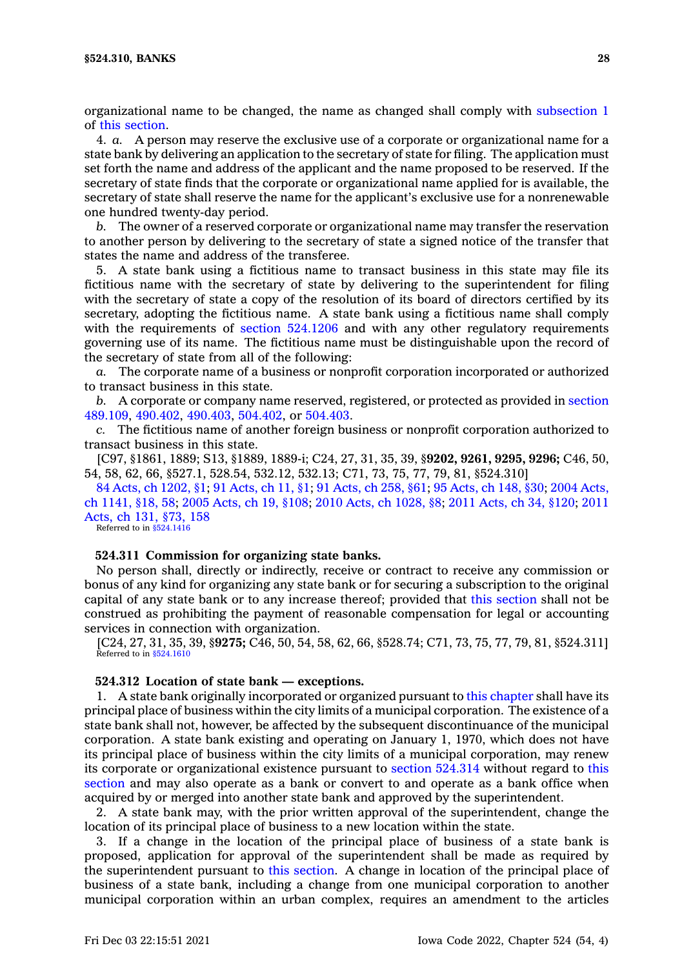organizational name to be changed, the name as changed shall comply with [subsection](https://www.legis.iowa.gov/docs/code/524.310.pdf) 1 of this [section](https://www.legis.iowa.gov/docs/code/524.310.pdf).

4. *a.* A person may reserve the exclusive use of <sup>a</sup> corporate or organizational name for <sup>a</sup> state bank by delivering an application to the secretary of state for filing. The application must set forth the name and address of the applicant and the name proposed to be reserved. If the secretary of state finds that the corporate or organizational name applied for is available, the secretary of state shall reserve the name for the applicant's exclusive use for <sup>a</sup> nonrenewable one hundred twenty-day period.

*b.* The owner of <sup>a</sup> reserved corporate or organizational name may transfer the reservation to another person by delivering to the secretary of state <sup>a</sup> signed notice of the transfer that states the name and address of the transferee.

5. A state bank using <sup>a</sup> fictitious name to transact business in this state may file its fictitious name with the secretary of state by delivering to the superintendent for filing with the secretary of state <sup>a</sup> copy of the resolution of its board of directors certified by its secretary, adopting the fictitious name. A state bank using <sup>a</sup> fictitious name shall comply with the requirements of section [524.1206](https://www.legis.iowa.gov/docs/code/524.1206.pdf) and with any other regulatory requirements governing use of its name. The fictitious name must be distinguishable upon the record of the secretary of state from all of the following:

*a.* The corporate name of <sup>a</sup> business or nonprofit corporation incorporated or authorized to transact business in this state.

*b.* A corporate or company name reserved, registered, or protected as provided in [section](https://www.legis.iowa.gov/docs/code/489.109.pdf) [489.109](https://www.legis.iowa.gov/docs/code/489.109.pdf), [490.402](https://www.legis.iowa.gov/docs/code/490.402.pdf), [490.403](https://www.legis.iowa.gov/docs/code/490.403.pdf), [504.402](https://www.legis.iowa.gov/docs/code/504.402.pdf), or [504.403](https://www.legis.iowa.gov/docs/code/504.403.pdf).

*c.* The fictitious name of another foreign business or nonprofit corporation authorized to transact business in this state.

[C97, §1861, 1889; S13, §1889, 1889-i; C24, 27, 31, 35, 39, §**9202, 9261, 9295, 9296;** C46, 50, 54, 58, 62, 66, §527.1, 528.54, 532.12, 532.13; C71, 73, 75, 77, 79, 81, §524.310]

84 Acts, ch [1202,](https://www.legis.iowa.gov/docs/acts/1984/CH1202.pdf) §1; 91 [Acts,](https://www.legis.iowa.gov/docs/acts/91/CH0011.pdf) ch 11, §1; 91 [Acts,](https://www.legis.iowa.gov/docs/acts/91/CH0258.pdf) ch 258, §61; 95 [Acts,](https://www.legis.iowa.gov/docs/acts/95/CH0148.pdf) ch 148, §30; 2004 [Acts,](https://www.legis.iowa.gov/docs/acts/2004/CH1141.pdf) ch [1141,](https://www.legis.iowa.gov/docs/acts/2004/CH1141.pdf) §18, 58; 2005 [Acts,](https://www.legis.iowa.gov/docs/acts/2005/CH0019.pdf) ch 19, §108; 2010 Acts, ch [1028,](https://www.legis.iowa.gov/docs/acts/2010/CH1028.pdf) §8; 2011 [Acts,](https://www.legis.iowa.gov/docs/acts/2011/CH0034.pdf) ch 34, §120; [2011](https://www.legis.iowa.gov/docs/acts/2011/CH0131.pdf) [Acts,](https://www.legis.iowa.gov/docs/acts/2011/CH0131.pdf) ch 131, §73, 158

Referred to in [§524.1416](https://www.legis.iowa.gov/docs/code/524.1416.pdf)

#### **524.311 Commission for organizing state banks.**

No person shall, directly or indirectly, receive or contract to receive any commission or bonus of any kind for organizing any state bank or for securing <sup>a</sup> subscription to the original capital of any state bank or to any increase thereof; provided that this [section](https://www.legis.iowa.gov/docs/code/524.311.pdf) shall not be construed as prohibiting the payment of reasonable compensation for legal or accounting services in connection with organization.

[C24, 27, 31, 35, 39, §**9275;** C46, 50, 54, 58, 62, 66, §528.74; C71, 73, 75, 77, 79, 81, §524.311] Referred to in [§524.1610](https://www.legis.iowa.gov/docs/code/524.1610.pdf)

### **524.312 Location of state bank — exceptions.**

1. A state bank originally incorporated or organized pursuant to this [chapter](https://www.legis.iowa.gov/docs/code//524.pdf) shall have its principal place of business within the city limits of <sup>a</sup> municipal corporation. The existence of <sup>a</sup> state bank shall not, however, be affected by the subsequent discontinuance of the municipal corporation. A state bank existing and operating on January 1, 1970, which does not have its principal place of business within the city limits of <sup>a</sup> municipal corporation, may renew its corporate or organizational existence pursuant to section [524.314](https://www.legis.iowa.gov/docs/code/524.314.pdf) without regard to [this](https://www.legis.iowa.gov/docs/code/524.312.pdf) [section](https://www.legis.iowa.gov/docs/code/524.312.pdf) and may also operate as <sup>a</sup> bank or convert to and operate as <sup>a</sup> bank office when acquired by or merged into another state bank and approved by the superintendent.

2. A state bank may, with the prior written approval of the superintendent, change the location of its principal place of business to <sup>a</sup> new location within the state.

3. If <sup>a</sup> change in the location of the principal place of business of <sup>a</sup> state bank is proposed, application for approval of the superintendent shall be made as required by the superintendent pursuant to this [section](https://www.legis.iowa.gov/docs/code/524.312.pdf). A change in location of the principal place of business of <sup>a</sup> state bank, including <sup>a</sup> change from one municipal corporation to another municipal corporation within an urban complex, requires an amendment to the articles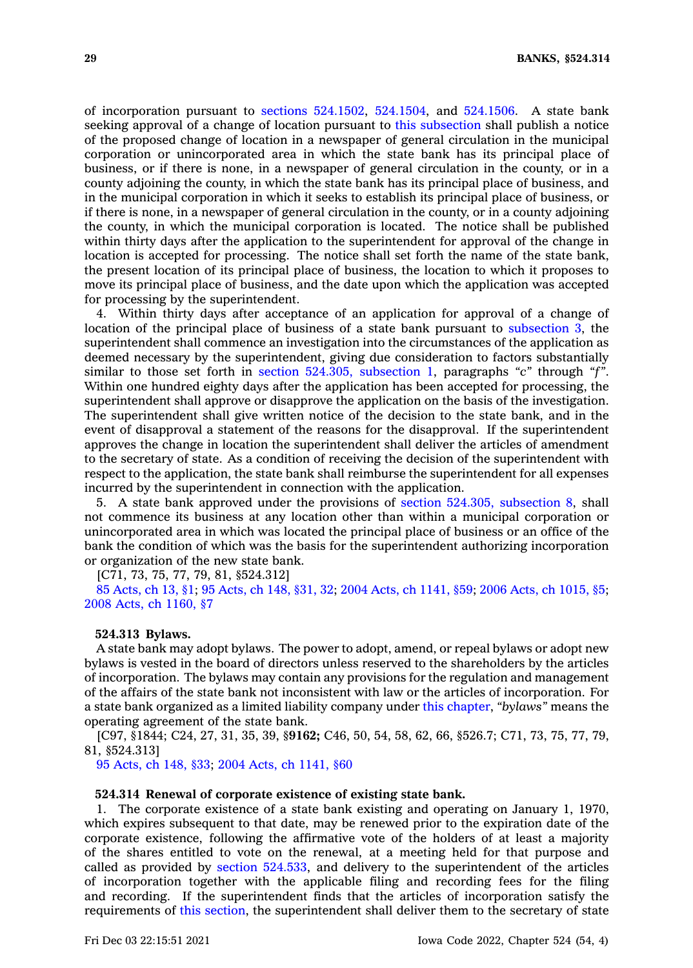of incorporation pursuant to sections [524.1502](https://www.legis.iowa.gov/docs/code/524.1502.pdf), [524.1504](https://www.legis.iowa.gov/docs/code/524.1504.pdf), and [524.1506](https://www.legis.iowa.gov/docs/code/524.1506.pdf). A state bank seeking approval of <sup>a</sup> change of location pursuant to this [subsection](https://www.legis.iowa.gov/docs/code/524.312.pdf) shall publish <sup>a</sup> notice of the proposed change of location in <sup>a</sup> newspaper of general circulation in the municipal corporation or unincorporated area in which the state bank has its principal place of business, or if there is none, in <sup>a</sup> newspaper of general circulation in the county, or in <sup>a</sup> county adjoining the county, in which the state bank has its principal place of business, and in the municipal corporation in which it seeks to establish its principal place of business, or if there is none, in <sup>a</sup> newspaper of general circulation in the county, or in <sup>a</sup> county adjoining the county, in which the municipal corporation is located. The notice shall be published within thirty days after the application to the superintendent for approval of the change in location is accepted for processing. The notice shall set forth the name of the state bank, the present location of its principal place of business, the location to which it proposes to move its principal place of business, and the date upon which the application was accepted for processing by the superintendent.

4. Within thirty days after acceptance of an application for approval of <sup>a</sup> change of location of the principal place of business of <sup>a</sup> state bank pursuant to [subsection](https://www.legis.iowa.gov/docs/code/524.312.pdf) 3, the superintendent shall commence an investigation into the circumstances of the application as deemed necessary by the superintendent, giving due consideration to factors substantially similar to those set forth in section 524.305, [subsection](https://www.legis.iowa.gov/docs/code/524.305.pdf) 1, paragraphs *"c"* through *"f"*. Within one hundred eighty days after the application has been accepted for processing, the superintendent shall approve or disapprove the application on the basis of the investigation. The superintendent shall give written notice of the decision to the state bank, and in the event of disapproval <sup>a</sup> statement of the reasons for the disapproval. If the superintendent approves the change in location the superintendent shall deliver the articles of amendment to the secretary of state. As <sup>a</sup> condition of receiving the decision of the superintendent with respect to the application, the state bank shall reimburse the superintendent for all expenses incurred by the superintendent in connection with the application.

5. A state bank approved under the provisions of section 524.305, [subsection](https://www.legis.iowa.gov/docs/code/524.305.pdf) 8, shall not commence its business at any location other than within <sup>a</sup> municipal corporation or unincorporated area in which was located the principal place of business or an office of the bank the condition of which was the basis for the superintendent authorizing incorporation or organization of the new state bank.

[C71, 73, 75, 77, 79, 81, §524.312]

85 [Acts,](https://www.legis.iowa.gov/docs/acts/1985/CH0013.pdf) ch 13, §1; 95 [Acts,](https://www.legis.iowa.gov/docs/acts/1995/CH0148.pdf) ch 148, §31, 32; 2004 Acts, ch [1141,](https://www.legis.iowa.gov/docs/acts/2004/CH1141.pdf) §59; 2006 Acts, ch [1015,](https://www.legis.iowa.gov/docs/acts/2006/CH1015.pdf) §5; 2008 Acts, ch [1160,](https://www.legis.iowa.gov/docs/acts/2008/CH1160.pdf) §7

#### **524.313 Bylaws.**

A state bank may adopt bylaws. The power to adopt, amend, or repeal bylaws or adopt new bylaws is vested in the board of directors unless reserved to the shareholders by the articles of incorporation. The bylaws may contain any provisions for the regulation and management of the affairs of the state bank not inconsistent with law or the articles of incorporation. For <sup>a</sup> state bank organized as <sup>a</sup> limited liability company under this [chapter](https://www.legis.iowa.gov/docs/code//524.pdf), *"bylaws"* means the operating agreement of the state bank.

[C97, §1844; C24, 27, 31, 35, 39, §**9162;** C46, 50, 54, 58, 62, 66, §526.7; C71, 73, 75, 77, 79, 81, §524.313]

95 [Acts,](https://www.legis.iowa.gov/docs/acts/1995/CH0148.pdf) ch 148, §33; 2004 Acts, ch [1141,](https://www.legis.iowa.gov/docs/acts/2004/CH1141.pdf) §60

# **524.314 Renewal of corporate existence of existing state bank.**

1. The corporate existence of <sup>a</sup> state bank existing and operating on January 1, 1970, which expires subsequent to that date, may be renewed prior to the expiration date of the corporate existence, following the affirmative vote of the holders of at least <sup>a</sup> majority of the shares entitled to vote on the renewal, at <sup>a</sup> meeting held for that purpose and called as provided by section [524.533](https://www.legis.iowa.gov/docs/code/524.533.pdf), and delivery to the superintendent of the articles of incorporation together with the applicable filing and recording fees for the filing and recording. If the superintendent finds that the articles of incorporation satisfy the requirements of this [section](https://www.legis.iowa.gov/docs/code/524.314.pdf), the superintendent shall deliver them to the secretary of state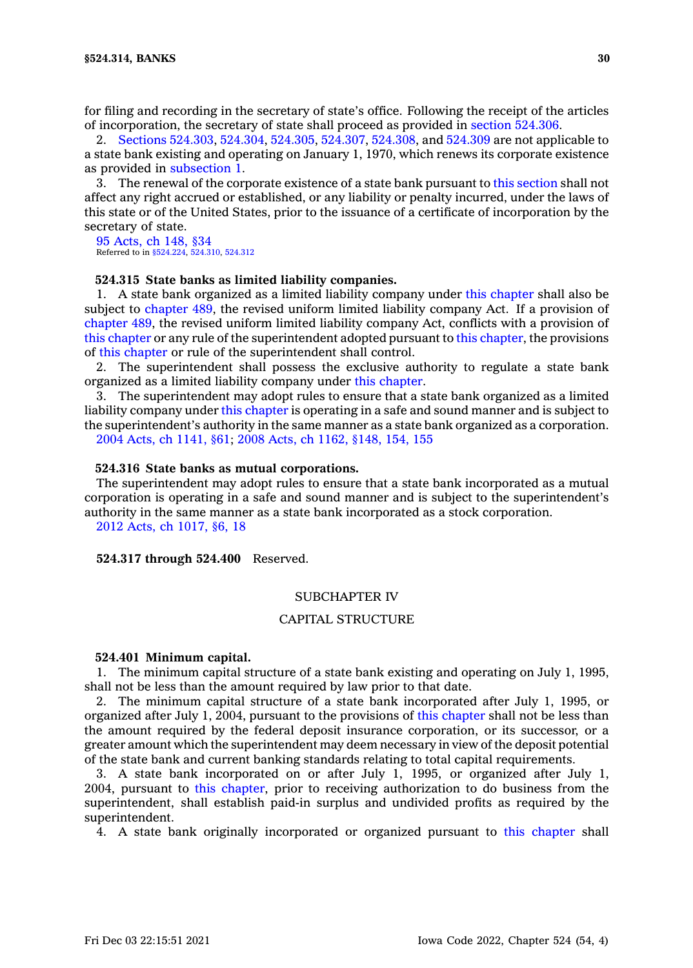for filing and recording in the secretary of state's office. Following the receipt of the articles of incorporation, the secretary of state shall proceed as provided in section [524.306](https://www.legis.iowa.gov/docs/code/524.306.pdf).

2. Sections [524.303](https://www.legis.iowa.gov/docs/code/524.303.pdf), [524.304](https://www.legis.iowa.gov/docs/code/524.304.pdf), [524.305](https://www.legis.iowa.gov/docs/code/524.305.pdf), [524.307](https://www.legis.iowa.gov/docs/code/524.307.pdf), [524.308](https://www.legis.iowa.gov/docs/code/524.308.pdf), and [524.309](https://www.legis.iowa.gov/docs/code/524.309.pdf) are not applicable to <sup>a</sup> state bank existing and operating on January 1, 1970, which renews its corporate existence as provided in [subsection](https://www.legis.iowa.gov/docs/code/524.314.pdf) 1.

3. The renewal of the corporate existence of <sup>a</sup> state bank pursuant to this [section](https://www.legis.iowa.gov/docs/code/524.314.pdf) shall not affect any right accrued or established, or any liability or penalty incurred, under the laws of this state or of the United States, prior to the issuance of <sup>a</sup> certificate of incorporation by the secretary of state.

95 [Acts,](https://www.legis.iowa.gov/docs/acts/1995/CH0148.pdf) ch 148, §34 Referred to in [§524.224](https://www.legis.iowa.gov/docs/code/524.224.pdf), [524.310](https://www.legis.iowa.gov/docs/code/524.310.pdf), [524.312](https://www.legis.iowa.gov/docs/code/524.312.pdf)

## **524.315 State banks as limited liability companies.**

1. A state bank organized as <sup>a</sup> limited liability company under this [chapter](https://www.legis.iowa.gov/docs/code//524.pdf) shall also be subject to [chapter](https://www.legis.iowa.gov/docs/code//489.pdf) 489, the revised uniform limited liability company Act. If <sup>a</sup> provision of [chapter](https://www.legis.iowa.gov/docs/code//489.pdf) 489, the revised uniform limited liability company Act, conflicts with <sup>a</sup> provision of this [chapter](https://www.legis.iowa.gov/docs/code//524.pdf) or any rule of the superintendent adopted pursuant to this [chapter](https://www.legis.iowa.gov/docs/code//524.pdf), the provisions of this [chapter](https://www.legis.iowa.gov/docs/code//524.pdf) or rule of the superintendent shall control.

2. The superintendent shall possess the exclusive authority to regulate <sup>a</sup> state bank organized as <sup>a</sup> limited liability company under this [chapter](https://www.legis.iowa.gov/docs/code//524.pdf).

3. The superintendent may adopt rules to ensure that <sup>a</sup> state bank organized as <sup>a</sup> limited liability company under this [chapter](https://www.legis.iowa.gov/docs/code//524.pdf) is operating in <sup>a</sup> safe and sound manner and is subject to the superintendent's authority in the same manner as <sup>a</sup> state bank organized as <sup>a</sup> corporation. 2004 Acts, ch [1141,](https://www.legis.iowa.gov/docs/acts/2004/CH1141.pdf) §61; 2008 Acts, ch 1162, [§148,](https://www.legis.iowa.gov/docs/acts/2008/CH1162.pdf) 154, 155

#### **524.316 State banks as mutual corporations.**

The superintendent may adopt rules to ensure that <sup>a</sup> state bank incorporated as <sup>a</sup> mutual corporation is operating in <sup>a</sup> safe and sound manner and is subject to the superintendent's authority in the same manner as <sup>a</sup> state bank incorporated as <sup>a</sup> stock corporation.

2012 Acts, ch [1017,](https://www.legis.iowa.gov/docs/acts/2012/CH1017.pdf) §6, 18

**524.317 through 524.400** Reserved.

#### SUBCHAPTER IV

# CAPITAL STRUCTURE

#### **524.401 Minimum capital.**

1. The minimum capital structure of <sup>a</sup> state bank existing and operating on July 1, 1995, shall not be less than the amount required by law prior to that date.

2. The minimum capital structure of <sup>a</sup> state bank incorporated after July 1, 1995, or organized after July 1, 2004, pursuant to the provisions of this [chapter](https://www.legis.iowa.gov/docs/code//524.pdf) shall not be less than the amount required by the federal deposit insurance corporation, or its successor, or <sup>a</sup> greater amount which the superintendent may deem necessary in view of the deposit potential of the state bank and current banking standards relating to total capital requirements.

3. A state bank incorporated on or after July 1, 1995, or organized after July 1, 2004, pursuant to this [chapter](https://www.legis.iowa.gov/docs/code//524.pdf), prior to receiving authorization to do business from the superintendent, shall establish paid-in surplus and undivided profits as required by the superintendent.

4. A state bank originally incorporated or organized pursuant to this [chapter](https://www.legis.iowa.gov/docs/code//524.pdf) shall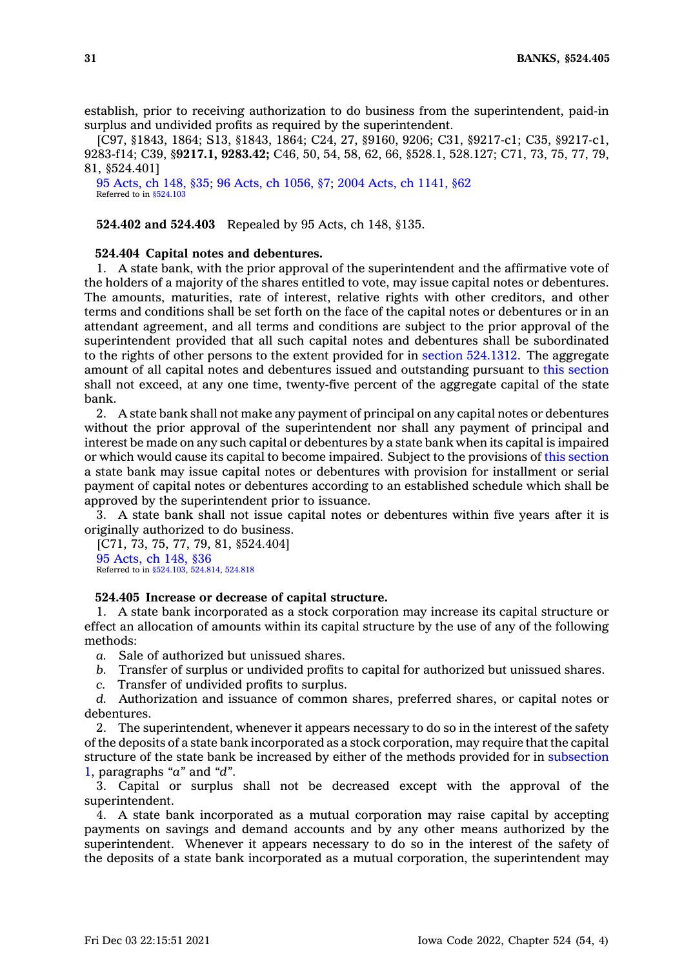establish, prior to receiving authorization to do business from the superintendent, paid-in surplus and undivided profits as required by the superintendent.

[C97, §1843, 1864; S13, §1843, 1864; C24, 27, §9160, 9206; C31, §9217-c1; C35, §9217-c1, 9283-f14; C39, §**9217.1, 9283.42;** C46, 50, 54, 58, 62, 66, §528.1, 528.127; C71, 73, 75, 77, 79, 81, §524.401]

95 [Acts,](https://www.legis.iowa.gov/docs/acts/1995/CH0148.pdf) ch 148, §35; 96 Acts, ch [1056,](https://www.legis.iowa.gov/docs/acts/1996/CH1056.pdf) §7; 2004 Acts, ch [1141,](https://www.legis.iowa.gov/docs/acts/2004/CH1141.pdf) §62 Referred to in [§524.103](https://www.legis.iowa.gov/docs/code/524.103.pdf)

**524.402 and 524.403** Repealed by 95 Acts, ch 148, §135.

#### **524.404 Capital notes and debentures.**

1. A state bank, with the prior approval of the superintendent and the affirmative vote of the holders of <sup>a</sup> majority of the shares entitled to vote, may issue capital notes or debentures. The amounts, maturities, rate of interest, relative rights with other creditors, and other terms and conditions shall be set forth on the face of the capital notes or debentures or in an attendant agreement, and all terms and conditions are subject to the prior approval of the superintendent provided that all such capital notes and debentures shall be subordinated to the rights of other persons to the extent provided for in section [524.1312](https://www.legis.iowa.gov/docs/code/524.1312.pdf). The aggregate amount of all capital notes and debentures issued and outstanding pursuant to this [section](https://www.legis.iowa.gov/docs/code/524.404.pdf) shall not exceed, at any one time, twenty-five percent of the aggregate capital of the state bank.

2. A state bank shall not make any payment of principal on any capital notes or debentures without the prior approval of the superintendent nor shall any payment of principal and interest be made on any such capital or debentures by <sup>a</sup> state bank when its capital is impaired or which would cause its capital to become impaired. Subject to the provisions of this [section](https://www.legis.iowa.gov/docs/code/524.404.pdf) <sup>a</sup> state bank may issue capital notes or debentures with provision for installment or serial payment of capital notes or debentures according to an established schedule which shall be approved by the superintendent prior to issuance.

3. A state bank shall not issue capital notes or debentures within five years after it is originally authorized to do business.

[C71, 73, 75, 77, 79, 81, §524.404] 95 [Acts,](https://www.legis.iowa.gov/docs/acts/1995/CH0148.pdf) ch 148, §36 Referred to in [§524.103](https://www.legis.iowa.gov/docs/code/524.103.pdf), [524.814](https://www.legis.iowa.gov/docs/code/524.814.pdf), [524.818](https://www.legis.iowa.gov/docs/code/524.818.pdf)

# **524.405 Increase or decrease of capital structure.**

1. A state bank incorporated as <sup>a</sup> stock corporation may increase its capital structure or effect an allocation of amounts within its capital structure by the use of any of the following methods:

*a.* Sale of authorized but unissued shares.

- *b.* Transfer of surplus or undivided profits to capital for authorized but unissued shares.
- *c.* Transfer of undivided profits to surplus.

*d.* Authorization and issuance of common shares, preferred shares, or capital notes or debentures.

2. The superintendent, whenever it appears necessary to do so in the interest of the safety of the deposits of <sup>a</sup> state bank incorporated as <sup>a</sup> stock corporation, may require that the capital structure of the state bank be increased by either of the methods provided for in [subsection](https://www.legis.iowa.gov/docs/code/524.405.pdf) [1](https://www.legis.iowa.gov/docs/code/524.405.pdf), paragraphs *"a"* and *"d"*.

3. Capital or surplus shall not be decreased except with the approval of the superintendent.

4. A state bank incorporated as <sup>a</sup> mutual corporation may raise capital by accepting payments on savings and demand accounts and by any other means authorized by the superintendent. Whenever it appears necessary to do so in the interest of the safety of the deposits of <sup>a</sup> state bank incorporated as <sup>a</sup> mutual corporation, the superintendent may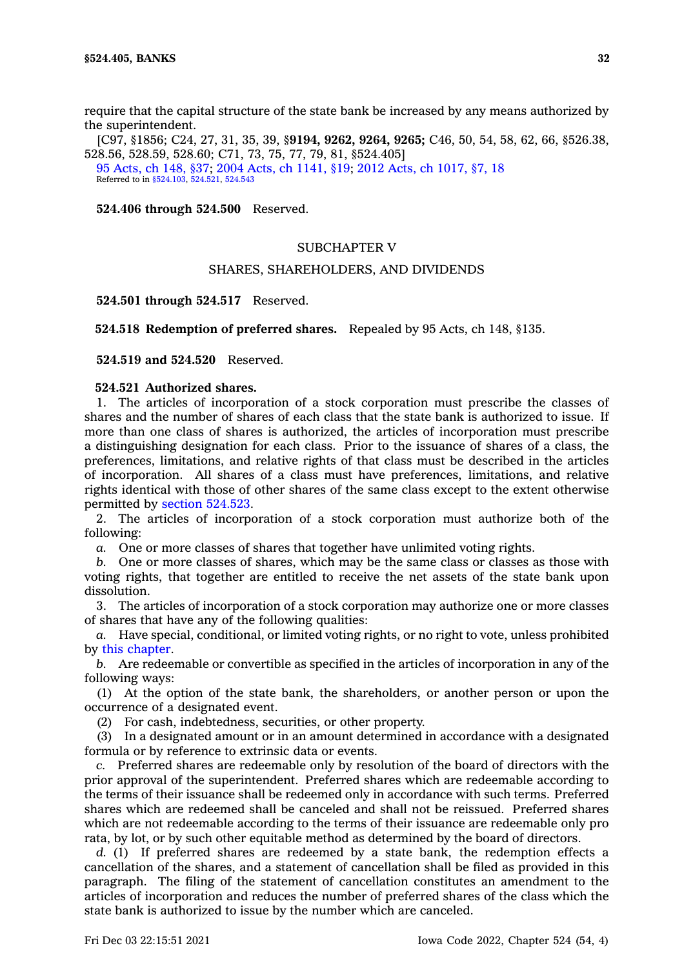require that the capital structure of the state bank be increased by any means authorized by the superintendent.

[C97, §1856; C24, 27, 31, 35, 39, §**9194, 9262, 9264, 9265;** C46, 50, 54, 58, 62, 66, §526.38, 528.56, 528.59, 528.60; C71, 73, 75, 77, 79, 81, §524.405] 95 [Acts,](https://www.legis.iowa.gov/docs/acts/1995/CH0148.pdf) ch 148, §37; 2004 Acts, ch [1141,](https://www.legis.iowa.gov/docs/acts/2004/CH1141.pdf) §19; 2012 Acts, ch [1017,](https://www.legis.iowa.gov/docs/acts/2012/CH1017.pdf) §7, 18 Referred to in [§524.103](https://www.legis.iowa.gov/docs/code/524.103.pdf), [524.521](https://www.legis.iowa.gov/docs/code/524.521.pdf), [524.543](https://www.legis.iowa.gov/docs/code/524.543.pdf)

**524.406 through 524.500** Reserved.

## SUBCHAPTER V

# SHARES, SHAREHOLDERS, AND DIVIDENDS

**524.501 through 524.517** Reserved.

**524.518 Redemption of preferred shares.** Repealed by 95 Acts, ch 148, §135.

**524.519 and 524.520** Reserved.

# **524.521 Authorized shares.**

1. The articles of incorporation of <sup>a</sup> stock corporation must prescribe the classes of shares and the number of shares of each class that the state bank is authorized to issue. If more than one class of shares is authorized, the articles of incorporation must prescribe <sup>a</sup> distinguishing designation for each class. Prior to the issuance of shares of <sup>a</sup> class, the preferences, limitations, and relative rights of that class must be described in the articles of incorporation. All shares of <sup>a</sup> class must have preferences, limitations, and relative rights identical with those of other shares of the same class except to the extent otherwise permitted by section [524.523](https://www.legis.iowa.gov/docs/code/524.523.pdf).

2. The articles of incorporation of <sup>a</sup> stock corporation must authorize both of the following:

*a.* One or more classes of shares that together have unlimited voting rights.

*b.* One or more classes of shares, which may be the same class or classes as those with voting rights, that together are entitled to receive the net assets of the state bank upon dissolution.

3. The articles of incorporation of <sup>a</sup> stock corporation may authorize one or more classes of shares that have any of the following qualities:

*a.* Have special, conditional, or limited voting rights, or no right to vote, unless prohibited by this [chapter](https://www.legis.iowa.gov/docs/code//524.pdf).

*b.* Are redeemable or convertible as specified in the articles of incorporation in any of the following ways:

(1) At the option of the state bank, the shareholders, or another person or upon the occurrence of <sup>a</sup> designated event.

(2) For cash, indebtedness, securities, or other property.

(3) In <sup>a</sup> designated amount or in an amount determined in accordance with <sup>a</sup> designated formula or by reference to extrinsic data or events.

*c.* Preferred shares are redeemable only by resolution of the board of directors with the prior approval of the superintendent. Preferred shares which are redeemable according to the terms of their issuance shall be redeemed only in accordance with such terms. Preferred shares which are redeemed shall be canceled and shall not be reissued. Preferred shares which are not redeemable according to the terms of their issuance are redeemable only pro rata, by lot, or by such other equitable method as determined by the board of directors.

*d.* (1) If preferred shares are redeemed by <sup>a</sup> state bank, the redemption effects <sup>a</sup> cancellation of the shares, and <sup>a</sup> statement of cancellation shall be filed as provided in this paragraph. The filing of the statement of cancellation constitutes an amendment to the articles of incorporation and reduces the number of preferred shares of the class which the state bank is authorized to issue by the number which are canceled.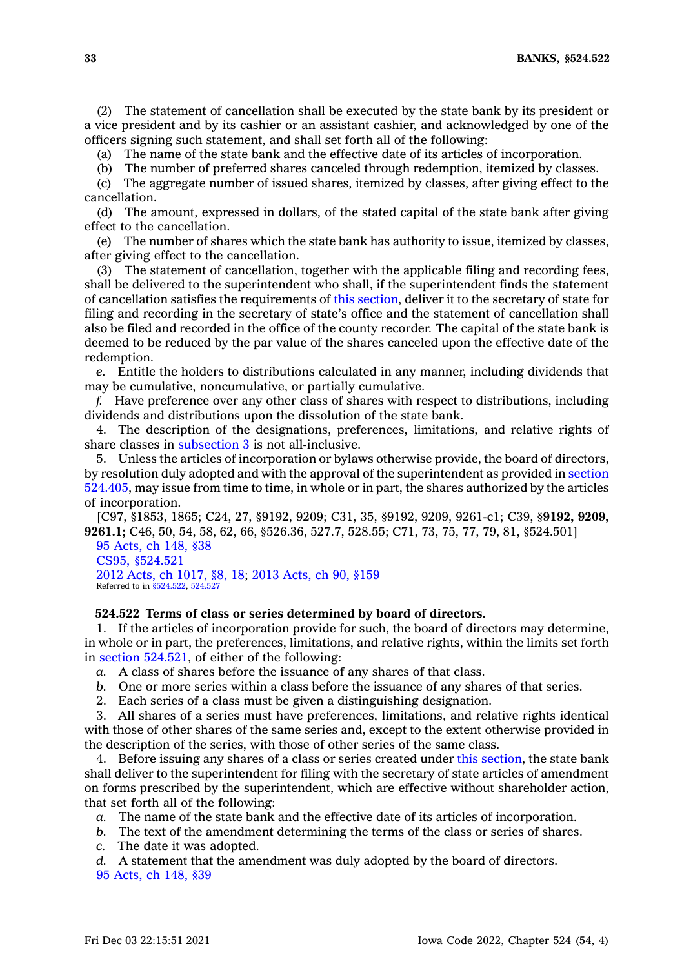**33 BANKS, §524.522**

(2) The statement of cancellation shall be executed by the state bank by its president or <sup>a</sup> vice president and by its cashier or an assistant cashier, and acknowledged by one of the officers signing such statement, and shall set forth all of the following:

(a) The name of the state bank and the effective date of its articles of incorporation.

(b) The number of preferred shares canceled through redemption, itemized by classes.

(c) The aggregate number of issued shares, itemized by classes, after giving effect to the cancellation.

(d) The amount, expressed in dollars, of the stated capital of the state bank after giving effect to the cancellation.

(e) The number of shares which the state bank has authority to issue, itemized by classes, after giving effect to the cancellation.

(3) The statement of cancellation, together with the applicable filing and recording fees, shall be delivered to the superintendent who shall, if the superintendent finds the statement of cancellation satisfies the requirements of this [section](https://www.legis.iowa.gov/docs/code/524.521.pdf), deliver it to the secretary of state for filing and recording in the secretary of state's office and the statement of cancellation shall also be filed and recorded in the office of the county recorder. The capital of the state bank is deemed to be reduced by the par value of the shares canceled upon the effective date of the redemption.

*e.* Entitle the holders to distributions calculated in any manner, including dividends that may be cumulative, noncumulative, or partially cumulative.

*f.* Have preference over any other class of shares with respect to distributions, including dividends and distributions upon the dissolution of the state bank.

4. The description of the designations, preferences, limitations, and relative rights of share classes in [subsection](https://www.legis.iowa.gov/docs/code/524.521.pdf) 3 is not all-inclusive.

5. Unless the articles of incorporation or bylaws otherwise provide, the board of directors, by resolution duly adopted and with the approval of the superintendent as provided in [section](https://www.legis.iowa.gov/docs/code/524.405.pdf) [524.405](https://www.legis.iowa.gov/docs/code/524.405.pdf), may issue from time to time, in whole or in part, the shares authorized by the articles of incorporation.

[C97, §1853, 1865; C24, 27, §9192, 9209; C31, 35, §9192, 9209, 9261-c1; C39, §**9192, 9209, 9261.1;** C46, 50, 54, 58, 62, 66, §526.36, 527.7, 528.55; C71, 73, 75, 77, 79, 81, §524.501]

95 [Acts,](https://www.legis.iowa.gov/docs/acts/1995/CH0148.pdf) ch 148, §38 CS95, [§524.521](https://www.legis.iowa.gov/docs/acts//CH0000.pdf) 2012 Acts, ch [1017,](https://www.legis.iowa.gov/docs/acts/2012/CH1017.pdf) §8, 18; 2013 [Acts,](https://www.legis.iowa.gov/docs/acts/2013/CH0090.pdf) ch 90, §159 Referred to in [§524.522](https://www.legis.iowa.gov/docs/code/524.522.pdf), [524.527](https://www.legis.iowa.gov/docs/code/524.527.pdf)

# **524.522 Terms of class or series determined by board of directors.**

1. If the articles of incorporation provide for such, the board of directors may determine, in whole or in part, the preferences, limitations, and relative rights, within the limits set forth in section [524.521](https://www.legis.iowa.gov/docs/code/524.521.pdf), of either of the following:

*a.* A class of shares before the issuance of any shares of that class.

- *b.* One or more series within <sup>a</sup> class before the issuance of any shares of that series.
- 2. Each series of <sup>a</sup> class must be given <sup>a</sup> distinguishing designation.

3. All shares of <sup>a</sup> series must have preferences, limitations, and relative rights identical with those of other shares of the same series and, except to the extent otherwise provided in the description of the series, with those of other series of the same class.

4. Before issuing any shares of <sup>a</sup> class or series created under this [section](https://www.legis.iowa.gov/docs/code/524.522.pdf), the state bank shall deliver to the superintendent for filing with the secretary of state articles of amendment on forms prescribed by the superintendent, which are effective without shareholder action, that set forth all of the following:

*a.* The name of the state bank and the effective date of its articles of incorporation.

*b.* The text of the amendment determining the terms of the class or series of shares.

*c.* The date it was adopted.

*d.* A statement that the amendment was duly adopted by the board of directors.

95 [Acts,](https://www.legis.iowa.gov/docs/acts/1995/CH0148.pdf) ch 148, §39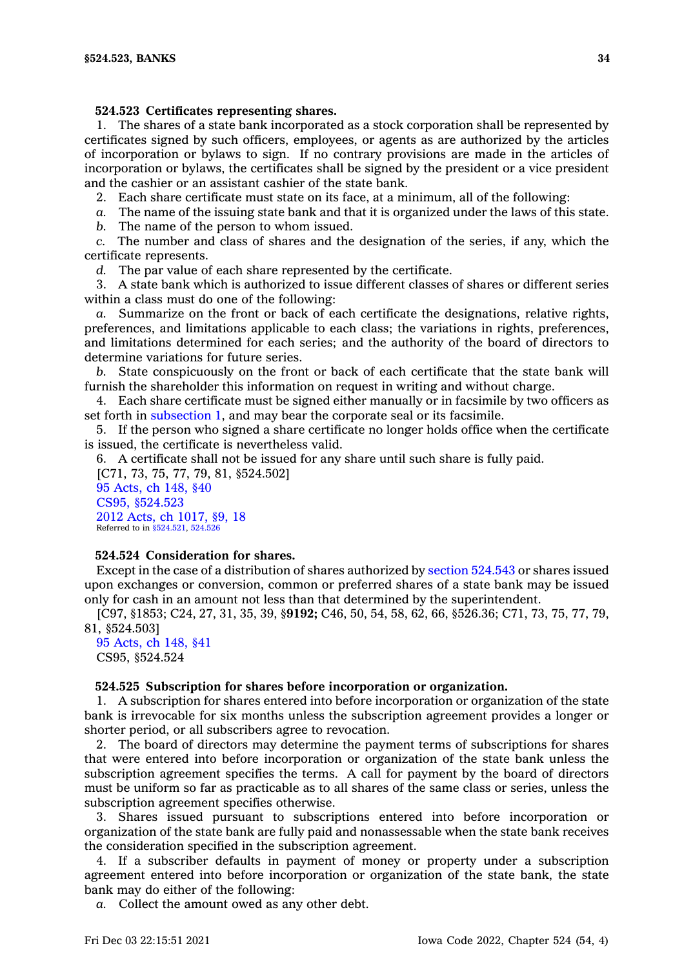## **524.523 Certificates representing shares.**

1. The shares of <sup>a</sup> state bank incorporated as <sup>a</sup> stock corporation shall be represented by certificates signed by such officers, employees, or agents as are authorized by the articles of incorporation or bylaws to sign. If no contrary provisions are made in the articles of incorporation or bylaws, the certificates shall be signed by the president or <sup>a</sup> vice president and the cashier or an assistant cashier of the state bank.

2. Each share certificate must state on its face, at <sup>a</sup> minimum, all of the following:

*a.* The name of the issuing state bank and that it is organized under the laws of this state.

*b.* The name of the person to whom issued.

*c.* The number and class of shares and the designation of the series, if any, which the certificate represents.

*d.* The par value of each share represented by the certificate.

3. A state bank which is authorized to issue different classes of shares or different series within <sup>a</sup> class must do one of the following:

*a.* Summarize on the front or back of each certificate the designations, relative rights, preferences, and limitations applicable to each class; the variations in rights, preferences, and limitations determined for each series; and the authority of the board of directors to determine variations for future series.

*b.* State conspicuously on the front or back of each certificate that the state bank will furnish the shareholder this information on request in writing and without charge.

4. Each share certificate must be signed either manually or in facsimile by two officers as set forth in [subsection](https://www.legis.iowa.gov/docs/code/524.523.pdf) 1, and may bear the corporate seal or its facsimile.

5. If the person who signed <sup>a</sup> share certificate no longer holds office when the certificate is issued, the certificate is nevertheless valid.

6. A certificate shall not be issued for any share until such share is fully paid.

[C71, 73, 75, 77, 79, 81, §524.502] 95 [Acts,](https://www.legis.iowa.gov/docs/acts/1995/CH0148.pdf) ch 148, §40 CS95, [§524.523](https://www.legis.iowa.gov/docs/acts//CH0000.pdf) 2012 Acts, ch [1017,](https://www.legis.iowa.gov/docs/acts/2012/CH1017.pdf) §9, 18 Referred to in [§524.521](https://www.legis.iowa.gov/docs/code/524.521.pdf), [524.526](https://www.legis.iowa.gov/docs/code/524.526.pdf)

# **524.524 Consideration for shares.**

Except in the case of <sup>a</sup> distribution of shares authorized by section [524.543](https://www.legis.iowa.gov/docs/code/524.543.pdf) or shares issued upon exchanges or conversion, common or preferred shares of <sup>a</sup> state bank may be issued only for cash in an amount not less than that determined by the superintendent.

[C97, §1853; C24, 27, 31, 35, 39, §**9192;** C46, 50, 54, 58, 62, 66, §526.36; C71, 73, 75, 77, 79, 81, §524.503]

## 95 [Acts,](https://www.legis.iowa.gov/docs/acts/1995/CH0148.pdf) ch 148, §41 CS95, §524.524

#### **524.525 Subscription for shares before incorporation or organization.**

1. A subscription for shares entered into before incorporation or organization of the state bank is irrevocable for six months unless the subscription agreement provides <sup>a</sup> longer or shorter period, or all subscribers agree to revocation.

2. The board of directors may determine the payment terms of subscriptions for shares that were entered into before incorporation or organization of the state bank unless the subscription agreement specifies the terms. A call for payment by the board of directors must be uniform so far as practicable as to all shares of the same class or series, unless the subscription agreement specifies otherwise.

3. Shares issued pursuant to subscriptions entered into before incorporation or organization of the state bank are fully paid and nonassessable when the state bank receives the consideration specified in the subscription agreement.

4. If <sup>a</sup> subscriber defaults in payment of money or property under <sup>a</sup> subscription agreement entered into before incorporation or organization of the state bank, the state bank may do either of the following:

*a.* Collect the amount owed as any other debt.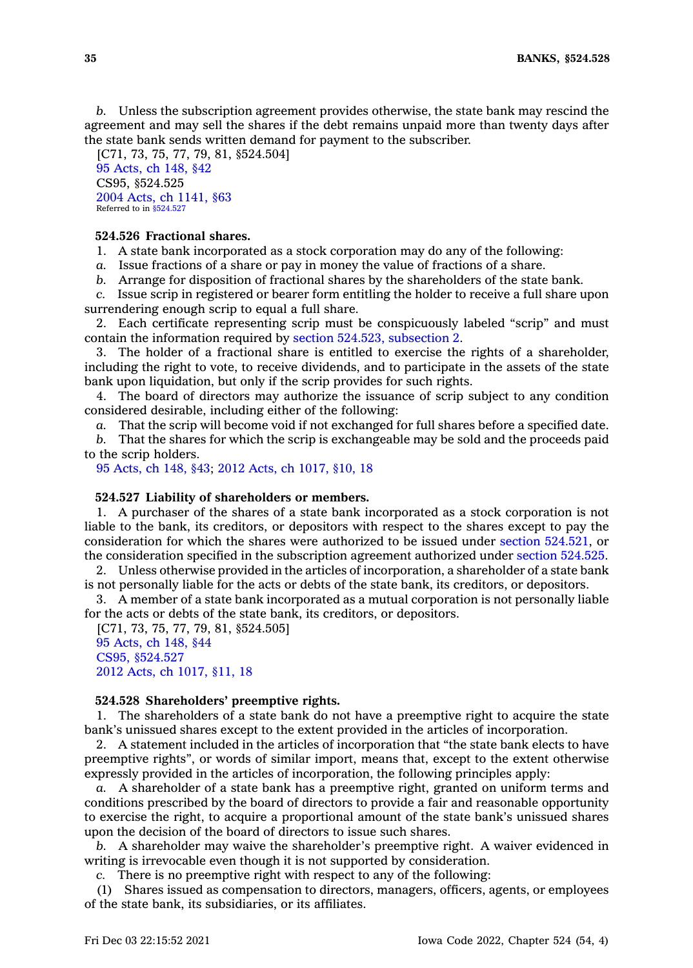*b.* Unless the subscription agreement provides otherwise, the state bank may rescind the agreement and may sell the shares if the debt remains unpaid more than twenty days after the state bank sends written demand for payment to the subscriber.

[C71, 73, 75, 77, 79, 81, §524.504] 95 [Acts,](https://www.legis.iowa.gov/docs/acts/1995/CH0148.pdf) ch 148, §42 CS95, §524.525 2004 Acts, ch [1141,](https://www.legis.iowa.gov/docs/acts/2004/CH1141.pdf) §63 Referred to in [§524.527](https://www.legis.iowa.gov/docs/code/524.527.pdf)

# **524.526 Fractional shares.**

1. A state bank incorporated as <sup>a</sup> stock corporation may do any of the following:

*a.* Issue fractions of <sup>a</sup> share or pay in money the value of fractions of <sup>a</sup> share.

*b.* Arrange for disposition of fractional shares by the shareholders of the state bank.

*c.* Issue scrip in registered or bearer form entitling the holder to receive <sup>a</sup> full share upon surrendering enough scrip to equal <sup>a</sup> full share.

2. Each certificate representing scrip must be conspicuously labeled "scrip" and must contain the information required by section 524.523, [subsection](https://www.legis.iowa.gov/docs/code/524.523.pdf) 2.

3. The holder of <sup>a</sup> fractional share is entitled to exercise the rights of <sup>a</sup> shareholder, including the right to vote, to receive dividends, and to participate in the assets of the state bank upon liquidation, but only if the scrip provides for such rights.

4. The board of directors may authorize the issuance of scrip subject to any condition considered desirable, including either of the following:

*a.* That the scrip will become void if not exchanged for full shares before <sup>a</sup> specified date.

*b.* That the shares for which the scrip is exchangeable may be sold and the proceeds paid to the scrip holders.

95 [Acts,](https://www.legis.iowa.gov/docs/acts/1995/CH0148.pdf) ch 148, §43; 2012 Acts, ch [1017,](https://www.legis.iowa.gov/docs/acts/2012/CH1017.pdf) §10, 18

# **524.527 Liability of shareholders or members.**

1. A purchaser of the shares of <sup>a</sup> state bank incorporated as <sup>a</sup> stock corporation is not liable to the bank, its creditors, or depositors with respect to the shares except to pay the consideration for which the shares were authorized to be issued under section [524.521](https://www.legis.iowa.gov/docs/code/524.521.pdf), or the consideration specified in the subscription agreement authorized under section [524.525](https://www.legis.iowa.gov/docs/code/524.525.pdf).

2. Unless otherwise provided in the articles of incorporation, <sup>a</sup> shareholder of <sup>a</sup> state bank is not personally liable for the acts or debts of the state bank, its creditors, or depositors.

3. A member of <sup>a</sup> state bank incorporated as <sup>a</sup> mutual corporation is not personally liable for the acts or debts of the state bank, its creditors, or depositors.

[C71, 73, 75, 77, 79, 81, §524.505] 95 [Acts,](https://www.legis.iowa.gov/docs/acts/1995/CH0148.pdf) ch 148, §44 CS95, [§524.527](https://www.legis.iowa.gov/docs/acts//CH0000.pdf) 2012 Acts, ch [1017,](https://www.legis.iowa.gov/docs/acts/2012/CH1017.pdf) §11, 18

## **524.528 Shareholders' preemptive rights.**

1. The shareholders of <sup>a</sup> state bank do not have <sup>a</sup> preemptive right to acquire the state bank's unissued shares except to the extent provided in the articles of incorporation.

2. A statement included in the articles of incorporation that "the state bank elects to have preemptive rights", or words of similar import, means that, except to the extent otherwise expressly provided in the articles of incorporation, the following principles apply:

*a.* A shareholder of <sup>a</sup> state bank has <sup>a</sup> preemptive right, granted on uniform terms and conditions prescribed by the board of directors to provide <sup>a</sup> fair and reasonable opportunity to exercise the right, to acquire <sup>a</sup> proportional amount of the state bank's unissued shares upon the decision of the board of directors to issue such shares.

*b.* A shareholder may waive the shareholder's preemptive right. A waiver evidenced in writing is irrevocable even though it is not supported by consideration.

*c.* There is no preemptive right with respect to any of the following:

(1) Shares issued as compensation to directors, managers, officers, agents, or employees of the state bank, its subsidiaries, or its affiliates.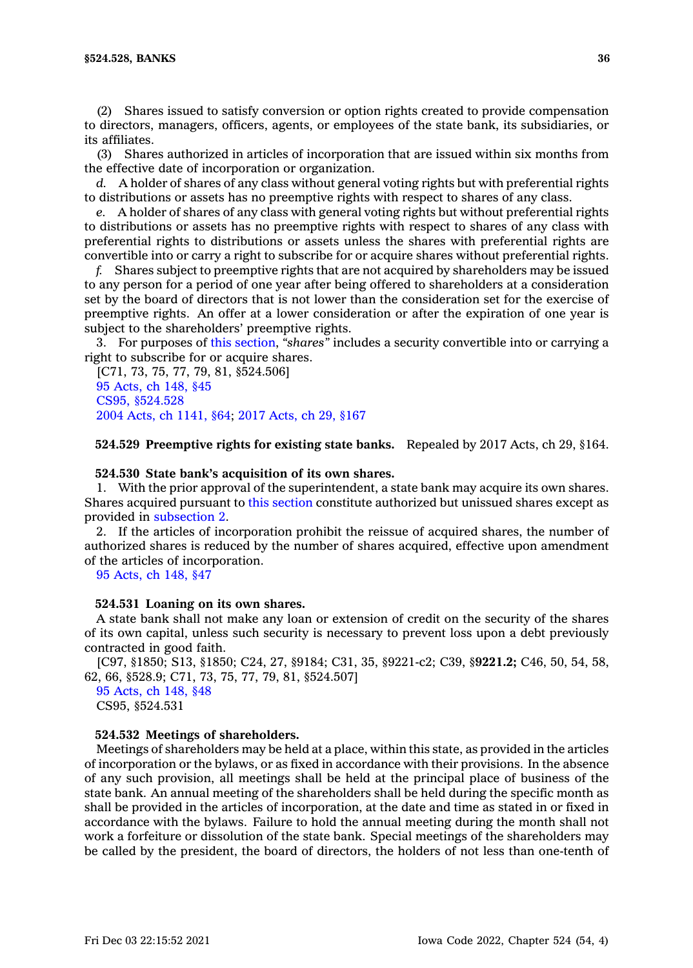(2) Shares issued to satisfy conversion or option rights created to provide compensation to directors, managers, officers, agents, or employees of the state bank, its subsidiaries, or its affiliates.

(3) Shares authorized in articles of incorporation that are issued within six months from the effective date of incorporation or organization.

*d.* A holder of shares of any class without general voting rights but with preferential rights to distributions or assets has no preemptive rights with respect to shares of any class.

*e.* A holder of shares of any class with general voting rights but without preferential rights to distributions or assets has no preemptive rights with respect to shares of any class with preferential rights to distributions or assets unless the shares with preferential rights are convertible into or carry <sup>a</sup> right to subscribe for or acquire shares without preferential rights.

*f.* Shares subject to preemptive rights that are not acquired by shareholders may be issued to any person for <sup>a</sup> period of one year after being offered to shareholders at <sup>a</sup> consideration set by the board of directors that is not lower than the consideration set for the exercise of preemptive rights. An offer at <sup>a</sup> lower consideration or after the expiration of one year is subject to the shareholders' preemptive rights.

3. For purposes of this [section](https://www.legis.iowa.gov/docs/code/524.528.pdf), *"shares"* includes <sup>a</sup> security convertible into or carrying <sup>a</sup> right to subscribe for or acquire shares.

[C71, 73, 75, 77, 79, 81, §524.506] 95 [Acts,](https://www.legis.iowa.gov/docs/acts/1995/CH0148.pdf) ch 148, §45 CS95, [§524.528](https://www.legis.iowa.gov/docs/acts//CH0000.pdf) 2004 Acts, ch [1141,](https://www.legis.iowa.gov/docs/acts/2004/CH1141.pdf) §64; 2017 [Acts,](https://www.legis.iowa.gov/docs/acts/2017/CH0029.pdf) ch 29, §167

**524.529 Preemptive rights for existing state banks.** Repealed by 2017 Acts, ch 29, §164.

#### **524.530 State bank's acquisition of its own shares.**

1. With the prior approval of the superintendent, <sup>a</sup> state bank may acquire its own shares. Shares acquired pursuant to this [section](https://www.legis.iowa.gov/docs/code/524.530.pdf) constitute authorized but unissued shares except as provided in [subsection](https://www.legis.iowa.gov/docs/code/524.530.pdf) 2.

2. If the articles of incorporation prohibit the reissue of acquired shares, the number of authorized shares is reduced by the number of shares acquired, effective upon amendment of the articles of incorporation.

95 [Acts,](https://www.legis.iowa.gov/docs/acts/1995/CH0148.pdf) ch 148, §47

#### **524.531 Loaning on its own shares.**

A state bank shall not make any loan or extension of credit on the security of the shares of its own capital, unless such security is necessary to prevent loss upon <sup>a</sup> debt previously contracted in good faith.

[C97, §1850; S13, §1850; C24, 27, §9184; C31, 35, §9221-c2; C39, §**9221.2;** C46, 50, 54, 58, 62, 66, §528.9; C71, 73, 75, 77, 79, 81, §524.507]

95 [Acts,](https://www.legis.iowa.gov/docs/acts/1995/CH0148.pdf) ch 148, §48 CS95, §524.531

#### **524.532 Meetings of shareholders.**

Meetings of shareholders may be held at <sup>a</sup> place, within this state, as provided in the articles of incorporation or the bylaws, or as fixed in accordance with their provisions. In the absence of any such provision, all meetings shall be held at the principal place of business of the state bank. An annual meeting of the shareholders shall be held during the specific month as shall be provided in the articles of incorporation, at the date and time as stated in or fixed in accordance with the bylaws. Failure to hold the annual meeting during the month shall not work <sup>a</sup> forfeiture or dissolution of the state bank. Special meetings of the shareholders may be called by the president, the board of directors, the holders of not less than one-tenth of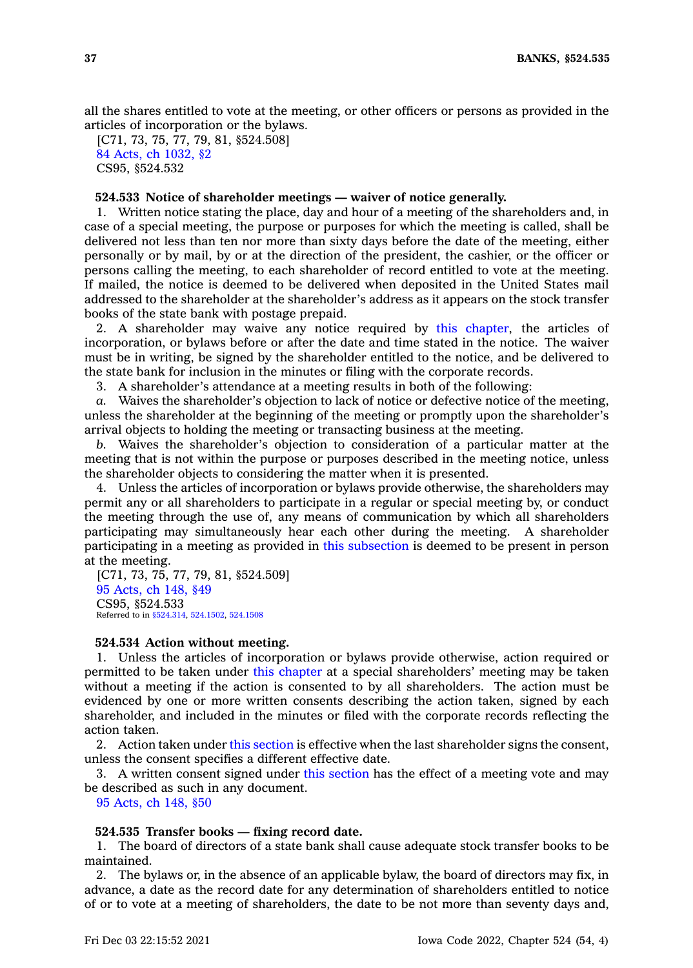all the shares entitled to vote at the meeting, or other officers or persons as provided in the articles of incorporation or the bylaws.

[C71, 73, 75, 77, 79, 81, §524.508] 84 Acts, ch [1032,](https://www.legis.iowa.gov/docs/acts/1984/CH1032.pdf) §2 CS95, §524.532

# **524.533 Notice of shareholder meetings — waiver of notice generally.**

1. Written notice stating the place, day and hour of <sup>a</sup> meeting of the shareholders and, in case of <sup>a</sup> special meeting, the purpose or purposes for which the meeting is called, shall be delivered not less than ten nor more than sixty days before the date of the meeting, either personally or by mail, by or at the direction of the president, the cashier, or the officer or persons calling the meeting, to each shareholder of record entitled to vote at the meeting. If mailed, the notice is deemed to be delivered when deposited in the United States mail addressed to the shareholder at the shareholder's address as it appears on the stock transfer books of the state bank with postage prepaid.

2. A shareholder may waive any notice required by this [chapter](https://www.legis.iowa.gov/docs/code//524.pdf), the articles of incorporation, or bylaws before or after the date and time stated in the notice. The waiver must be in writing, be signed by the shareholder entitled to the notice, and be delivered to the state bank for inclusion in the minutes or filing with the corporate records.

3. A shareholder's attendance at <sup>a</sup> meeting results in both of the following:

*a.* Waives the shareholder's objection to lack of notice or defective notice of the meeting, unless the shareholder at the beginning of the meeting or promptly upon the shareholder's arrival objects to holding the meeting or transacting business at the meeting.

*b.* Waives the shareholder's objection to consideration of <sup>a</sup> particular matter at the meeting that is not within the purpose or purposes described in the meeting notice, unless the shareholder objects to considering the matter when it is presented.

4. Unless the articles of incorporation or bylaws provide otherwise, the shareholders may permit any or all shareholders to participate in <sup>a</sup> regular or special meeting by, or conduct the meeting through the use of, any means of communication by which all shareholders participating may simultaneously hear each other during the meeting. A shareholder participating in <sup>a</sup> meeting as provided in this [subsection](https://www.legis.iowa.gov/docs/code/524.533.pdf) is deemed to be present in person at the meeting.

[C71, 73, 75, 77, 79, 81, §524.509] 95 [Acts,](https://www.legis.iowa.gov/docs/acts/1995/CH0148.pdf) ch 148, §49 CS95, §524.533 Referred to in [§524.314](https://www.legis.iowa.gov/docs/code/524.314.pdf), [524.1502](https://www.legis.iowa.gov/docs/code/524.1502.pdf), [524.1508](https://www.legis.iowa.gov/docs/code/524.1508.pdf)

#### **524.534 Action without meeting.**

1. Unless the articles of incorporation or bylaws provide otherwise, action required or permitted to be taken under this [chapter](https://www.legis.iowa.gov/docs/code//524.pdf) at <sup>a</sup> special shareholders' meeting may be taken without <sup>a</sup> meeting if the action is consented to by all shareholders. The action must be evidenced by one or more written consents describing the action taken, signed by each shareholder, and included in the minutes or filed with the corporate records reflecting the action taken.

2. Action taken under this [section](https://www.legis.iowa.gov/docs/code/524.534.pdf) is effective when the last shareholder signs the consent, unless the consent specifies <sup>a</sup> different effective date.

3. A written consent signed under this [section](https://www.legis.iowa.gov/docs/code/524.534.pdf) has the effect of <sup>a</sup> meeting vote and may be described as such in any document.

95 [Acts,](https://www.legis.iowa.gov/docs/acts/1995/CH0148.pdf) ch 148, §50

### **524.535 Transfer books — fixing record date.**

1. The board of directors of <sup>a</sup> state bank shall cause adequate stock transfer books to be maintained.

2. The bylaws or, in the absence of an applicable bylaw, the board of directors may fix, in advance, <sup>a</sup> date as the record date for any determination of shareholders entitled to notice of or to vote at <sup>a</sup> meeting of shareholders, the date to be not more than seventy days and,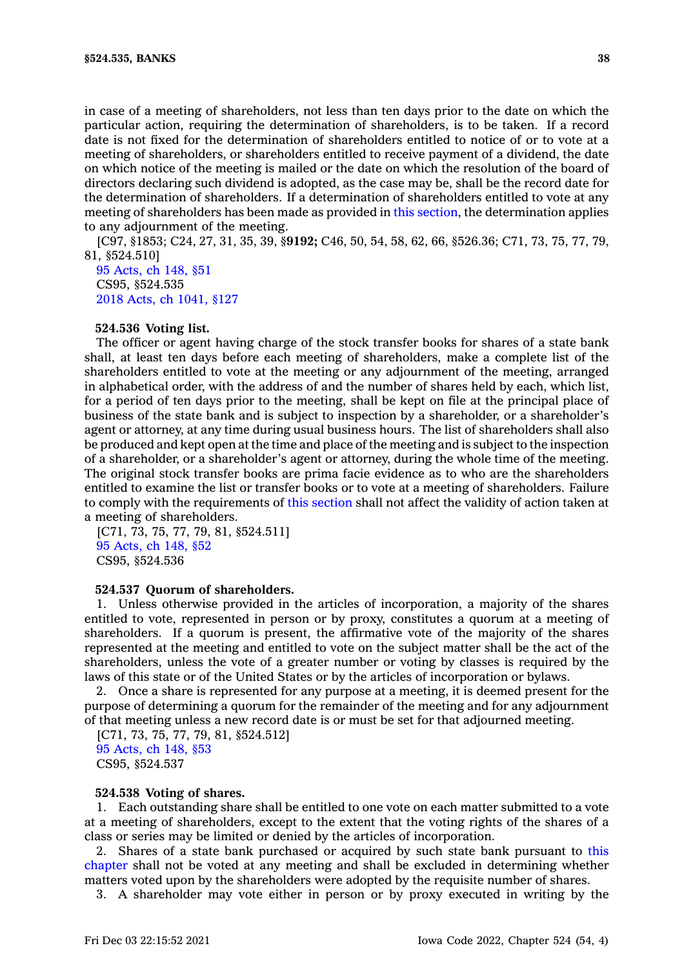in case of <sup>a</sup> meeting of shareholders, not less than ten days prior to the date on which the particular action, requiring the determination of shareholders, is to be taken. If <sup>a</sup> record date is not fixed for the determination of shareholders entitled to notice of or to vote at <sup>a</sup> meeting of shareholders, or shareholders entitled to receive payment of <sup>a</sup> dividend, the date on which notice of the meeting is mailed or the date on which the resolution of the board of directors declaring such dividend is adopted, as the case may be, shall be the record date for the determination of shareholders. If <sup>a</sup> determination of shareholders entitled to vote at any meeting of shareholders has been made as provided in this [section](https://www.legis.iowa.gov/docs/code/524.535.pdf), the determination applies to any adjournment of the meeting.

[C97, §1853; C24, 27, 31, 35, 39, §**9192;** C46, 50, 54, 58, 62, 66, §526.36; C71, 73, 75, 77, 79, 81, §524.510]

95 [Acts,](https://www.legis.iowa.gov/docs/acts/1995/CH0148.pdf) ch 148, §51 CS95, §524.535 2018 Acts, ch [1041,](https://www.legis.iowa.gov/docs/acts/2018/CH1041.pdf) §127

### **524.536 Voting list.**

The officer or agent having charge of the stock transfer books for shares of <sup>a</sup> state bank shall, at least ten days before each meeting of shareholders, make <sup>a</sup> complete list of the shareholders entitled to vote at the meeting or any adjournment of the meeting, arranged in alphabetical order, with the address of and the number of shares held by each, which list, for <sup>a</sup> period of ten days prior to the meeting, shall be kept on file at the principal place of business of the state bank and is subject to inspection by <sup>a</sup> shareholder, or <sup>a</sup> shareholder's agent or attorney, at any time during usual business hours. The list of shareholders shall also be produced and kept open at the time and place of the meeting and is subject to the inspection of <sup>a</sup> shareholder, or <sup>a</sup> shareholder's agent or attorney, during the whole time of the meeting. The original stock transfer books are prima facie evidence as to who are the shareholders entitled to examine the list or transfer books or to vote at <sup>a</sup> meeting of shareholders. Failure to comply with the requirements of this [section](https://www.legis.iowa.gov/docs/code/524.536.pdf) shall not affect the validity of action taken at <sup>a</sup> meeting of shareholders.

[C71, 73, 75, 77, 79, 81, §524.511] 95 [Acts,](https://www.legis.iowa.gov/docs/acts/1995/CH0148.pdf) ch 148, §52 CS95, §524.536

### **524.537 Quorum of shareholders.**

1. Unless otherwise provided in the articles of incorporation, <sup>a</sup> majority of the shares entitled to vote, represented in person or by proxy, constitutes <sup>a</sup> quorum at <sup>a</sup> meeting of shareholders. If <sup>a</sup> quorum is present, the affirmative vote of the majority of the shares represented at the meeting and entitled to vote on the subject matter shall be the act of the shareholders, unless the vote of <sup>a</sup> greater number or voting by classes is required by the laws of this state or of the United States or by the articles of incorporation or bylaws.

2. Once <sup>a</sup> share is represented for any purpose at <sup>a</sup> meeting, it is deemed present for the purpose of determining <sup>a</sup> quorum for the remainder of the meeting and for any adjournment of that meeting unless <sup>a</sup> new record date is or must be set for that adjourned meeting.

[C71, 73, 75, 77, 79, 81, §524.512] 95 [Acts,](https://www.legis.iowa.gov/docs/acts/1995/CH0148.pdf) ch 148, §53 CS95, §524.537

## **524.538 Voting of shares.**

1. Each outstanding share shall be entitled to one vote on each matter submitted to <sup>a</sup> vote at <sup>a</sup> meeting of shareholders, except to the extent that the voting rights of the shares of <sup>a</sup> class or series may be limited or denied by the articles of incorporation.

2. Shares of <sup>a</sup> state bank purchased or acquired by such state bank pursuant to [this](https://www.legis.iowa.gov/docs/code//524.pdf) [chapter](https://www.legis.iowa.gov/docs/code//524.pdf) shall not be voted at any meeting and shall be excluded in determining whether matters voted upon by the shareholders were adopted by the requisite number of shares.

3. A shareholder may vote either in person or by proxy executed in writing by the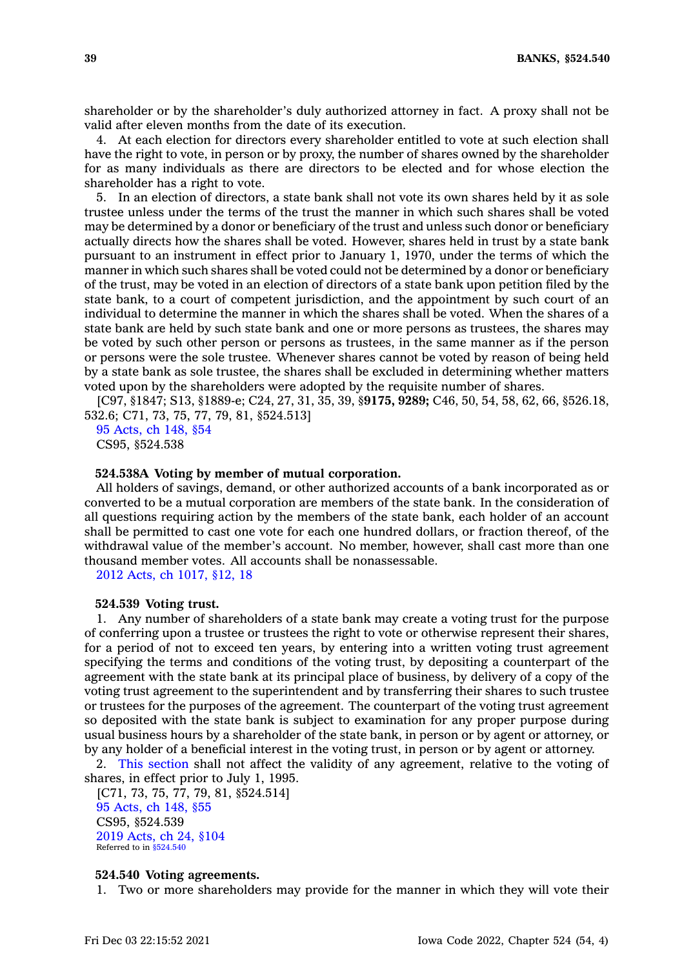shareholder or by the shareholder's duly authorized attorney in fact. A proxy shall not be valid after eleven months from the date of its execution.

4. At each election for directors every shareholder entitled to vote at such election shall have the right to vote, in person or by proxy, the number of shares owned by the shareholder for as many individuals as there are directors to be elected and for whose election the shareholder has <sup>a</sup> right to vote.

5. In an election of directors, <sup>a</sup> state bank shall not vote its own shares held by it as sole trustee unless under the terms of the trust the manner in which such shares shall be voted may be determined by <sup>a</sup> donor or beneficiary of the trust and unless such donor or beneficiary actually directs how the shares shall be voted. However, shares held in trust by <sup>a</sup> state bank pursuant to an instrument in effect prior to January 1, 1970, under the terms of which the manner in which such shares shall be voted could not be determined by <sup>a</sup> donor or beneficiary of the trust, may be voted in an election of directors of <sup>a</sup> state bank upon petition filed by the state bank, to <sup>a</sup> court of competent jurisdiction, and the appointment by such court of an individual to determine the manner in which the shares shall be voted. When the shares of <sup>a</sup> state bank are held by such state bank and one or more persons as trustees, the shares may be voted by such other person or persons as trustees, in the same manner as if the person or persons were the sole trustee. Whenever shares cannot be voted by reason of being held by <sup>a</sup> state bank as sole trustee, the shares shall be excluded in determining whether matters voted upon by the shareholders were adopted by the requisite number of shares.

[C97, §1847; S13, §1889-e; C24, 27, 31, 35, 39, §**9175, 9289;** C46, 50, 54, 58, 62, 66, §526.18, 532.6; C71, 73, 75, 77, 79, 81, §524.513]

95 [Acts,](https://www.legis.iowa.gov/docs/acts/1995/CH0148.pdf) ch 148, §54 CS95, §524.538

### **524.538A Voting by member of mutual corporation.**

All holders of savings, demand, or other authorized accounts of <sup>a</sup> bank incorporated as or converted to be <sup>a</sup> mutual corporation are members of the state bank. In the consideration of all questions requiring action by the members of the state bank, each holder of an account shall be permitted to cast one vote for each one hundred dollars, or fraction thereof, of the withdrawal value of the member's account. No member, however, shall cast more than one thousand member votes. All accounts shall be nonassessable.

2012 Acts, ch [1017,](https://www.legis.iowa.gov/docs/acts/2012/CH1017.pdf) §12, 18

## **524.539 Voting trust.**

1. Any number of shareholders of <sup>a</sup> state bank may create <sup>a</sup> voting trust for the purpose of conferring upon <sup>a</sup> trustee or trustees the right to vote or otherwise represent their shares, for <sup>a</sup> period of not to exceed ten years, by entering into <sup>a</sup> written voting trust agreement specifying the terms and conditions of the voting trust, by depositing <sup>a</sup> counterpart of the agreement with the state bank at its principal place of business, by delivery of <sup>a</sup> copy of the voting trust agreement to the superintendent and by transferring their shares to such trustee or trustees for the purposes of the agreement. The counterpart of the voting trust agreement so deposited with the state bank is subject to examination for any proper purpose during usual business hours by <sup>a</sup> shareholder of the state bank, in person or by agent or attorney, or by any holder of <sup>a</sup> beneficial interest in the voting trust, in person or by agent or attorney.

2. This [section](https://www.legis.iowa.gov/docs/code/524.539.pdf) shall not affect the validity of any agreement, relative to the voting of shares, in effect prior to July 1, 1995.

[C71, 73, 75, 77, 79, 81, §524.514] 95 [Acts,](https://www.legis.iowa.gov/docs/acts/1995/CH0148.pdf) ch 148, §55 CS95, §524.539 2019 [Acts,](https://www.legis.iowa.gov/docs/acts/2019/CH0024.pdf) ch 24, §104 Referred to in [§524.540](https://www.legis.iowa.gov/docs/code/524.540.pdf)

# **524.540 Voting agreements.**

1. Two or more shareholders may provide for the manner in which they will vote their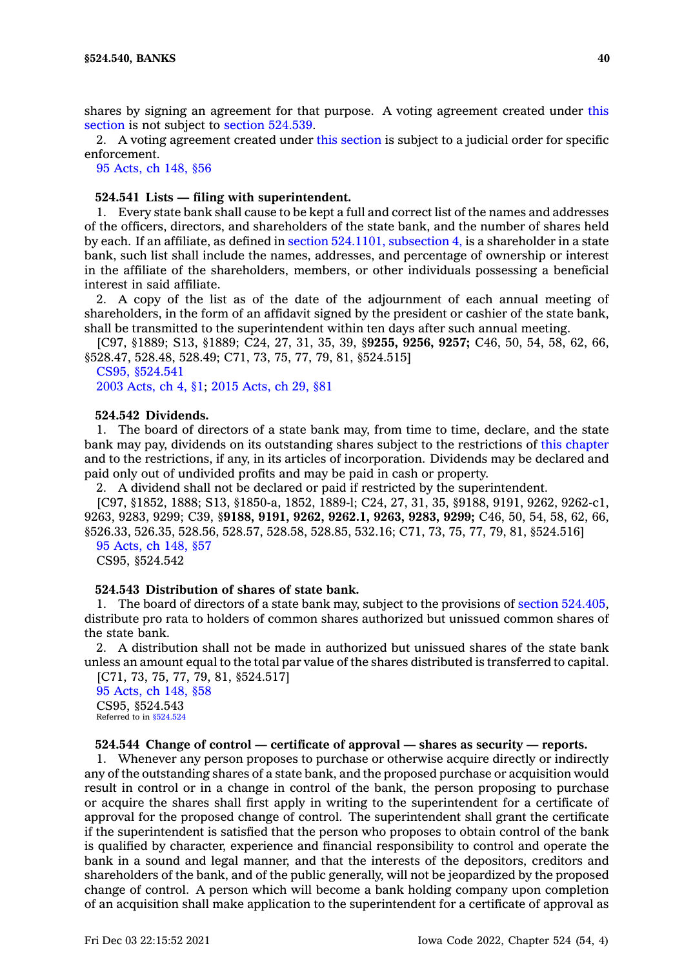shares by signing an agreement for that purpose. A voting agreement created under [this](https://www.legis.iowa.gov/docs/code/524.540.pdf) [section](https://www.legis.iowa.gov/docs/code/524.540.pdf) is not subject to section [524.539](https://www.legis.iowa.gov/docs/code/524.539.pdf).

2. A voting agreement created under this [section](https://www.legis.iowa.gov/docs/code/524.540.pdf) is subject to <sup>a</sup> judicial order for specific enforcement.

95 [Acts,](https://www.legis.iowa.gov/docs/acts/1995/CH0148.pdf) ch 148, §56

# **524.541 Lists — filing with superintendent.**

1. Every state bank shall cause to be kept <sup>a</sup> full and correct list of the names and addresses of the officers, directors, and shareholders of the state bank, and the number of shares held by each. If an affiliate, as defined in section [524.1101,](https://www.legis.iowa.gov/docs/code/524.1101.pdf) subsection 4, is <sup>a</sup> shareholder in <sup>a</sup> state bank, such list shall include the names, addresses, and percentage of ownership or interest in the affiliate of the shareholders, members, or other individuals possessing <sup>a</sup> beneficial interest in said affiliate.

2. A copy of the list as of the date of the adjournment of each annual meeting of shareholders, in the form of an affidavit signed by the president or cashier of the state bank, shall be transmitted to the superintendent within ten days after such annual meeting.

[C97, §1889; S13, §1889; C24, 27, 31, 35, 39, §**9255, 9256, 9257;** C46, 50, 54, 58, 62, 66, §528.47, 528.48, 528.49; C71, 73, 75, 77, 79, 81, §524.515]

CS95, [§524.541](https://www.legis.iowa.gov/docs/acts//CH0000.pdf) 2003 [Acts,](https://www.legis.iowa.gov/docs/acts/2003/CH0004.pdf) ch 4, §1; 2015 [Acts,](https://www.legis.iowa.gov/docs/acts/2015/CH0029.pdf) ch 29, §81

### **524.542 Dividends.**

1. The board of directors of <sup>a</sup> state bank may, from time to time, declare, and the state bank may pay, dividends on its outstanding shares subject to the restrictions of this [chapter](https://www.legis.iowa.gov/docs/code//524.pdf) and to the restrictions, if any, in its articles of incorporation. Dividends may be declared and paid only out of undivided profits and may be paid in cash or property.

2. A dividend shall not be declared or paid if restricted by the superintendent.

[C97, §1852, 1888; S13, §1850-a, 1852, 1889-l; C24, 27, 31, 35, §9188, 9191, 9262, 9262-c1, 9263, 9283, 9299; C39, §**9188, 9191, 9262, 9262.1, 9263, 9283, 9299;** C46, 50, 54, 58, 62, 66, §526.33, 526.35, 528.56, 528.57, 528.58, 528.85, 532.16; C71, 73, 75, 77, 79, 81, §524.516] 95 [Acts,](https://www.legis.iowa.gov/docs/acts/1995/CH0148.pdf) ch 148, §57

CS95, §524.542

### **524.543 Distribution of shares of state bank.**

1. The board of directors of <sup>a</sup> state bank may, subject to the provisions of section [524.405](https://www.legis.iowa.gov/docs/code/524.405.pdf), distribute pro rata to holders of common shares authorized but unissued common shares of the state bank.

2. A distribution shall not be made in authorized but unissued shares of the state bank unless an amount equal to the total par value of the shares distributed is transferred to capital. [C71, 73, 75, 77, 79, 81, §524.517]

95 [Acts,](https://www.legis.iowa.gov/docs/acts/1995/CH0148.pdf) ch 148, §58 CS95, §524.543 Referred to in [§524.524](https://www.legis.iowa.gov/docs/code/524.524.pdf)

### **524.544 Change of control —certificate of approval —shares as security — reports.**

1. Whenever any person proposes to purchase or otherwise acquire directly or indirectly any of the outstanding shares of <sup>a</sup> state bank, and the proposed purchase or acquisition would result in control or in <sup>a</sup> change in control of the bank, the person proposing to purchase or acquire the shares shall first apply in writing to the superintendent for <sup>a</sup> certificate of approval for the proposed change of control. The superintendent shall grant the certificate if the superintendent is satisfied that the person who proposes to obtain control of the bank is qualified by character, experience and financial responsibility to control and operate the bank in <sup>a</sup> sound and legal manner, and that the interests of the depositors, creditors and shareholders of the bank, and of the public generally, will not be jeopardized by the proposed change of control. A person which will become <sup>a</sup> bank holding company upon completion of an acquisition shall make application to the superintendent for <sup>a</sup> certificate of approval as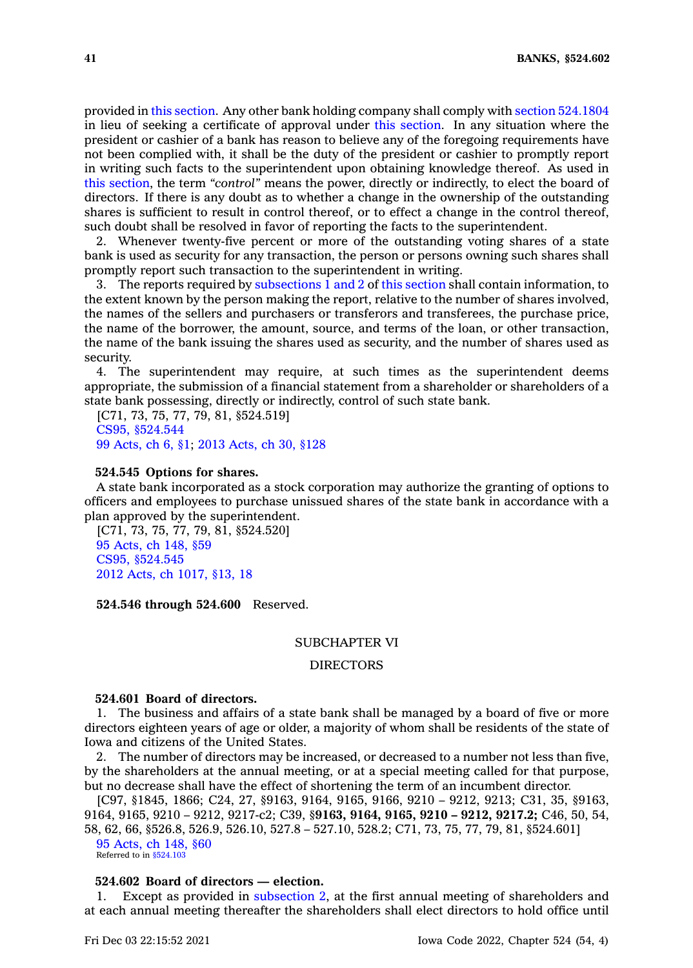provided in this [section](https://www.legis.iowa.gov/docs/code/524.544.pdf). Any other bank holding company shall comply with section [524.1804](https://www.legis.iowa.gov/docs/code/524.1804.pdf) in lieu of seeking <sup>a</sup> certificate of approval under this [section](https://www.legis.iowa.gov/docs/code/524.544.pdf). In any situation where the president or cashier of <sup>a</sup> bank has reason to believe any of the foregoing requirements have not been complied with, it shall be the duty of the president or cashier to promptly report in writing such facts to the superintendent upon obtaining knowledge thereof. As used in this [section](https://www.legis.iowa.gov/docs/code/524.544.pdf), the term *"control"* means the power, directly or indirectly, to elect the board of directors. If there is any doubt as to whether <sup>a</sup> change in the ownership of the outstanding shares is sufficient to result in control thereof, or to effect <sup>a</sup> change in the control thereof, such doubt shall be resolved in favor of reporting the facts to the superintendent.

2. Whenever twenty-five percent or more of the outstanding voting shares of <sup>a</sup> state bank is used as security for any transaction, the person or persons owning such shares shall promptly report such transaction to the superintendent in writing.

3. The reports required by [subsections](https://www.legis.iowa.gov/docs/code/524.544.pdf) 1 and 2 of this [section](https://www.legis.iowa.gov/docs/code/524.544.pdf) shall contain information, to the extent known by the person making the report, relative to the number of shares involved, the names of the sellers and purchasers or transferors and transferees, the purchase price, the name of the borrower, the amount, source, and terms of the loan, or other transaction, the name of the bank issuing the shares used as security, and the number of shares used as security.

4. The superintendent may require, at such times as the superintendent deems appropriate, the submission of <sup>a</sup> financial statement from <sup>a</sup> shareholder or shareholders of <sup>a</sup> state bank possessing, directly or indirectly, control of such state bank.

[C71, 73, 75, 77, 79, 81, §524.519] CS95, [§524.544](https://www.legis.iowa.gov/docs/acts//CH0000.pdf) 99 [Acts,](https://www.legis.iowa.gov/docs/acts/1999/CH0006.pdf) ch 6, §1; 2013 [Acts,](https://www.legis.iowa.gov/docs/acts/2013/CH0030.pdf) ch 30, §128

#### **524.545 Options for shares.**

A state bank incorporated as <sup>a</sup> stock corporation may authorize the granting of options to officers and employees to purchase unissued shares of the state bank in accordance with <sup>a</sup> plan approved by the superintendent.

[C71, 73, 75, 77, 79, 81, §524.520] 95 [Acts,](https://www.legis.iowa.gov/docs/acts/1995/CH0148.pdf) ch 148, §59 CS95, [§524.545](https://www.legis.iowa.gov/docs/acts//CH0000.pdf) 2012 Acts, ch [1017,](https://www.legis.iowa.gov/docs/acts/2012/CH1017.pdf) §13, 18

**524.546 through 524.600** Reserved.

## SUBCHAPTER VI

# DIRECTORS

# **524.601 Board of directors.**

1. The business and affairs of <sup>a</sup> state bank shall be managed by <sup>a</sup> board of five or more directors eighteen years of age or older, <sup>a</sup> majority of whom shall be residents of the state of Iowa and citizens of the United States.

2. The number of directors may be increased, or decreased to <sup>a</sup> number not less than five, by the shareholders at the annual meeting, or at <sup>a</sup> special meeting called for that purpose, but no decrease shall have the effect of shortening the term of an incumbent director.

[C97, §1845, 1866; C24, 27, §9163, 9164, 9165, 9166, 9210 – 9212, 9213; C31, 35, §9163, 9164, 9165, 9210 – 9212, 9217-c2; C39, §**9163, 9164, 9165, 9210 – 9212, 9217.2;** C46, 50, 54, 58, 62, 66, §526.8, 526.9, 526.10, 527.8 – 527.10, 528.2; C71, 73, 75, 77, 79, 81, §524.601] 95 [Acts,](https://www.legis.iowa.gov/docs/acts/1995/CH0148.pdf) ch 148, §60

Referred to in [§524.103](https://www.legis.iowa.gov/docs/code/524.103.pdf)

# **524.602 Board of directors — election.**

Except as provided in [subsection](https://www.legis.iowa.gov/docs/code/524.602.pdf) 2, at the first annual meeting of shareholders and at each annual meeting thereafter the shareholders shall elect directors to hold office until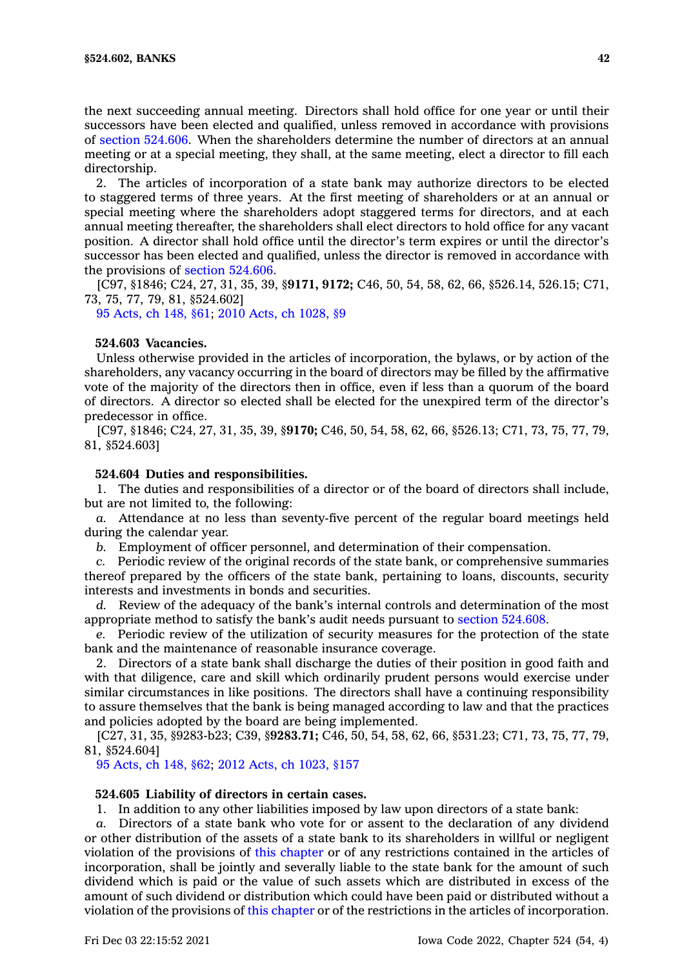the next succeeding annual meeting. Directors shall hold office for one year or until their successors have been elected and qualified, unless removed in accordance with provisions of section [524.606](https://www.legis.iowa.gov/docs/code/524.606.pdf). When the shareholders determine the number of directors at an annual meeting or at <sup>a</sup> special meeting, they shall, at the same meeting, elect <sup>a</sup> director to fill each directorship.

2. The articles of incorporation of <sup>a</sup> state bank may authorize directors to be elected to staggered terms of three years. At the first meeting of shareholders or at an annual or special meeting where the shareholders adopt staggered terms for directors, and at each annual meeting thereafter, the shareholders shall elect directors to hold office for any vacant position. A director shall hold office until the director's term expires or until the director's successor has been elected and qualified, unless the director is removed in accordance with the provisions of section [524.606](https://www.legis.iowa.gov/docs/code/524.606.pdf).

[C97, §1846; C24, 27, 31, 35, 39, §**9171, 9172;** C46, 50, 54, 58, 62, 66, §526.14, 526.15; C71, 73, 75, 77, 79, 81, §524.602]

95 [Acts,](https://www.legis.iowa.gov/docs/acts/1995/CH0148.pdf) ch 148, §61; 2010 Acts, ch [1028,](https://www.legis.iowa.gov/docs/acts/2010/CH1028.pdf) §9

# **524.603 Vacancies.**

Unless otherwise provided in the articles of incorporation, the bylaws, or by action of the shareholders, any vacancy occurring in the board of directors may be filled by the affirmative vote of the majority of the directors then in office, even if less than <sup>a</sup> quorum of the board of directors. A director so elected shall be elected for the unexpired term of the director's predecessor in office.

[C97, §1846; C24, 27, 31, 35, 39, §**9170;** C46, 50, 54, 58, 62, 66, §526.13; C71, 73, 75, 77, 79, 81, §524.603]

# **524.604 Duties and responsibilities.**

1. The duties and responsibilities of <sup>a</sup> director or of the board of directors shall include, but are not limited to, the following:

*a.* Attendance at no less than seventy-five percent of the regular board meetings held during the calendar year.

*b.* Employment of officer personnel, and determination of their compensation.

*c.* Periodic review of the original records of the state bank, or comprehensive summaries thereof prepared by the officers of the state bank, pertaining to loans, discounts, security interests and investments in bonds and securities.

*d.* Review of the adequacy of the bank's internal controls and determination of the most appropriate method to satisfy the bank's audit needs pursuant to section [524.608](https://www.legis.iowa.gov/docs/code/524.608.pdf).

*e.* Periodic review of the utilization of security measures for the protection of the state bank and the maintenance of reasonable insurance coverage.

2. Directors of <sup>a</sup> state bank shall discharge the duties of their position in good faith and with that diligence, care and skill which ordinarily prudent persons would exercise under similar circumstances in like positions. The directors shall have <sup>a</sup> continuing responsibility to assure themselves that the bank is being managed according to law and that the practices and policies adopted by the board are being implemented.

[C27, 31, 35, §9283-b23; C39, §**9283.71;** C46, 50, 54, 58, 62, 66, §531.23; C71, 73, 75, 77, 79, 81, §524.604]

95 [Acts,](https://www.legis.iowa.gov/docs/acts/1995/CH0148.pdf) ch 148, §62; 2012 Acts, ch [1023,](https://www.legis.iowa.gov/docs/acts/2012/CH1023.pdf) §157

## **524.605 Liability of directors in certain cases.**

1. In addition to any other liabilities imposed by law upon directors of <sup>a</sup> state bank:

*a.* Directors of <sup>a</sup> state bank who vote for or assent to the declaration of any dividend or other distribution of the assets of <sup>a</sup> state bank to its shareholders in willful or negligent violation of the provisions of this [chapter](https://www.legis.iowa.gov/docs/code//524.pdf) or of any restrictions contained in the articles of incorporation, shall be jointly and severally liable to the state bank for the amount of such dividend which is paid or the value of such assets which are distributed in excess of the amount of such dividend or distribution which could have been paid or distributed without <sup>a</sup> violation of the provisions of this [chapter](https://www.legis.iowa.gov/docs/code//524.pdf) or of the restrictions in the articles of incorporation.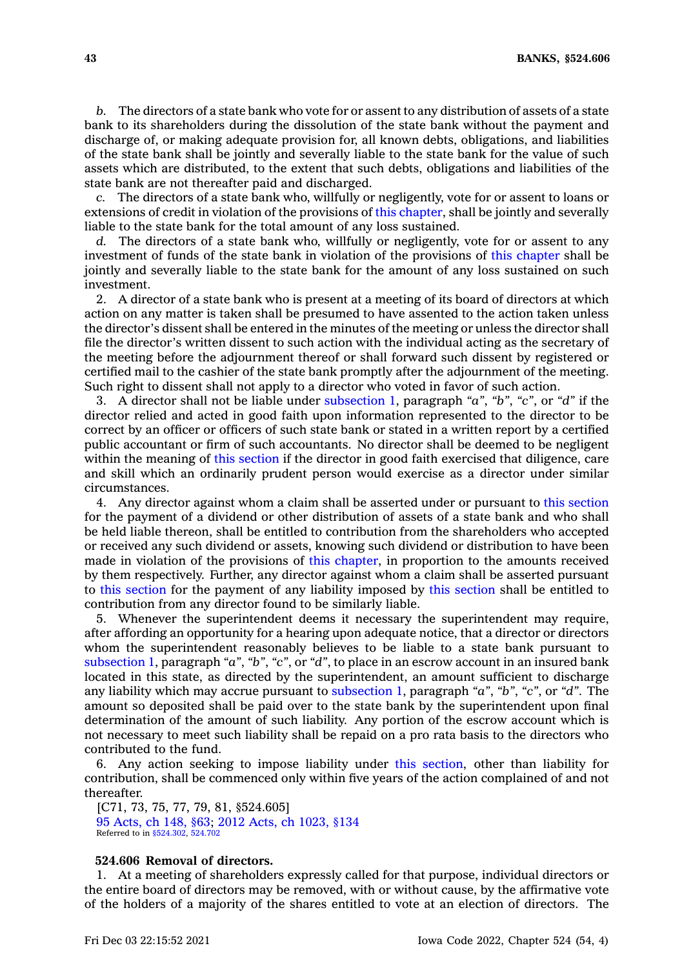*b.* The directors of <sup>a</sup> state bank who vote for or assent to any distribution of assets of <sup>a</sup> state bank to its shareholders during the dissolution of the state bank without the payment and discharge of, or making adequate provision for, all known debts, obligations, and liabilities of the state bank shall be jointly and severally liable to the state bank for the value of such assets which are distributed, to the extent that such debts, obligations and liabilities of the state bank are not thereafter paid and discharged.

*c.* The directors of <sup>a</sup> state bank who, willfully or negligently, vote for or assent to loans or extensions of credit in violation of the provisions of this [chapter](https://www.legis.iowa.gov/docs/code//524.pdf), shall be jointly and severally liable to the state bank for the total amount of any loss sustained.

The directors of a state bank who, willfully or negligently, vote for or assent to any investment of funds of the state bank in violation of the provisions of this [chapter](https://www.legis.iowa.gov/docs/code//524.pdf) shall be jointly and severally liable to the state bank for the amount of any loss sustained on such investment.

2. A director of <sup>a</sup> state bank who is present at <sup>a</sup> meeting of its board of directors at which action on any matter is taken shall be presumed to have assented to the action taken unless the director's dissent shall be entered in the minutes of the meeting or unless the director shall file the director's written dissent to such action with the individual acting as the secretary of the meeting before the adjournment thereof or shall forward such dissent by registered or certified mail to the cashier of the state bank promptly after the adjournment of the meeting. Such right to dissent shall not apply to <sup>a</sup> director who voted in favor of such action.

3. A director shall not be liable under [subsection](https://www.legis.iowa.gov/docs/code/524.605.pdf) 1, paragraph *"a"*, *"b"*, *"c"*, or *"d"* if the director relied and acted in good faith upon information represented to the director to be correct by an officer or officers of such state bank or stated in <sup>a</sup> written report by <sup>a</sup> certified public accountant or firm of such accountants. No director shall be deemed to be negligent within the meaning of this [section](https://www.legis.iowa.gov/docs/code/524.605.pdf) if the director in good faith exercised that diligence, care and skill which an ordinarily prudent person would exercise as <sup>a</sup> director under similar circumstances.

4. Any director against whom <sup>a</sup> claim shall be asserted under or pursuant to this [section](https://www.legis.iowa.gov/docs/code/524.605.pdf) for the payment of <sup>a</sup> dividend or other distribution of assets of <sup>a</sup> state bank and who shall be held liable thereon, shall be entitled to contribution from the shareholders who accepted or received any such dividend or assets, knowing such dividend or distribution to have been made in violation of the provisions of this [chapter](https://www.legis.iowa.gov/docs/code//524.pdf), in proportion to the amounts received by them respectively. Further, any director against whom <sup>a</sup> claim shall be asserted pursuant to this [section](https://www.legis.iowa.gov/docs/code/524.605.pdf) for the payment of any liability imposed by this [section](https://www.legis.iowa.gov/docs/code/524.605.pdf) shall be entitled to contribution from any director found to be similarly liable.

5. Whenever the superintendent deems it necessary the superintendent may require, after affording an opportunity for <sup>a</sup> hearing upon adequate notice, that <sup>a</sup> director or directors whom the superintendent reasonably believes to be liable to <sup>a</sup> state bank pursuant to [subsection](https://www.legis.iowa.gov/docs/code/524.605.pdf) 1, paragraph *"a"*, *"b"*, *"c"*, or *"d"*, to place in an escrow account in an insured bank located in this state, as directed by the superintendent, an amount sufficient to discharge any liability which may accrue pursuant to [subsection](https://www.legis.iowa.gov/docs/code/524.605.pdf) 1, paragraph *"a"*, *"b"*, *"c"*, or *"d"*. The amount so deposited shall be paid over to the state bank by the superintendent upon final determination of the amount of such liability. Any portion of the escrow account which is not necessary to meet such liability shall be repaid on <sup>a</sup> pro rata basis to the directors who contributed to the fund.

6. Any action seeking to impose liability under this [section](https://www.legis.iowa.gov/docs/code/524.605.pdf), other than liability for contribution, shall be commenced only within five years of the action complained of and not thereafter.

[C71, 73, 75, 77, 79, 81, §524.605] 95 [Acts,](https://www.legis.iowa.gov/docs/acts/1995/CH0148.pdf) ch 148, §63; 2012 Acts, ch [1023,](https://www.legis.iowa.gov/docs/acts/2012/CH1023.pdf) §134 Referred to in [§524.302](https://www.legis.iowa.gov/docs/code/524.302.pdf), [524.702](https://www.legis.iowa.gov/docs/code/524.702.pdf)

# **524.606 Removal of directors.**

1. At <sup>a</sup> meeting of shareholders expressly called for that purpose, individual directors or the entire board of directors may be removed, with or without cause, by the affirmative vote of the holders of <sup>a</sup> majority of the shares entitled to vote at an election of directors. The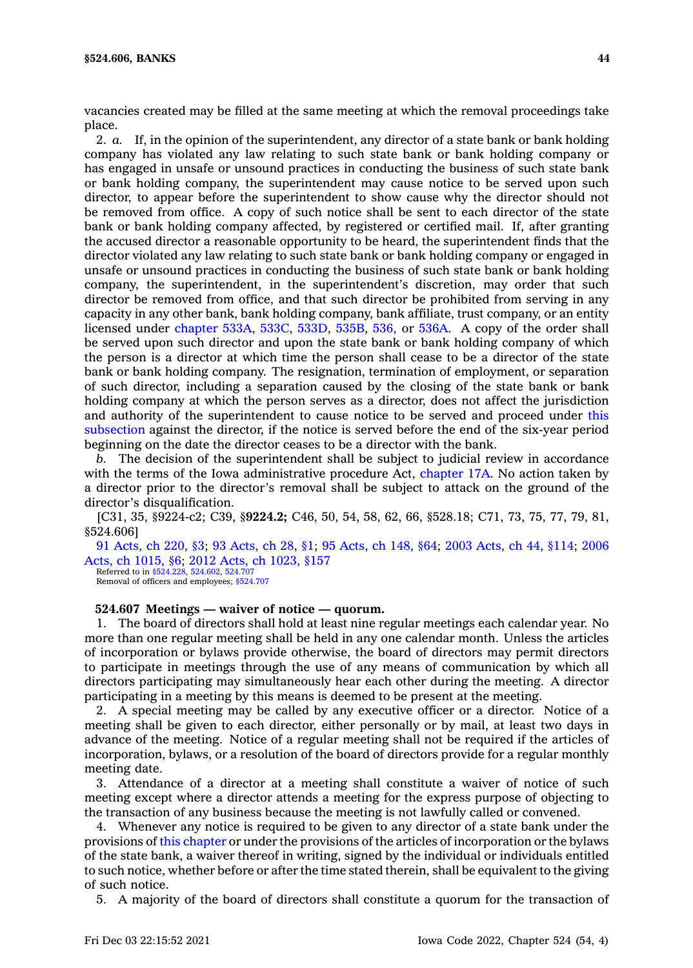vacancies created may be filled at the same meeting at which the removal proceedings take place.

2. *a.* If, in the opinion of the superintendent, any director of <sup>a</sup> state bank or bank holding company has violated any law relating to such state bank or bank holding company or has engaged in unsafe or unsound practices in conducting the business of such state bank or bank holding company, the superintendent may cause notice to be served upon such director, to appear before the superintendent to show cause why the director should not be removed from office. A copy of such notice shall be sent to each director of the state bank or bank holding company affected, by registered or certified mail. If, after granting the accused director <sup>a</sup> reasonable opportunity to be heard, the superintendent finds that the director violated any law relating to such state bank or bank holding company or engaged in unsafe or unsound practices in conducting the business of such state bank or bank holding company, the superintendent, in the superintendent's discretion, may order that such director be removed from office, and that such director be prohibited from serving in any capacity in any other bank, bank holding company, bank affiliate, trust company, or an entity licensed under [chapter](https://www.legis.iowa.gov/docs/code//533A.pdf) 533A, [533C](https://www.legis.iowa.gov/docs/code//533C.pdf), [533D](https://www.legis.iowa.gov/docs/code//533D.pdf), [535B](https://www.legis.iowa.gov/docs/code//535B.pdf), [536](https://www.legis.iowa.gov/docs/code//536.pdf), or [536A](https://www.legis.iowa.gov/docs/code//536A.pdf). A copy of the order shall be served upon such director and upon the state bank or bank holding company of which the person is <sup>a</sup> director at which time the person shall cease to be <sup>a</sup> director of the state bank or bank holding company. The resignation, termination of employment, or separation of such director, including <sup>a</sup> separation caused by the closing of the state bank or bank holding company at which the person serves as <sup>a</sup> director, does not affect the jurisdiction and authority of the superintendent to cause notice to be served and proceed under [this](https://www.legis.iowa.gov/docs/code/524.606.pdf) [subsection](https://www.legis.iowa.gov/docs/code/524.606.pdf) against the director, if the notice is served before the end of the six-year period beginning on the date the director ceases to be <sup>a</sup> director with the bank.

*b.* The decision of the superintendent shall be subject to judicial review in accordance with the terms of the Iowa administrative procedure Act, [chapter](https://www.legis.iowa.gov/docs/code//17A.pdf) 17A. No action taken by <sup>a</sup> director prior to the director's removal shall be subject to attack on the ground of the director's disqualification.

[C31, 35, §9224-c2; C39, §**9224.2;** C46, 50, 54, 58, 62, 66, §528.18; C71, 73, 75, 77, 79, 81, §524.606]

91 [Acts,](https://www.legis.iowa.gov/docs/acts/1991/CH0220.pdf) ch 220, §3; 93 [Acts,](https://www.legis.iowa.gov/docs/acts/93/CH0028.pdf) ch 28, §1; 95 [Acts,](https://www.legis.iowa.gov/docs/acts/95/CH0148.pdf) ch 148, §64; 2003 [Acts,](https://www.legis.iowa.gov/docs/acts/2003/CH0044.pdf) ch 44, §114; [2006](https://www.legis.iowa.gov/docs/acts/2006/CH1015.pdf) Acts, ch [1015,](https://www.legis.iowa.gov/docs/acts/2006/CH1015.pdf) §6; 2012 Acts, ch [1023,](https://www.legis.iowa.gov/docs/acts/2012/CH1023.pdf) §157 Referred to in [§524.228](https://www.legis.iowa.gov/docs/code/524.228.pdf), [524.602](https://www.legis.iowa.gov/docs/code/524.602.pdf), [524.707](https://www.legis.iowa.gov/docs/code/524.707.pdf)

Removal of officers and employees; \$524.707

#### **524.607 Meetings — waiver of notice — quorum.**

1. The board of directors shall hold at least nine regular meetings each calendar year. No more than one regular meeting shall be held in any one calendar month. Unless the articles of incorporation or bylaws provide otherwise, the board of directors may permit directors to participate in meetings through the use of any means of communication by which all directors participating may simultaneously hear each other during the meeting. A director participating in <sup>a</sup> meeting by this means is deemed to be present at the meeting.

2. A special meeting may be called by any executive officer or <sup>a</sup> director. Notice of <sup>a</sup> meeting shall be given to each director, either personally or by mail, at least two days in advance of the meeting. Notice of <sup>a</sup> regular meeting shall not be required if the articles of incorporation, bylaws, or <sup>a</sup> resolution of the board of directors provide for <sup>a</sup> regular monthly meeting date.

3. Attendance of <sup>a</sup> director at <sup>a</sup> meeting shall constitute <sup>a</sup> waiver of notice of such meeting except where <sup>a</sup> director attends <sup>a</sup> meeting for the express purpose of objecting to the transaction of any business because the meeting is not lawfully called or convened.

4. Whenever any notice is required to be given to any director of <sup>a</sup> state bank under the provisions of this [chapter](https://www.legis.iowa.gov/docs/code//524.pdf) or under the provisions of the articles of incorporation or the bylaws of the state bank, <sup>a</sup> waiver thereof in writing, signed by the individual or individuals entitled to such notice, whether before or after the time stated therein, shall be equivalent to the giving of such notice.

5. A majority of the board of directors shall constitute <sup>a</sup> quorum for the transaction of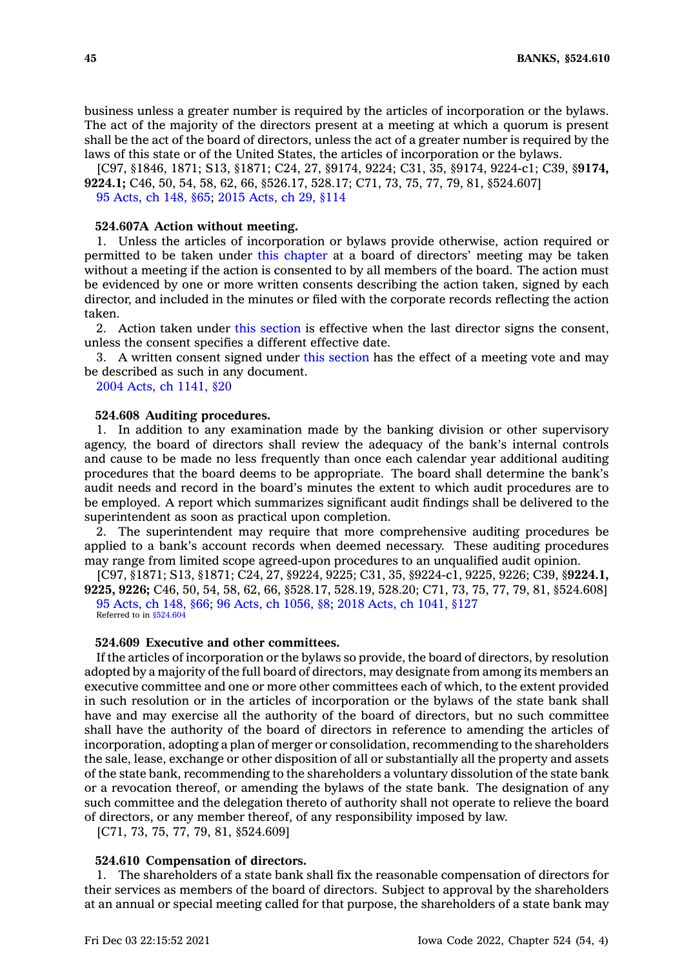business unless <sup>a</sup> greater number is required by the articles of incorporation or the bylaws. The act of the majority of the directors present at <sup>a</sup> meeting at which <sup>a</sup> quorum is present shall be the act of the board of directors, unless the act of <sup>a</sup> greater number is required by the laws of this state or of the United States, the articles of incorporation or the bylaws.

[C97, §1846, 1871; S13, §1871; C24, 27, §9174, 9224; C31, 35, §9174, 9224-c1; C39, §**9174, 9224.1;** C46, 50, 54, 58, 62, 66, §526.17, 528.17; C71, 73, 75, 77, 79, 81, §524.607] 95 [Acts,](https://www.legis.iowa.gov/docs/acts/1995/CH0148.pdf) ch 148, §65; 2015 [Acts,](https://www.legis.iowa.gov/docs/acts/2015/CH0029.pdf) ch 29, §114

# **524.607A Action without meeting.**

1. Unless the articles of incorporation or bylaws provide otherwise, action required or permitted to be taken under this [chapter](https://www.legis.iowa.gov/docs/code//524.pdf) at <sup>a</sup> board of directors' meeting may be taken without <sup>a</sup> meeting if the action is consented to by all members of the board. The action must be evidenced by one or more written consents describing the action taken, signed by each director, and included in the minutes or filed with the corporate records reflecting the action taken.

2. Action taken under this [section](https://www.legis.iowa.gov/docs/code/524.607A.pdf) is effective when the last director signs the consent, unless the consent specifies <sup>a</sup> different effective date.

3. A written consent signed under this [section](https://www.legis.iowa.gov/docs/code/524.607A.pdf) has the effect of <sup>a</sup> meeting vote and may be described as such in any document.

2004 Acts, ch [1141,](https://www.legis.iowa.gov/docs/acts/2004/CH1141.pdf) §20

### **524.608 Auditing procedures.**

1. In addition to any examination made by the banking division or other supervisory agency, the board of directors shall review the adequacy of the bank's internal controls and cause to be made no less frequently than once each calendar year additional auditing procedures that the board deems to be appropriate. The board shall determine the bank's audit needs and record in the board's minutes the extent to which audit procedures are to be employed. A report which summarizes significant audit findings shall be delivered to the superintendent as soon as practical upon completion.

2. The superintendent may require that more comprehensive auditing procedures be applied to <sup>a</sup> bank's account records when deemed necessary. These auditing procedures may range from limited scope agreed-upon procedures to an unqualified audit opinion.

[C97, §1871; S13, §1871; C24, 27, §9224, 9225; C31, 35, §9224-c1, 9225, 9226; C39, §**9224.1, 9225, 9226;** C46, 50, 54, 58, 62, 66, §528.17, 528.19, 528.20; C71, 73, 75, 77, 79, 81, §524.608] 95 [Acts,](https://www.legis.iowa.gov/docs/acts/1995/CH0148.pdf) ch 148, §66; 96 Acts, ch [1056,](https://www.legis.iowa.gov/docs/acts/96/CH1056.pdf) §8; 2018 Acts, ch [1041,](https://www.legis.iowa.gov/docs/acts/2018/CH1041.pdf) §127 Referred to in [§524.604](https://www.legis.iowa.gov/docs/code/524.604.pdf)

**524.609 Executive and other committees.**

If the articles of incorporation or the bylaws so provide, the board of directors, by resolution adopted by <sup>a</sup> majority of the full board of directors, may designate from among its members an executive committee and one or more other committees each of which, to the extent provided in such resolution or in the articles of incorporation or the bylaws of the state bank shall have and may exercise all the authority of the board of directors, but no such committee shall have the authority of the board of directors in reference to amending the articles of incorporation, adopting <sup>a</sup> plan of merger or consolidation, recommending to the shareholders the sale, lease, exchange or other disposition of all or substantially all the property and assets of the state bank, recommending to the shareholders <sup>a</sup> voluntary dissolution of the state bank or <sup>a</sup> revocation thereof, or amending the bylaws of the state bank. The designation of any such committee and the delegation thereto of authority shall not operate to relieve the board of directors, or any member thereof, of any responsibility imposed by law.

[C71, 73, 75, 77, 79, 81, §524.609]

### **524.610 Compensation of directors.**

1. The shareholders of <sup>a</sup> state bank shall fix the reasonable compensation of directors for their services as members of the board of directors. Subject to approval by the shareholders at an annual or special meeting called for that purpose, the shareholders of <sup>a</sup> state bank may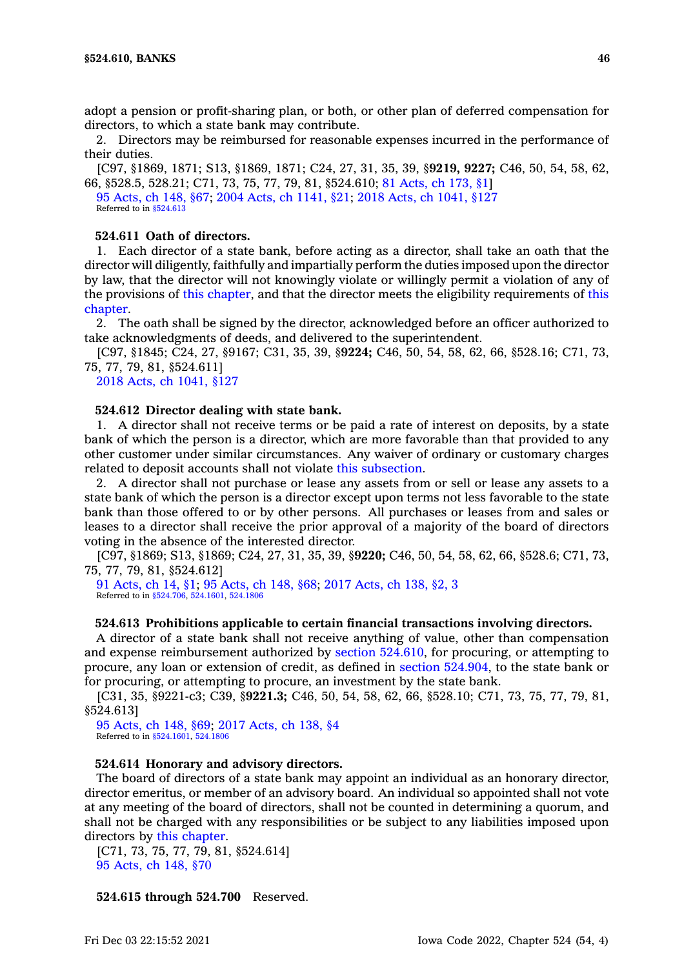adopt <sup>a</sup> pension or profit-sharing plan, or both, or other plan of deferred compensation for directors, to which <sup>a</sup> state bank may contribute.

2. Directors may be reimbursed for reasonable expenses incurred in the performance of their duties.

[C97, §1869, 1871; S13, §1869, 1871; C24, 27, 31, 35, 39, §**9219, 9227;** C46, 50, 54, 58, 62, 66, §528.5, 528.21; C71, 73, 75, 77, 79, 81, §524.610; 81 [Acts,](https://www.legis.iowa.gov/docs/acts/1981/CH0173.pdf) ch 173, §1]

95 [Acts,](https://www.legis.iowa.gov/docs/acts/1995/CH0148.pdf) ch 148, §67; 2004 Acts, ch [1141,](https://www.legis.iowa.gov/docs/acts/2004/CH1141.pdf) §21; 2018 Acts, ch [1041,](https://www.legis.iowa.gov/docs/acts/2018/CH1041.pdf) §127 Referred to in [§524.613](https://www.legis.iowa.gov/docs/code/524.613.pdf)

# **524.611 Oath of directors.**

1. Each director of <sup>a</sup> state bank, before acting as <sup>a</sup> director, shall take an oath that the director will diligently, faithfully and impartially perform the duties imposed upon the director by law, that the director will not knowingly violate or willingly permit <sup>a</sup> violation of any of the provisions of this [chapter](https://www.legis.iowa.gov/docs/code//524.pdf), and that the director meets the eligibility requirements of [this](https://www.legis.iowa.gov/docs/code//524.pdf) [chapter](https://www.legis.iowa.gov/docs/code//524.pdf).

2. The oath shall be signed by the director, acknowledged before an officer authorized to take acknowledgments of deeds, and delivered to the superintendent.

[C97, §1845; C24, 27, §9167; C31, 35, 39, §**9224;** C46, 50, 54, 58, 62, 66, §528.16; C71, 73, 75, 77, 79, 81, §524.611]

2018 Acts, ch [1041,](https://www.legis.iowa.gov/docs/acts/2018/CH1041.pdf) §127

### **524.612 Director dealing with state bank.**

1. A director shall not receive terms or be paid <sup>a</sup> rate of interest on deposits, by <sup>a</sup> state bank of which the person is <sup>a</sup> director, which are more favorable than that provided to any other customer under similar circumstances. Any waiver of ordinary or customary charges related to deposit accounts shall not violate this [subsection](https://www.legis.iowa.gov/docs/code/524.612.pdf).

2. A director shall not purchase or lease any assets from or sell or lease any assets to <sup>a</sup> state bank of which the person is <sup>a</sup> director except upon terms not less favorable to the state bank than those offered to or by other persons. All purchases or leases from and sales or leases to <sup>a</sup> director shall receive the prior approval of <sup>a</sup> majority of the board of directors voting in the absence of the interested director.

[C97, §1869; S13, §1869; C24, 27, 31, 35, 39, §**9220;** C46, 50, 54, 58, 62, 66, §528.6; C71, 73, 75, 77, 79, 81, §524.612]

91 [Acts,](https://www.legis.iowa.gov/docs/acts/1991/CH0014.pdf) ch 14, §1; 95 [Acts,](https://www.legis.iowa.gov/docs/acts/95/CH0148.pdf) ch 148, §68; 2017 [Acts,](https://www.legis.iowa.gov/docs/acts/2017/CH0138.pdf) ch 138, §2, 3 Referred to in [§524.706](https://www.legis.iowa.gov/docs/code/524.706.pdf), [524.1601](https://www.legis.iowa.gov/docs/code/524.1601.pdf), [524.1806](https://www.legis.iowa.gov/docs/code/524.1806.pdf)

## **524.613 Prohibitions applicable to certain financial transactions involving directors.**

A director of <sup>a</sup> state bank shall not receive anything of value, other than compensation and expense reimbursement authorized by section [524.610](https://www.legis.iowa.gov/docs/code/524.610.pdf), for procuring, or attempting to procure, any loan or extension of credit, as defined in section [524.904](https://www.legis.iowa.gov/docs/code/524.904.pdf), to the state bank or for procuring, or attempting to procure, an investment by the state bank.

[C31, 35, §9221-c3; C39, §**9221.3;** C46, 50, 54, 58, 62, 66, §528.10; C71, 73, 75, 77, 79, 81, §524.613]

95 [Acts,](https://www.legis.iowa.gov/docs/acts/1995/CH0148.pdf) ch 148, §69; 2017 [Acts,](https://www.legis.iowa.gov/docs/acts/2017/CH0138.pdf) ch 138, §4 Referred to in [§524.1601](https://www.legis.iowa.gov/docs/code/524.1601.pdf), [524.1806](https://www.legis.iowa.gov/docs/code/524.1806.pdf)

### **524.614 Honorary and advisory directors.**

The board of directors of <sup>a</sup> state bank may appoint an individual as an honorary director, director emeritus, or member of an advisory board. An individual so appointed shall not vote at any meeting of the board of directors, shall not be counted in determining <sup>a</sup> quorum, and shall not be charged with any responsibilities or be subject to any liabilities imposed upon directors by this [chapter](https://www.legis.iowa.gov/docs/code//524.pdf).

[C71, 73, 75, 77, 79, 81, §524.614] 95 [Acts,](https://www.legis.iowa.gov/docs/acts/1995/CH0148.pdf) ch 148, §70

**524.615 through 524.700** Reserved.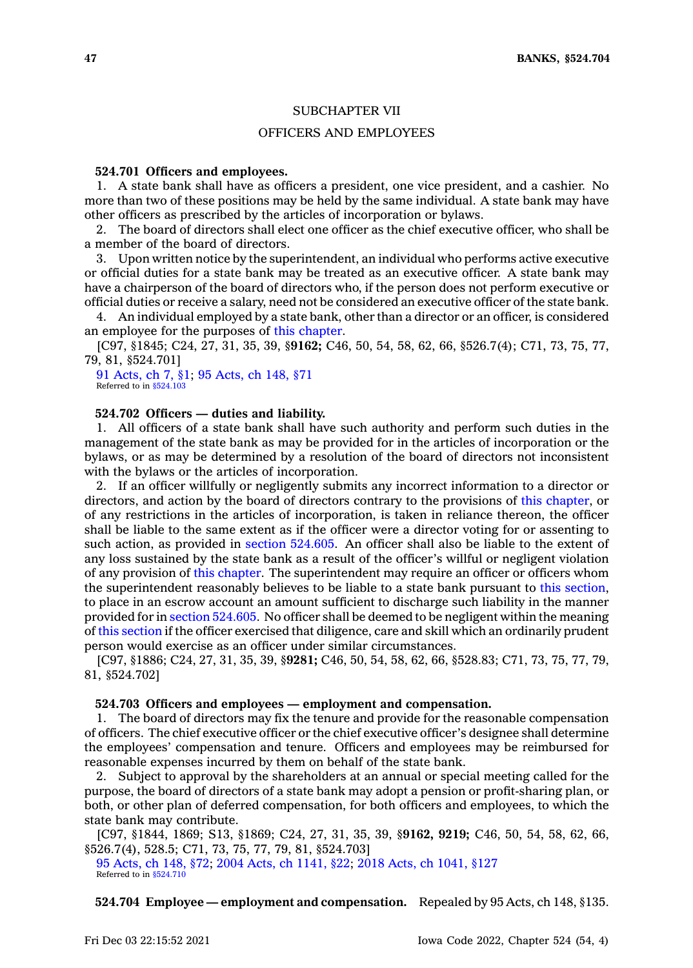## SUBCHAPTER VII

## OFFICERS AND EMPLOYEES

# **524.701 Officers and employees.**

1. A state bank shall have as officers <sup>a</sup> president, one vice president, and <sup>a</sup> cashier. No more than two of these positions may be held by the same individual. A state bank may have other officers as prescribed by the articles of incorporation or bylaws.

2. The board of directors shall elect one officer as the chief executive officer, who shall be <sup>a</sup> member of the board of directors.

3. Upon written notice by the superintendent, an individual who performs active executive or official duties for <sup>a</sup> state bank may be treated as an executive officer. A state bank may have <sup>a</sup> chairperson of the board of directors who, if the person does not perform executive or official duties or receive <sup>a</sup> salary, need not be considered an executive officer of the state bank.

4. An individual employed by <sup>a</sup> state bank, other than <sup>a</sup> director or an officer, is considered an employee for the purposes of this [chapter](https://www.legis.iowa.gov/docs/code//524.pdf).

[C97, §1845; C24, 27, 31, 35, 39, §**9162;** C46, 50, 54, 58, 62, 66, §526.7(4); C71, 73, 75, 77, 79, 81, §524.701]

91 [Acts,](https://www.legis.iowa.gov/docs/acts/1991/CH0007.pdf) ch 7, §1; 95 [Acts,](https://www.legis.iowa.gov/docs/acts/1995/CH0148.pdf) ch 148, §71 Referred to in [§524.103](https://www.legis.iowa.gov/docs/code/524.103.pdf)

#### **524.702 Officers — duties and liability.**

1. All officers of <sup>a</sup> state bank shall have such authority and perform such duties in the management of the state bank as may be provided for in the articles of incorporation or the bylaws, or as may be determined by <sup>a</sup> resolution of the board of directors not inconsistent with the bylaws or the articles of incorporation.

2. If an officer willfully or negligently submits any incorrect information to <sup>a</sup> director or directors, and action by the board of directors contrary to the provisions of this [chapter](https://www.legis.iowa.gov/docs/code//524.pdf), or of any restrictions in the articles of incorporation, is taken in reliance thereon, the officer shall be liable to the same extent as if the officer were <sup>a</sup> director voting for or assenting to such action, as provided in section [524.605](https://www.legis.iowa.gov/docs/code/524.605.pdf). An officer shall also be liable to the extent of any loss sustained by the state bank as <sup>a</sup> result of the officer's willful or negligent violation of any provision of this [chapter](https://www.legis.iowa.gov/docs/code//524.pdf). The superintendent may require an officer or officers whom the superintendent reasonably believes to be liable to <sup>a</sup> state bank pursuant to this [section](https://www.legis.iowa.gov/docs/code/524.702.pdf), to place in an escrow account an amount sufficient to discharge such liability in the manner provided for in section [524.605](https://www.legis.iowa.gov/docs/code/524.605.pdf). No officer shall be deemed to be negligent within the meaning of this [section](https://www.legis.iowa.gov/docs/code/524.702.pdf) if the officer exercised that diligence, care and skill which an ordinarily prudent person would exercise as an officer under similar circumstances.

[C97, §1886; C24, 27, 31, 35, 39, §**9281;** C46, 50, 54, 58, 62, 66, §528.83; C71, 73, 75, 77, 79, 81, §524.702]

## **524.703 Officers and employees — employment and compensation.**

1. The board of directors may fix the tenure and provide for the reasonable compensation of officers. The chief executive officer or the chief executive officer's designee shall determine the employees' compensation and tenure. Officers and employees may be reimbursed for reasonable expenses incurred by them on behalf of the state bank.

2. Subject to approval by the shareholders at an annual or special meeting called for the purpose, the board of directors of <sup>a</sup> state bank may adopt <sup>a</sup> pension or profit-sharing plan, or both, or other plan of deferred compensation, for both officers and employees, to which the state bank may contribute.

[C97, §1844, 1869; S13, §1869; C24, 27, 31, 35, 39, §**9162, 9219;** C46, 50, 54, 58, 62, 66, §526.7(4), 528.5; C71, 73, 75, 77, 79, 81, §524.703]

95 [Acts,](https://www.legis.iowa.gov/docs/acts/1995/CH0148.pdf) ch 148, §72; 2004 Acts, ch [1141,](https://www.legis.iowa.gov/docs/acts/2004/CH1141.pdf) §22; 2018 Acts, ch [1041,](https://www.legis.iowa.gov/docs/acts/2018/CH1041.pdf) §127 Referred to in [§524.710](https://www.legis.iowa.gov/docs/code/524.710.pdf)

**524.704 Employee — employment and compensation.** Repealed by 95 Acts, ch 148, §135.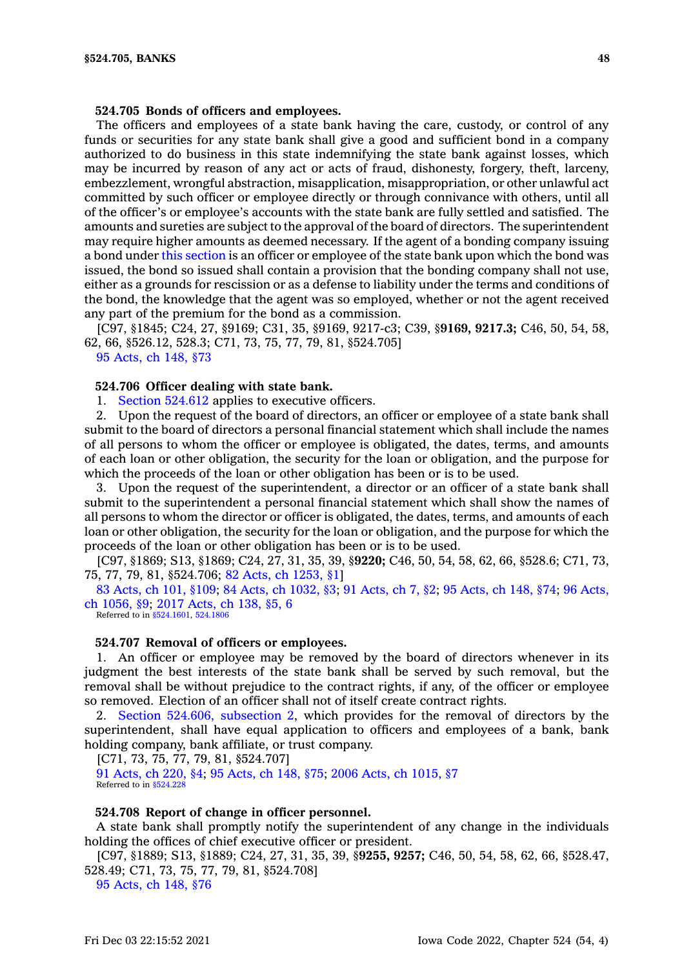### **524.705 Bonds of officers and employees.**

The officers and employees of <sup>a</sup> state bank having the care, custody, or control of any funds or securities for any state bank shall give <sup>a</sup> good and sufficient bond in <sup>a</sup> company authorized to do business in this state indemnifying the state bank against losses, which may be incurred by reason of any act or acts of fraud, dishonesty, forgery, theft, larceny, embezzlement, wrongful abstraction, misapplication, misappropriation, or other unlawful act committed by such officer or employee directly or through connivance with others, until all of the officer's or employee's accounts with the state bank are fully settled and satisfied. The amounts and sureties are subject to the approval of the board of directors. The superintendent may require higher amounts as deemed necessary. If the agent of <sup>a</sup> bonding company issuing <sup>a</sup> bond under this [section](https://www.legis.iowa.gov/docs/code/524.705.pdf) is an officer or employee of the state bank upon which the bond was issued, the bond so issued shall contain <sup>a</sup> provision that the bonding company shall not use, either as <sup>a</sup> grounds for rescission or as <sup>a</sup> defense to liability under the terms and conditions of the bond, the knowledge that the agent was so employed, whether or not the agent received any part of the premium for the bond as <sup>a</sup> commission.

[C97, §1845; C24, 27, §9169; C31, 35, §9169, 9217-c3; C39, §**9169, 9217.3;** C46, 50, 54, 58, 62, 66, §526.12, 528.3; C71, 73, 75, 77, 79, 81, §524.705]

95 [Acts,](https://www.legis.iowa.gov/docs/acts/1995/CH0148.pdf) ch 148, §73

### **524.706 Officer dealing with state bank.**

1. Section [524.612](https://www.legis.iowa.gov/docs/code/524.612.pdf) applies to executive officers.

2. Upon the request of the board of directors, an officer or employee of <sup>a</sup> state bank shall submit to the board of directors <sup>a</sup> personal financial statement which shall include the names of all persons to whom the officer or employee is obligated, the dates, terms, and amounts of each loan or other obligation, the security for the loan or obligation, and the purpose for which the proceeds of the loan or other obligation has been or is to be used.

3. Upon the request of the superintendent, <sup>a</sup> director or an officer of <sup>a</sup> state bank shall submit to the superintendent <sup>a</sup> personal financial statement which shall show the names of all persons to whom the director or officer is obligated, the dates, terms, and amounts of each loan or other obligation, the security for the loan or obligation, and the purpose for which the proceeds of the loan or other obligation has been or is to be used.

[C97, §1869; S13, §1869; C24, 27, 31, 35, 39, §**9220;** C46, 50, 54, 58, 62, 66, §528.6; C71, 73, 75, 77, 79, 81, §524.706; 82 Acts, ch [1253,](https://www.legis.iowa.gov/docs/acts/1982/CH1253.pdf) §1]

83 [Acts,](https://www.legis.iowa.gov/docs/acts/1983/CH0101.pdf) ch 101, §109; 84 Acts, ch [1032,](https://www.legis.iowa.gov/docs/acts/84/CH1032.pdf) §3; 91 [Acts,](https://www.legis.iowa.gov/docs/acts/91/CH0007.pdf) ch 7, §2; 95 [Acts,](https://www.legis.iowa.gov/docs/acts/95/CH0148.pdf) ch 148, §74; 96 [Acts,](https://www.legis.iowa.gov/docs/acts/96/CH1056.pdf) ch [1056,](https://www.legis.iowa.gov/docs/acts/96/CH1056.pdf) §9; 2017 [Acts,](https://www.legis.iowa.gov/docs/acts/2017/CH0138.pdf) ch 138, §5, 6

Referred to in [§524.1601](https://www.legis.iowa.gov/docs/code/524.1601.pdf), [524.1806](https://www.legis.iowa.gov/docs/code/524.1806.pdf)

#### **524.707 Removal of officers or employees.**

1. An officer or employee may be removed by the board of directors whenever in its judgment the best interests of the state bank shall be served by such removal, but the removal shall be without prejudice to the contract rights, if any, of the officer or employee so removed. Election of an officer shall not of itself create contract rights.

2. Section 524.606, [subsection](https://www.legis.iowa.gov/docs/code/524.606.pdf) 2, which provides for the removal of directors by the superintendent, shall have equal application to officers and employees of <sup>a</sup> bank, bank holding company, bank affiliate, or trust company.

[C71, 73, 75, 77, 79, 81, §524.707]

91 [Acts,](https://www.legis.iowa.gov/docs/acts/1991/CH0220.pdf) ch 220, §4; 95 [Acts,](https://www.legis.iowa.gov/docs/acts/1995/CH0148.pdf) ch 148, §75; 2006 Acts, ch [1015,](https://www.legis.iowa.gov/docs/acts/2006/CH1015.pdf) §7 Referred to in [§524.228](https://www.legis.iowa.gov/docs/code/524.228.pdf)

#### **524.708 Report of change in officer personnel.**

A state bank shall promptly notify the superintendent of any change in the individuals holding the offices of chief executive officer or president.

[C97, §1889; S13, §1889; C24, 27, 31, 35, 39, §**9255, 9257;** C46, 50, 54, 58, 62, 66, §528.47, 528.49; C71, 73, 75, 77, 79, 81, §524.708]

95 [Acts,](https://www.legis.iowa.gov/docs/acts/1995/CH0148.pdf) ch 148, §76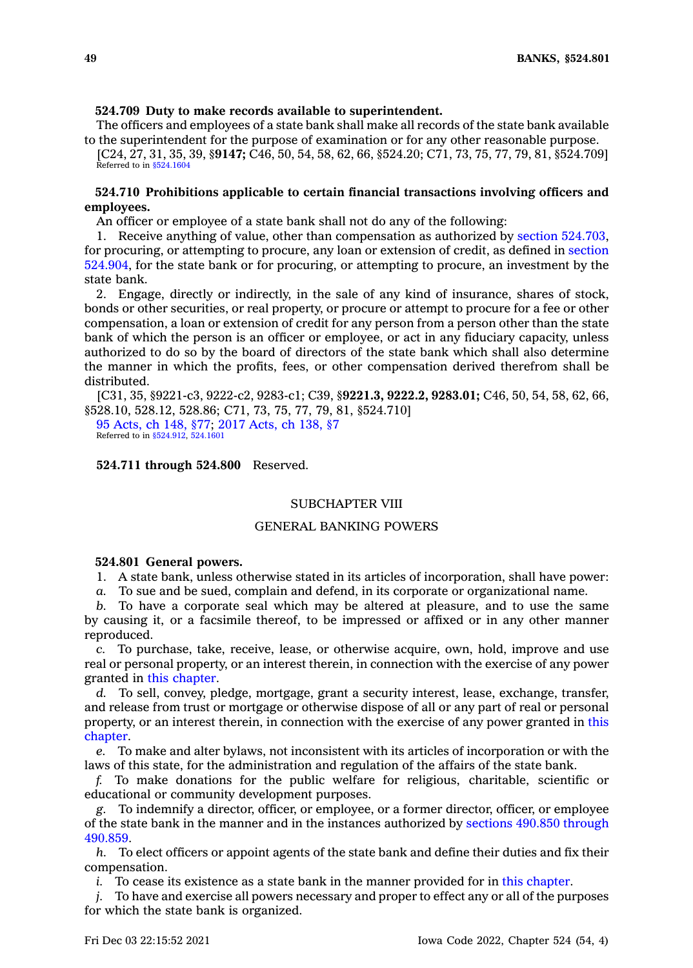### **524.709 Duty to make records available to superintendent.**

The officers and employees of <sup>a</sup> state bank shall make all records of the state bank available to the superintendent for the purpose of examination or for any other reasonable purpose.

[C24, 27, 31, 35, 39, §**9147;** C46, 50, 54, 58, 62, 66, §524.20; C71, 73, 75, 77, 79, 81, §524.709] Referred to in [§524.1604](https://www.legis.iowa.gov/docs/code/524.1604.pdf)

# **524.710 Prohibitions applicable to certain financial transactions involving officers and employees.**

An officer or employee of <sup>a</sup> state bank shall not do any of the following:

1. Receive anything of value, other than compensation as authorized by section [524.703](https://www.legis.iowa.gov/docs/code/524.703.pdf), for procuring, or attempting to procure, any loan or extension of credit, as defined in [section](https://www.legis.iowa.gov/docs/code/524.904.pdf) [524.904](https://www.legis.iowa.gov/docs/code/524.904.pdf), for the state bank or for procuring, or attempting to procure, an investment by the state bank.

2. Engage, directly or indirectly, in the sale of any kind of insurance, shares of stock, bonds or other securities, or real property, or procure or attempt to procure for <sup>a</sup> fee or other compensation, <sup>a</sup> loan or extension of credit for any person from <sup>a</sup> person other than the state bank of which the person is an officer or employee, or act in any fiduciary capacity, unless authorized to do so by the board of directors of the state bank which shall also determine the manner in which the profits, fees, or other compensation derived therefrom shall be distributed.

[C31, 35, §9221-c3, 9222-c2, 9283-c1; C39, §**9221.3, 9222.2, 9283.01;** C46, 50, 54, 58, 62, 66, §528.10, 528.12, 528.86; C71, 73, 75, 77, 79, 81, §524.710]

95 [Acts,](https://www.legis.iowa.gov/docs/acts/1995/CH0148.pdf) ch 148, §77; 2017 [Acts,](https://www.legis.iowa.gov/docs/acts/2017/CH0138.pdf) ch 138, §7 Referred to in \$524.912, [524.1601](https://www.legis.iowa.gov/docs/code/524.1601.pdf)

**524.711 through 524.800** Reserved.

# SUBCHAPTER VIII

## GENERAL BANKING POWERS

### **524.801 General powers.**

1. A state bank, unless otherwise stated in its articles of incorporation, shall have power:

*a.* To sue and be sued, complain and defend, in its corporate or organizational name.

*b.* To have <sup>a</sup> corporate seal which may be altered at pleasure, and to use the same by causing it, or <sup>a</sup> facsimile thereof, to be impressed or affixed or in any other manner reproduced.

*c.* To purchase, take, receive, lease, or otherwise acquire, own, hold, improve and use real or personal property, or an interest therein, in connection with the exercise of any power granted in this [chapter](https://www.legis.iowa.gov/docs/code//524.pdf).

*d.* To sell, convey, pledge, mortgage, grant <sup>a</sup> security interest, lease, exchange, transfer, and release from trust or mortgage or otherwise dispose of all or any part of real or personal property, or an interest therein, in connection with the exercise of any power granted in [this](https://www.legis.iowa.gov/docs/code//524.pdf) [chapter](https://www.legis.iowa.gov/docs/code//524.pdf).

*e.* To make and alter bylaws, not inconsistent with its articles of incorporation or with the laws of this state, for the administration and regulation of the affairs of the state bank.

*f.* To make donations for the public welfare for religious, charitable, scientific or educational or community development purposes.

*g.* To indemnify <sup>a</sup> director, officer, or employee, or <sup>a</sup> former director, officer, or employee of the state bank in the manner and in the instances authorized by sections 490.850 [through](https://www.legis.iowa.gov/docs/code/490.850.pdf) [490.859](https://www.legis.iowa.gov/docs/code/490.850.pdf).

*h.* To elect officers or appoint agents of the state bank and define their duties and fix their compensation.

*i.* To cease its existence as a state bank in the manner provided for in this [chapter](https://www.legis.iowa.gov/docs/code//524.pdf).

*j.* To have and exercise all powers necessary and proper to effect any or all of the purposes for which the state bank is organized.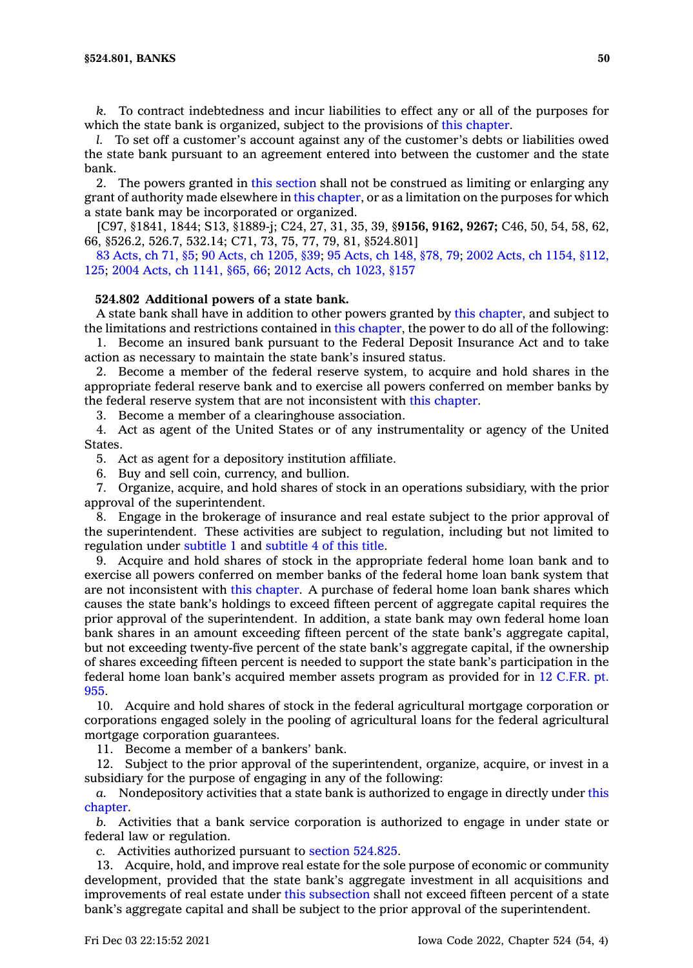*k.* To contract indebtedness and incur liabilities to effect any or all of the purposes for which the state bank is organized, subject to the provisions of this [chapter](https://www.legis.iowa.gov/docs/code//524.pdf).

*l.* To set off <sup>a</sup> customer's account against any of the customer's debts or liabilities owed the state bank pursuant to an agreement entered into between the customer and the state bank.

2. The powers granted in this [section](https://www.legis.iowa.gov/docs/code/524.801.pdf) shall not be construed as limiting or enlarging any grant of authority made elsewhere in this [chapter](https://www.legis.iowa.gov/docs/code//524.pdf), or as <sup>a</sup> limitation on the purposes for which <sup>a</sup> state bank may be incorporated or organized.

[C97, §1841, 1844; S13, §1889-j; C24, 27, 31, 35, 39, §**9156, 9162, 9267;** C46, 50, 54, 58, 62, 66, §526.2, 526.7, 532.14; C71, 73, 75, 77, 79, 81, §524.801]

83 [Acts,](https://www.legis.iowa.gov/docs/acts/1983/CH0071.pdf) ch 71, §5; 90 Acts, ch [1205,](https://www.legis.iowa.gov/docs/acts/90/CH1205.pdf) §39; 95 [Acts,](https://www.legis.iowa.gov/docs/acts/95/CH0148.pdf) ch 148, §78, 79; 2002 Acts, ch 1154, [§112,](https://www.legis.iowa.gov/docs/acts/2002/CH1154.pdf) [125](https://www.legis.iowa.gov/docs/acts/2002/CH1154.pdf); 2004 Acts, ch [1141,](https://www.legis.iowa.gov/docs/acts/2004/CH1141.pdf) §65, 66; 2012 Acts, ch [1023,](https://www.legis.iowa.gov/docs/acts/2012/CH1023.pdf) §157

### **524.802 Additional powers of <sup>a</sup> state bank.**

A state bank shall have in addition to other powers granted by this [chapter](https://www.legis.iowa.gov/docs/code//524.pdf), and subject to the limitations and restrictions contained in this [chapter](https://www.legis.iowa.gov/docs/code//524.pdf), the power to do all of the following:

1. Become an insured bank pursuant to the Federal Deposit Insurance Act and to take action as necessary to maintain the state bank's insured status.

2. Become <sup>a</sup> member of the federal reserve system, to acquire and hold shares in the appropriate federal reserve bank and to exercise all powers conferred on member banks by the federal reserve system that are not inconsistent with this [chapter](https://www.legis.iowa.gov/docs/code//524.pdf).

3. Become <sup>a</sup> member of <sup>a</sup> clearinghouse association.

4. Act as agent of the United States or of any instrumentality or agency of the United States.

5. Act as agent for <sup>a</sup> depository institution affiliate.

6. Buy and sell coin, currency, and bullion.

7. Organize, acquire, and hold shares of stock in an operations subsidiary, with the prior approval of the superintendent.

8. Engage in the brokerage of insurance and real estate subject to the prior approval of the superintendent. These activities are subject to regulation, including but not limited to regulation under subtitle 1 and subtitle 4 of this title.

9. Acquire and hold shares of stock in the appropriate federal home loan bank and to exercise all powers conferred on member banks of the federal home loan bank system that are not inconsistent with this [chapter](https://www.legis.iowa.gov/docs/code//524.pdf). A purchase of federal home loan bank shares which causes the state bank's holdings to exceed fifteen percent of aggregate capital requires the prior approval of the superintendent. In addition, <sup>a</sup> state bank may own federal home loan bank shares in an amount exceeding fifteen percent of the state bank's aggregate capital, but not exceeding twenty-five percent of the state bank's aggregate capital, if the ownership of shares exceeding fifteen percent is needed to support the state bank's participation in the federal home loan bank's acquired member assets program as provided for in 12 C.F.R. pt. 955.

10. Acquire and hold shares of stock in the federal agricultural mortgage corporation or corporations engaged solely in the pooling of agricultural loans for the federal agricultural mortgage corporation guarantees.

11. Become <sup>a</sup> member of <sup>a</sup> bankers' bank.

12. Subject to the prior approval of the superintendent, organize, acquire, or invest in <sup>a</sup> subsidiary for the purpose of engaging in any of the following:

*a.* Nondepository activities that <sup>a</sup> state bank is authorized to engage in directly under [this](https://www.legis.iowa.gov/docs/code//524.pdf) [chapter](https://www.legis.iowa.gov/docs/code//524.pdf).

*b.* Activities that <sup>a</sup> bank service corporation is authorized to engage in under state or federal law or regulation.

*c.* Activities authorized pursuant to section [524.825](https://www.legis.iowa.gov/docs/code/524.825.pdf).

13. Acquire, hold, and improve real estate for the sole purpose of economic or community development, provided that the state bank's aggregate investment in all acquisitions and improvements of real estate under this [subsection](https://www.legis.iowa.gov/docs/code/524.802.pdf) shall not exceed fifteen percent of <sup>a</sup> state bank's aggregate capital and shall be subject to the prior approval of the superintendent.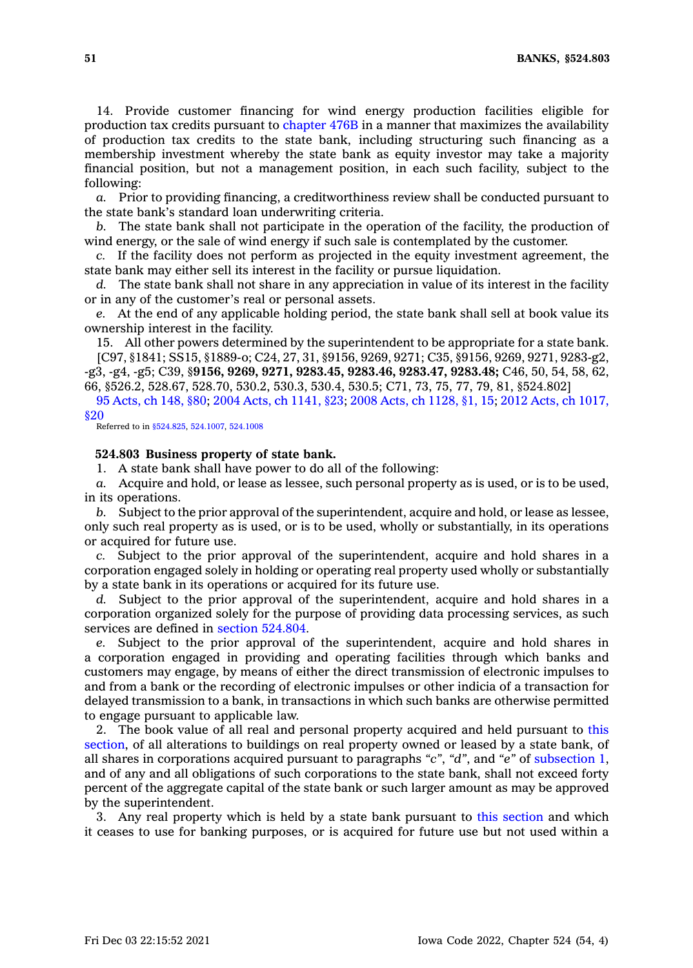14. Provide customer financing for wind energy production facilities eligible for production tax credits pursuant to [chapter](https://www.legis.iowa.gov/docs/code//476B.pdf) 476B in <sup>a</sup> manner that maximizes the availability of production tax credits to the state bank, including structuring such financing as <sup>a</sup> membership investment whereby the state bank as equity investor may take <sup>a</sup> majority financial position, but not <sup>a</sup> management position, in each such facility, subject to the following:

*a.* Prior to providing financing, <sup>a</sup> creditworthiness review shall be conducted pursuant to the state bank's standard loan underwriting criteria.

*b.* The state bank shall not participate in the operation of the facility, the production of wind energy, or the sale of wind energy if such sale is contemplated by the customer.

*c.* If the facility does not perform as projected in the equity investment agreement, the state bank may either sell its interest in the facility or pursue liquidation.

*d.* The state bank shall not share in any appreciation in value of its interest in the facility or in any of the customer's real or personal assets.

*e.* At the end of any applicable holding period, the state bank shall sell at book value its ownership interest in the facility.

15. All other powers determined by the superintendent to be appropriate for <sup>a</sup> state bank. [C97, §1841; SS15, §1889-o; C24, 27, 31, §9156, 9269, 9271; C35, §9156, 9269, 9271, 9283-g2, -g3, -g4, -g5; C39, §**9156, 9269, 9271, 9283.45, 9283.46, 9283.47, 9283.48;** C46, 50, 54, 58, 62, 66, §526.2, 528.67, 528.70, 530.2, 530.3, 530.4, 530.5; C71, 73, 75, 77, 79, 81, §524.802]

95 [Acts,](https://www.legis.iowa.gov/docs/acts/1995/CH0148.pdf) ch 148, §80; 2004 Acts, ch [1141,](https://www.legis.iowa.gov/docs/acts/2004/CH1141.pdf) §23; 2008 Acts, ch [1128,](https://www.legis.iowa.gov/docs/acts/2008/CH1128.pdf) §1, 15; 2012 Acts, ch [1017,](https://www.legis.iowa.gov/docs/acts/2012/CH1017.pdf) [§20](https://www.legis.iowa.gov/docs/acts/2012/CH1017.pdf)

Referred to in [§524.825](https://www.legis.iowa.gov/docs/code/524.825.pdf), [524.1007](https://www.legis.iowa.gov/docs/code/524.1007.pdf), [524.1008](https://www.legis.iowa.gov/docs/code/524.1008.pdf)

### **524.803 Business property of state bank.**

1. A state bank shall have power to do all of the following:

*a.* Acquire and hold, or lease as lessee, such personal property as is used, or is to be used, in its operations.

*b.* Subject to the prior approval of the superintendent, acquire and hold, or lease as lessee, only such real property as is used, or is to be used, wholly or substantially, in its operations or acquired for future use.

*c.* Subject to the prior approval of the superintendent, acquire and hold shares in <sup>a</sup> corporation engaged solely in holding or operating real property used wholly or substantially by <sup>a</sup> state bank in its operations or acquired for its future use.

*d.* Subject to the prior approval of the superintendent, acquire and hold shares in <sup>a</sup> corporation organized solely for the purpose of providing data processing services, as such services are defined in section [524.804](https://www.legis.iowa.gov/docs/code/524.804.pdf).

*e.* Subject to the prior approval of the superintendent, acquire and hold shares in <sup>a</sup> corporation engaged in providing and operating facilities through which banks and customers may engage, by means of either the direct transmission of electronic impulses to and from <sup>a</sup> bank or the recording of electronic impulses or other indicia of <sup>a</sup> transaction for delayed transmission to <sup>a</sup> bank, in transactions in which such banks are otherwise permitted to engage pursuant to applicable law.

2. The book value of all real and personal property acquired and held pursuant to [this](https://www.legis.iowa.gov/docs/code/524.803.pdf) [section](https://www.legis.iowa.gov/docs/code/524.803.pdf), of all alterations to buildings on real property owned or leased by <sup>a</sup> state bank, of all shares in corporations acquired pursuant to paragraphs *"c"*, *"d"*, and *"e"* of [subsection](https://www.legis.iowa.gov/docs/code/524.803.pdf) 1, and of any and all obligations of such corporations to the state bank, shall not exceed forty percent of the aggregate capital of the state bank or such larger amount as may be approved by the superintendent.

3. Any real property which is held by <sup>a</sup> state bank pursuant to this [section](https://www.legis.iowa.gov/docs/code/524.803.pdf) and which it ceases to use for banking purposes, or is acquired for future use but not used within <sup>a</sup>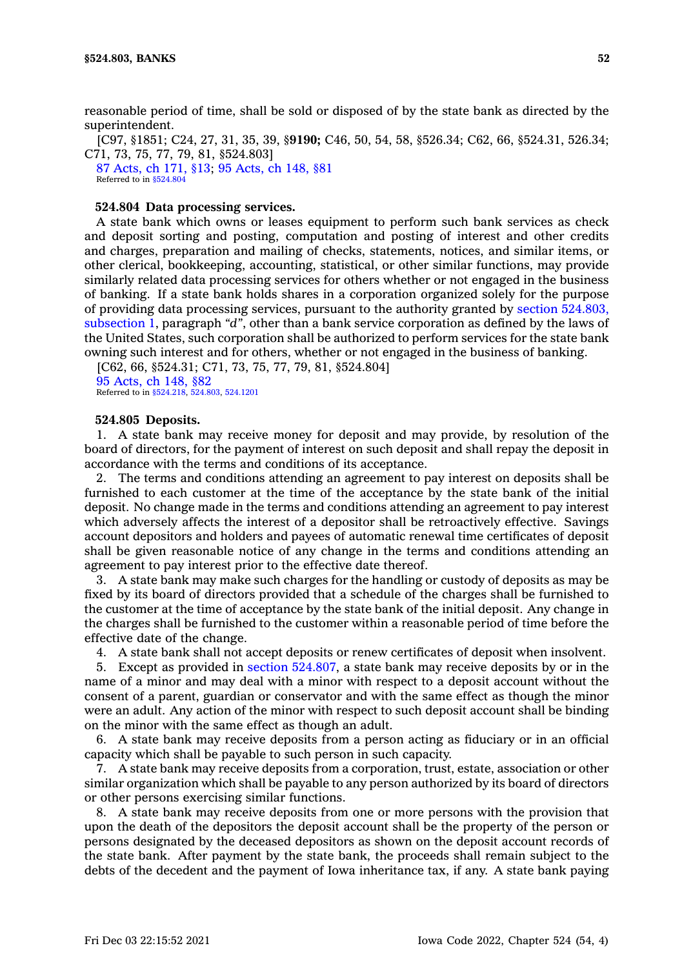reasonable period of time, shall be sold or disposed of by the state bank as directed by the superintendent.

[C97, §1851; C24, 27, 31, 35, 39, §**9190;** C46, 50, 54, 58, §526.34; C62, 66, §524.31, 526.34; C71, 73, 75, 77, 79, 81, §524.803]

87 [Acts,](https://www.legis.iowa.gov/docs/acts/1987/CH0171.pdf) ch 171, §13; 95 [Acts,](https://www.legis.iowa.gov/docs/acts/1995/CH0148.pdf) ch 148, §81 Referred to in [§524.804](https://www.legis.iowa.gov/docs/code/524.804.pdf)

### **524.804 Data processing services.**

A state bank which owns or leases equipment to perform such bank services as check and deposit sorting and posting, computation and posting of interest and other credits and charges, preparation and mailing of checks, statements, notices, and similar items, or other clerical, bookkeeping, accounting, statistical, or other similar functions, may provide similarly related data processing services for others whether or not engaged in the business of banking. If <sup>a</sup> state bank holds shares in <sup>a</sup> corporation organized solely for the purpose of providing data processing services, pursuant to the authority granted by section [524.803,](https://www.legis.iowa.gov/docs/code/524.803.pdf) [subsection](https://www.legis.iowa.gov/docs/code/524.803.pdf) 1, paragraph *"d"*, other than <sup>a</sup> bank service corporation as defined by the laws of the United States, such corporation shall be authorized to perform services for the state bank owning such interest and for others, whether or not engaged in the business of banking.

[C62, 66, §524.31; C71, 73, 75, 77, 79, 81, §524.804] 95 [Acts,](https://www.legis.iowa.gov/docs/acts/1995/CH0148.pdf) ch 148, §82

Referred to in [§524.218](https://www.legis.iowa.gov/docs/code/524.218.pdf), [524.803](https://www.legis.iowa.gov/docs/code/524.803.pdf), [524.1201](https://www.legis.iowa.gov/docs/code/524.1201.pdf)

## **524.805 Deposits.**

1. A state bank may receive money for deposit and may provide, by resolution of the board of directors, for the payment of interest on such deposit and shall repay the deposit in accordance with the terms and conditions of its acceptance.

2. The terms and conditions attending an agreement to pay interest on deposits shall be furnished to each customer at the time of the acceptance by the state bank of the initial deposit. No change made in the terms and conditions attending an agreement to pay interest which adversely affects the interest of <sup>a</sup> depositor shall be retroactively effective. Savings account depositors and holders and payees of automatic renewal time certificates of deposit shall be given reasonable notice of any change in the terms and conditions attending an agreement to pay interest prior to the effective date thereof.

3. A state bank may make such charges for the handling or custody of deposits as may be fixed by its board of directors provided that <sup>a</sup> schedule of the charges shall be furnished to the customer at the time of acceptance by the state bank of the initial deposit. Any change in the charges shall be furnished to the customer within <sup>a</sup> reasonable period of time before the effective date of the change.

4. A state bank shall not accept deposits or renew certificates of deposit when insolvent.

5. Except as provided in section [524.807](https://www.legis.iowa.gov/docs/code/524.807.pdf), <sup>a</sup> state bank may receive deposits by or in the name of <sup>a</sup> minor and may deal with <sup>a</sup> minor with respect to <sup>a</sup> deposit account without the consent of <sup>a</sup> parent, guardian or conservator and with the same effect as though the minor were an adult. Any action of the minor with respect to such deposit account shall be binding on the minor with the same effect as though an adult.

6. A state bank may receive deposits from <sup>a</sup> person acting as fiduciary or in an official capacity which shall be payable to such person in such capacity.

7. A state bank may receive deposits from <sup>a</sup> corporation, trust, estate, association or other similar organization which shall be payable to any person authorized by its board of directors or other persons exercising similar functions.

8. A state bank may receive deposits from one or more persons with the provision that upon the death of the depositors the deposit account shall be the property of the person or persons designated by the deceased depositors as shown on the deposit account records of the state bank. After payment by the state bank, the proceeds shall remain subject to the debts of the decedent and the payment of Iowa inheritance tax, if any. A state bank paying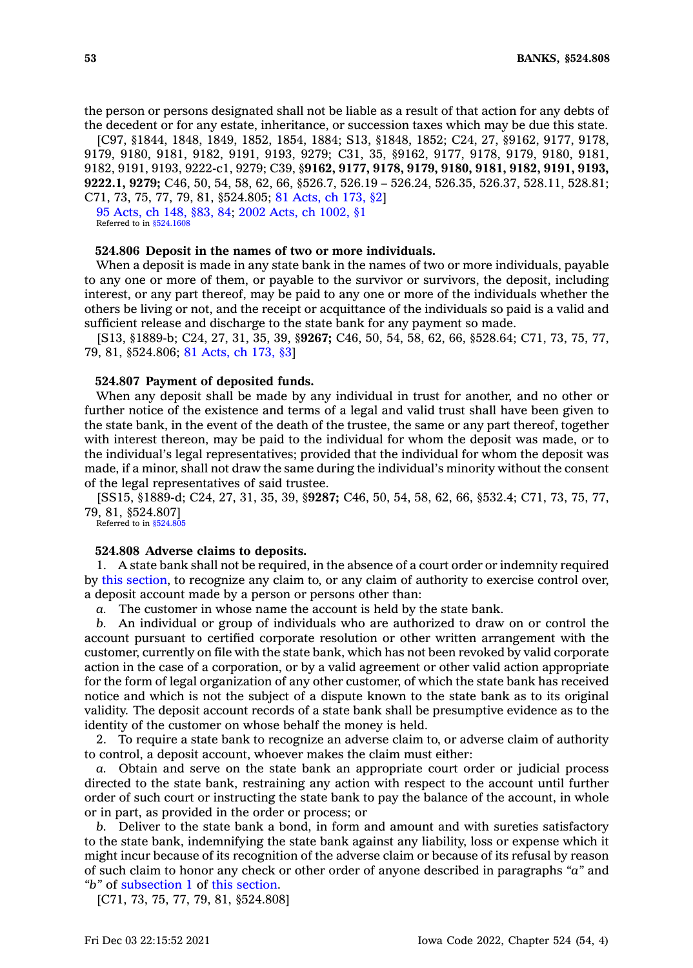the person or persons designated shall not be liable as <sup>a</sup> result of that action for any debts of the decedent or for any estate, inheritance, or succession taxes which may be due this state.

[C97, §1844, 1848, 1849, 1852, 1854, 1884; S13, §1848, 1852; C24, 27, §9162, 9177, 9178, 9179, 9180, 9181, 9182, 9191, 9193, 9279; C31, 35, §9162, 9177, 9178, 9179, 9180, 9181, 9182, 9191, 9193, 9222-c1, 9279; C39, §**9162, 9177, 9178, 9179, 9180, 9181, 9182, 9191, 9193, 9222.1, 9279;** C46, 50, 54, 58, 62, 66, §526.7, 526.19 – 526.24, 526.35, 526.37, 528.11, 528.81; C71, 73, 75, 77, 79, 81, §524.805; 81 [Acts,](https://www.legis.iowa.gov/docs/acts/1981/CH0173.pdf) ch 173, §2]

95 [Acts,](https://www.legis.iowa.gov/docs/acts/1995/CH0148.pdf) ch 148, §83, 84; 2002 Acts, ch [1002,](https://www.legis.iowa.gov/docs/acts/2002/CH1002.pdf) §1 Referred to in  $$524.160$ 

#### **524.806 Deposit in the names of two or more individuals.**

When <sup>a</sup> deposit is made in any state bank in the names of two or more individuals, payable to any one or more of them, or payable to the survivor or survivors, the deposit, including interest, or any part thereof, may be paid to any one or more of the individuals whether the others be living or not, and the receipt or acquittance of the individuals so paid is <sup>a</sup> valid and sufficient release and discharge to the state bank for any payment so made.

[S13, §1889-b; C24, 27, 31, 35, 39, §**9267;** C46, 50, 54, 58, 62, 66, §528.64; C71, 73, 75, 77, 79, 81, §524.806; 81 [Acts,](https://www.legis.iowa.gov/docs/acts/1981/CH0173.pdf) ch 173, §3]

### **524.807 Payment of deposited funds.**

When any deposit shall be made by any individual in trust for another, and no other or further notice of the existence and terms of <sup>a</sup> legal and valid trust shall have been given to the state bank, in the event of the death of the trustee, the same or any part thereof, together with interest thereon, may be paid to the individual for whom the deposit was made, or to the individual's legal representatives; provided that the individual for whom the deposit was made, if <sup>a</sup> minor, shall not draw the same during the individual's minority without the consent of the legal representatives of said trustee.

[SS15, §1889-d; C24, 27, 31, 35, 39, §**9287;** C46, 50, 54, 58, 62, 66, §532.4; C71, 73, 75, 77, 79, 81, §524.807]

Referred to in [§524.805](https://www.legis.iowa.gov/docs/code/524.805.pdf)

### **524.808 Adverse claims to deposits.**

1. A state bank shall not be required, in the absence of <sup>a</sup> court order or indemnity required by this [section](https://www.legis.iowa.gov/docs/code/524.808.pdf), to recognize any claim to, or any claim of authority to exercise control over, <sup>a</sup> deposit account made by <sup>a</sup> person or persons other than:

*a.* The customer in whose name the account is held by the state bank.

*b.* An individual or group of individuals who are authorized to draw on or control the account pursuant to certified corporate resolution or other written arrangement with the customer, currently on file with the state bank, which has not been revoked by valid corporate action in the case of <sup>a</sup> corporation, or by <sup>a</sup> valid agreement or other valid action appropriate for the form of legal organization of any other customer, of which the state bank has received notice and which is not the subject of <sup>a</sup> dispute known to the state bank as to its original validity. The deposit account records of <sup>a</sup> state bank shall be presumptive evidence as to the identity of the customer on whose behalf the money is held.

2. To require <sup>a</sup> state bank to recognize an adverse claim to, or adverse claim of authority to control, <sup>a</sup> deposit account, whoever makes the claim must either:

*a.* Obtain and serve on the state bank an appropriate court order or judicial process directed to the state bank, restraining any action with respect to the account until further order of such court or instructing the state bank to pay the balance of the account, in whole or in part, as provided in the order or process; or

*b.* Deliver to the state bank <sup>a</sup> bond, in form and amount and with sureties satisfactory to the state bank, indemnifying the state bank against any liability, loss or expense which it might incur because of its recognition of the adverse claim or because of its refusal by reason of such claim to honor any check or other order of anyone described in paragraphs *"a"* and *"b"* of [subsection](https://www.legis.iowa.gov/docs/code/524.808.pdf) 1 of this [section](https://www.legis.iowa.gov/docs/code/524.808.pdf).

[C71, 73, 75, 77, 79, 81, §524.808]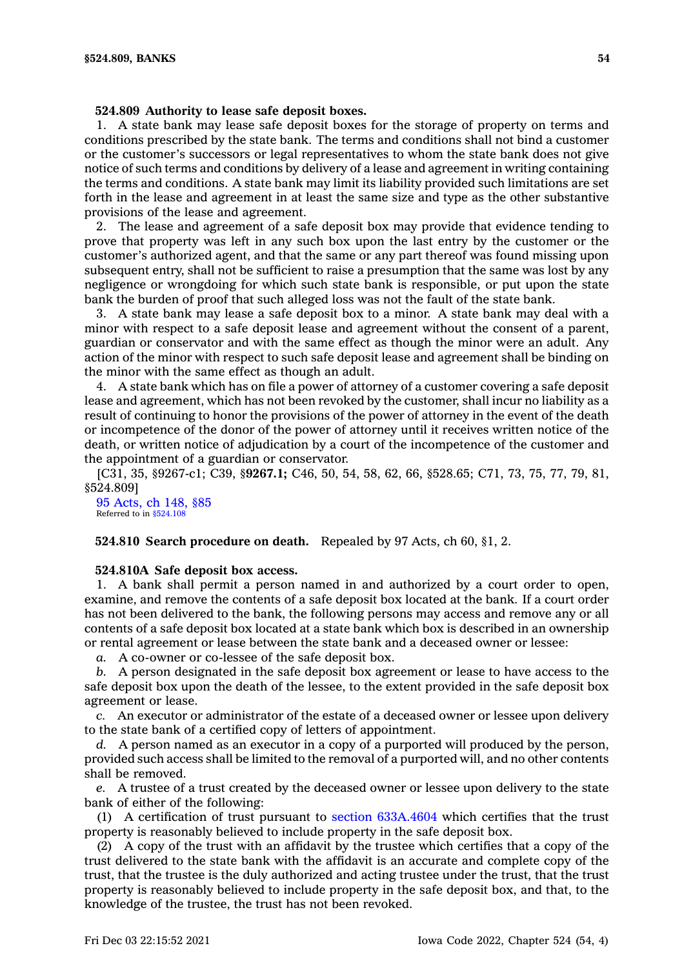### **524.809 Authority to lease safe deposit boxes.**

1. A state bank may lease safe deposit boxes for the storage of property on terms and conditions prescribed by the state bank. The terms and conditions shall not bind <sup>a</sup> customer or the customer's successors or legal representatives to whom the state bank does not give notice of such terms and conditions by delivery of <sup>a</sup> lease and agreement in writing containing the terms and conditions. A state bank may limit its liability provided such limitations are set forth in the lease and agreement in at least the same size and type as the other substantive provisions of the lease and agreement.

2. The lease and agreement of <sup>a</sup> safe deposit box may provide that evidence tending to prove that property was left in any such box upon the last entry by the customer or the customer's authorized agent, and that the same or any part thereof was found missing upon subsequent entry, shall not be sufficient to raise <sup>a</sup> presumption that the same was lost by any negligence or wrongdoing for which such state bank is responsible, or put upon the state bank the burden of proof that such alleged loss was not the fault of the state bank.

3. A state bank may lease <sup>a</sup> safe deposit box to <sup>a</sup> minor. A state bank may deal with <sup>a</sup> minor with respect to <sup>a</sup> safe deposit lease and agreement without the consent of <sup>a</sup> parent, guardian or conservator and with the same effect as though the minor were an adult. Any action of the minor with respect to such safe deposit lease and agreement shall be binding on the minor with the same effect as though an adult.

4. A state bank which has on file <sup>a</sup> power of attorney of <sup>a</sup> customer covering <sup>a</sup> safe deposit lease and agreement, which has not been revoked by the customer, shall incur no liability as <sup>a</sup> result of continuing to honor the provisions of the power of attorney in the event of the death or incompetence of the donor of the power of attorney until it receives written notice of the death, or written notice of adjudication by <sup>a</sup> court of the incompetence of the customer and the appointment of <sup>a</sup> guardian or conservator.

[C31, 35, §9267-c1; C39, §**9267.1;** C46, 50, 54, 58, 62, 66, §528.65; C71, 73, 75, 77, 79, 81, §524.809]

95 [Acts,](https://www.legis.iowa.gov/docs/acts/1995/CH0148.pdf) ch 148, §85 Referred to in [§524.108](https://www.legis.iowa.gov/docs/code/524.108.pdf)

**524.810 Search procedure on death.** Repealed by 97 Acts, ch 60, §1, 2.

### **524.810A Safe deposit box access.**

1. A bank shall permit <sup>a</sup> person named in and authorized by <sup>a</sup> court order to open, examine, and remove the contents of <sup>a</sup> safe deposit box located at the bank. If <sup>a</sup> court order has not been delivered to the bank, the following persons may access and remove any or all contents of <sup>a</sup> safe deposit box located at <sup>a</sup> state bank which box is described in an ownership or rental agreement or lease between the state bank and <sup>a</sup> deceased owner or lessee:

*a.* A co-owner or co-lessee of the safe deposit box.

*b.* A person designated in the safe deposit box agreement or lease to have access to the safe deposit box upon the death of the lessee, to the extent provided in the safe deposit box agreement or lease.

*c.* An executor or administrator of the estate of <sup>a</sup> deceased owner or lessee upon delivery to the state bank of <sup>a</sup> certified copy of letters of appointment.

*d.* A person named as an executor in <sup>a</sup> copy of <sup>a</sup> purported will produced by the person, provided such access shall be limited to the removal of <sup>a</sup> purported will, and no other contents shall be removed.

*e.* A trustee of <sup>a</sup> trust created by the deceased owner or lessee upon delivery to the state bank of either of the following:

(1) A certification of trust pursuant to section [633A.4604](https://www.legis.iowa.gov/docs/code/633A.4604.pdf) which certifies that the trust property is reasonably believed to include property in the safe deposit box.

(2) A copy of the trust with an affidavit by the trustee which certifies that <sup>a</sup> copy of the trust delivered to the state bank with the affidavit is an accurate and complete copy of the trust, that the trustee is the duly authorized and acting trustee under the trust, that the trust property is reasonably believed to include property in the safe deposit box, and that, to the knowledge of the trustee, the trust has not been revoked.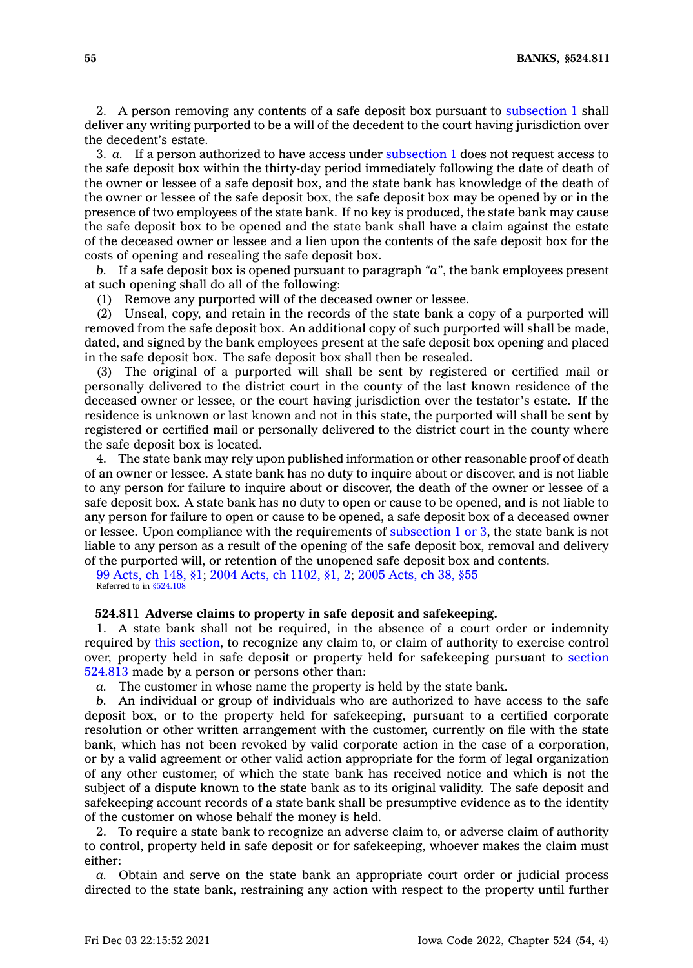2. A person removing any contents of <sup>a</sup> safe deposit box pursuant to [subsection](https://www.legis.iowa.gov/docs/code/524.810A.pdf) 1 shall deliver any writing purported to be <sup>a</sup> will of the decedent to the court having jurisdiction over the decedent's estate.

3. *a.* If <sup>a</sup> person authorized to have access under [subsection](https://www.legis.iowa.gov/docs/code/524.810A.pdf) 1 does not request access to the safe deposit box within the thirty-day period immediately following the date of death of the owner or lessee of <sup>a</sup> safe deposit box, and the state bank has knowledge of the death of the owner or lessee of the safe deposit box, the safe deposit box may be opened by or in the presence of two employees of the state bank. If no key is produced, the state bank may cause the safe deposit box to be opened and the state bank shall have <sup>a</sup> claim against the estate of the deceased owner or lessee and <sup>a</sup> lien upon the contents of the safe deposit box for the costs of opening and resealing the safe deposit box.

*b.* If <sup>a</sup> safe deposit box is opened pursuant to paragraph *"a"*, the bank employees present at such opening shall do all of the following:

(1) Remove any purported will of the deceased owner or lessee.

(2) Unseal, copy, and retain in the records of the state bank <sup>a</sup> copy of <sup>a</sup> purported will removed from the safe deposit box. An additional copy of such purported will shall be made, dated, and signed by the bank employees present at the safe deposit box opening and placed in the safe deposit box. The safe deposit box shall then be resealed.

(3) The original of <sup>a</sup> purported will shall be sent by registered or certified mail or personally delivered to the district court in the county of the last known residence of the deceased owner or lessee, or the court having jurisdiction over the testator's estate. If the residence is unknown or last known and not in this state, the purported will shall be sent by registered or certified mail or personally delivered to the district court in the county where the safe deposit box is located.

4. The state bank may rely upon published information or other reasonable proof of death of an owner or lessee. A state bank has no duty to inquire about or discover, and is not liable to any person for failure to inquire about or discover, the death of the owner or lessee of <sup>a</sup> safe deposit box. A state bank has no duty to open or cause to be opened, and is not liable to any person for failure to open or cause to be opened, <sup>a</sup> safe deposit box of <sup>a</sup> deceased owner or lessee. Upon compliance with the requirements of [subsection](https://www.legis.iowa.gov/docs/code/524.810A.pdf) 1 or 3, the state bank is not liable to any person as <sup>a</sup> result of the opening of the safe deposit box, removal and delivery of the purported will, or retention of the unopened safe deposit box and contents.

99 [Acts,](https://www.legis.iowa.gov/docs/acts/1999/CH0148.pdf) ch 148, §1; 2004 Acts, ch [1102,](https://www.legis.iowa.gov/docs/acts/2004/CH1102.pdf) §1, 2; 2005 [Acts,](https://www.legis.iowa.gov/docs/acts/2005/CH0038.pdf) ch 38, §55 Referred to in [§524.108](https://www.legis.iowa.gov/docs/code/524.108.pdf)

### **524.811 Adverse claims to property in safe deposit and safekeeping.**

1. A state bank shall not be required, in the absence of <sup>a</sup> court order or indemnity required by this [section](https://www.legis.iowa.gov/docs/code/524.811.pdf), to recognize any claim to, or claim of authority to exercise control over, property held in safe deposit or property held for safekeeping pursuant to [section](https://www.legis.iowa.gov/docs/code/524.813.pdf) [524.813](https://www.legis.iowa.gov/docs/code/524.813.pdf) made by <sup>a</sup> person or persons other than:

*a.* The customer in whose name the property is held by the state bank.

*b.* An individual or group of individuals who are authorized to have access to the safe deposit box, or to the property held for safekeeping, pursuant to <sup>a</sup> certified corporate resolution or other written arrangement with the customer, currently on file with the state bank, which has not been revoked by valid corporate action in the case of <sup>a</sup> corporation, or by <sup>a</sup> valid agreement or other valid action appropriate for the form of legal organization of any other customer, of which the state bank has received notice and which is not the subject of <sup>a</sup> dispute known to the state bank as to its original validity. The safe deposit and safekeeping account records of <sup>a</sup> state bank shall be presumptive evidence as to the identity of the customer on whose behalf the money is held.

2. To require <sup>a</sup> state bank to recognize an adverse claim to, or adverse claim of authority to control, property held in safe deposit or for safekeeping, whoever makes the claim must either:

*a.* Obtain and serve on the state bank an appropriate court order or judicial process directed to the state bank, restraining any action with respect to the property until further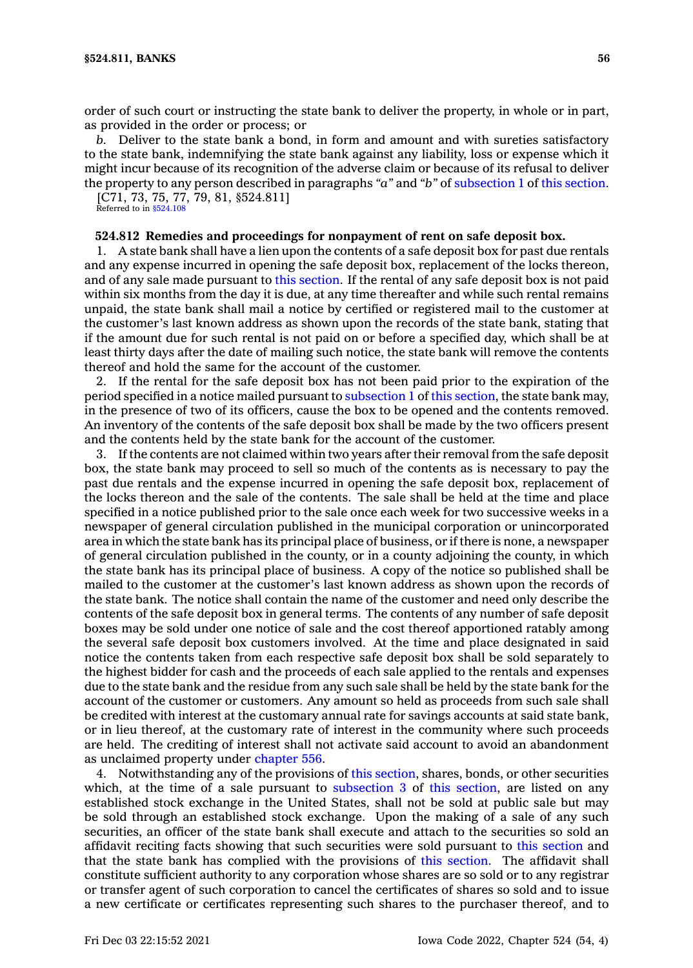order of such court or instructing the state bank to deliver the property, in whole or in part, as provided in the order or process; or

*b.* Deliver to the state bank <sup>a</sup> bond, in form and amount and with sureties satisfactory to the state bank, indemnifying the state bank against any liability, loss or expense which it might incur because of its recognition of the adverse claim or because of its refusal to deliver the property to any person described in paragraphs *"a"* and *"b"* of [subsection](https://www.legis.iowa.gov/docs/code/524.811.pdf) 1 of this [section](https://www.legis.iowa.gov/docs/code/524.811.pdf).

[C71, 73, 75, 77, 79, 81, §524.811] Referred to in [§524.108](https://www.legis.iowa.gov/docs/code/524.108.pdf)

## **524.812 Remedies and proceedings for nonpayment of rent on safe deposit box.**

1. A state bank shall have <sup>a</sup> lien upon the contents of <sup>a</sup> safe deposit box for past due rentals and any expense incurred in opening the safe deposit box, replacement of the locks thereon, and of any sale made pursuant to this [section](https://www.legis.iowa.gov/docs/code/524.812.pdf). If the rental of any safe deposit box is not paid within six months from the day it is due, at any time thereafter and while such rental remains unpaid, the state bank shall mail <sup>a</sup> notice by certified or registered mail to the customer at the customer's last known address as shown upon the records of the state bank, stating that if the amount due for such rental is not paid on or before <sup>a</sup> specified day, which shall be at least thirty days after the date of mailing such notice, the state bank will remove the contents thereof and hold the same for the account of the customer.

2. If the rental for the safe deposit box has not been paid prior to the expiration of the period specified in <sup>a</sup> notice mailed pursuant to [subsection](https://www.legis.iowa.gov/docs/code/524.812.pdf) 1 of this [section](https://www.legis.iowa.gov/docs/code/524.812.pdf), the state bank may, in the presence of two of its officers, cause the box to be opened and the contents removed. An inventory of the contents of the safe deposit box shall be made by the two officers present and the contents held by the state bank for the account of the customer.

3. If the contents are not claimed within two years after their removal from the safe deposit box, the state bank may proceed to sell so much of the contents as is necessary to pay the past due rentals and the expense incurred in opening the safe deposit box, replacement of the locks thereon and the sale of the contents. The sale shall be held at the time and place specified in <sup>a</sup> notice published prior to the sale once each week for two successive weeks in <sup>a</sup> newspaper of general circulation published in the municipal corporation or unincorporated area in which the state bank has its principal place of business, or if there is none, <sup>a</sup> newspaper of general circulation published in the county, or in <sup>a</sup> county adjoining the county, in which the state bank has its principal place of business. A copy of the notice so published shall be mailed to the customer at the customer's last known address as shown upon the records of the state bank. The notice shall contain the name of the customer and need only describe the contents of the safe deposit box in general terms. The contents of any number of safe deposit boxes may be sold under one notice of sale and the cost thereof apportioned ratably among the several safe deposit box customers involved. At the time and place designated in said notice the contents taken from each respective safe deposit box shall be sold separately to the highest bidder for cash and the proceeds of each sale applied to the rentals and expenses due to the state bank and the residue from any such sale shall be held by the state bank for the account of the customer or customers. Any amount so held as proceeds from such sale shall be credited with interest at the customary annual rate for savings accounts at said state bank, or in lieu thereof, at the customary rate of interest in the community where such proceeds are held. The crediting of interest shall not activate said account to avoid an abandonment as unclaimed property under [chapter](https://www.legis.iowa.gov/docs/code//556.pdf) 556.

4. Notwithstanding any of the provisions of this [section](https://www.legis.iowa.gov/docs/code/524.812.pdf), shares, bonds, or other securities which, at the time of a sale pursuant to [subsection](https://www.legis.iowa.gov/docs/code/524.812.pdf) 3 of this [section](https://www.legis.iowa.gov/docs/code/524.812.pdf), are listed on any established stock exchange in the United States, shall not be sold at public sale but may be sold through an established stock exchange. Upon the making of <sup>a</sup> sale of any such securities, an officer of the state bank shall execute and attach to the securities so sold an affidavit reciting facts showing that such securities were sold pursuant to this [section](https://www.legis.iowa.gov/docs/code/524.812.pdf) and that the state bank has complied with the provisions of this [section](https://www.legis.iowa.gov/docs/code/524.812.pdf). The affidavit shall constitute sufficient authority to any corporation whose shares are so sold or to any registrar or transfer agent of such corporation to cancel the certificates of shares so sold and to issue <sup>a</sup> new certificate or certificates representing such shares to the purchaser thereof, and to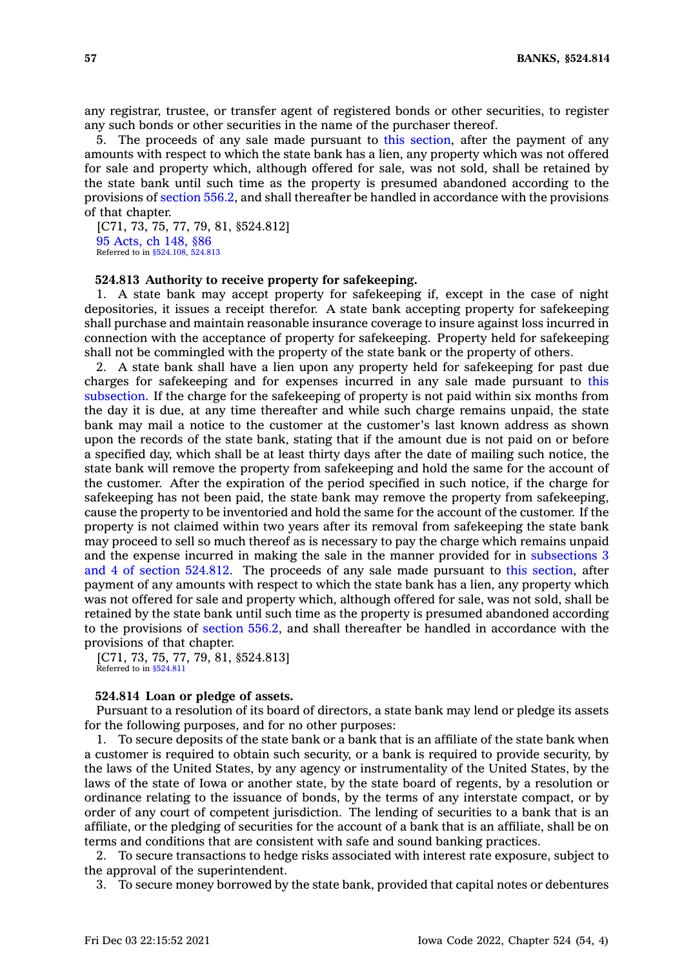any registrar, trustee, or transfer agent of registered bonds or other securities, to register any such bonds or other securities in the name of the purchaser thereof.

5. The proceeds of any sale made pursuant to this [section](https://www.legis.iowa.gov/docs/code/524.812.pdf), after the payment of any amounts with respect to which the state bank has <sup>a</sup> lien, any property which was not offered for sale and property which, although offered for sale, was not sold, shall be retained by the state bank until such time as the property is presumed abandoned according to the provisions of [section](https://www.legis.iowa.gov/docs/code/556.2.pdf) 556.2, and shall thereafter be handled in accordance with the provisions of that chapter.

[C71, 73, 75, 77, 79, 81, §524.812] 95 [Acts,](https://www.legis.iowa.gov/docs/acts/1995/CH0148.pdf) ch 148, §86 Referred to in [§524.108](https://www.legis.iowa.gov/docs/code/524.108.pdf), [524.813](https://www.legis.iowa.gov/docs/code/524.813.pdf)

## **524.813 Authority to receive property for safekeeping.**

1. A state bank may accept property for safekeeping if, except in the case of night depositories, it issues <sup>a</sup> receipt therefor. A state bank accepting property for safekeeping shall purchase and maintain reasonable insurance coverage to insure against loss incurred in connection with the acceptance of property for safekeeping. Property held for safekeeping shall not be commingled with the property of the state bank or the property of others.

2. A state bank shall have <sup>a</sup> lien upon any property held for safekeeping for past due charges for safekeeping and for expenses incurred in any sale made pursuant to [this](https://www.legis.iowa.gov/docs/code/524.813.pdf) [subsection](https://www.legis.iowa.gov/docs/code/524.813.pdf). If the charge for the safekeeping of property is not paid within six months from the day it is due, at any time thereafter and while such charge remains unpaid, the state bank may mail <sup>a</sup> notice to the customer at the customer's last known address as shown upon the records of the state bank, stating that if the amount due is not paid on or before <sup>a</sup> specified day, which shall be at least thirty days after the date of mailing such notice, the state bank will remove the property from safekeeping and hold the same for the account of the customer. After the expiration of the period specified in such notice, if the charge for safekeeping has not been paid, the state bank may remove the property from safekeeping, cause the property to be inventoried and hold the same for the account of the customer. If the property is not claimed within two years after its removal from safekeeping the state bank may proceed to sell so much thereof as is necessary to pay the charge which remains unpaid and the expense incurred in making the sale in the manner provided for in [subsections](https://www.legis.iowa.gov/docs/code/524.812.pdf) 3 and 4 of section [524.812](https://www.legis.iowa.gov/docs/code/524.812.pdf). The proceeds of any sale made pursuant to this [section](https://www.legis.iowa.gov/docs/code/524.813.pdf), after payment of any amounts with respect to which the state bank has <sup>a</sup> lien, any property which was not offered for sale and property which, although offered for sale, was not sold, shall be retained by the state bank until such time as the property is presumed abandoned according to the provisions of [section](https://www.legis.iowa.gov/docs/code/556.2.pdf) 556.2, and shall thereafter be handled in accordance with the provisions of that chapter.

[C71, 73, 75, 77, 79, 81, §524.813] Referred to in [§524.811](https://www.legis.iowa.gov/docs/code/524.811.pdf)

### **524.814 Loan or pledge of assets.**

Pursuant to <sup>a</sup> resolution of its board of directors, <sup>a</sup> state bank may lend or pledge its assets for the following purposes, and for no other purposes:

1. To secure deposits of the state bank or <sup>a</sup> bank that is an affiliate of the state bank when <sup>a</sup> customer is required to obtain such security, or <sup>a</sup> bank is required to provide security, by the laws of the United States, by any agency or instrumentality of the United States, by the laws of the state of Iowa or another state, by the state board of regents, by <sup>a</sup> resolution or ordinance relating to the issuance of bonds, by the terms of any interstate compact, or by order of any court of competent jurisdiction. The lending of securities to <sup>a</sup> bank that is an affiliate, or the pledging of securities for the account of <sup>a</sup> bank that is an affiliate, shall be on terms and conditions that are consistent with safe and sound banking practices.

2. To secure transactions to hedge risks associated with interest rate exposure, subject to the approval of the superintendent.

3. To secure money borrowed by the state bank, provided that capital notes or debentures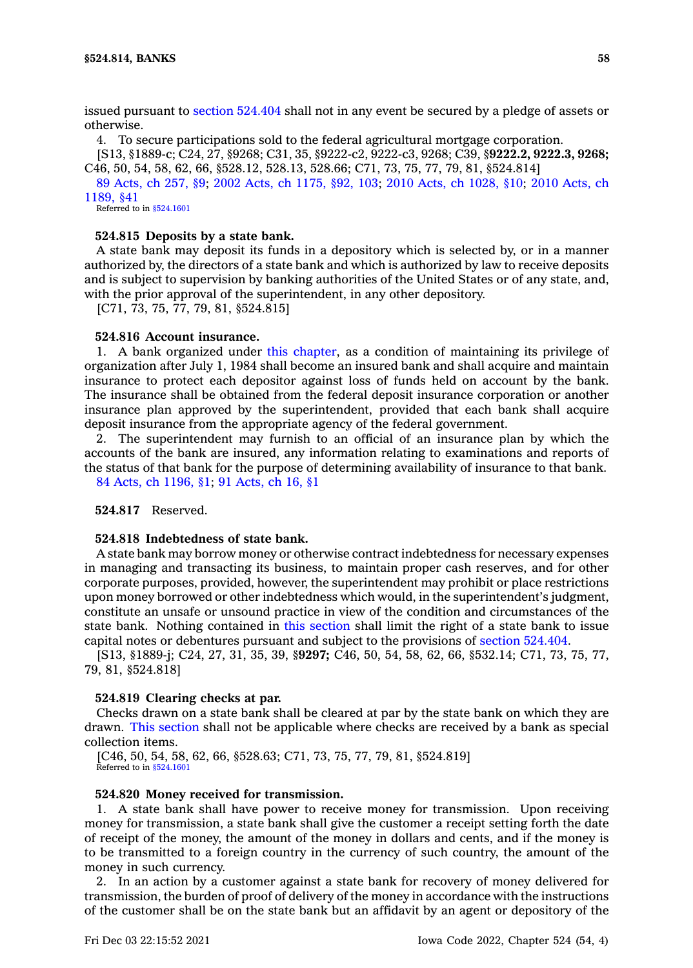issued pursuant to section [524.404](https://www.legis.iowa.gov/docs/code/524.404.pdf) shall not in any event be secured by <sup>a</sup> pledge of assets or otherwise.

4. To secure participations sold to the federal agricultural mortgage corporation.

[S13, §1889-c; C24, 27, §9268; C31, 35, §9222-c2, 9222-c3, 9268; C39, §**9222.2, 9222.3, 9268;** C46, 50, 54, 58, 62, 66, §528.12, 528.13, 528.66; C71, 73, 75, 77, 79, 81, §524.814]

89 [Acts,](https://www.legis.iowa.gov/docs/acts/1989/CH0257.pdf) ch 257, §9; 2002 Acts, ch [1175,](https://www.legis.iowa.gov/docs/acts/2002/CH1175.pdf) §92, 103; 2010 Acts, ch [1028,](https://www.legis.iowa.gov/docs/acts/2010/CH1028.pdf) §10; 2010 [Acts,](https://www.legis.iowa.gov/docs/acts/2010/CH1189.pdf) ch [1189,](https://www.legis.iowa.gov/docs/acts/2010/CH1189.pdf) §41

Referred to in [§524.1601](https://www.legis.iowa.gov/docs/code/524.1601.pdf)

### **524.815 Deposits by <sup>a</sup> state bank.**

A state bank may deposit its funds in <sup>a</sup> depository which is selected by, or in <sup>a</sup> manner authorized by, the directors of <sup>a</sup> state bank and which is authorized by law to receive deposits and is subject to supervision by banking authorities of the United States or of any state, and, with the prior approval of the superintendent, in any other depository.

[C71, 73, 75, 77, 79, 81, §524.815]

#### **524.816 Account insurance.**

1. A bank organized under this [chapter](https://www.legis.iowa.gov/docs/code//524.pdf), as <sup>a</sup> condition of maintaining its privilege of organization after July 1, 1984 shall become an insured bank and shall acquire and maintain insurance to protect each depositor against loss of funds held on account by the bank. The insurance shall be obtained from the federal deposit insurance corporation or another insurance plan approved by the superintendent, provided that each bank shall acquire deposit insurance from the appropriate agency of the federal government.

2. The superintendent may furnish to an official of an insurance plan by which the accounts of the bank are insured, any information relating to examinations and reports of the status of that bank for the purpose of determining availability of insurance to that bank. 84 Acts, ch [1196,](https://www.legis.iowa.gov/docs/acts/1984/CH1196.pdf) §1; 91 [Acts,](https://www.legis.iowa.gov/docs/acts/1991/CH0016.pdf) ch 16, §1

**524.817** Reserved.

## **524.818 Indebtedness of state bank.**

A state bank may borrow money or otherwise contract indebtedness for necessary expenses in managing and transacting its business, to maintain proper cash reserves, and for other corporate purposes, provided, however, the superintendent may prohibit or place restrictions upon money borrowed or other indebtedness which would, in the superintendent's judgment, constitute an unsafe or unsound practice in view of the condition and circumstances of the state bank. Nothing contained in this [section](https://www.legis.iowa.gov/docs/code/524.818.pdf) shall limit the right of <sup>a</sup> state bank to issue capital notes or debentures pursuant and subject to the provisions of section [524.404](https://www.legis.iowa.gov/docs/code/524.404.pdf).

[S13, §1889-j; C24, 27, 31, 35, 39, §**9297;** C46, 50, 54, 58, 62, 66, §532.14; C71, 73, 75, 77, 79, 81, §524.818]

#### **524.819 Clearing checks at par.**

Checks drawn on <sup>a</sup> state bank shall be cleared at par by the state bank on which they are drawn. This [section](https://www.legis.iowa.gov/docs/code/524.819.pdf) shall not be applicable where checks are received by <sup>a</sup> bank as special collection items.

[C46, 50, 54, 58, 62, 66, §528.63; C71, 73, 75, 77, 79, 81, §524.819] Referred to in [§524.1601](https://www.legis.iowa.gov/docs/code/524.1601.pdf)

## **524.820 Money received for transmission.**

1. A state bank shall have power to receive money for transmission. Upon receiving money for transmission, <sup>a</sup> state bank shall give the customer <sup>a</sup> receipt setting forth the date of receipt of the money, the amount of the money in dollars and cents, and if the money is to be transmitted to <sup>a</sup> foreign country in the currency of such country, the amount of the money in such currency.

2. In an action by <sup>a</sup> customer against <sup>a</sup> state bank for recovery of money delivered for transmission, the burden of proof of delivery of the money in accordance with the instructions of the customer shall be on the state bank but an affidavit by an agent or depository of the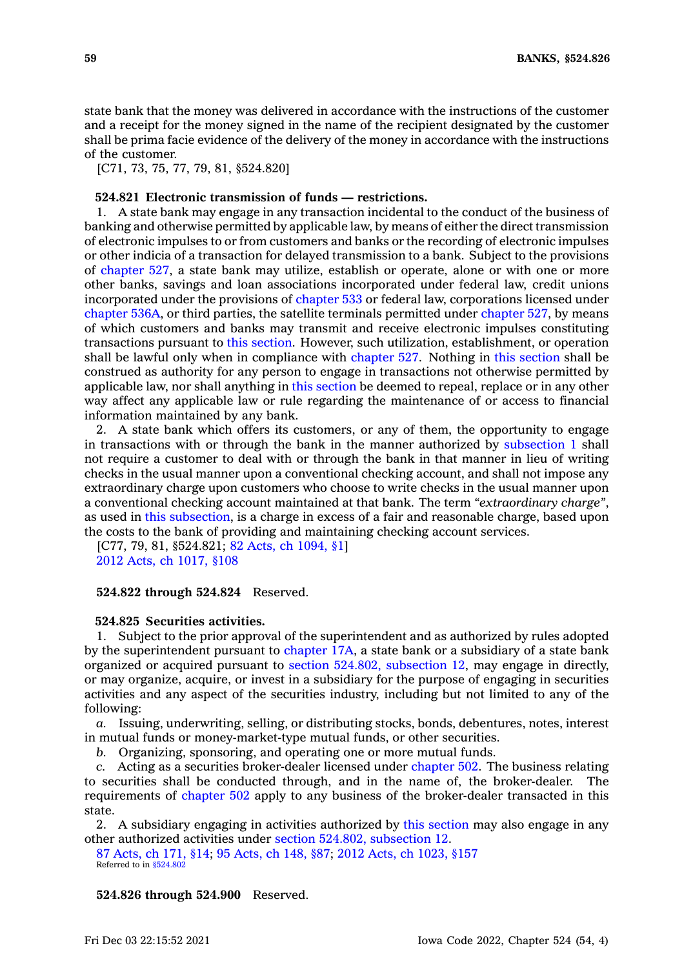state bank that the money was delivered in accordance with the instructions of the customer and <sup>a</sup> receipt for the money signed in the name of the recipient designated by the customer shall be prima facie evidence of the delivery of the money in accordance with the instructions of the customer.

[C71, 73, 75, 77, 79, 81, §524,820]

# **524.821 Electronic transmission of funds — restrictions.**

1. A state bank may engage in any transaction incidental to the conduct of the business of banking and otherwise permitted by applicable law, by means of either the direct transmission of electronic impulses to or from customers and banks or the recording of electronic impulses or other indicia of <sup>a</sup> transaction for delayed transmission to <sup>a</sup> bank. Subject to the provisions of [chapter](https://www.legis.iowa.gov/docs/code//527.pdf) 527, <sup>a</sup> state bank may utilize, establish or operate, alone or with one or more other banks, savings and loan associations incorporated under federal law, credit unions incorporated under the provisions of [chapter](https://www.legis.iowa.gov/docs/code//533.pdf) 533 or federal law, corporations licensed under [chapter](https://www.legis.iowa.gov/docs/code//536A.pdf) 536A, or third parties, the satellite terminals permitted under [chapter](https://www.legis.iowa.gov/docs/code//527.pdf) 527, by means of which customers and banks may transmit and receive electronic impulses constituting transactions pursuant to this [section](https://www.legis.iowa.gov/docs/code/524.821.pdf). However, such utilization, establishment, or operation shall be lawful only when in compliance with [chapter](https://www.legis.iowa.gov/docs/code//527.pdf) 527. Nothing in this [section](https://www.legis.iowa.gov/docs/code/524.821.pdf) shall be construed as authority for any person to engage in transactions not otherwise permitted by applicable law, nor shall anything in this [section](https://www.legis.iowa.gov/docs/code/524.821.pdf) be deemed to repeal, replace or in any other way affect any applicable law or rule regarding the maintenance of or access to financial information maintained by any bank.

2. A state bank which offers its customers, or any of them, the opportunity to engage in transactions with or through the bank in the manner authorized by [subsection](https://www.legis.iowa.gov/docs/code/524.821.pdf) 1 shall not require <sup>a</sup> customer to deal with or through the bank in that manner in lieu of writing checks in the usual manner upon <sup>a</sup> conventional checking account, and shall not impose any extraordinary charge upon customers who choose to write checks in the usual manner upon <sup>a</sup> conventional checking account maintained at that bank. The term *"extraordinary charge"*, as used in this [subsection](https://www.legis.iowa.gov/docs/code/524.821.pdf), is <sup>a</sup> charge in excess of <sup>a</sup> fair and reasonable charge, based upon the costs to the bank of providing and maintaining checking account services.

[C77, 79, 81, §524.821; 82 Acts, ch [1094,](https://www.legis.iowa.gov/docs/acts/1982/CH1094.pdf) §1] 2012 Acts, ch [1017,](https://www.legis.iowa.gov/docs/acts/2012/CH1017.pdf) §108

## **524.822 through 524.824** Reserved.

#### **524.825 Securities activities.**

1. Subject to the prior approval of the superintendent and as authorized by rules adopted by the superintendent pursuant to [chapter](https://www.legis.iowa.gov/docs/code//17A.pdf) 17A, <sup>a</sup> state bank or <sup>a</sup> subsidiary of <sup>a</sup> state bank organized or acquired pursuant to section 524.802, [subsection](https://www.legis.iowa.gov/docs/code/524.802.pdf) 12, may engage in directly, or may organize, acquire, or invest in <sup>a</sup> subsidiary for the purpose of engaging in securities activities and any aspect of the securities industry, including but not limited to any of the following:

*a.* Issuing, underwriting, selling, or distributing stocks, bonds, debentures, notes, interest in mutual funds or money-market-type mutual funds, or other securities.

*b.* Organizing, sponsoring, and operating one or more mutual funds.

*c.* Acting as <sup>a</sup> securities broker-dealer licensed under [chapter](https://www.legis.iowa.gov/docs/code//502.pdf) 502. The business relating to securities shall be conducted through, and in the name of, the broker-dealer. The requirements of [chapter](https://www.legis.iowa.gov/docs/code//502.pdf) 502 apply to any business of the broker-dealer transacted in this state.

2. A subsidiary engaging in activities authorized by this [section](https://www.legis.iowa.gov/docs/code/524.825.pdf) may also engage in any other authorized activities under section 524.802, [subsection](https://www.legis.iowa.gov/docs/code/524.802.pdf) 12.

87 [Acts,](https://www.legis.iowa.gov/docs/acts/1987/CH0171.pdf) ch 171, §14; 95 [Acts,](https://www.legis.iowa.gov/docs/acts/95/CH0148.pdf) ch 148, §87; 2012 Acts, ch [1023,](https://www.legis.iowa.gov/docs/acts/2012/CH1023.pdf) §157 Referred to in [§524.802](https://www.legis.iowa.gov/docs/code/524.802.pdf)

**524.826 through 524.900** Reserved.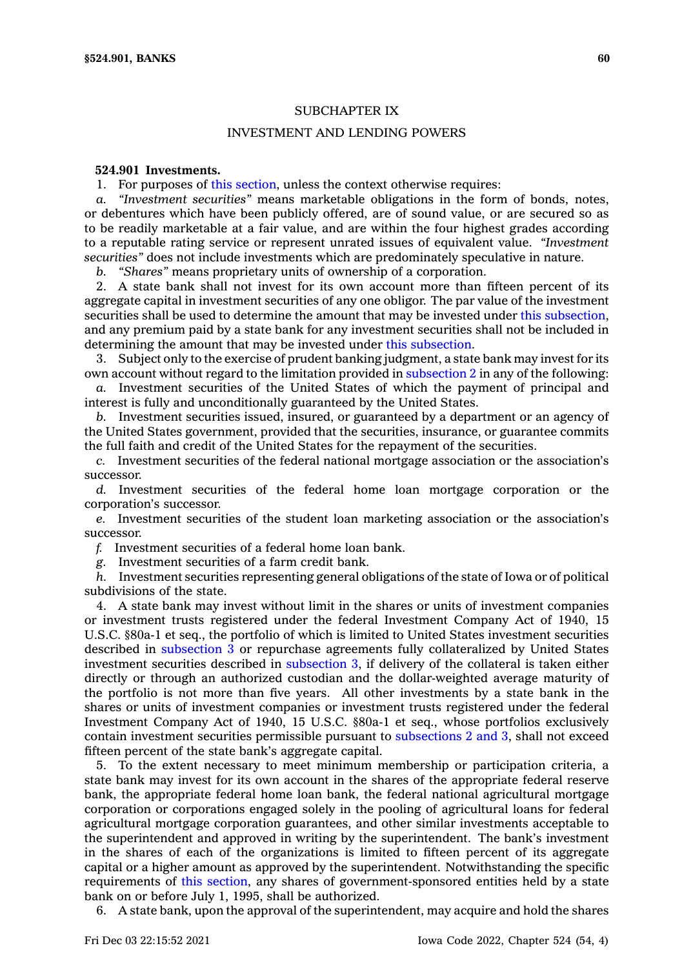## SUBCHAPTER IX

# INVESTMENT AND LENDING POWERS

## **524.901 Investments.**

1. For purposes of this [section](https://www.legis.iowa.gov/docs/code/524.901.pdf), unless the context otherwise requires:

*a. "Investment securities"* means marketable obligations in the form of bonds, notes, or debentures which have been publicly offered, are of sound value, or are secured so as to be readily marketable at <sup>a</sup> fair value, and are within the four highest grades according to <sup>a</sup> reputable rating service or represent unrated issues of equivalent value. *"Investment securities"* does not include investments which are predominately speculative in nature.

*b. "Shares"* means proprietary units of ownership of <sup>a</sup> corporation.

2. A state bank shall not invest for its own account more than fifteen percent of its aggregate capital in investment securities of any one obligor. The par value of the investment securities shall be used to determine the amount that may be invested under this [subsection](https://www.legis.iowa.gov/docs/code/524.901.pdf), and any premium paid by <sup>a</sup> state bank for any investment securities shall not be included in determining the amount that may be invested under this [subsection](https://www.legis.iowa.gov/docs/code/524.901.pdf).

3. Subject only to the exercise of prudent banking judgment, <sup>a</sup> state bank may invest for its own account without regard to the limitation provided in [subsection](https://www.legis.iowa.gov/docs/code/524.901.pdf) 2 in any of the following:

*a.* Investment securities of the United States of which the payment of principal and interest is fully and unconditionally guaranteed by the United States.

*b.* Investment securities issued, insured, or guaranteed by <sup>a</sup> department or an agency of the United States government, provided that the securities, insurance, or guarantee commits the full faith and credit of the United States for the repayment of the securities.

*c.* Investment securities of the federal national mortgage association or the association's successor.

*d.* Investment securities of the federal home loan mortgage corporation or the corporation's successor.

*e.* Investment securities of the student loan marketing association or the association's successor.

*f.* Investment securities of <sup>a</sup> federal home loan bank.

*g.* Investment securities of <sup>a</sup> farm credit bank.

*h.* Investment securities representing general obligations of the state of Iowa or of political subdivisions of the state.

4. A state bank may invest without limit in the shares or units of investment companies or investment trusts registered under the federal Investment Company Act of 1940, 15 U.S.C. §80a-1 et seq., the portfolio of which is limited to United States investment securities described in [subsection](https://www.legis.iowa.gov/docs/code/524.901.pdf) 3 or repurchase agreements fully collateralized by United States investment securities described in [subsection](https://www.legis.iowa.gov/docs/code/524.901.pdf) 3, if delivery of the collateral is taken either directly or through an authorized custodian and the dollar-weighted average maturity of the portfolio is not more than five years. All other investments by <sup>a</sup> state bank in the shares or units of investment companies or investment trusts registered under the federal Investment Company Act of 1940, 15 U.S.C. §80a-1 et seq., whose portfolios exclusively contain investment securities permissible pursuant to [subsections](https://www.legis.iowa.gov/docs/code/524.901.pdf) 2 and 3, shall not exceed fifteen percent of the state bank's aggregate capital.

5. To the extent necessary to meet minimum membership or participation criteria, <sup>a</sup> state bank may invest for its own account in the shares of the appropriate federal reserve bank, the appropriate federal home loan bank, the federal national agricultural mortgage corporation or corporations engaged solely in the pooling of agricultural loans for federal agricultural mortgage corporation guarantees, and other similar investments acceptable to the superintendent and approved in writing by the superintendent. The bank's investment in the shares of each of the organizations is limited to fifteen percent of its aggregate capital or <sup>a</sup> higher amount as approved by the superintendent. Notwithstanding the specific requirements of this [section](https://www.legis.iowa.gov/docs/code/524.901.pdf), any shares of government-sponsored entities held by <sup>a</sup> state bank on or before July 1, 1995, shall be authorized.

6. A state bank, upon the approval of the superintendent, may acquire and hold the shares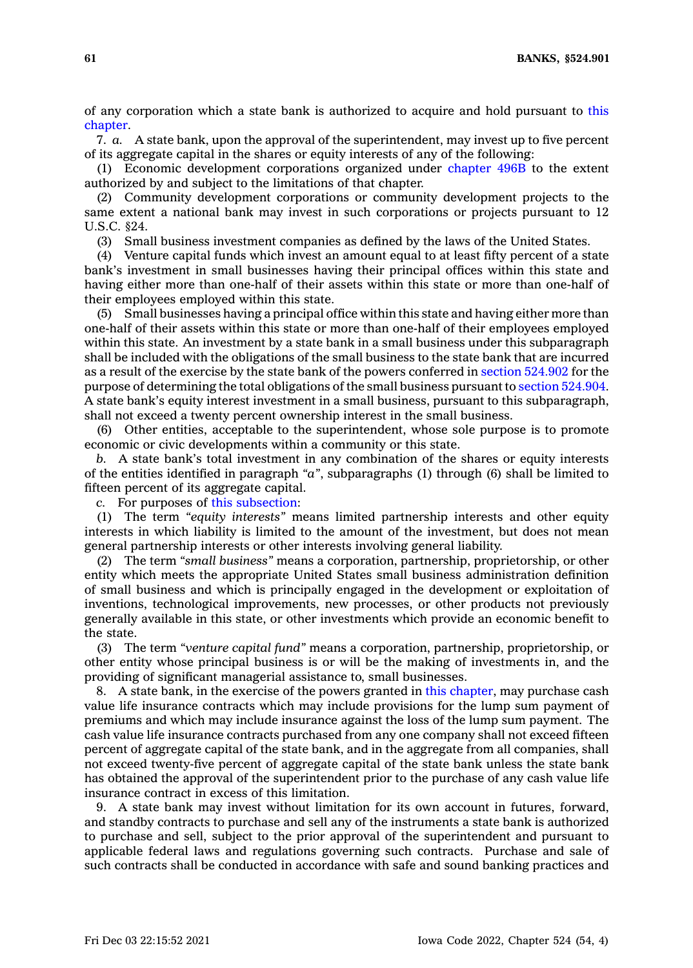**61 BANKS, §524.901**

of any corporation which <sup>a</sup> state bank is authorized to acquire and hold pursuant to [this](https://www.legis.iowa.gov/docs/code//524.pdf) [chapter](https://www.legis.iowa.gov/docs/code//524.pdf).

7. *a.* A state bank, upon the approval of the superintendent, may invest up to five percent of its aggregate capital in the shares or equity interests of any of the following:

(1) Economic development corporations organized under [chapter](https://www.legis.iowa.gov/docs/code//496B.pdf) 496B to the extent authorized by and subject to the limitations of that chapter.

(2) Community development corporations or community development projects to the same extent <sup>a</sup> national bank may invest in such corporations or projects pursuant to 12 U.S.C. §24.

(3) Small business investment companies as defined by the laws of the United States.

(4) Venture capital funds which invest an amount equal to at least fifty percent of <sup>a</sup> state bank's investment in small businesses having their principal offices within this state and having either more than one-half of their assets within this state or more than one-half of their employees employed within this state.

(5) Small businesses having <sup>a</sup> principal office within this state and having either more than one-half of their assets within this state or more than one-half of their employees employed within this state. An investment by <sup>a</sup> state bank in <sup>a</sup> small business under this subparagraph shall be included with the obligations of the small business to the state bank that are incurred as <sup>a</sup> result of the exercise by the state bank of the powers conferred in section [524.902](https://www.legis.iowa.gov/docs/code/524.902.pdf) for the purpose of determining the total obligations of the small business pursuant to section [524.904](https://www.legis.iowa.gov/docs/code/524.904.pdf). A state bank's equity interest investment in <sup>a</sup> small business, pursuant to this subparagraph, shall not exceed <sup>a</sup> twenty percent ownership interest in the small business.

(6) Other entities, acceptable to the superintendent, whose sole purpose is to promote economic or civic developments within <sup>a</sup> community or this state.

*b.* A state bank's total investment in any combination of the shares or equity interests of the entities identified in paragraph *"a"*, subparagraphs (1) through (6) shall be limited to fifteen percent of its aggregate capital.

*c.* For purposes of this [subsection](https://www.legis.iowa.gov/docs/code/524.901.pdf):

(1) The term *"equity interests"* means limited partnership interests and other equity interests in which liability is limited to the amount of the investment, but does not mean general partnership interests or other interests involving general liability.

(2) The term *"small business"* means <sup>a</sup> corporation, partnership, proprietorship, or other entity which meets the appropriate United States small business administration definition of small business and which is principally engaged in the development or exploitation of inventions, technological improvements, new processes, or other products not previously generally available in this state, or other investments which provide an economic benefit to the state.

(3) The term *"venture capital fund"* means <sup>a</sup> corporation, partnership, proprietorship, or other entity whose principal business is or will be the making of investments in, and the providing of significant managerial assistance to, small businesses.

8. A state bank, in the exercise of the powers granted in this [chapter](https://www.legis.iowa.gov/docs/code//524.pdf), may purchase cash value life insurance contracts which may include provisions for the lump sum payment of premiums and which may include insurance against the loss of the lump sum payment. The cash value life insurance contracts purchased from any one company shall not exceed fifteen percent of aggregate capital of the state bank, and in the aggregate from all companies, shall not exceed twenty-five percent of aggregate capital of the state bank unless the state bank has obtained the approval of the superintendent prior to the purchase of any cash value life insurance contract in excess of this limitation.

9. A state bank may invest without limitation for its own account in futures, forward, and standby contracts to purchase and sell any of the instruments <sup>a</sup> state bank is authorized to purchase and sell, subject to the prior approval of the superintendent and pursuant to applicable federal laws and regulations governing such contracts. Purchase and sale of such contracts shall be conducted in accordance with safe and sound banking practices and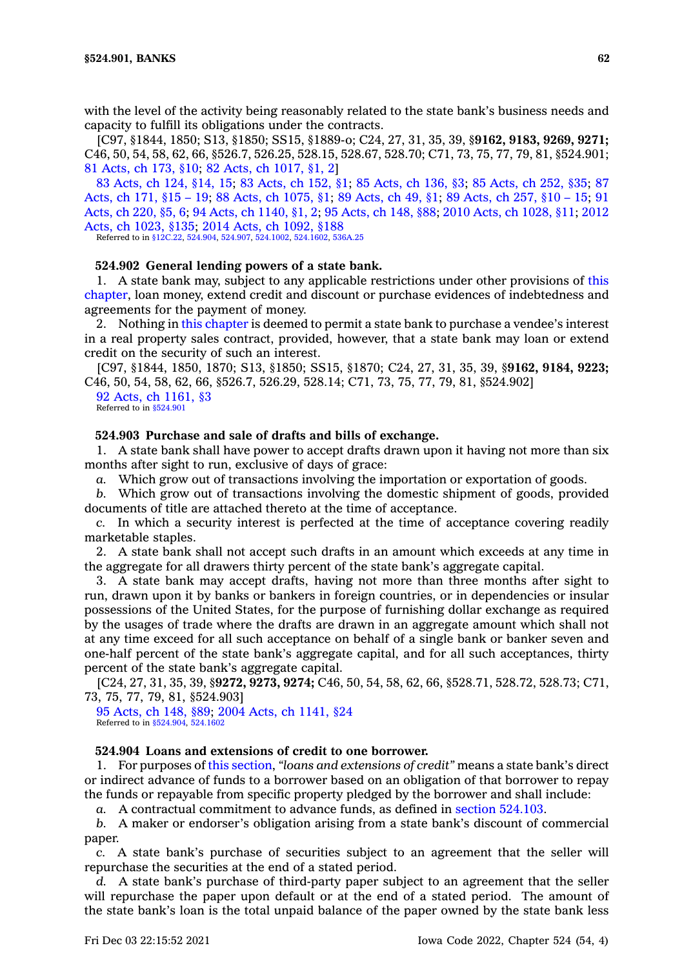with the level of the activity being reasonably related to the state bank's business needs and capacity to fulfill its obligations under the contracts.

[C97, §1844, 1850; S13, §1850; SS15, §1889-o; C24, 27, 31, 35, 39, §**9162, 9183, 9269, 9271;** C46, 50, 54, 58, 62, 66, §526.7, 526.25, 528.15, 528.67, 528.70; C71, 73, 75, 77, 79, 81, §524.901; 81 [Acts,](https://www.legis.iowa.gov/docs/acts/1981/CH0173.pdf) ch 173, §10; 82 Acts, ch [1017,](https://www.legis.iowa.gov/docs/acts/1982/CH1017.pdf) §1, 2]

83 [Acts,](https://www.legis.iowa.gov/docs/acts/1983/CH0124.pdf) ch 124, §14, 15; 83 [Acts,](https://www.legis.iowa.gov/docs/acts/83/CH0152.pdf) ch 152, §1; 85 [Acts,](https://www.legis.iowa.gov/docs/acts/85/CH0136.pdf) ch 136, §3; 85 [Acts,](https://www.legis.iowa.gov/docs/acts/85/CH0252.pdf) ch 252, §35; [87](https://www.legis.iowa.gov/docs/acts/87/CH0171.pdf) [Acts,](https://www.legis.iowa.gov/docs/acts/87/CH0171.pdf) ch 171, §15 – 19; 88 Acts, ch [1075,](https://www.legis.iowa.gov/docs/acts/88/CH1075.pdf) §1; 89 [Acts,](https://www.legis.iowa.gov/docs/acts/89/CH0049.pdf) ch 49, §1; 89 [Acts,](https://www.legis.iowa.gov/docs/acts/89/CH0257.pdf) ch 257, §10 – 15; [91](https://www.legis.iowa.gov/docs/acts/91/CH0220.pdf) [Acts,](https://www.legis.iowa.gov/docs/acts/91/CH0220.pdf) ch 220, §5, 6; 94 Acts, ch [1140,](https://www.legis.iowa.gov/docs/acts/94/CH1140.pdf) §1, 2; 95 [Acts,](https://www.legis.iowa.gov/docs/acts/95/CH0148.pdf) ch 148, §88; 2010 Acts, ch [1028,](https://www.legis.iowa.gov/docs/acts/2010/CH1028.pdf) §11; [2012](https://www.legis.iowa.gov/docs/acts/2012/CH1023.pdf) Acts, ch [1023,](https://www.legis.iowa.gov/docs/acts/2012/CH1023.pdf) §135; 2014 Acts, ch [1092,](https://www.legis.iowa.gov/docs/acts/2014/CH1092.pdf) §188

Referred to in [§12C.22](https://www.legis.iowa.gov/docs/code/12C.22.pdf), [524.904](https://www.legis.iowa.gov/docs/code/524.904.pdf), [524.907](https://www.legis.iowa.gov/docs/code/524.907.pdf), [524.1002](https://www.legis.iowa.gov/docs/code/524.1002.pdf), [524.1602](https://www.legis.iowa.gov/docs/code/524.1602.pdf), [536A.25](https://www.legis.iowa.gov/docs/code/536A.25.pdf)

## **524.902 General lending powers of <sup>a</sup> state bank.**

1. A state bank may, subject to any applicable restrictions under other provisions of [this](https://www.legis.iowa.gov/docs/code//524.pdf) [chapter](https://www.legis.iowa.gov/docs/code//524.pdf), loan money, extend credit and discount or purchase evidences of indebtedness and agreements for the payment of money.

2. Nothing in this [chapter](https://www.legis.iowa.gov/docs/code//524.pdf) is deemed to permit <sup>a</sup> state bank to purchase <sup>a</sup> vendee's interest in <sup>a</sup> real property sales contract, provided, however, that <sup>a</sup> state bank may loan or extend credit on the security of such an interest.

[C97, §1844, 1850, 1870; S13, §1850; SS15, §1870; C24, 27, 31, 35, 39, §**9162, 9184, 9223;** C46, 50, 54, 58, 62, 66, §526.7, 526.29, 528.14; C71, 73, 75, 77, 79, 81, §524.902]

92 Acts, ch [1161,](https://www.legis.iowa.gov/docs/acts/1992/CH1161.pdf) §3 Referred to in [§524.901](https://www.legis.iowa.gov/docs/code/524.901.pdf)

## **524.903 Purchase and sale of drafts and bills of exchange.**

1. A state bank shall have power to accept drafts drawn upon it having not more than six months after sight to run, exclusive of days of grace:

*a.* Which grow out of transactions involving the importation or exportation of goods.

*b.* Which grow out of transactions involving the domestic shipment of goods, provided documents of title are attached thereto at the time of acceptance.

*c.* In which <sup>a</sup> security interest is perfected at the time of acceptance covering readily marketable staples.

2. A state bank shall not accept such drafts in an amount which exceeds at any time in the aggregate for all drawers thirty percent of the state bank's aggregate capital.

3. A state bank may accept drafts, having not more than three months after sight to run, drawn upon it by banks or bankers in foreign countries, or in dependencies or insular possessions of the United States, for the purpose of furnishing dollar exchange as required by the usages of trade where the drafts are drawn in an aggregate amount which shall not at any time exceed for all such acceptance on behalf of <sup>a</sup> single bank or banker seven and one-half percent of the state bank's aggregate capital, and for all such acceptances, thirty percent of the state bank's aggregate capital.

[C24, 27, 31, 35, 39, §**9272, 9273, 9274;** C46, 50, 54, 58, 62, 66, §528.71, 528.72, 528.73; C71, 73, 75, 77, 79, 81, §524.903]

95 [Acts,](https://www.legis.iowa.gov/docs/acts/1995/CH0148.pdf) ch 148, §89; 2004 Acts, ch [1141,](https://www.legis.iowa.gov/docs/acts/2004/CH1141.pdf) §24 Referred to in [§524.904](https://www.legis.iowa.gov/docs/code/524.904.pdf), [524.1602](https://www.legis.iowa.gov/docs/code/524.1602.pdf)

## **524.904 Loans and extensions of credit to one borrower.**

1. For purposes of this [section](https://www.legis.iowa.gov/docs/code/524.904.pdf), *"loans and extensions of credit"* means <sup>a</sup> state bank's direct or indirect advance of funds to <sup>a</sup> borrower based on an obligation of that borrower to repay the funds or repayable from specific property pledged by the borrower and shall include:

*a.* A contractual commitment to advance funds, as defined in section [524.103](https://www.legis.iowa.gov/docs/code/524.103.pdf).

*b.* A maker or endorser's obligation arising from <sup>a</sup> state bank's discount of commercial paper.

*c.* A state bank's purchase of securities subject to an agreement that the seller will repurchase the securities at the end of <sup>a</sup> stated period.

*d.* A state bank's purchase of third-party paper subject to an agreement that the seller will repurchase the paper upon default or at the end of <sup>a</sup> stated period. The amount of the state bank's loan is the total unpaid balance of the paper owned by the state bank less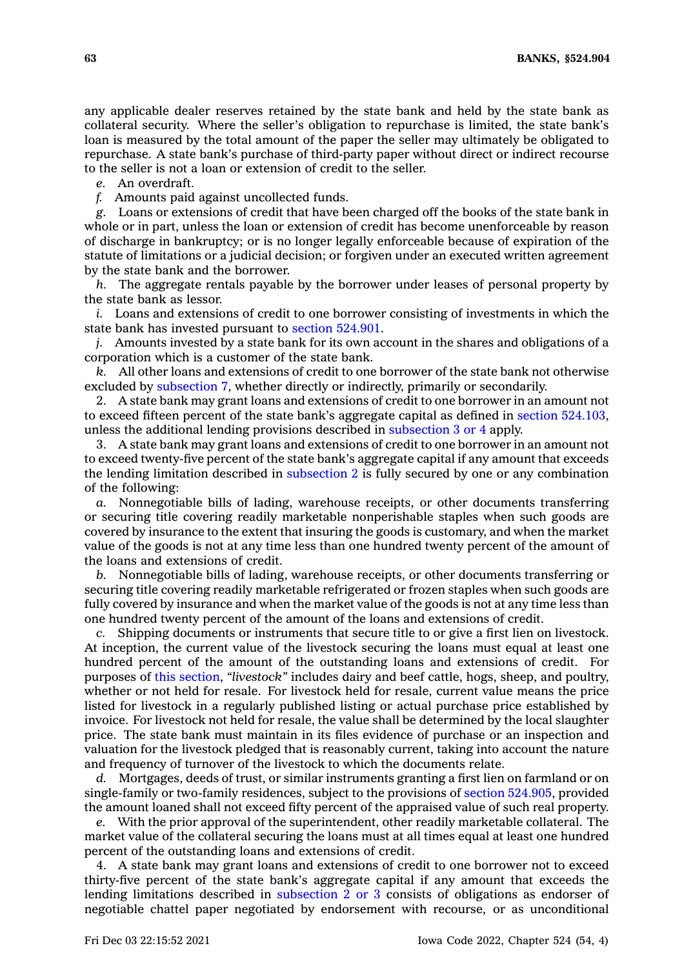any applicable dealer reserves retained by the state bank and held by the state bank as collateral security. Where the seller's obligation to repurchase is limited, the state bank's loan is measured by the total amount of the paper the seller may ultimately be obligated to repurchase. A state bank's purchase of third-party paper without direct or indirect recourse to the seller is not <sup>a</sup> loan or extension of credit to the seller.

*e.* An overdraft.

*f.* Amounts paid against uncollected funds.

*g.* Loans or extensions of credit that have been charged off the books of the state bank in whole or in part, unless the loan or extension of credit has become unenforceable by reason of discharge in bankruptcy; or is no longer legally enforceable because of expiration of the statute of limitations or <sup>a</sup> judicial decision; or forgiven under an executed written agreement by the state bank and the borrower.

*h.* The aggregate rentals payable by the borrower under leases of personal property by the state bank as lessor.

*i.* Loans and extensions of credit to one borrower consisting of investments in which the state bank has invested pursuant to section [524.901](https://www.legis.iowa.gov/docs/code/524.901.pdf).

*j.* Amounts invested by <sup>a</sup> state bank for its own account in the shares and obligations of <sup>a</sup> corporation which is <sup>a</sup> customer of the state bank.

*k.* All other loans and extensions of credit to one borrower of the state bank not otherwise excluded by [subsection](https://www.legis.iowa.gov/docs/code/524.904.pdf) 7, whether directly or indirectly, primarily or secondarily.

2. A state bank may grant loans and extensions of credit to one borrower in an amount not to exceed fifteen percent of the state bank's aggregate capital as defined in section [524.103](https://www.legis.iowa.gov/docs/code/524.103.pdf), unless the additional lending provisions described in [subsection](https://www.legis.iowa.gov/docs/code/524.904.pdf) 3 or 4 apply.

3. A state bank may grant loans and extensions of credit to one borrower in an amount not to exceed twenty-five percent of the state bank's aggregate capital if any amount that exceeds the lending limitation described in [subsection](https://www.legis.iowa.gov/docs/code/524.904.pdf) 2 is fully secured by one or any combination of the following:

*a.* Nonnegotiable bills of lading, warehouse receipts, or other documents transferring or securing title covering readily marketable nonperishable staples when such goods are covered by insurance to the extent that insuring the goods is customary, and when the market value of the goods is not at any time less than one hundred twenty percent of the amount of the loans and extensions of credit.

*b.* Nonnegotiable bills of lading, warehouse receipts, or other documents transferring or securing title covering readily marketable refrigerated or frozen staples when such goods are fully covered by insurance and when the market value of the goods is not at any time less than one hundred twenty percent of the amount of the loans and extensions of credit.

*c.* Shipping documents or instruments that secure title to or give <sup>a</sup> first lien on livestock. At inception, the current value of the livestock securing the loans must equal at least one hundred percent of the amount of the outstanding loans and extensions of credit. For purposes of this [section](https://www.legis.iowa.gov/docs/code/524.904.pdf), *"livestock"* includes dairy and beef cattle, hogs, sheep, and poultry, whether or not held for resale. For livestock held for resale, current value means the price listed for livestock in <sup>a</sup> regularly published listing or actual purchase price established by invoice. For livestock not held for resale, the value shall be determined by the local slaughter price. The state bank must maintain in its files evidence of purchase or an inspection and valuation for the livestock pledged that is reasonably current, taking into account the nature and frequency of turnover of the livestock to which the documents relate.

*d.* Mortgages, deeds of trust, or similar instruments granting <sup>a</sup> first lien on farmland or on single-family or two-family residences, subject to the provisions of section [524.905](https://www.legis.iowa.gov/docs/code/524.905.pdf), provided the amount loaned shall not exceed fifty percent of the appraised value of such real property.

*e.* With the prior approval of the superintendent, other readily marketable collateral. The market value of the collateral securing the loans must at all times equal at least one hundred percent of the outstanding loans and extensions of credit.

4. A state bank may grant loans and extensions of credit to one borrower not to exceed thirty-five percent of the state bank's aggregate capital if any amount that exceeds the lending limitations described in [subsection](https://www.legis.iowa.gov/docs/code/524.904.pdf) 2 or 3 consists of obligations as endorser of negotiable chattel paper negotiated by endorsement with recourse, or as unconditional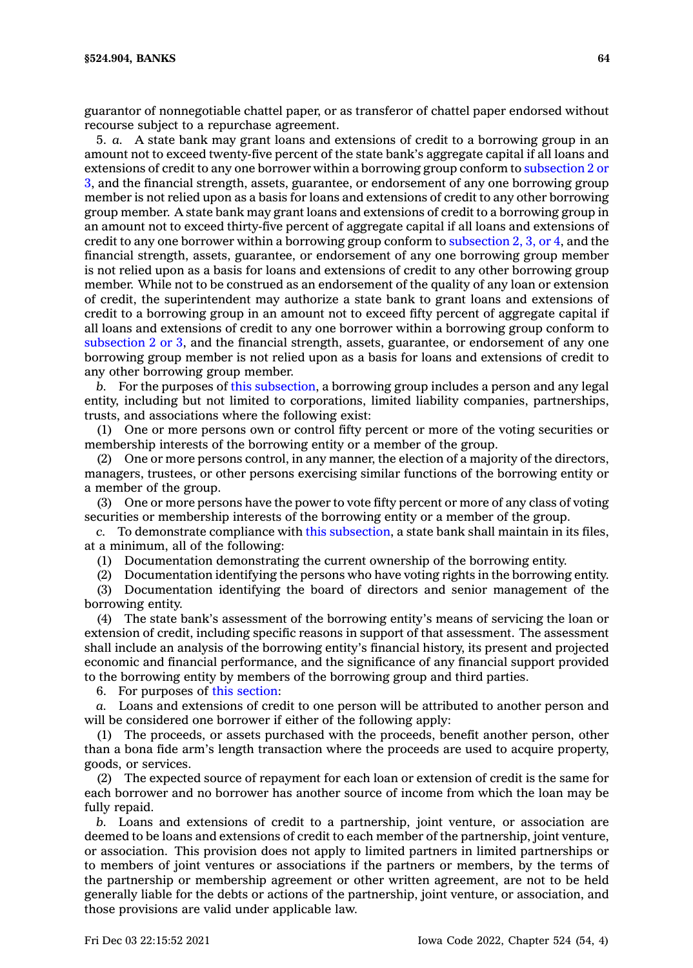guarantor of nonnegotiable chattel paper, or as transferor of chattel paper endorsed without recourse subject to <sup>a</sup> repurchase agreement.

5. *a.* A state bank may grant loans and extensions of credit to <sup>a</sup> borrowing group in an amount not to exceed twenty-five percent of the state bank's aggregate capital if all loans and extensions of credit to any one borrower within <sup>a</sup> borrowing group conform to [subsection](https://www.legis.iowa.gov/docs/code/524.904.pdf) 2 or [3](https://www.legis.iowa.gov/docs/code/524.904.pdf), and the financial strength, assets, guarantee, or endorsement of any one borrowing group member is not relied upon as <sup>a</sup> basis for loans and extensions of credit to any other borrowing group member. A state bank may grant loans and extensions of credit to <sup>a</sup> borrowing group in an amount not to exceed thirty-five percent of aggregate capital if all loans and extensions of credit to any one borrower within a borrowing group conform to [subsection](https://www.legis.iowa.gov/docs/code/524.904.pdf) 2, 3, or 4, and the financial strength, assets, guarantee, or endorsement of any one borrowing group member is not relied upon as <sup>a</sup> basis for loans and extensions of credit to any other borrowing group member. While not to be construed as an endorsement of the quality of any loan or extension of credit, the superintendent may authorize <sup>a</sup> state bank to grant loans and extensions of credit to <sup>a</sup> borrowing group in an amount not to exceed fifty percent of aggregate capital if all loans and extensions of credit to any one borrower within <sup>a</sup> borrowing group conform to [subsection](https://www.legis.iowa.gov/docs/code/524.904.pdf) 2 or 3, and the financial strength, assets, guarantee, or endorsement of any one borrowing group member is not relied upon as <sup>a</sup> basis for loans and extensions of credit to any other borrowing group member.

*b.* For the purposes of this [subsection](https://www.legis.iowa.gov/docs/code/524.904.pdf), <sup>a</sup> borrowing group includes <sup>a</sup> person and any legal entity, including but not limited to corporations, limited liability companies, partnerships, trusts, and associations where the following exist:

(1) One or more persons own or control fifty percent or more of the voting securities or membership interests of the borrowing entity or <sup>a</sup> member of the group.

(2) One or more persons control, in any manner, the election of <sup>a</sup> majority of the directors, managers, trustees, or other persons exercising similar functions of the borrowing entity or <sup>a</sup> member of the group.

(3) One or more persons have the power to vote fifty percent or more of any class of voting securities or membership interests of the borrowing entity or <sup>a</sup> member of the group.

*c.* To demonstrate compliance with this [subsection](https://www.legis.iowa.gov/docs/code/524.904.pdf), <sup>a</sup> state bank shall maintain in its files, at <sup>a</sup> minimum, all of the following:

(1) Documentation demonstrating the current ownership of the borrowing entity.

(2) Documentation identifying the persons who have voting rights in the borrowing entity. (3) Documentation identifying the board of directors and senior management of the

borrowing entity.

(4) The state bank's assessment of the borrowing entity's means of servicing the loan or extension of credit, including specific reasons in support of that assessment. The assessment shall include an analysis of the borrowing entity's financial history, its present and projected economic and financial performance, and the significance of any financial support provided to the borrowing entity by members of the borrowing group and third parties.

6. For purposes of this [section](https://www.legis.iowa.gov/docs/code/524.904.pdf):

*a.* Loans and extensions of credit to one person will be attributed to another person and will be considered one borrower if either of the following apply:

(1) The proceeds, or assets purchased with the proceeds, benefit another person, other than <sup>a</sup> bona fide arm's length transaction where the proceeds are used to acquire property, goods, or services.

(2) The expected source of repayment for each loan or extension of credit is the same for each borrower and no borrower has another source of income from which the loan may be fully repaid.

*b.* Loans and extensions of credit to <sup>a</sup> partnership, joint venture, or association are deemed to be loans and extensions of credit to each member of the partnership, joint venture, or association. This provision does not apply to limited partners in limited partnerships or to members of joint ventures or associations if the partners or members, by the terms of the partnership or membership agreement or other written agreement, are not to be held generally liable for the debts or actions of the partnership, joint venture, or association, and those provisions are valid under applicable law.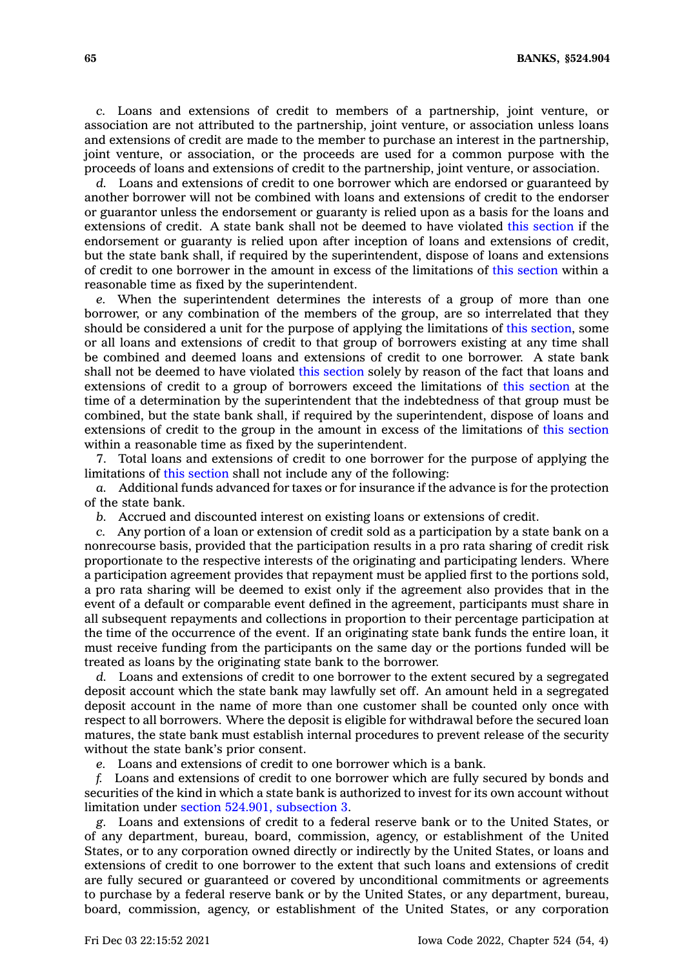*c.* Loans and extensions of credit to members of <sup>a</sup> partnership, joint venture, or association are not attributed to the partnership, joint venture, or association unless loans and extensions of credit are made to the member to purchase an interest in the partnership, joint venture, or association, or the proceeds are used for <sup>a</sup> common purpose with the proceeds of loans and extensions of credit to the partnership, joint venture, or association.

*d.* Loans and extensions of credit to one borrower which are endorsed or guaranteed by another borrower will not be combined with loans and extensions of credit to the endorser or guarantor unless the endorsement or guaranty is relied upon as <sup>a</sup> basis for the loans and extensions of credit. A state bank shall not be deemed to have violated this [section](https://www.legis.iowa.gov/docs/code/524.904.pdf) if the endorsement or guaranty is relied upon after inception of loans and extensions of credit, but the state bank shall, if required by the superintendent, dispose of loans and extensions of credit to one borrower in the amount in excess of the limitations of this [section](https://www.legis.iowa.gov/docs/code/524.904.pdf) within <sup>a</sup> reasonable time as fixed by the superintendent.

*e.* When the superintendent determines the interests of <sup>a</sup> group of more than one borrower, or any combination of the members of the group, are so interrelated that they should be considered <sup>a</sup> unit for the purpose of applying the limitations of this [section](https://www.legis.iowa.gov/docs/code/524.904.pdf), some or all loans and extensions of credit to that group of borrowers existing at any time shall be combined and deemed loans and extensions of credit to one borrower. A state bank shall not be deemed to have violated this [section](https://www.legis.iowa.gov/docs/code/524.904.pdf) solely by reason of the fact that loans and extensions of credit to <sup>a</sup> group of borrowers exceed the limitations of this [section](https://www.legis.iowa.gov/docs/code/524.904.pdf) at the time of <sup>a</sup> determination by the superintendent that the indebtedness of that group must be combined, but the state bank shall, if required by the superintendent, dispose of loans and extensions of credit to the group in the amount in excess of the limitations of this [section](https://www.legis.iowa.gov/docs/code/524.904.pdf) within <sup>a</sup> reasonable time as fixed by the superintendent.

7. Total loans and extensions of credit to one borrower for the purpose of applying the limitations of this [section](https://www.legis.iowa.gov/docs/code/524.904.pdf) shall not include any of the following:

*a.* Additional funds advanced for taxes or for insurance if the advance is for the protection of the state bank.

*b.* Accrued and discounted interest on existing loans or extensions of credit.

*c.* Any portion of <sup>a</sup> loan or extension of credit sold as <sup>a</sup> participation by <sup>a</sup> state bank on <sup>a</sup> nonrecourse basis, provided that the participation results in <sup>a</sup> pro rata sharing of credit risk proportionate to the respective interests of the originating and participating lenders. Where <sup>a</sup> participation agreement provides that repayment must be applied first to the portions sold, <sup>a</sup> pro rata sharing will be deemed to exist only if the agreement also provides that in the event of <sup>a</sup> default or comparable event defined in the agreement, participants must share in all subsequent repayments and collections in proportion to their percentage participation at the time of the occurrence of the event. If an originating state bank funds the entire loan, it must receive funding from the participants on the same day or the portions funded will be treated as loans by the originating state bank to the borrower.

*d.* Loans and extensions of credit to one borrower to the extent secured by <sup>a</sup> segregated deposit account which the state bank may lawfully set off. An amount held in <sup>a</sup> segregated deposit account in the name of more than one customer shall be counted only once with respect to all borrowers. Where the deposit is eligible for withdrawal before the secured loan matures, the state bank must establish internal procedures to prevent release of the security without the state bank's prior consent.

*e.* Loans and extensions of credit to one borrower which is <sup>a</sup> bank.

*f.* Loans and extensions of credit to one borrower which are fully secured by bonds and securities of the kind in which <sup>a</sup> state bank is authorized to invest for its own account without limitation under section 524.901, [subsection](https://www.legis.iowa.gov/docs/code/524.901.pdf) 3.

*g.* Loans and extensions of credit to <sup>a</sup> federal reserve bank or to the United States, or of any department, bureau, board, commission, agency, or establishment of the United States, or to any corporation owned directly or indirectly by the United States, or loans and extensions of credit to one borrower to the extent that such loans and extensions of credit are fully secured or guaranteed or covered by unconditional commitments or agreements to purchase by <sup>a</sup> federal reserve bank or by the United States, or any department, bureau, board, commission, agency, or establishment of the United States, or any corporation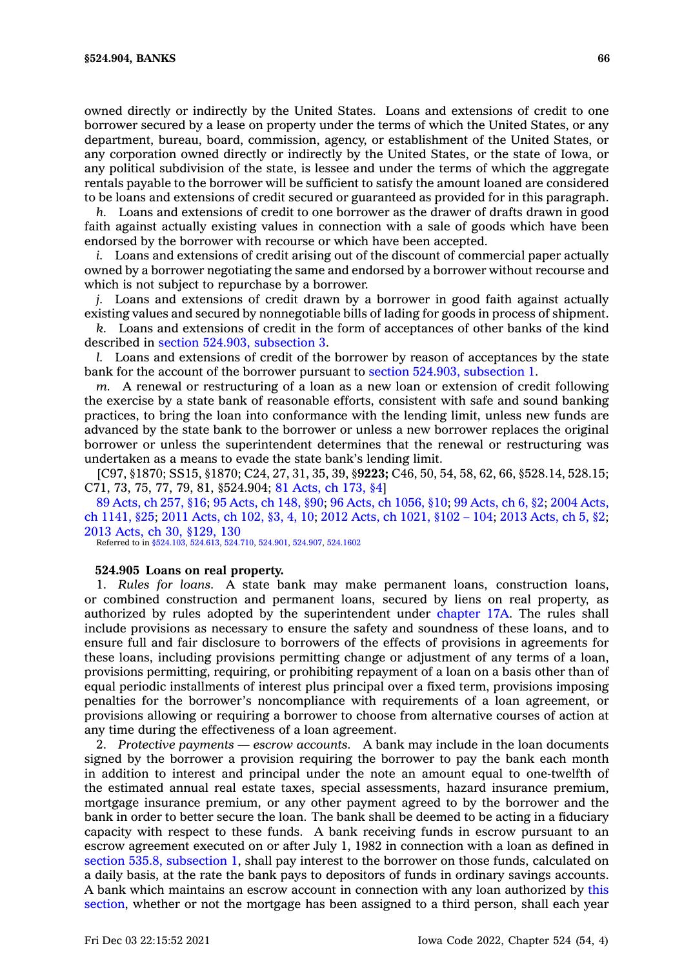owned directly or indirectly by the United States. Loans and extensions of credit to one borrower secured by <sup>a</sup> lease on property under the terms of which the United States, or any department, bureau, board, commission, agency, or establishment of the United States, or any corporation owned directly or indirectly by the United States, or the state of Iowa, or any political subdivision of the state, is lessee and under the terms of which the aggregate rentals payable to the borrower will be sufficient to satisfy the amount loaned are considered to be loans and extensions of credit secured or guaranteed as provided for in this paragraph.

*h.* Loans and extensions of credit to one borrower as the drawer of drafts drawn in good faith against actually existing values in connection with <sup>a</sup> sale of goods which have been endorsed by the borrower with recourse or which have been accepted.

*i.* Loans and extensions of credit arising out of the discount of commercial paper actually owned by <sup>a</sup> borrower negotiating the same and endorsed by <sup>a</sup> borrower without recourse and which is not subject to repurchase by <sup>a</sup> borrower.

*j.* Loans and extensions of credit drawn by <sup>a</sup> borrower in good faith against actually existing values and secured by nonnegotiable bills of lading for goods in process of shipment.

*k.* Loans and extensions of credit in the form of acceptances of other banks of the kind described in section 524.903, [subsection](https://www.legis.iowa.gov/docs/code/524.903.pdf) 3.

*l.* Loans and extensions of credit of the borrower by reason of acceptances by the state bank for the account of the borrower pursuant to section 524.903, [subsection](https://www.legis.iowa.gov/docs/code/524.903.pdf) 1.

*m.* A renewal or restructuring of <sup>a</sup> loan as <sup>a</sup> new loan or extension of credit following the exercise by <sup>a</sup> state bank of reasonable efforts, consistent with safe and sound banking practices, to bring the loan into conformance with the lending limit, unless new funds are advanced by the state bank to the borrower or unless <sup>a</sup> new borrower replaces the original borrower or unless the superintendent determines that the renewal or restructuring was undertaken as <sup>a</sup> means to evade the state bank's lending limit.

[C97, §1870; SS15, §1870; C24, 27, 31, 35, 39, §**9223;** C46, 50, 54, 58, 62, 66, §528.14, 528.15; C71, 73, 75, 77, 79, 81, §524.904; 81 [Acts,](https://www.legis.iowa.gov/docs/acts/1981/CH0173.pdf) ch 173, §4]

89 [Acts,](https://www.legis.iowa.gov/docs/acts/1989/CH0257.pdf) ch 257, §16; 95 [Acts,](https://www.legis.iowa.gov/docs/acts/95/CH0148.pdf) ch 148, §90; 96 Acts, ch [1056,](https://www.legis.iowa.gov/docs/acts/96/CH1056.pdf) §10; 99 [Acts,](https://www.legis.iowa.gov/docs/acts/99/CH0006.pdf) ch 6, §2; 2004 [Acts,](https://www.legis.iowa.gov/docs/acts/2004/CH1141.pdf) ch [1141,](https://www.legis.iowa.gov/docs/acts/2004/CH1141.pdf) §25; 2011 [Acts,](https://www.legis.iowa.gov/docs/acts/2011/CH0102.pdf) ch 102, §3, 4, 10; 2012 Acts, ch [1021,](https://www.legis.iowa.gov/docs/acts/2012/CH1021.pdf) §102 – 104; 2013 [Acts,](https://www.legis.iowa.gov/docs/acts/2013/CH0005.pdf) ch 5, §2; 2013 Acts, ch 30, [§129,](https://www.legis.iowa.gov/docs/acts/2013/CH0030.pdf) 130

Referred to in [§524.103](https://www.legis.iowa.gov/docs/code/524.103.pdf), [524.613](https://www.legis.iowa.gov/docs/code/524.613.pdf), [524.710](https://www.legis.iowa.gov/docs/code/524.710.pdf), [524.901](https://www.legis.iowa.gov/docs/code/524.901.pdf), [524.907](https://www.legis.iowa.gov/docs/code/524.907.pdf), [524.1602](https://www.legis.iowa.gov/docs/code/524.1602.pdf)

### **524.905 Loans on real property.**

1. *Rules for loans.* A state bank may make permanent loans, construction loans, or combined construction and permanent loans, secured by liens on real property, as authorized by rules adopted by the superintendent under [chapter](https://www.legis.iowa.gov/docs/code//17A.pdf) 17A. The rules shall include provisions as necessary to ensure the safety and soundness of these loans, and to ensure full and fair disclosure to borrowers of the effects of provisions in agreements for these loans, including provisions permitting change or adjustment of any terms of <sup>a</sup> loan, provisions permitting, requiring, or prohibiting repayment of <sup>a</sup> loan on <sup>a</sup> basis other than of equal periodic installments of interest plus principal over <sup>a</sup> fixed term, provisions imposing penalties for the borrower's noncompliance with requirements of <sup>a</sup> loan agreement, or provisions allowing or requiring <sup>a</sup> borrower to choose from alternative courses of action at any time during the effectiveness of <sup>a</sup> loan agreement.

2. *Protective payments — escrow accounts.* A bank may include in the loan documents signed by the borrower <sup>a</sup> provision requiring the borrower to pay the bank each month in addition to interest and principal under the note an amount equal to one-twelfth of the estimated annual real estate taxes, special assessments, hazard insurance premium, mortgage insurance premium, or any other payment agreed to by the borrower and the bank in order to better secure the loan. The bank shall be deemed to be acting in <sup>a</sup> fiduciary capacity with respect to these funds. A bank receiving funds in escrow pursuant to an escrow agreement executed on or after July 1, 1982 in connection with <sup>a</sup> loan as defined in section 535.8, [subsection](https://www.legis.iowa.gov/docs/code/535.8.pdf) 1, shall pay interest to the borrower on those funds, calculated on <sup>a</sup> daily basis, at the rate the bank pays to depositors of funds in ordinary savings accounts. A bank which maintains an escrow account in connection with any loan authorized by [this](https://www.legis.iowa.gov/docs/code/524.905.pdf) [section](https://www.legis.iowa.gov/docs/code/524.905.pdf), whether or not the mortgage has been assigned to <sup>a</sup> third person, shall each year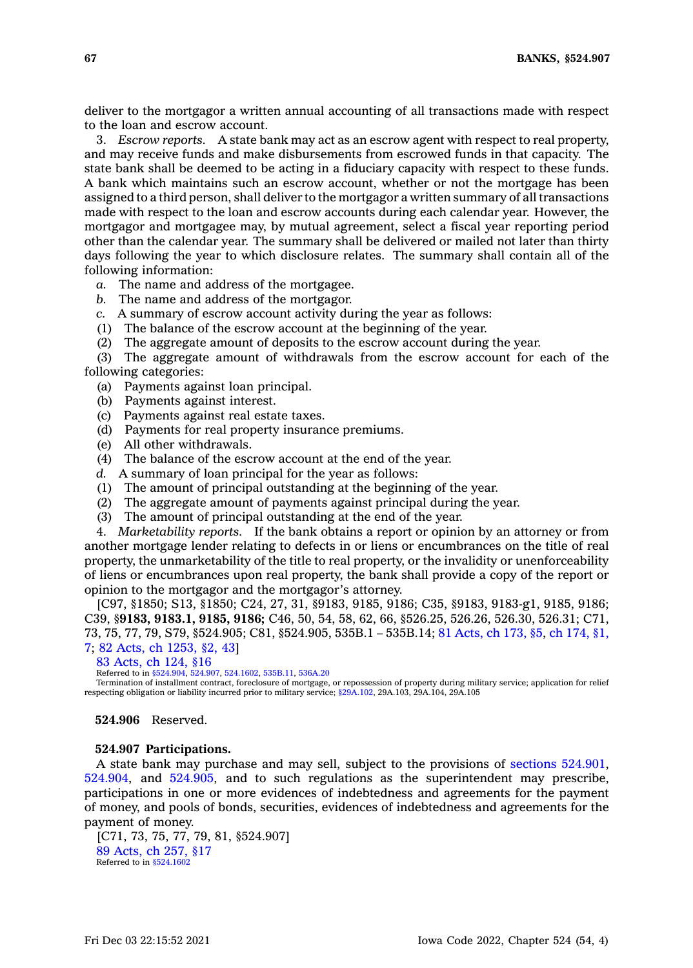deliver to the mortgagor <sup>a</sup> written annual accounting of all transactions made with respect to the loan and escrow account.

3. *Escrow reports.* A state bank may act as an escrow agent with respect to real property, and may receive funds and make disbursements from escrowed funds in that capacity. The state bank shall be deemed to be acting in <sup>a</sup> fiduciary capacity with respect to these funds. A bank which maintains such an escrow account, whether or not the mortgage has been assigned to <sup>a</sup> third person, shall deliver to the mortgagor <sup>a</sup> written summary of all transactions made with respect to the loan and escrow accounts during each calendar year. However, the mortgagor and mortgagee may, by mutual agreement, select <sup>a</sup> fiscal year reporting period other than the calendar year. The summary shall be delivered or mailed not later than thirty days following the year to which disclosure relates. The summary shall contain all of the following information:

*a.* The name and address of the mortgagee.

- *b.* The name and address of the mortgagor.
- *c.* A summary of escrow account activity during the year as follows:
- (1) The balance of the escrow account at the beginning of the year.
- (2) The aggregate amount of deposits to the escrow account during the year.

(3) The aggregate amount of withdrawals from the escrow account for each of the following categories:

- (a) Payments against loan principal.
- (b) Payments against interest.
- (c) Payments against real estate taxes.
- (d) Payments for real property insurance premiums.
- (e) All other withdrawals.
- (4) The balance of the escrow account at the end of the year.
- *d.* A summary of loan principal for the year as follows:
- (1) The amount of principal outstanding at the beginning of the year.
- $(2)$  The aggregate amount of payments against principal during the year.
- (3) The amount of principal outstanding at the end of the year.

4. *Marketability reports.* If the bank obtains <sup>a</sup> report or opinion by an attorney or from another mortgage lender relating to defects in or liens or encumbrances on the title of real property, the unmarketability of the title to real property, or the invalidity or unenforceability of liens or encumbrances upon real property, the bank shall provide <sup>a</sup> copy of the report or opinion to the mortgagor and the mortgagor's attorney.

[C97, §1850; S13, §1850; C24, 27, 31, §9183, 9185, 9186; C35, §9183, 9183-g1, 9185, 9186; C39, §**9183, 9183.1, 9185, 9186;** C46, 50, 54, 58, 62, 66, §526.25, 526.26, 526.30, 526.31; C71, 73, 75, 77, 79, S79, §524.905; C81, §524.905, 535B.1 – 535B.14; 81 [Acts,](https://www.legis.iowa.gov/docs/acts/1981/CH0173.pdf) ch 173, §5, ch [174,](https://www.legis.iowa.gov/docs/acts/1981/CH0174.pdf) §1, [7](https://www.legis.iowa.gov/docs/acts/1981/CH0174.pdf); 82 Acts, ch [1253,](https://www.legis.iowa.gov/docs/acts/1982/CH1253.pdf) §2, 43]

83 [Acts,](https://www.legis.iowa.gov/docs/acts/1983/CH0124.pdf) ch 124, §16

Referred to in [§524.904](https://www.legis.iowa.gov/docs/code/524.904.pdf), [524.907,](https://www.legis.iowa.gov/docs/code/524.907.pdf) [524.1602](https://www.legis.iowa.gov/docs/code/524.1602.pdf), [535B.11](https://www.legis.iowa.gov/docs/code/535B.11.pdf), [536A.20](https://www.legis.iowa.gov/docs/code/536A.20.pdf)

Termination of installment contract, foreclosure of mortgage, or repossession of property during military service; application for relief respecting obligation or liability incurred prior to military service; [§29A.102](https://www.legis.iowa.gov/docs/code/29A.102.pdf), 29A.103, 29A.104, 29A.105

# **524.906** Reserved.

#### **524.907 Participations.**

A state bank may purchase and may sell, subject to the provisions of sections [524.901](https://www.legis.iowa.gov/docs/code/524.901.pdf), [524.904](https://www.legis.iowa.gov/docs/code/524.904.pdf), and [524.905](https://www.legis.iowa.gov/docs/code/524.905.pdf), and to such regulations as the superintendent may prescribe, participations in one or more evidences of indebtedness and agreements for the payment of money, and pools of bonds, securities, evidences of indebtedness and agreements for the payment of money.

[C71, 73, 75, 77, 79, 81, §524.907] 89 [Acts,](https://www.legis.iowa.gov/docs/acts/1989/CH0257.pdf) ch 257, §17 Referred to in  $§524.1602$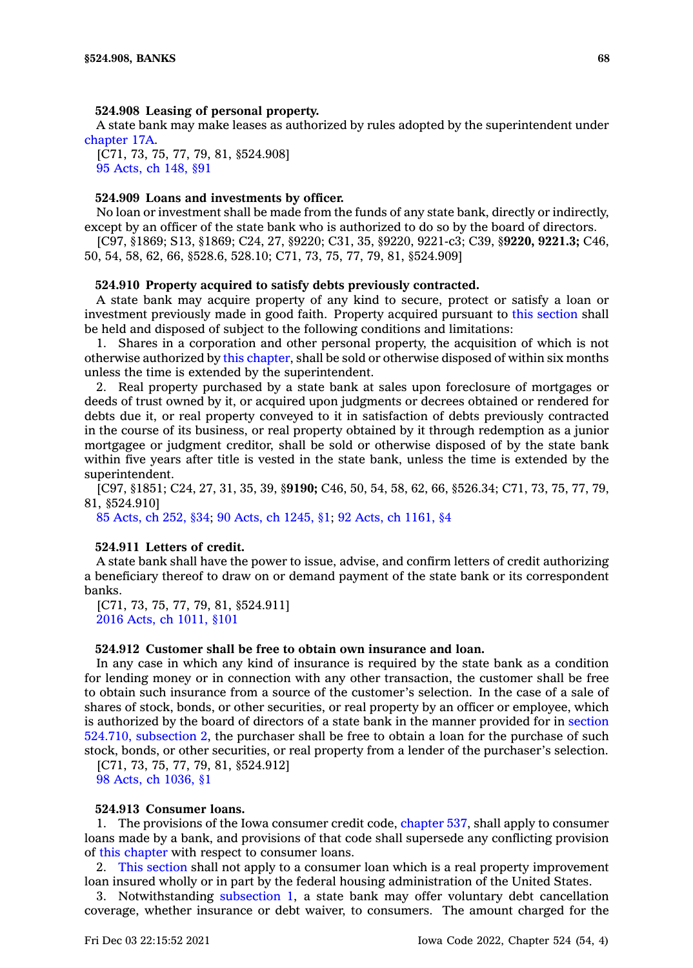## **524.908 Leasing of personal property.**

A state bank may make leases as authorized by rules adopted by the superintendent under [chapter](https://www.legis.iowa.gov/docs/code//17A.pdf) 17A.

[C71, 73, 75, 77, 79, 81, §524.908] 95 [Acts,](https://www.legis.iowa.gov/docs/acts/1995/CH0148.pdf) ch 148, §91

# **524.909 Loans and investments by officer.**

No loan or investment shall be made from the funds of any state bank, directly or indirectly, except by an officer of the state bank who is authorized to do so by the board of directors.

[C97, §1869; S13, §1869; C24, 27, §9220; C31, 35, §9220, 9221-c3; C39, §**9220, 9221.3;** C46, 50, 54, 58, 62, 66, §528.6, 528.10; C71, 73, 75, 77, 79, 81, §524.909]

#### **524.910 Property acquired to satisfy debts previously contracted.**

A state bank may acquire property of any kind to secure, protect or satisfy <sup>a</sup> loan or investment previously made in good faith. Property acquired pursuant to this [section](https://www.legis.iowa.gov/docs/code/524.910.pdf) shall be held and disposed of subject to the following conditions and limitations:

1. Shares in <sup>a</sup> corporation and other personal property, the acquisition of which is not otherwise authorized by this [chapter](https://www.legis.iowa.gov/docs/code//524.pdf), shall be sold or otherwise disposed of within six months unless the time is extended by the superintendent.

2. Real property purchased by <sup>a</sup> state bank at sales upon foreclosure of mortgages or deeds of trust owned by it, or acquired upon judgments or decrees obtained or rendered for debts due it, or real property conveyed to it in satisfaction of debts previously contracted in the course of its business, or real property obtained by it through redemption as <sup>a</sup> junior mortgagee or judgment creditor, shall be sold or otherwise disposed of by the state bank within five years after title is vested in the state bank, unless the time is extended by the superintendent.

[C97, §1851; C24, 27, 31, 35, 39, §**9190;** C46, 50, 54, 58, 62, 66, §526.34; C71, 73, 75, 77, 79, 81, §524.910]

85 [Acts,](https://www.legis.iowa.gov/docs/acts/1985/CH0252.pdf) ch 252, §34; 90 Acts, ch [1245,](https://www.legis.iowa.gov/docs/acts/1990/CH1245.pdf) §1; 92 Acts, ch [1161,](https://www.legis.iowa.gov/docs/acts/1992/CH1161.pdf) §4

## **524.911 Letters of credit.**

A state bank shall have the power to issue, advise, and confirm letters of credit authorizing <sup>a</sup> beneficiary thereof to draw on or demand payment of the state bank or its correspondent banks.

[C71, 73, 75, 77, 79, 81, §524.911] 2016 Acts, ch [1011,](https://www.legis.iowa.gov/docs/acts/2016/CH1011.pdf) §101

## **524.912 Customer shall be free to obtain own insurance and loan.**

In any case in which any kind of insurance is required by the state bank as <sup>a</sup> condition for lending money or in connection with any other transaction, the customer shall be free to obtain such insurance from <sup>a</sup> source of the customer's selection. In the case of <sup>a</sup> sale of shares of stock, bonds, or other securities, or real property by an officer or employee, which is authorized by the board of directors of <sup>a</sup> state bank in the manner provided for in [section](https://www.legis.iowa.gov/docs/code/524.710.pdf) 524.710, [subsection](https://www.legis.iowa.gov/docs/code/524.710.pdf) 2, the purchaser shall be free to obtain <sup>a</sup> loan for the purchase of such stock, bonds, or other securities, or real property from <sup>a</sup> lender of the purchaser's selection.

[C71, 73, 75, 77, 79, 81, §524.912] 98 Acts, ch [1036,](https://www.legis.iowa.gov/docs/acts/1998/CH1036.pdf) §1

# **524.913 Consumer loans.**

1. The provisions of the Iowa consumer credit code, [chapter](https://www.legis.iowa.gov/docs/code//537.pdf) 537, shall apply to consumer loans made by <sup>a</sup> bank, and provisions of that code shall supersede any conflicting provision of this [chapter](https://www.legis.iowa.gov/docs/code//524.pdf) with respect to consumer loans.

2. This [section](https://www.legis.iowa.gov/docs/code/524.913.pdf) shall not apply to <sup>a</sup> consumer loan which is <sup>a</sup> real property improvement loan insured wholly or in part by the federal housing administration of the United States.

3. Notwithstanding [subsection](https://www.legis.iowa.gov/docs/code/524.913.pdf) 1, <sup>a</sup> state bank may offer voluntary debt cancellation coverage, whether insurance or debt waiver, to consumers. The amount charged for the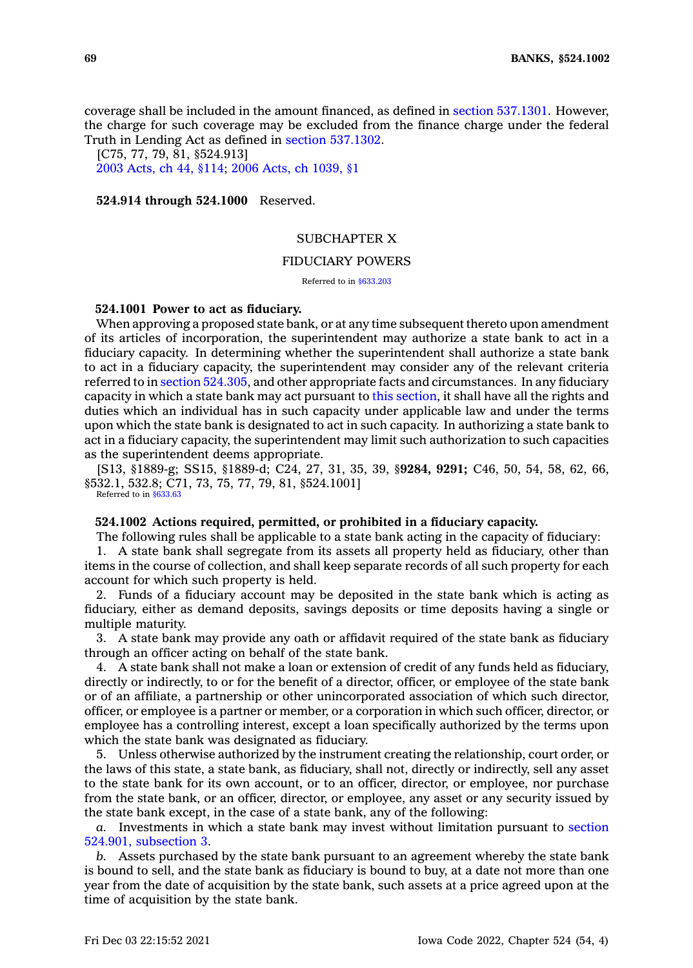coverage shall be included in the amount financed, as defined in section [537.1301](https://www.legis.iowa.gov/docs/code/537.1301.pdf). However, the charge for such coverage may be excluded from the finance charge under the federal Truth in Lending Act as defined in section [537.1302](https://www.legis.iowa.gov/docs/code/537.1302.pdf).

[C75, 77, 79, 81, §524.913] 2003 [Acts,](https://www.legis.iowa.gov/docs/acts/2003/CH0044.pdf) ch 44, §114; 2006 Acts, ch [1039,](https://www.legis.iowa.gov/docs/acts/2006/CH1039.pdf) §1

**524.914 through 524.1000** Reserved.

# SUBCHAPTER X

## FIDUCIARY POWERS

Referred to in [§633.203](https://www.legis.iowa.gov/docs/code/633.203.pdf)

### **524.1001 Power to act as fiduciary.**

When approving <sup>a</sup> proposed state bank, or at any time subsequent thereto upon amendment of its articles of incorporation, the superintendent may authorize <sup>a</sup> state bank to act in <sup>a</sup> fiduciary capacity. In determining whether the superintendent shall authorize <sup>a</sup> state bank to act in <sup>a</sup> fiduciary capacity, the superintendent may consider any of the relevant criteria referred to in section [524.305](https://www.legis.iowa.gov/docs/code/524.305.pdf), and other appropriate facts and circumstances. In any fiduciary capacity in which <sup>a</sup> state bank may act pursuant to this [section](https://www.legis.iowa.gov/docs/code/524.1001.pdf), it shall have all the rights and duties which an individual has in such capacity under applicable law and under the terms upon which the state bank is designated to act in such capacity. In authorizing <sup>a</sup> state bank to act in <sup>a</sup> fiduciary capacity, the superintendent may limit such authorization to such capacities as the superintendent deems appropriate.

[S13, §1889-g; SS15, §1889-d; C24, 27, 31, 35, 39, §**9284, 9291;** C46, 50, 54, 58, 62, 66, §532.1, 532.8; C71, 73, 75, 77, 79, 81, §524.1001]

Referred to in [§633.63](https://www.legis.iowa.gov/docs/code/633.63.pdf)

### **524.1002 Actions required, permitted, or prohibited in <sup>a</sup> fiduciary capacity.**

The following rules shall be applicable to <sup>a</sup> state bank acting in the capacity of fiduciary: 1. A state bank shall segregate from its assets all property held as fiduciary, other than items in the course of collection, and shall keep separate records of all such property for each account for which such property is held.

2. Funds of <sup>a</sup> fiduciary account may be deposited in the state bank which is acting as fiduciary, either as demand deposits, savings deposits or time deposits having <sup>a</sup> single or multiple maturity.

3. A state bank may provide any oath or affidavit required of the state bank as fiduciary through an officer acting on behalf of the state bank.

4. A state bank shall not make <sup>a</sup> loan or extension of credit of any funds held as fiduciary, directly or indirectly, to or for the benefit of <sup>a</sup> director, officer, or employee of the state bank or of an affiliate, <sup>a</sup> partnership or other unincorporated association of which such director, officer, or employee is <sup>a</sup> partner or member, or <sup>a</sup> corporation in which such officer, director, or employee has <sup>a</sup> controlling interest, except <sup>a</sup> loan specifically authorized by the terms upon which the state bank was designated as fiduciary.

5. Unless otherwise authorized by the instrument creating the relationship, court order, or the laws of this state, <sup>a</sup> state bank, as fiduciary, shall not, directly or indirectly, sell any asset to the state bank for its own account, or to an officer, director, or employee, nor purchase from the state bank, or an officer, director, or employee, any asset or any security issued by the state bank except, in the case of <sup>a</sup> state bank, any of the following:

*a.* Investments in which <sup>a</sup> state bank may invest without limitation pursuant to [section](https://www.legis.iowa.gov/docs/code/524.901.pdf) 524.901, [subsection](https://www.legis.iowa.gov/docs/code/524.901.pdf) 3.

*b.* Assets purchased by the state bank pursuant to an agreement whereby the state bank is bound to sell, and the state bank as fiduciary is bound to buy, at <sup>a</sup> date not more than one year from the date of acquisition by the state bank, such assets at <sup>a</sup> price agreed upon at the time of acquisition by the state bank.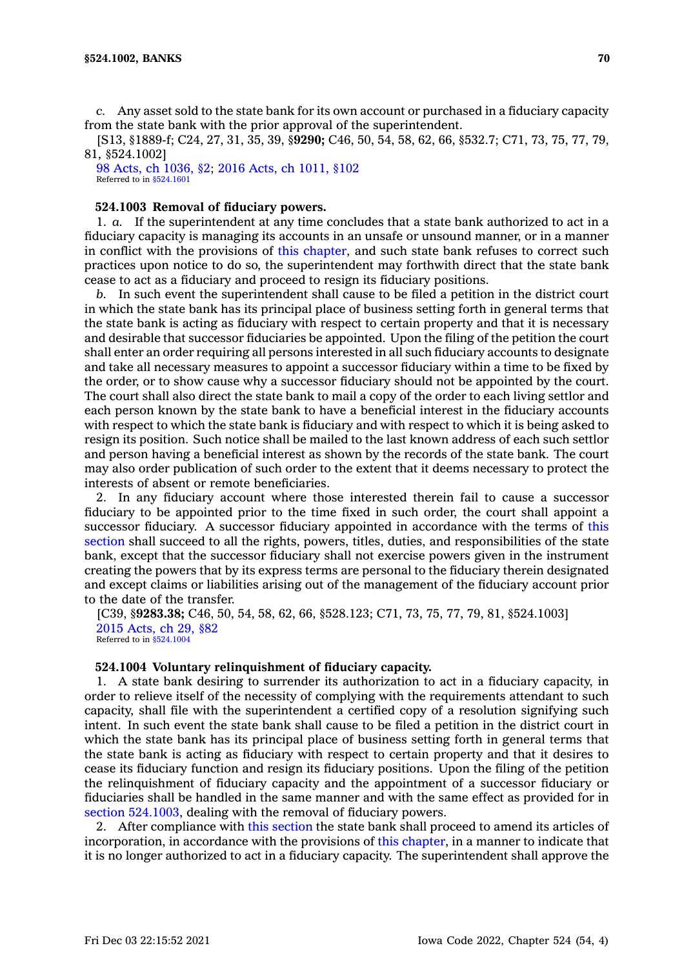*c.* Any asset sold to the state bank for its own account or purchased in <sup>a</sup> fiduciary capacity from the state bank with the prior approval of the superintendent.

[S13, §1889-f; C24, 27, 31, 35, 39, §**9290;** C46, 50, 54, 58, 62, 66, §532.7; C71, 73, 75, 77, 79, 81, §524.1002]

98 Acts, ch [1036,](https://www.legis.iowa.gov/docs/acts/1998/CH1036.pdf) §2; 2016 Acts, ch [1011,](https://www.legis.iowa.gov/docs/acts/2016/CH1011.pdf) §102 Referred to in [§524.1601](https://www.legis.iowa.gov/docs/code/524.1601.pdf)

# **524.1003 Removal of fiduciary powers.**

1. *a.* If the superintendent at any time concludes that <sup>a</sup> state bank authorized to act in <sup>a</sup> fiduciary capacity is managing its accounts in an unsafe or unsound manner, or in <sup>a</sup> manner in conflict with the provisions of this [chapter](https://www.legis.iowa.gov/docs/code//524.pdf), and such state bank refuses to correct such practices upon notice to do so, the superintendent may forthwith direct that the state bank cease to act as <sup>a</sup> fiduciary and proceed to resign its fiduciary positions.

*b.* In such event the superintendent shall cause to be filed <sup>a</sup> petition in the district court in which the state bank has its principal place of business setting forth in general terms that the state bank is acting as fiduciary with respect to certain property and that it is necessary and desirable that successor fiduciaries be appointed. Upon the filing of the petition the court shall enter an order requiring all persons interested in all such fiduciary accounts to designate and take all necessary measures to appoint <sup>a</sup> successor fiduciary within <sup>a</sup> time to be fixed by the order, or to show cause why <sup>a</sup> successor fiduciary should not be appointed by the court. The court shall also direct the state bank to mail <sup>a</sup> copy of the order to each living settlor and each person known by the state bank to have <sup>a</sup> beneficial interest in the fiduciary accounts with respect to which the state bank is fiduciary and with respect to which it is being asked to resign its position. Such notice shall be mailed to the last known address of each such settlor and person having <sup>a</sup> beneficial interest as shown by the records of the state bank. The court may also order publication of such order to the extent that it deems necessary to protect the interests of absent or remote beneficiaries.

2. In any fiduciary account where those interested therein fail to cause <sup>a</sup> successor fiduciary to be appointed prior to the time fixed in such order, the court shall appoint <sup>a</sup> successor fiduciary. A successor fiduciary appointed in accordance with the terms of [this](https://www.legis.iowa.gov/docs/code/524.1003.pdf) [section](https://www.legis.iowa.gov/docs/code/524.1003.pdf) shall succeed to all the rights, powers, titles, duties, and responsibilities of the state bank, except that the successor fiduciary shall not exercise powers given in the instrument creating the powers that by its express terms are personal to the fiduciary therein designated and except claims or liabilities arising out of the management of the fiduciary account prior to the date of the transfer.

[C39, §**9283.38;** C46, 50, 54, 58, 62, 66, §528.123; C71, 73, 75, 77, 79, 81, §524.1003] 2015 [Acts,](https://www.legis.iowa.gov/docs/acts/2015/CH0029.pdf) ch 29, §82 Referred to in [§524.1004](https://www.legis.iowa.gov/docs/code/524.1004.pdf)

#### **524.1004 Voluntary relinquishment of fiduciary capacity.**

1. A state bank desiring to surrender its authorization to act in <sup>a</sup> fiduciary capacity, in order to relieve itself of the necessity of complying with the requirements attendant to such capacity, shall file with the superintendent <sup>a</sup> certified copy of <sup>a</sup> resolution signifying such intent. In such event the state bank shall cause to be filed <sup>a</sup> petition in the district court in which the state bank has its principal place of business setting forth in general terms that the state bank is acting as fiduciary with respect to certain property and that it desires to cease its fiduciary function and resign its fiduciary positions. Upon the filing of the petition the relinquishment of fiduciary capacity and the appointment of <sup>a</sup> successor fiduciary or fiduciaries shall be handled in the same manner and with the same effect as provided for in section [524.1003](https://www.legis.iowa.gov/docs/code/524.1003.pdf), dealing with the removal of fiduciary powers.

2. After compliance with this [section](https://www.legis.iowa.gov/docs/code/524.1004.pdf) the state bank shall proceed to amend its articles of incorporation, in accordance with the provisions of this [chapter](https://www.legis.iowa.gov/docs/code//524.pdf), in <sup>a</sup> manner to indicate that it is no longer authorized to act in <sup>a</sup> fiduciary capacity. The superintendent shall approve the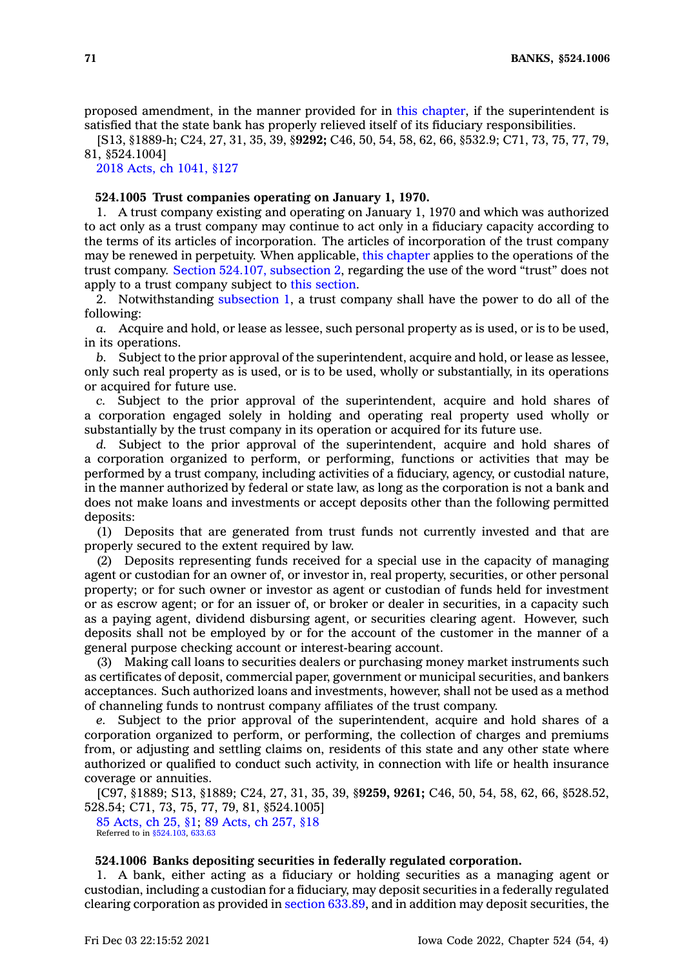proposed amendment, in the manner provided for in this [chapter](https://www.legis.iowa.gov/docs/code//524.pdf), if the superintendent is satisfied that the state bank has properly relieved itself of its fiduciary responsibilities.

[S13, §1889-h; C24, 27, 31, 35, 39, §**9292;** C46, 50, 54, 58, 62, 66, §532.9; C71, 73, 75, 77, 79, 81, §524.1004]

2018 Acts, ch [1041,](https://www.legis.iowa.gov/docs/acts/2018/CH1041.pdf) §127

## **524.1005 Trust companies operating on January 1, 1970.**

1. A trust company existing and operating on January 1, 1970 and which was authorized to act only as <sup>a</sup> trust company may continue to act only in <sup>a</sup> fiduciary capacity according to the terms of its articles of incorporation. The articles of incorporation of the trust company may be renewed in perpetuity. When applicable, this [chapter](https://www.legis.iowa.gov/docs/code//524.pdf) applies to the operations of the trust company. Section 524.107, [subsection](https://www.legis.iowa.gov/docs/code/524.107.pdf) 2, regarding the use of the word "trust" does not apply to <sup>a</sup> trust company subject to this [section](https://www.legis.iowa.gov/docs/code/524.1005.pdf).

2. Notwithstanding [subsection](https://www.legis.iowa.gov/docs/code/524.1005.pdf) 1, <sup>a</sup> trust company shall have the power to do all of the following:

*a.* Acquire and hold, or lease as lessee, such personal property as is used, or is to be used, in its operations.

*b.* Subject to the prior approval of the superintendent, acquire and hold, or lease as lessee, only such real property as is used, or is to be used, wholly or substantially, in its operations or acquired for future use.

*c.* Subject to the prior approval of the superintendent, acquire and hold shares of <sup>a</sup> corporation engaged solely in holding and operating real property used wholly or substantially by the trust company in its operation or acquired for its future use.

*d.* Subject to the prior approval of the superintendent, acquire and hold shares of <sup>a</sup> corporation organized to perform, or performing, functions or activities that may be performed by <sup>a</sup> trust company, including activities of <sup>a</sup> fiduciary, agency, or custodial nature, in the manner authorized by federal or state law, as long as the corporation is not <sup>a</sup> bank and does not make loans and investments or accept deposits other than the following permitted deposits:

(1) Deposits that are generated from trust funds not currently invested and that are properly secured to the extent required by law.

(2) Deposits representing funds received for <sup>a</sup> special use in the capacity of managing agent or custodian for an owner of, or investor in, real property, securities, or other personal property; or for such owner or investor as agent or custodian of funds held for investment or as escrow agent; or for an issuer of, or broker or dealer in securities, in <sup>a</sup> capacity such as <sup>a</sup> paying agent, dividend disbursing agent, or securities clearing agent. However, such deposits shall not be employed by or for the account of the customer in the manner of <sup>a</sup> general purpose checking account or interest-bearing account.

(3) Making call loans to securities dealers or purchasing money market instruments such as certificates of deposit, commercial paper, government or municipal securities, and bankers acceptances. Such authorized loans and investments, however, shall not be used as <sup>a</sup> method of channeling funds to nontrust company affiliates of the trust company.

*e.* Subject to the prior approval of the superintendent, acquire and hold shares of <sup>a</sup> corporation organized to perform, or performing, the collection of charges and premiums from, or adjusting and settling claims on, residents of this state and any other state where authorized or qualified to conduct such activity, in connection with life or health insurance coverage or annuities.

[C97, §1889; S13, §1889; C24, 27, 31, 35, 39, §**9259, 9261;** C46, 50, 54, 58, 62, 66, §528.52, 528.54; C71, 73, 75, 77, 79, 81, §524.1005]

85 [Acts,](https://www.legis.iowa.gov/docs/acts/1985/CH0025.pdf) ch 25, §1; 89 [Acts,](https://www.legis.iowa.gov/docs/acts/1989/CH0257.pdf) ch 257, §18 Referred to in [§524.103](https://www.legis.iowa.gov/docs/code/524.103.pdf), [633.63](https://www.legis.iowa.gov/docs/code/633.63.pdf)

## **524.1006 Banks depositing securities in federally regulated corporation.**

1. A bank, either acting as <sup>a</sup> fiduciary or holding securities as <sup>a</sup> managing agent or custodian, including <sup>a</sup> custodian for <sup>a</sup> fiduciary, may deposit securities in <sup>a</sup> federally regulated clearing corporation as provided in section [633.89](https://www.legis.iowa.gov/docs/code/633.89.pdf), and in addition may deposit securities, the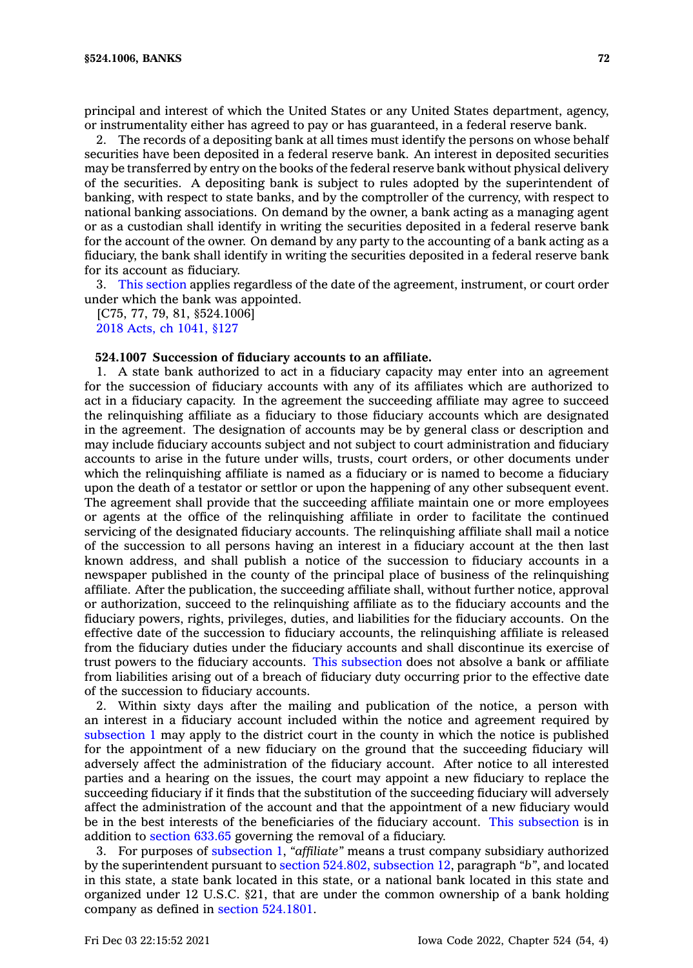principal and interest of which the United States or any United States department, agency, or instrumentality either has agreed to pay or has guaranteed, in <sup>a</sup> federal reserve bank.

2. The records of <sup>a</sup> depositing bank at all times must identify the persons on whose behalf securities have been deposited in <sup>a</sup> federal reserve bank. An interest in deposited securities may be transferred by entry on the books of the federal reserve bank without physical delivery of the securities. A depositing bank is subject to rules adopted by the superintendent of banking, with respect to state banks, and by the comptroller of the currency, with respect to national banking associations. On demand by the owner, <sup>a</sup> bank acting as <sup>a</sup> managing agent or as <sup>a</sup> custodian shall identify in writing the securities deposited in <sup>a</sup> federal reserve bank for the account of the owner. On demand by any party to the accounting of <sup>a</sup> bank acting as <sup>a</sup> fiduciary, the bank shall identify in writing the securities deposited in <sup>a</sup> federal reserve bank for its account as fiduciary.

3. This [section](https://www.legis.iowa.gov/docs/code/524.1006.pdf) applies regardless of the date of the agreement, instrument, or court order under which the bank was appointed.

[C75, 77, 79, 81, §524.1006] 2018 Acts, ch [1041,](https://www.legis.iowa.gov/docs/acts/2018/CH1041.pdf) §127

#### **524.1007 Succession of fiduciary accounts to an affiliate.**

1. A state bank authorized to act in <sup>a</sup> fiduciary capacity may enter into an agreement for the succession of fiduciary accounts with any of its affiliates which are authorized to act in <sup>a</sup> fiduciary capacity. In the agreement the succeeding affiliate may agree to succeed the relinquishing affiliate as <sup>a</sup> fiduciary to those fiduciary accounts which are designated in the agreement. The designation of accounts may be by general class or description and may include fiduciary accounts subject and not subject to court administration and fiduciary accounts to arise in the future under wills, trusts, court orders, or other documents under which the relinquishing affiliate is named as <sup>a</sup> fiduciary or is named to become <sup>a</sup> fiduciary upon the death of <sup>a</sup> testator or settlor or upon the happening of any other subsequent event. The agreement shall provide that the succeeding affiliate maintain one or more employees or agents at the office of the relinquishing affiliate in order to facilitate the continued servicing of the designated fiduciary accounts. The relinquishing affiliate shall mail <sup>a</sup> notice of the succession to all persons having an interest in <sup>a</sup> fiduciary account at the then last known address, and shall publish <sup>a</sup> notice of the succession to fiduciary accounts in <sup>a</sup> newspaper published in the county of the principal place of business of the relinquishing affiliate. After the publication, the succeeding affiliate shall, without further notice, approval or authorization, succeed to the relinquishing affiliate as to the fiduciary accounts and the fiduciary powers, rights, privileges, duties, and liabilities for the fiduciary accounts. On the effective date of the succession to fiduciary accounts, the relinquishing affiliate is released from the fiduciary duties under the fiduciary accounts and shall discontinue its exercise of trust powers to the fiduciary accounts. This [subsection](https://www.legis.iowa.gov/docs/code/524.1007.pdf) does not absolve <sup>a</sup> bank or affiliate from liabilities arising out of <sup>a</sup> breach of fiduciary duty occurring prior to the effective date of the succession to fiduciary accounts.

2. Within sixty days after the mailing and publication of the notice, <sup>a</sup> person with an interest in <sup>a</sup> fiduciary account included within the notice and agreement required by [subsection](https://www.legis.iowa.gov/docs/code/524.1007.pdf) 1 may apply to the district court in the county in which the notice is published for the appointment of <sup>a</sup> new fiduciary on the ground that the succeeding fiduciary will adversely affect the administration of the fiduciary account. After notice to all interested parties and <sup>a</sup> hearing on the issues, the court may appoint <sup>a</sup> new fiduciary to replace the succeeding fiduciary if it finds that the substitution of the succeeding fiduciary will adversely affect the administration of the account and that the appointment of <sup>a</sup> new fiduciary would be in the best interests of the beneficiaries of the fiduciary account. This [subsection](https://www.legis.iowa.gov/docs/code/524.1007.pdf) is in addition to [section](https://www.legis.iowa.gov/docs/code/633.65.pdf) 633.65 governing the removal of <sup>a</sup> fiduciary.

3. For purposes of [subsection](https://www.legis.iowa.gov/docs/code/524.1007.pdf) 1, *"affiliate"* means <sup>a</sup> trust company subsidiary authorized by the superintendent pursuant to section 524.802, [subsection](https://www.legis.iowa.gov/docs/code/524.802.pdf) 12, paragraph *"b"*, and located in this state, <sup>a</sup> state bank located in this state, or <sup>a</sup> national bank located in this state and organized under 12 U.S.C. §21, that are under the common ownership of <sup>a</sup> bank holding company as defined in section [524.1801](https://www.legis.iowa.gov/docs/code/524.1801.pdf).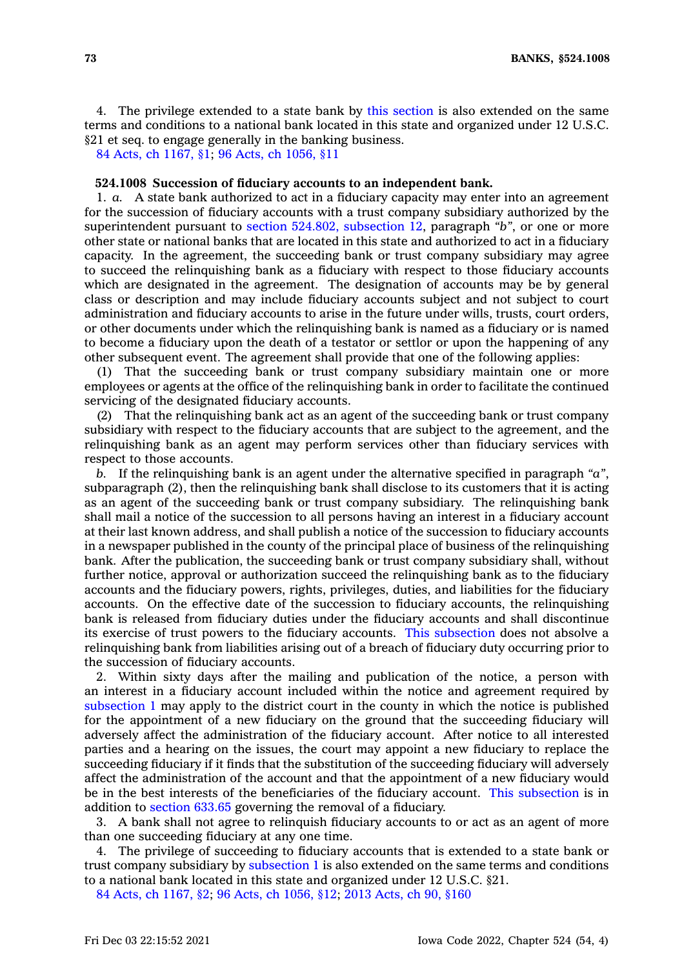4. The privilege extended to <sup>a</sup> state bank by this [section](https://www.legis.iowa.gov/docs/code/524.1007.pdf) is also extended on the same terms and conditions to <sup>a</sup> national bank located in this state and organized under 12 U.S.C. §21 et seq. to engage generally in the banking business.

84 Acts, ch [1167,](https://www.legis.iowa.gov/docs/acts/1984/CH1167.pdf) §1; 96 Acts, ch [1056,](https://www.legis.iowa.gov/docs/acts/1996/CH1056.pdf) §11

#### **524.1008 Succession of fiduciary accounts to an independent bank.**

1. *a.* A state bank authorized to act in <sup>a</sup> fiduciary capacity may enter into an agreement for the succession of fiduciary accounts with <sup>a</sup> trust company subsidiary authorized by the superintendent pursuant to section 524.802, [subsection](https://www.legis.iowa.gov/docs/code/524.802.pdf) 12, paragraph *"b"*, or one or more other state or national banks that are located in this state and authorized to act in <sup>a</sup> fiduciary capacity. In the agreement, the succeeding bank or trust company subsidiary may agree to succeed the relinquishing bank as <sup>a</sup> fiduciary with respect to those fiduciary accounts which are designated in the agreement. The designation of accounts may be by general class or description and may include fiduciary accounts subject and not subject to court administration and fiduciary accounts to arise in the future under wills, trusts, court orders, or other documents under which the relinquishing bank is named as <sup>a</sup> fiduciary or is named to become <sup>a</sup> fiduciary upon the death of <sup>a</sup> testator or settlor or upon the happening of any other subsequent event. The agreement shall provide that one of the following applies:

(1) That the succeeding bank or trust company subsidiary maintain one or more employees or agents at the office of the relinquishing bank in order to facilitate the continued servicing of the designated fiduciary accounts.

(2) That the relinquishing bank act as an agent of the succeeding bank or trust company subsidiary with respect to the fiduciary accounts that are subject to the agreement, and the relinquishing bank as an agent may perform services other than fiduciary services with respect to those accounts.

*b.* If the relinquishing bank is an agent under the alternative specified in paragraph *"a"*, subparagraph (2), then the relinquishing bank shall disclose to its customers that it is acting as an agent of the succeeding bank or trust company subsidiary. The relinquishing bank shall mail <sup>a</sup> notice of the succession to all persons having an interest in <sup>a</sup> fiduciary account at their last known address, and shall publish <sup>a</sup> notice of the succession to fiduciary accounts in <sup>a</sup> newspaper published in the county of the principal place of business of the relinquishing bank. After the publication, the succeeding bank or trust company subsidiary shall, without further notice, approval or authorization succeed the relinquishing bank as to the fiduciary accounts and the fiduciary powers, rights, privileges, duties, and liabilities for the fiduciary accounts. On the effective date of the succession to fiduciary accounts, the relinquishing bank is released from fiduciary duties under the fiduciary accounts and shall discontinue its exercise of trust powers to the fiduciary accounts. This [subsection](https://www.legis.iowa.gov/docs/code/524.1008.pdf) does not absolve <sup>a</sup> relinquishing bank from liabilities arising out of <sup>a</sup> breach of fiduciary duty occurring prior to the succession of fiduciary accounts.

2. Within sixty days after the mailing and publication of the notice, <sup>a</sup> person with an interest in <sup>a</sup> fiduciary account included within the notice and agreement required by [subsection](https://www.legis.iowa.gov/docs/code/524.1008.pdf) 1 may apply to the district court in the county in which the notice is published for the appointment of <sup>a</sup> new fiduciary on the ground that the succeeding fiduciary will adversely affect the administration of the fiduciary account. After notice to all interested parties and <sup>a</sup> hearing on the issues, the court may appoint <sup>a</sup> new fiduciary to replace the succeeding fiduciary if it finds that the substitution of the succeeding fiduciary will adversely affect the administration of the account and that the appointment of <sup>a</sup> new fiduciary would be in the best interests of the beneficiaries of the fiduciary account. This [subsection](https://www.legis.iowa.gov/docs/code/524.1008.pdf) is in addition to [section](https://www.legis.iowa.gov/docs/code/633.65.pdf) 633.65 governing the removal of <sup>a</sup> fiduciary.

3. A bank shall not agree to relinquish fiduciary accounts to or act as an agent of more than one succeeding fiduciary at any one time.

4. The privilege of succeeding to fiduciary accounts that is extended to <sup>a</sup> state bank or trust company subsidiary by [subsection](https://www.legis.iowa.gov/docs/code/524.1008.pdf) 1 is also extended on the same terms and conditions to <sup>a</sup> national bank located in this state and organized under 12 U.S.C. §21.

84 Acts, ch [1167,](https://www.legis.iowa.gov/docs/acts/1984/CH1167.pdf) §2; 96 Acts, ch [1056,](https://www.legis.iowa.gov/docs/acts/96/CH1056.pdf) §12; 2013 [Acts,](https://www.legis.iowa.gov/docs/acts/2013/CH0090.pdf) ch 90, §160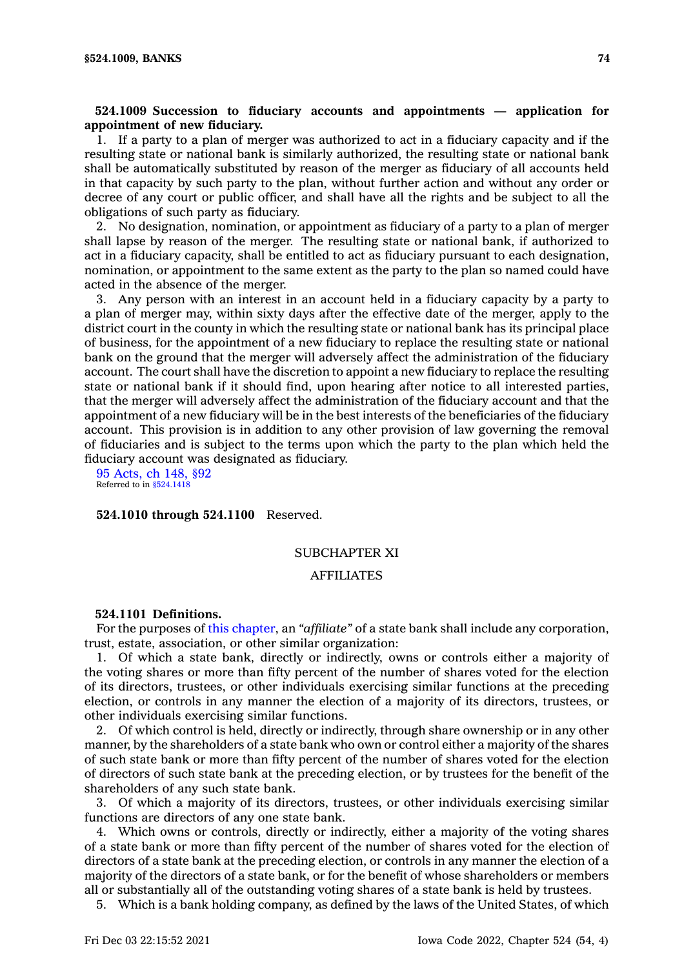# **524.1009 Succession to fiduciary accounts and appointments — application for appointment of new fiduciary.**

1. If <sup>a</sup> party to <sup>a</sup> plan of merger was authorized to act in <sup>a</sup> fiduciary capacity and if the resulting state or national bank is similarly authorized, the resulting state or national bank shall be automatically substituted by reason of the merger as fiduciary of all accounts held in that capacity by such party to the plan, without further action and without any order or decree of any court or public officer, and shall have all the rights and be subject to all the obligations of such party as fiduciary.

2. No designation, nomination, or appointment as fiduciary of <sup>a</sup> party to <sup>a</sup> plan of merger shall lapse by reason of the merger. The resulting state or national bank, if authorized to act in <sup>a</sup> fiduciary capacity, shall be entitled to act as fiduciary pursuant to each designation, nomination, or appointment to the same extent as the party to the plan so named could have acted in the absence of the merger.

3. Any person with an interest in an account held in <sup>a</sup> fiduciary capacity by <sup>a</sup> party to <sup>a</sup> plan of merger may, within sixty days after the effective date of the merger, apply to the district court in the county in which the resulting state or national bank has its principal place of business, for the appointment of <sup>a</sup> new fiduciary to replace the resulting state or national bank on the ground that the merger will adversely affect the administration of the fiduciary account. The court shall have the discretion to appoint <sup>a</sup> new fiduciary to replace the resulting state or national bank if it should find, upon hearing after notice to all interested parties, that the merger will adversely affect the administration of the fiduciary account and that the appointment of <sup>a</sup> new fiduciary will be in the best interests of the beneficiaries of the fiduciary account. This provision is in addition to any other provision of law governing the removal of fiduciaries and is subject to the terms upon which the party to the plan which held the fiduciary account was designated as fiduciary.

95 [Acts,](https://www.legis.iowa.gov/docs/acts/1995/CH0148.pdf) ch 148, §92 Referred to in [§524.1418](https://www.legis.iowa.gov/docs/code/524.1418.pdf)

### **524.1010 through 524.1100** Reserved.

## SUBCHAPTER XI

### AFFILIATES

#### **524.1101 Definitions.**

For the purposes of this [chapter](https://www.legis.iowa.gov/docs/code//524.pdf), an *"affiliate"* of <sup>a</sup> state bank shall include any corporation, trust, estate, association, or other similar organization:

1. Of which <sup>a</sup> state bank, directly or indirectly, owns or controls either <sup>a</sup> majority of the voting shares or more than fifty percent of the number of shares voted for the election of its directors, trustees, or other individuals exercising similar functions at the preceding election, or controls in any manner the election of <sup>a</sup> majority of its directors, trustees, or other individuals exercising similar functions.

2. Of which control is held, directly or indirectly, through share ownership or in any other manner, by the shareholders of <sup>a</sup> state bank who own or control either <sup>a</sup> majority of the shares of such state bank or more than fifty percent of the number of shares voted for the election of directors of such state bank at the preceding election, or by trustees for the benefit of the shareholders of any such state bank.

3. Of which <sup>a</sup> majority of its directors, trustees, or other individuals exercising similar functions are directors of any one state bank.

4. Which owns or controls, directly or indirectly, either <sup>a</sup> majority of the voting shares of <sup>a</sup> state bank or more than fifty percent of the number of shares voted for the election of directors of <sup>a</sup> state bank at the preceding election, or controls in any manner the election of <sup>a</sup> majority of the directors of <sup>a</sup> state bank, or for the benefit of whose shareholders or members all or substantially all of the outstanding voting shares of <sup>a</sup> state bank is held by trustees.

5. Which is <sup>a</sup> bank holding company, as defined by the laws of the United States, of which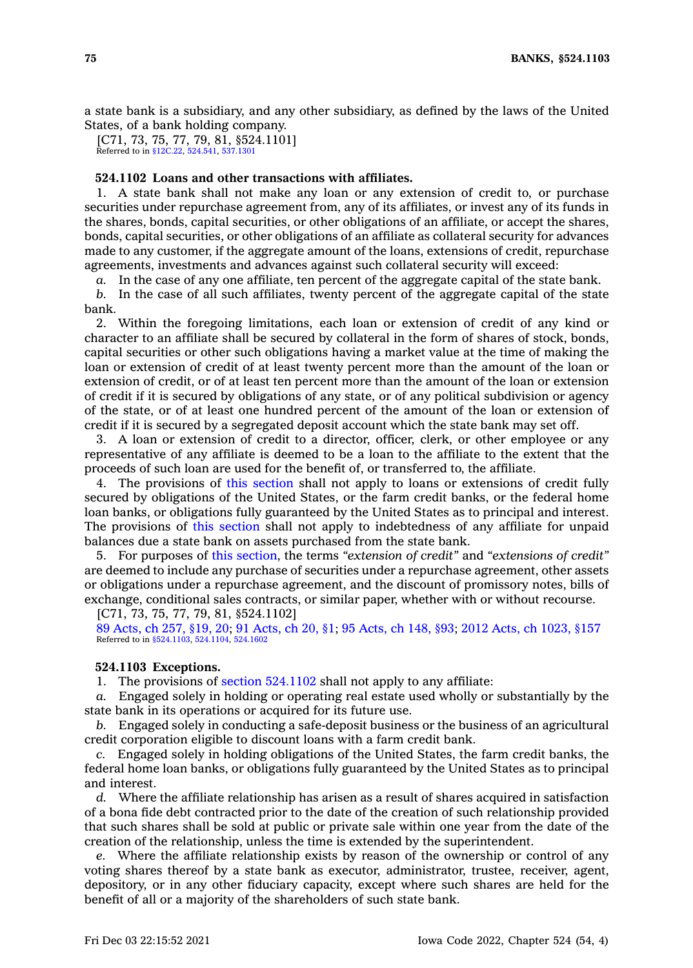<sup>a</sup> state bank is <sup>a</sup> subsidiary, and any other subsidiary, as defined by the laws of the United States, of <sup>a</sup> bank holding company.

[C71, 73, 75, 77, 79, 81, §524.1101] Referred to in [§12C.22,](https://www.legis.iowa.gov/docs/code/12C.22.pdf) [524.541](https://www.legis.iowa.gov/docs/code/524.541.pdf), [537.1301](https://www.legis.iowa.gov/docs/code/537.1301.pdf)

## **524.1102 Loans and other transactions with affiliates.**

1. A state bank shall not make any loan or any extension of credit to, or purchase securities under repurchase agreement from, any of its affiliates, or invest any of its funds in the shares, bonds, capital securities, or other obligations of an affiliate, or accept the shares, bonds, capital securities, or other obligations of an affiliate as collateral security for advances made to any customer, if the aggregate amount of the loans, extensions of credit, repurchase agreements, investments and advances against such collateral security will exceed:

*a.* In the case of any one affiliate, ten percent of the aggregate capital of the state bank.

*b.* In the case of all such affiliates, twenty percent of the aggregate capital of the state bank.

2. Within the foregoing limitations, each loan or extension of credit of any kind or character to an affiliate shall be secured by collateral in the form of shares of stock, bonds, capital securities or other such obligations having <sup>a</sup> market value at the time of making the loan or extension of credit of at least twenty percent more than the amount of the loan or extension of credit, or of at least ten percent more than the amount of the loan or extension of credit if it is secured by obligations of any state, or of any political subdivision or agency of the state, or of at least one hundred percent of the amount of the loan or extension of credit if it is secured by <sup>a</sup> segregated deposit account which the state bank may set off.

3. A loan or extension of credit to <sup>a</sup> director, officer, clerk, or other employee or any representative of any affiliate is deemed to be <sup>a</sup> loan to the affiliate to the extent that the proceeds of such loan are used for the benefit of, or transferred to, the affiliate.

4. The provisions of this [section](https://www.legis.iowa.gov/docs/code/524.1102.pdf) shall not apply to loans or extensions of credit fully secured by obligations of the United States, or the farm credit banks, or the federal home loan banks, or obligations fully guaranteed by the United States as to principal and interest. The provisions of this [section](https://www.legis.iowa.gov/docs/code/524.1102.pdf) shall not apply to indebtedness of any affiliate for unpaid balances due <sup>a</sup> state bank on assets purchased from the state bank.

5. For purposes of this [section](https://www.legis.iowa.gov/docs/code/524.1102.pdf), the terms *"extension of credit"* and *"extensions of credit"* are deemed to include any purchase of securities under <sup>a</sup> repurchase agreement, other assets or obligations under <sup>a</sup> repurchase agreement, and the discount of promissory notes, bills of exchange, conditional sales contracts, or similar paper, whether with or without recourse.

[C71, 73, 75, 77, 79, 81, §524.1102]

89 [Acts,](https://www.legis.iowa.gov/docs/acts/1989/CH0257.pdf) ch 257, §19, 20; 91 [Acts,](https://www.legis.iowa.gov/docs/acts/91/CH0020.pdf) ch 20, §1; 95 [Acts,](https://www.legis.iowa.gov/docs/acts/95/CH0148.pdf) ch 148, §93; 2012 Acts, ch [1023,](https://www.legis.iowa.gov/docs/acts/2012/CH1023.pdf) §157 Referred to in [§524.1103](https://www.legis.iowa.gov/docs/code/524.1103.pdf), [524.1104,](https://www.legis.iowa.gov/docs/code/524.1104.pdf) [524.1602](https://www.legis.iowa.gov/docs/code/524.1602.pdf)

### **524.1103 Exceptions.**

1. The provisions of section [524.1102](https://www.legis.iowa.gov/docs/code/524.1102.pdf) shall not apply to any affiliate:

*a.* Engaged solely in holding or operating real estate used wholly or substantially by the state bank in its operations or acquired for its future use.

*b.* Engaged solely in conducting <sup>a</sup> safe-deposit business or the business of an agricultural credit corporation eligible to discount loans with <sup>a</sup> farm credit bank.

*c.* Engaged solely in holding obligations of the United States, the farm credit banks, the federal home loan banks, or obligations fully guaranteed by the United States as to principal and interest.

*d.* Where the affiliate relationship has arisen as <sup>a</sup> result of shares acquired in satisfaction of <sup>a</sup> bona fide debt contracted prior to the date of the creation of such relationship provided that such shares shall be sold at public or private sale within one year from the date of the creation of the relationship, unless the time is extended by the superintendent.

*e.* Where the affiliate relationship exists by reason of the ownership or control of any voting shares thereof by <sup>a</sup> state bank as executor, administrator, trustee, receiver, agent, depository, or in any other fiduciary capacity, except where such shares are held for the benefit of all or <sup>a</sup> majority of the shareholders of such state bank.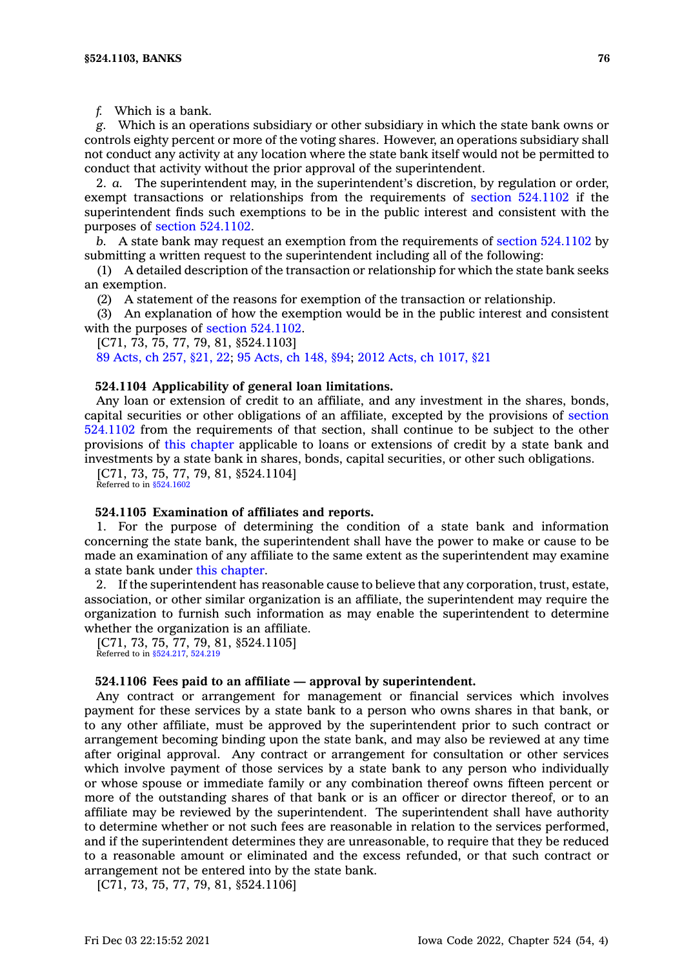*f.* Which is <sup>a</sup> bank.

*g.* Which is an operations subsidiary or other subsidiary in which the state bank owns or controls eighty percent or more of the voting shares. However, an operations subsidiary shall not conduct any activity at any location where the state bank itself would not be permitted to conduct that activity without the prior approval of the superintendent.

2. *a.* The superintendent may, in the superintendent's discretion, by regulation or order, exempt transactions or relationships from the requirements of section [524.1102](https://www.legis.iowa.gov/docs/code/524.1102.pdf) if the superintendent finds such exemptions to be in the public interest and consistent with the purposes of section [524.1102](https://www.legis.iowa.gov/docs/code/524.1102.pdf).

*b.* A state bank may request an exemption from the requirements of section [524.1102](https://www.legis.iowa.gov/docs/code/524.1102.pdf) by submitting <sup>a</sup> written request to the superintendent including all of the following:

(1) A detailed description of the transaction or relationship for which the state bank seeks an exemption.

(2) A statement of the reasons for exemption of the transaction or relationship.

(3) An explanation of how the exemption would be in the public interest and consistent with the purposes of section 524,1102.

[C71, 73, 75, 77, 79, 81, §524.1103]

89 [Acts,](https://www.legis.iowa.gov/docs/acts/1989/CH0257.pdf) ch 257, §21, 22; 95 [Acts,](https://www.legis.iowa.gov/docs/acts/95/CH0148.pdf) ch 148, §94; 2012 Acts, ch [1017,](https://www.legis.iowa.gov/docs/acts/2012/CH1017.pdf) §21

### **524.1104 Applicability of general loan limitations.**

Any loan or extension of credit to an affiliate, and any investment in the shares, bonds, capital securities or other obligations of an affiliate, excepted by the provisions of [section](https://www.legis.iowa.gov/docs/code/524.1102.pdf) [524.1102](https://www.legis.iowa.gov/docs/code/524.1102.pdf) from the requirements of that section, shall continue to be subject to the other provisions of this [chapter](https://www.legis.iowa.gov/docs/code//524.pdf) applicable to loans or extensions of credit by <sup>a</sup> state bank and investments by <sup>a</sup> state bank in shares, bonds, capital securities, or other such obligations.

[C71, 73, 75, 77, 79, 81, §524.1104] Referred to in [§524.1602](https://www.legis.iowa.gov/docs/code/524.1602.pdf)

#### **524.1105 Examination of affiliates and reports.**

1. For the purpose of determining the condition of <sup>a</sup> state bank and information concerning the state bank, the superintendent shall have the power to make or cause to be made an examination of any affiliate to the same extent as the superintendent may examine <sup>a</sup> state bank under this [chapter](https://www.legis.iowa.gov/docs/code//524.pdf).

2. If the superintendent has reasonable cause to believe that any corporation, trust, estate, association, or other similar organization is an affiliate, the superintendent may require the organization to furnish such information as may enable the superintendent to determine whether the organization is an affiliate.

[C71, 73, 75, 77, 79, 81, §524.1105] Referred to in [§524.217](https://www.legis.iowa.gov/docs/code/524.217.pdf), [524.219](https://www.legis.iowa.gov/docs/code/524.219.pdf)

#### **524.1106 Fees paid to an affiliate — approval by superintendent.**

Any contract or arrangement for management or financial services which involves payment for these services by <sup>a</sup> state bank to <sup>a</sup> person who owns shares in that bank, or to any other affiliate, must be approved by the superintendent prior to such contract or arrangement becoming binding upon the state bank, and may also be reviewed at any time after original approval. Any contract or arrangement for consultation or other services which involve payment of those services by <sup>a</sup> state bank to any person who individually or whose spouse or immediate family or any combination thereof owns fifteen percent or more of the outstanding shares of that bank or is an officer or director thereof, or to an affiliate may be reviewed by the superintendent. The superintendent shall have authority to determine whether or not such fees are reasonable in relation to the services performed, and if the superintendent determines they are unreasonable, to require that they be reduced to <sup>a</sup> reasonable amount or eliminated and the excess refunded, or that such contract or arrangement not be entered into by the state bank.

[C71, 73, 75, 77, 79, 81, §524.1106]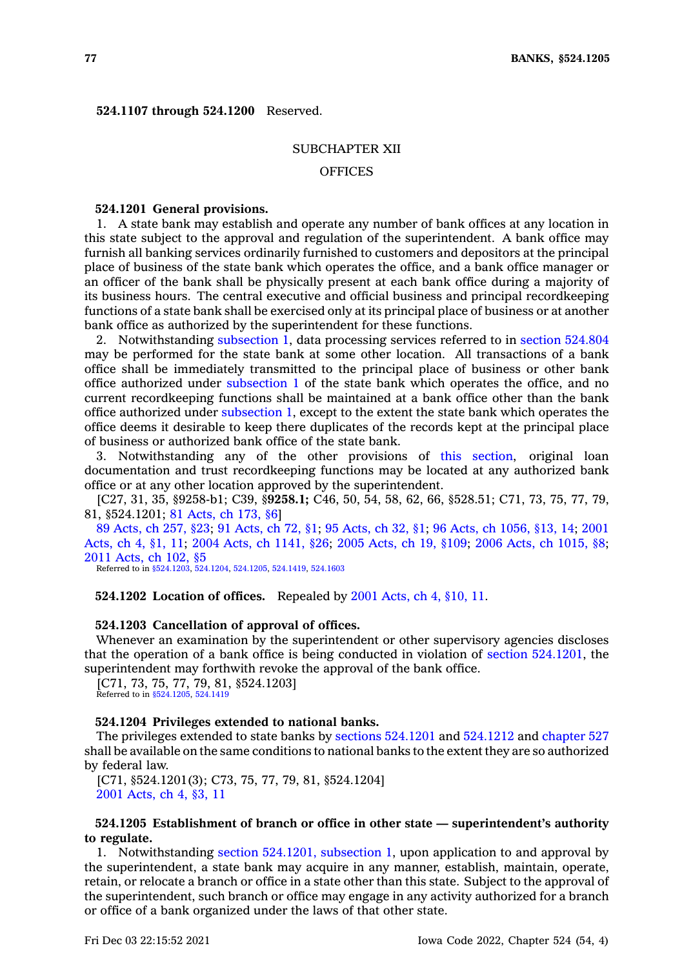**524.1107 through 524.1200** Reserved.

### SUBCHAPTER XII

### **OFFICES**

## **524.1201 General provisions.**

1. A state bank may establish and operate any number of bank offices at any location in this state subject to the approval and regulation of the superintendent. A bank office may furnish all banking services ordinarily furnished to customers and depositors at the principal place of business of the state bank which operates the office, and <sup>a</sup> bank office manager or an officer of the bank shall be physically present at each bank office during <sup>a</sup> majority of its business hours. The central executive and official business and principal recordkeeping functions of <sup>a</sup> state bank shall be exercised only at its principal place of business or at another bank office as authorized by the superintendent for these functions.

2. Notwithstanding [subsection](https://www.legis.iowa.gov/docs/code/524.1201.pdf) 1, data processing services referred to in section [524.804](https://www.legis.iowa.gov/docs/code/524.804.pdf) may be performed for the state bank at some other location. All transactions of <sup>a</sup> bank office shall be immediately transmitted to the principal place of business or other bank office authorized under [subsection](https://www.legis.iowa.gov/docs/code/524.1201.pdf) 1 of the state bank which operates the office, and no current recordkeeping functions shall be maintained at <sup>a</sup> bank office other than the bank office authorized under [subsection](https://www.legis.iowa.gov/docs/code/524.1201.pdf) 1, except to the extent the state bank which operates the office deems it desirable to keep there duplicates of the records kept at the principal place of business or authorized bank office of the state bank.

3. Notwithstanding any of the other provisions of this [section](https://www.legis.iowa.gov/docs/code/524.1201.pdf), original loan documentation and trust recordkeeping functions may be located at any authorized bank office or at any other location approved by the superintendent.

[C27, 31, 35, §9258-b1; C39, §**9258.1;** C46, 50, 54, 58, 62, 66, §528.51; C71, 73, 75, 77, 79, 81, §524.1201; 81 [Acts,](https://www.legis.iowa.gov/docs/acts/1981/CH0173.pdf) ch 173, §6]

89 [Acts,](https://www.legis.iowa.gov/docs/acts/1989/CH0257.pdf) ch 257, §23; 91 [Acts,](https://www.legis.iowa.gov/docs/acts/91/CH0072.pdf) ch 72, §1; 95 [Acts,](https://www.legis.iowa.gov/docs/acts/95/CH0032.pdf) ch 32, §1; 96 Acts, ch [1056,](https://www.legis.iowa.gov/docs/acts/96/CH1056.pdf) §13, 14; [2001](https://www.legis.iowa.gov/docs/acts/2001/CH0004.pdf) [Acts,](https://www.legis.iowa.gov/docs/acts/2001/CH0004.pdf) ch 4, §1, 11; 2004 Acts, ch [1141,](https://www.legis.iowa.gov/docs/acts/2004/CH1141.pdf) §26; 2005 [Acts,](https://www.legis.iowa.gov/docs/acts/2005/CH0019.pdf) ch 19, §109; 2006 Acts, ch [1015,](https://www.legis.iowa.gov/docs/acts/2006/CH1015.pdf) §8; 2011 [Acts,](https://www.legis.iowa.gov/docs/acts/2011/CH0102.pdf) ch 102, §5

Referred to in [§524.1203](https://www.legis.iowa.gov/docs/code/524.1203.pdf), [524.1204](https://www.legis.iowa.gov/docs/code/524.1204.pdf), [524.1205,](https://www.legis.iowa.gov/docs/code/524.1205.pdf) [524.1419](https://www.legis.iowa.gov/docs/code/524.1419.pdf), [524.1603](https://www.legis.iowa.gov/docs/code/524.1603.pdf)

#### **524.1202 Location of offices.** Repealed by 2001 [Acts,](https://www.legis.iowa.gov/docs/acts/2001/CH0004.pdf) ch 4, §10, 11.

#### **524.1203 Cancellation of approval of offices.**

Whenever an examination by the superintendent or other supervisory agencies discloses that the operation of <sup>a</sup> bank office is being conducted in violation of section [524.1201](https://www.legis.iowa.gov/docs/code/524.1201.pdf), the superintendent may forthwith revoke the approval of the bank office.

[C71, 73, 75, 77, 79, 81, §524.1203] Referred to in [§524.1205](https://www.legis.iowa.gov/docs/code/524.1205.pdf), [524.1419](https://www.legis.iowa.gov/docs/code/524.1419.pdf)

#### **524.1204 Privileges extended to national banks.**

The privileges extended to state banks by sections [524.1201](https://www.legis.iowa.gov/docs/code/524.1201.pdf) and [524.1212](https://www.legis.iowa.gov/docs/code/524.1212.pdf) and [chapter](https://www.legis.iowa.gov/docs/code//527.pdf) 527 shall be available on the same conditions to national banks to the extent they are so authorized by federal law.

[C71, §524.1201(3); C73, 75, 77, 79, 81, §524.1204] 2001 [Acts,](https://www.legis.iowa.gov/docs/acts/2001/CH0004.pdf) ch 4, §3, 11

# **524.1205 Establishment of branch or office in other state — superintendent's authority to regulate.**

1. Notwithstanding section [524.1201,](https://www.legis.iowa.gov/docs/code/524.1201.pdf) subsection 1, upon application to and approval by the superintendent, <sup>a</sup> state bank may acquire in any manner, establish, maintain, operate, retain, or relocate <sup>a</sup> branch or office in <sup>a</sup> state other than this state. Subject to the approval of the superintendent, such branch or office may engage in any activity authorized for <sup>a</sup> branch or office of <sup>a</sup> bank organized under the laws of that other state.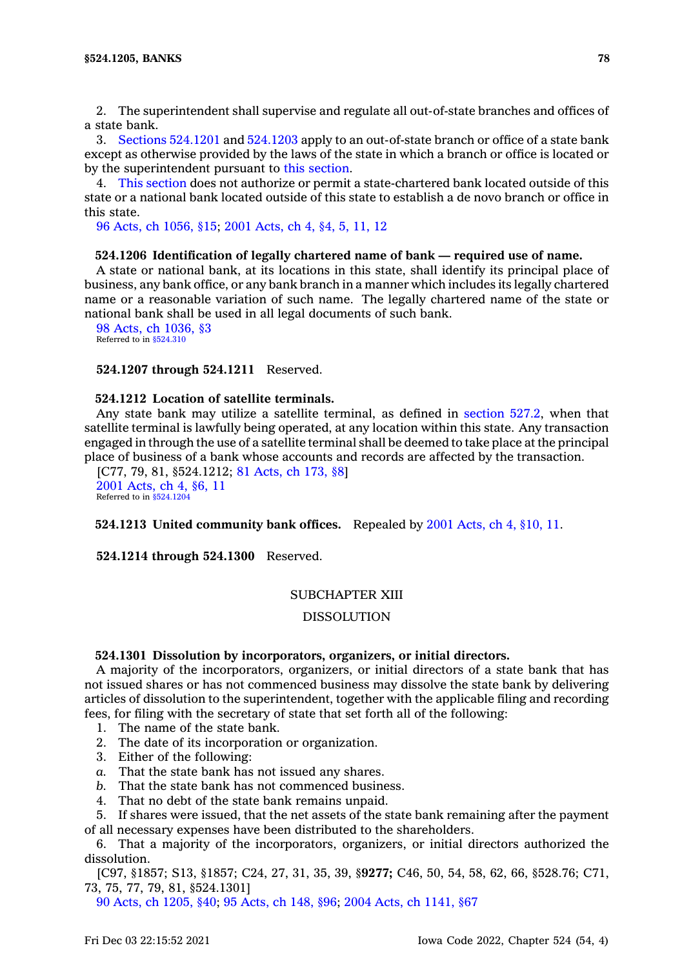2. The superintendent shall supervise and regulate all out-of-state branches and offices of <sup>a</sup> state bank.

3. Sections [524.1201](https://www.legis.iowa.gov/docs/code/524.1201.pdf) and [524.1203](https://www.legis.iowa.gov/docs/code/524.1203.pdf) apply to an out-of-state branch or office of <sup>a</sup> state bank except as otherwise provided by the laws of the state in which <sup>a</sup> branch or office is located or by the superintendent pursuant to this [section](https://www.legis.iowa.gov/docs/code/524.1205.pdf).

4. This [section](https://www.legis.iowa.gov/docs/code/524.1205.pdf) does not authorize or permit <sup>a</sup> state-chartered bank located outside of this state or <sup>a</sup> national bank located outside of this state to establish <sup>a</sup> de novo branch or office in this state.

96 Acts, ch [1056,](https://www.legis.iowa.gov/docs/acts/1996/CH1056.pdf) §15; 2001 [Acts,](https://www.legis.iowa.gov/docs/acts/2001/CH0004.pdf) ch 4, §4, 5, 11, 12

#### **524.1206 Identification of legally chartered name of bank — required use of name.**

A state or national bank, at its locations in this state, shall identify its principal place of business, any bank office, or any bank branch in <sup>a</sup> manner which includes its legally chartered name or <sup>a</sup> reasonable variation of such name. The legally chartered name of the state or national bank shall be used in all legal documents of such bank.

98 Acts, ch [1036,](https://www.legis.iowa.gov/docs/acts/1998/CH1036.pdf) §3 Referred to in [§524.310](https://www.legis.iowa.gov/docs/code/524.310.pdf)

#### **524.1207 through 524.1211** Reserved.

# **524.1212 Location of satellite terminals.**

Any state bank may utilize <sup>a</sup> satellite terminal, as defined in [section](https://www.legis.iowa.gov/docs/code/527.2.pdf) 527.2, when that satellite terminal is lawfully being operated, at any location within this state. Any transaction engaged in through the use of <sup>a</sup> satellite terminal shall be deemed to take place at the principal place of business of <sup>a</sup> bank whose accounts and records are affected by the transaction.

[C77, 79, 81, §524.1212; 81 [Acts,](https://www.legis.iowa.gov/docs/acts/1981/CH0173.pdf) ch 173, §8] 2001 [Acts,](https://www.legis.iowa.gov/docs/acts/2001/CH0004.pdf) ch 4, §6, 11 Referred to in [§524.1204](https://www.legis.iowa.gov/docs/code/524.1204.pdf)

**524.1213 United community bank offices.** Repealed by 2001 [Acts,](https://www.legis.iowa.gov/docs/acts/2001/CH0004.pdf) ch 4, §10, 11.

**524.1214 through 524.1300** Reserved.

### SUBCHAPTER XIII

## DISSOLUTION

### **524.1301 Dissolution by incorporators, organizers, or initial directors.**

A majority of the incorporators, organizers, or initial directors of <sup>a</sup> state bank that has not issued shares or has not commenced business may dissolve the state bank by delivering articles of dissolution to the superintendent, together with the applicable filing and recording fees, for filing with the secretary of state that set forth all of the following:

- 1. The name of the state bank.
- 2. The date of its incorporation or organization.
- 3. Either of the following:
- *a.* That the state bank has not issued any shares.
- *b.* That the state bank has not commenced business.
- 4. That no debt of the state bank remains unpaid.

5. If shares were issued, that the net assets of the state bank remaining after the payment of all necessary expenses have been distributed to the shareholders.

6. That <sup>a</sup> majority of the incorporators, organizers, or initial directors authorized the dissolution.

[C97, §1857; S13, §1857; C24, 27, 31, 35, 39, §**9277;** C46, 50, 54, 58, 62, 66, §528.76; C71, 73, 75, 77, 79, 81, §524.1301]

90 Acts, ch [1205,](https://www.legis.iowa.gov/docs/acts/1990/CH1205.pdf) §40; 95 [Acts,](https://www.legis.iowa.gov/docs/acts/1995/CH0148.pdf) ch 148, §96; 2004 Acts, ch [1141,](https://www.legis.iowa.gov/docs/acts/2004/CH1141.pdf) §67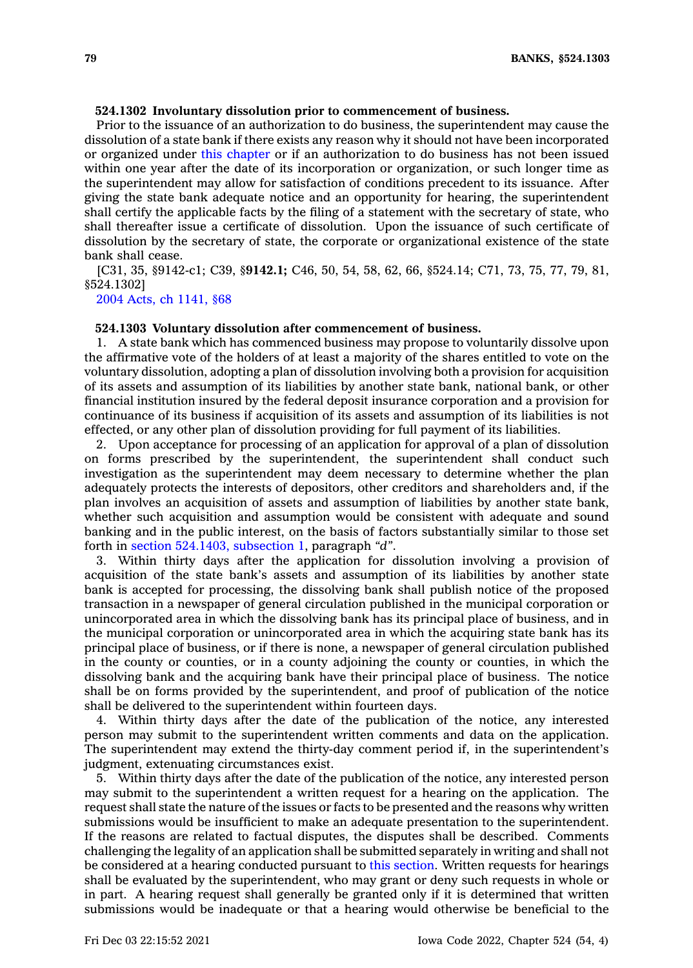# **524.1302 Involuntary dissolution prior to commencement of business.**

Prior to the issuance of an authorization to do business, the superintendent may cause the dissolution of <sup>a</sup> state bank if there exists any reason why it should not have been incorporated or organized under this [chapter](https://www.legis.iowa.gov/docs/code//524.pdf) or if an authorization to do business has not been issued within one year after the date of its incorporation or organization, or such longer time as the superintendent may allow for satisfaction of conditions precedent to its issuance. After giving the state bank adequate notice and an opportunity for hearing, the superintendent shall certify the applicable facts by the filing of <sup>a</sup> statement with the secretary of state, who shall thereafter issue <sup>a</sup> certificate of dissolution. Upon the issuance of such certificate of dissolution by the secretary of state, the corporate or organizational existence of the state bank shall cease.

[C31, 35, §9142-c1; C39, §**9142.1;** C46, 50, 54, 58, 62, 66, §524.14; C71, 73, 75, 77, 79, 81, §524.1302]

2004 Acts, ch [1141,](https://www.legis.iowa.gov/docs/acts/2004/CH1141.pdf) §68

#### **524.1303 Voluntary dissolution after commencement of business.**

1. A state bank which has commenced business may propose to voluntarily dissolve upon the affirmative vote of the holders of at least <sup>a</sup> majority of the shares entitled to vote on the voluntary dissolution, adopting <sup>a</sup> plan of dissolution involving both <sup>a</sup> provision for acquisition of its assets and assumption of its liabilities by another state bank, national bank, or other financial institution insured by the federal deposit insurance corporation and <sup>a</sup> provision for continuance of its business if acquisition of its assets and assumption of its liabilities is not effected, or any other plan of dissolution providing for full payment of its liabilities.

2. Upon acceptance for processing of an application for approval of <sup>a</sup> plan of dissolution on forms prescribed by the superintendent, the superintendent shall conduct such investigation as the superintendent may deem necessary to determine whether the plan adequately protects the interests of depositors, other creditors and shareholders and, if the plan involves an acquisition of assets and assumption of liabilities by another state bank, whether such acquisition and assumption would be consistent with adequate and sound banking and in the public interest, on the basis of factors substantially similar to those set forth in section [524.1403,](https://www.legis.iowa.gov/docs/code/524.1403.pdf) subsection 1, paragraph *"d"*.

3. Within thirty days after the application for dissolution involving <sup>a</sup> provision of acquisition of the state bank's assets and assumption of its liabilities by another state bank is accepted for processing, the dissolving bank shall publish notice of the proposed transaction in <sup>a</sup> newspaper of general circulation published in the municipal corporation or unincorporated area in which the dissolving bank has its principal place of business, and in the municipal corporation or unincorporated area in which the acquiring state bank has its principal place of business, or if there is none, <sup>a</sup> newspaper of general circulation published in the county or counties, or in <sup>a</sup> county adjoining the county or counties, in which the dissolving bank and the acquiring bank have their principal place of business. The notice shall be on forms provided by the superintendent, and proof of publication of the notice shall be delivered to the superintendent within fourteen days.

4. Within thirty days after the date of the publication of the notice, any interested person may submit to the superintendent written comments and data on the application. The superintendent may extend the thirty-day comment period if, in the superintendent's judgment, extenuating circumstances exist.

5. Within thirty days after the date of the publication of the notice, any interested person may submit to the superintendent <sup>a</sup> written request for <sup>a</sup> hearing on the application. The request shall state the nature of the issues or facts to be presented and the reasons why written submissions would be insufficient to make an adequate presentation to the superintendent. If the reasons are related to factual disputes, the disputes shall be described. Comments challenging the legality of an application shall be submitted separately in writing and shall not be considered at <sup>a</sup> hearing conducted pursuant to this [section](https://www.legis.iowa.gov/docs/code/524.1303.pdf). Written requests for hearings shall be evaluated by the superintendent, who may grant or deny such requests in whole or in part. A hearing request shall generally be granted only if it is determined that written submissions would be inadequate or that <sup>a</sup> hearing would otherwise be beneficial to the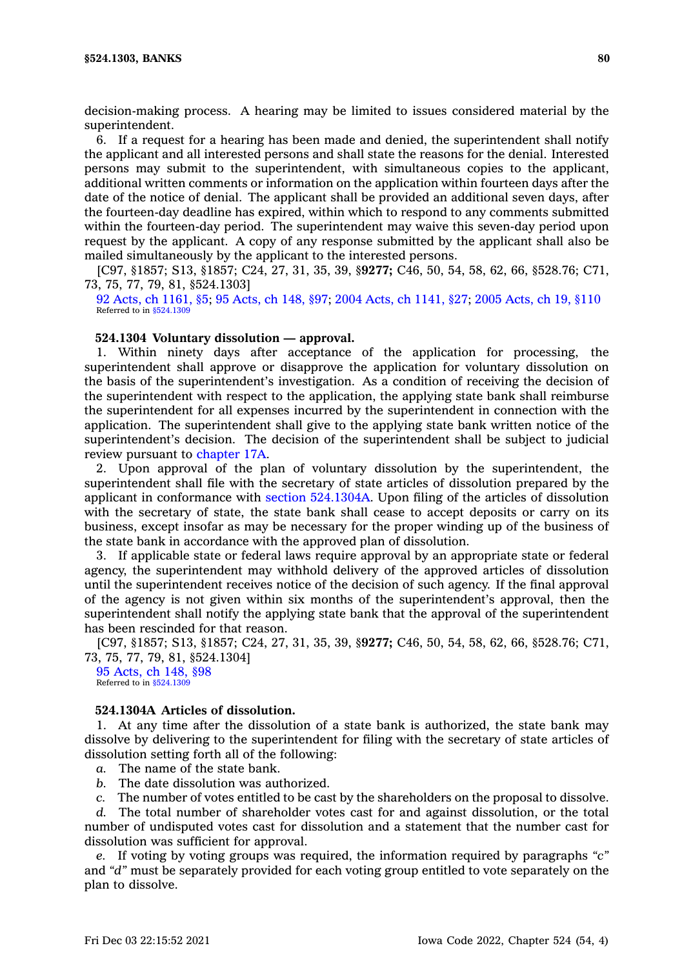decision-making process. A hearing may be limited to issues considered material by the superintendent.

6. If <sup>a</sup> request for <sup>a</sup> hearing has been made and denied, the superintendent shall notify the applicant and all interested persons and shall state the reasons for the denial. Interested persons may submit to the superintendent, with simultaneous copies to the applicant, additional written comments or information on the application within fourteen days after the date of the notice of denial. The applicant shall be provided an additional seven days, after the fourteen-day deadline has expired, within which to respond to any comments submitted within the fourteen-day period. The superintendent may waive this seven-day period upon request by the applicant. A copy of any response submitted by the applicant shall also be mailed simultaneously by the applicant to the interested persons.

[C97, §1857; S13, §1857; C24, 27, 31, 35, 39, §**9277;** C46, 50, 54, 58, 62, 66, §528.76; C71, 73, 75, 77, 79, 81, §524.1303]

92 Acts, ch [1161,](https://www.legis.iowa.gov/docs/acts/1992/CH1161.pdf) §5; 95 [Acts,](https://www.legis.iowa.gov/docs/acts/1995/CH0148.pdf) ch 148, §97; 2004 Acts, ch [1141,](https://www.legis.iowa.gov/docs/acts/2004/CH1141.pdf) §27; 2005 [Acts,](https://www.legis.iowa.gov/docs/acts/2005/CH0019.pdf) ch 19, §110 Referred to in [§524.1309](https://www.legis.iowa.gov/docs/code/524.1309.pdf)

### **524.1304 Voluntary dissolution — approval.**

1. Within ninety days after acceptance of the application for processing, the superintendent shall approve or disapprove the application for voluntary dissolution on the basis of the superintendent's investigation. As <sup>a</sup> condition of receiving the decision of the superintendent with respect to the application, the applying state bank shall reimburse the superintendent for all expenses incurred by the superintendent in connection with the application. The superintendent shall give to the applying state bank written notice of the superintendent's decision. The decision of the superintendent shall be subject to judicial review pursuant to [chapter](https://www.legis.iowa.gov/docs/code//17A.pdf) 17A.

2. Upon approval of the plan of voluntary dissolution by the superintendent, the superintendent shall file with the secretary of state articles of dissolution prepared by the applicant in conformance with section [524.1304A](https://www.legis.iowa.gov/docs/code/524.1304A.pdf). Upon filing of the articles of dissolution with the secretary of state, the state bank shall cease to accept deposits or carry on its business, except insofar as may be necessary for the proper winding up of the business of the state bank in accordance with the approved plan of dissolution.

3. If applicable state or federal laws require approval by an appropriate state or federal agency, the superintendent may withhold delivery of the approved articles of dissolution until the superintendent receives notice of the decision of such agency. If the final approval of the agency is not given within six months of the superintendent's approval, then the superintendent shall notify the applying state bank that the approval of the superintendent has been rescinded for that reason.

[C97, §1857; S13, §1857; C24, 27, 31, 35, 39, §**9277;** C46, 50, 54, 58, 62, 66, §528.76; C71, 73, 75, 77, 79, 81, §524.1304]

95 [Acts,](https://www.legis.iowa.gov/docs/acts/1995/CH0148.pdf) ch 148, §98 Referred to in  $$524.130$ 

# **524.1304A Articles of dissolution.**

1. At any time after the dissolution of <sup>a</sup> state bank is authorized, the state bank may dissolve by delivering to the superintendent for filing with the secretary of state articles of dissolution setting forth all of the following:

- *a.* The name of the state bank.
- *b.* The date dissolution was authorized.
- *c.* The number of votes entitled to be cast by the shareholders on the proposal to dissolve.

*d.* The total number of shareholder votes cast for and against dissolution, or the total number of undisputed votes cast for dissolution and <sup>a</sup> statement that the number cast for dissolution was sufficient for approval.

*e.* If voting by voting groups was required, the information required by paragraphs *"c"* and *"d"* must be separately provided for each voting group entitled to vote separately on the plan to dissolve.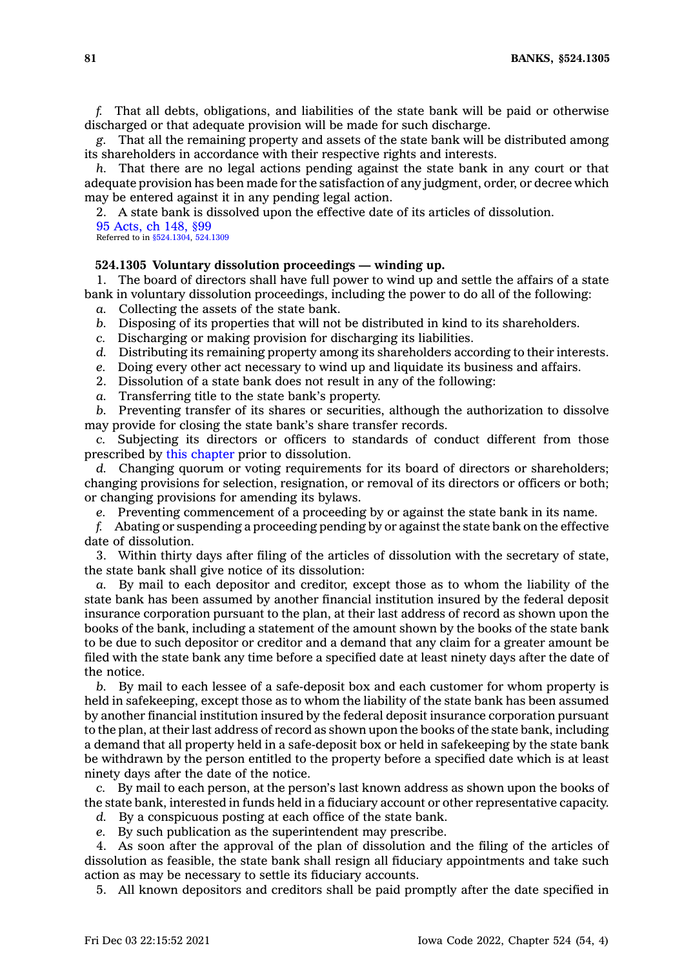**81 BANKS, §524.1305**

*f.* That all debts, obligations, and liabilities of the state bank will be paid or otherwise discharged or that adequate provision will be made for such discharge.

*g.* That all the remaining property and assets of the state bank will be distributed among its shareholders in accordance with their respective rights and interests.

*h.* That there are no legal actions pending against the state bank in any court or that adequate provision has been made for the satisfaction of any judgment, order, or decree which may be entered against it in any pending legal action.

2. A state bank is dissolved upon the effective date of its articles of dissolution. 95 [Acts,](https://www.legis.iowa.gov/docs/acts/1995/CH0148.pdf) ch 148, §99

Referred to in [§524.1304](https://www.legis.iowa.gov/docs/code/524.1304.pdf), [524.1309](https://www.legis.iowa.gov/docs/code/524.1309.pdf)

# **524.1305 Voluntary dissolution proceedings — winding up.**

1. The board of directors shall have full power to wind up and settle the affairs of <sup>a</sup> state bank in voluntary dissolution proceedings, including the power to do all of the following:

- *a.* Collecting the assets of the state bank.
- *b.* Disposing of its properties that will not be distributed in kind to its shareholders.
- *c.* Discharging or making provision for discharging its liabilities.
- *d.* Distributing its remaining property among its shareholders according to their interests.
- *e.* Doing every other act necessary to wind up and liquidate its business and affairs.
- 2. Dissolution of <sup>a</sup> state bank does not result in any of the following:
- *a.* Transferring title to the state bank's property.

*b.* Preventing transfer of its shares or securities, although the authorization to dissolve may provide for closing the state bank's share transfer records.

*c.* Subjecting its directors or officers to standards of conduct different from those prescribed by this [chapter](https://www.legis.iowa.gov/docs/code//524.pdf) prior to dissolution.

*d.* Changing quorum or voting requirements for its board of directors or shareholders; changing provisions for selection, resignation, or removal of its directors or officers or both; or changing provisions for amending its bylaws.

*e.* Preventing commencement of <sup>a</sup> proceeding by or against the state bank in its name.

*f.* Abating or suspending <sup>a</sup> proceeding pending by or against the state bank on the effective date of dissolution.

3. Within thirty days after filing of the articles of dissolution with the secretary of state, the state bank shall give notice of its dissolution:

*a.* By mail to each depositor and creditor, except those as to whom the liability of the state bank has been assumed by another financial institution insured by the federal deposit insurance corporation pursuant to the plan, at their last address of record as shown upon the books of the bank, including <sup>a</sup> statement of the amount shown by the books of the state bank to be due to such depositor or creditor and <sup>a</sup> demand that any claim for <sup>a</sup> greater amount be filed with the state bank any time before <sup>a</sup> specified date at least ninety days after the date of the notice.

*b.* By mail to each lessee of <sup>a</sup> safe-deposit box and each customer for whom property is held in safekeeping, except those as to whom the liability of the state bank has been assumed by another financial institution insured by the federal deposit insurance corporation pursuant to the plan, at their last address of record as shown upon the books of the state bank, including <sup>a</sup> demand that all property held in <sup>a</sup> safe-deposit box or held in safekeeping by the state bank be withdrawn by the person entitled to the property before <sup>a</sup> specified date which is at least ninety days after the date of the notice.

*c.* By mail to each person, at the person's last known address as shown upon the books of the state bank, interested in funds held in <sup>a</sup> fiduciary account or other representative capacity.

*d.* By <sup>a</sup> conspicuous posting at each office of the state bank.

*e.* By such publication as the superintendent may prescribe.

4. As soon after the approval of the plan of dissolution and the filing of the articles of dissolution as feasible, the state bank shall resign all fiduciary appointments and take such action as may be necessary to settle its fiduciary accounts.

5. All known depositors and creditors shall be paid promptly after the date specified in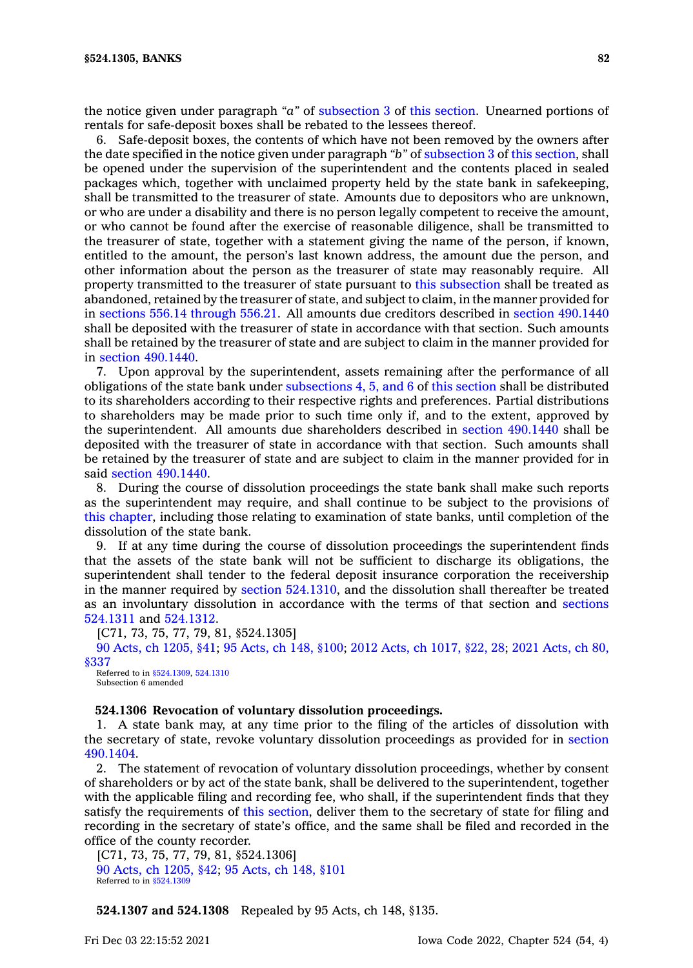the notice given under paragraph *"a"* of [subsection](https://www.legis.iowa.gov/docs/code/524.1305.pdf) 3 of this [section](https://www.legis.iowa.gov/docs/code/524.1305.pdf). Unearned portions of rentals for safe-deposit boxes shall be rebated to the lessees thereof.

6. Safe-deposit boxes, the contents of which have not been removed by the owners after the date specified in the notice given under paragraph *"b"* of [subsection](https://www.legis.iowa.gov/docs/code/524.1305.pdf) 3 of this [section](https://www.legis.iowa.gov/docs/code/524.1305.pdf), shall be opened under the supervision of the superintendent and the contents placed in sealed packages which, together with unclaimed property held by the state bank in safekeeping, shall be transmitted to the treasurer of state. Amounts due to depositors who are unknown, or who are under <sup>a</sup> disability and there is no person legally competent to receive the amount, or who cannot be found after the exercise of reasonable diligence, shall be transmitted to the treasurer of state, together with <sup>a</sup> statement giving the name of the person, if known, entitled to the amount, the person's last known address, the amount due the person, and other information about the person as the treasurer of state may reasonably require. All property transmitted to the treasurer of state pursuant to this [subsection](https://www.legis.iowa.gov/docs/code/524.1305.pdf) shall be treated as abandoned, retained by the treasurer of state, and subject to claim, in the manner provided for in sections 556.14 [through](https://www.legis.iowa.gov/docs/code/556.14.pdf) 556.21. All amounts due creditors described in section [490.1440](https://www.legis.iowa.gov/docs/code/490.1440.pdf) shall be deposited with the treasurer of state in accordance with that section. Such amounts shall be retained by the treasurer of state and are subject to claim in the manner provided for in section [490.1440](https://www.legis.iowa.gov/docs/code/490.1440.pdf).

7. Upon approval by the superintendent, assets remaining after the performance of all obligations of the state bank under [subsections](https://www.legis.iowa.gov/docs/code/524.1305.pdf) 4, 5, and 6 of this [section](https://www.legis.iowa.gov/docs/code/524.1305.pdf) shall be distributed to its shareholders according to their respective rights and preferences. Partial distributions to shareholders may be made prior to such time only if, and to the extent, approved by the superintendent. All amounts due shareholders described in section [490.1440](https://www.legis.iowa.gov/docs/code/490.1440.pdf) shall be deposited with the treasurer of state in accordance with that section. Such amounts shall be retained by the treasurer of state and are subject to claim in the manner provided for in said section [490.1440](https://www.legis.iowa.gov/docs/code/490.1440.pdf).

8. During the course of dissolution proceedings the state bank shall make such reports as the superintendent may require, and shall continue to be subject to the provisions of this [chapter](https://www.legis.iowa.gov/docs/code//524.pdf), including those relating to examination of state banks, until completion of the dissolution of the state bank.

9. If at any time during the course of dissolution proceedings the superintendent finds that the assets of the state bank will not be sufficient to discharge its obligations, the superintendent shall tender to the federal deposit insurance corporation the receivership in the manner required by section [524.1310](https://www.legis.iowa.gov/docs/code/524.1310.pdf), and the dissolution shall thereafter be treated as an involuntary dissolution in accordance with the terms of that section and [sections](https://www.legis.iowa.gov/docs/code/524.1311.pdf) [524.1311](https://www.legis.iowa.gov/docs/code/524.1311.pdf) and [524.1312](https://www.legis.iowa.gov/docs/code/524.1312.pdf).

[C71, 73, 75, 77, 79, 81, §524.1305]

90 Acts, ch [1205,](https://www.legis.iowa.gov/docs/acts/1990/CH1205.pdf) §41; 95 [Acts,](https://www.legis.iowa.gov/docs/acts/95/CH0148.pdf) ch 148, §100; 2012 Acts, ch [1017,](https://www.legis.iowa.gov/docs/acts/2012/CH1017.pdf) §22, 28; 2021 [Acts,](https://www.legis.iowa.gov/docs/acts/2021/CH0080.pdf) ch 80, [§337](https://www.legis.iowa.gov/docs/acts/2021/CH0080.pdf)

Referred to in [§524.1309](https://www.legis.iowa.gov/docs/code/524.1309.pdf), [524.1310](https://www.legis.iowa.gov/docs/code/524.1310.pdf) Subsection 6 amended

### **524.1306 Revocation of voluntary dissolution proceedings.**

1. A state bank may, at any time prior to the filing of the articles of dissolution with the secretary of state, revoke voluntary dissolution proceedings as provided for in [section](https://www.legis.iowa.gov/docs/code/490.1404.pdf) [490.1404](https://www.legis.iowa.gov/docs/code/490.1404.pdf).

2. The statement of revocation of voluntary dissolution proceedings, whether by consent of shareholders or by act of the state bank, shall be delivered to the superintendent, together with the applicable filing and recording fee, who shall, if the superintendent finds that they satisfy the requirements of this [section](https://www.legis.iowa.gov/docs/code/524.1306.pdf), deliver them to the secretary of state for filing and recording in the secretary of state's office, and the same shall be filed and recorded in the office of the county recorder.

[C71, 73, 75, 77, 79, 81, §524.1306] 90 Acts, ch [1205,](https://www.legis.iowa.gov/docs/acts/1990/CH1205.pdf) §42; 95 [Acts,](https://www.legis.iowa.gov/docs/acts/1995/CH0148.pdf) ch 148, §101 Referred to in [§524.1309](https://www.legis.iowa.gov/docs/code/524.1309.pdf)

**524.1307 and 524.1308** Repealed by 95 Acts, ch 148, §135.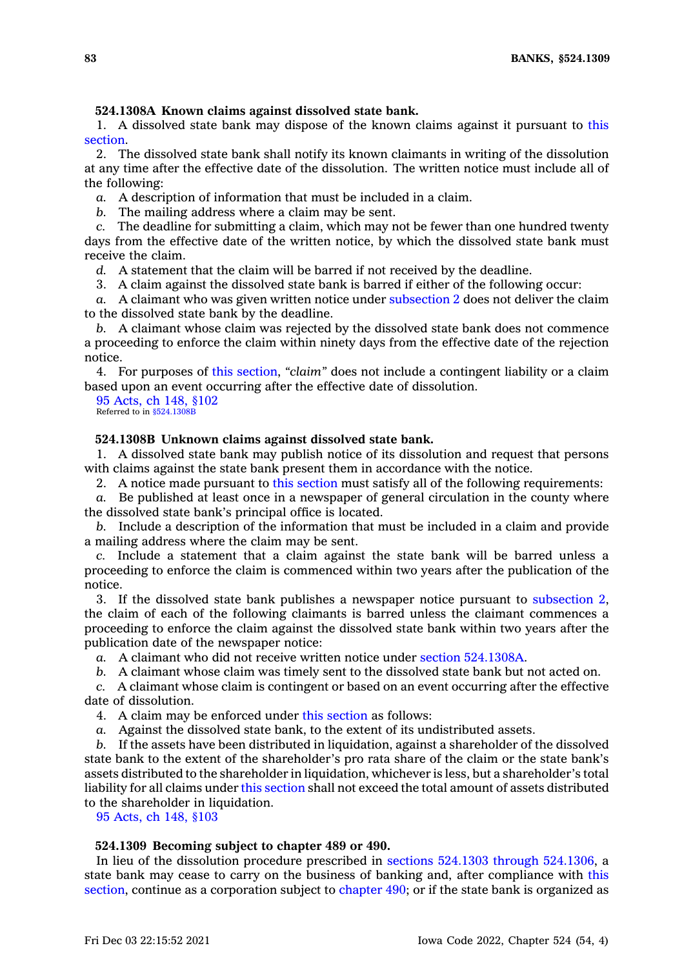# **524.1308A Known claims against dissolved state bank.**

1. A dissolved state bank may dispose of the known claims against it pursuant to [this](https://www.legis.iowa.gov/docs/code/524.1308A.pdf) [section](https://www.legis.iowa.gov/docs/code/524.1308A.pdf).

2. The dissolved state bank shall notify its known claimants in writing of the dissolution at any time after the effective date of the dissolution. The written notice must include all of the following:

*a.* A description of information that must be included in <sup>a</sup> claim.

*b.* The mailing address where <sup>a</sup> claim may be sent.

*c.* The deadline for submitting <sup>a</sup> claim, which may not be fewer than one hundred twenty days from the effective date of the written notice, by which the dissolved state bank must receive the claim.

*d.* A statement that the claim will be barred if not received by the deadline.

3. A claim against the dissolved state bank is barred if either of the following occur:

*a.* A claimant who was given written notice under [subsection](https://www.legis.iowa.gov/docs/code/524.1308A.pdf) 2 does not deliver the claim to the dissolved state bank by the deadline.

*b.* A claimant whose claim was rejected by the dissolved state bank does not commence <sup>a</sup> proceeding to enforce the claim within ninety days from the effective date of the rejection notice.

4. For purposes of this [section](https://www.legis.iowa.gov/docs/code/524.1308A.pdf), *"claim"* does not include <sup>a</sup> contingent liability or <sup>a</sup> claim based upon an event occurring after the effective date of dissolution.

95 [Acts,](https://www.legis.iowa.gov/docs/acts/1995/CH0148.pdf) ch 148, §102 Referred to in [§524.1308B](https://www.legis.iowa.gov/docs/code/524.1308B.pdf)

### **524.1308B Unknown claims against dissolved state bank.**

1. A dissolved state bank may publish notice of its dissolution and request that persons with claims against the state bank present them in accordance with the notice.

2. A notice made pursuant to this [section](https://www.legis.iowa.gov/docs/code/524.1308B.pdf) must satisfy all of the following requirements:

*a.* Be published at least once in <sup>a</sup> newspaper of general circulation in the county where the dissolved state bank's principal office is located.

*b.* Include <sup>a</sup> description of the information that must be included in <sup>a</sup> claim and provide <sup>a</sup> mailing address where the claim may be sent.

*c.* Include <sup>a</sup> statement that <sup>a</sup> claim against the state bank will be barred unless <sup>a</sup> proceeding to enforce the claim is commenced within two years after the publication of the notice.

3. If the dissolved state bank publishes <sup>a</sup> newspaper notice pursuant to [subsection](https://www.legis.iowa.gov/docs/code/524.1308B.pdf) 2, the claim of each of the following claimants is barred unless the claimant commences <sup>a</sup> proceeding to enforce the claim against the dissolved state bank within two years after the publication date of the newspaper notice:

*a.* A claimant who did not receive written notice under section [524.1308A](https://www.legis.iowa.gov/docs/code/524.1308A.pdf).

*b.* A claimant whose claim was timely sent to the dissolved state bank but not acted on.

*c.* A claimant whose claim is contingent or based on an event occurring after the effective date of dissolution.

4. A claim may be enforced under this [section](https://www.legis.iowa.gov/docs/code/524.1308B.pdf) as follows:

*a.* Against the dissolved state bank, to the extent of its undistributed assets.

*b.* If the assets have been distributed in liquidation, against <sup>a</sup> shareholder of the dissolved state bank to the extent of the shareholder's pro rata share of the claim or the state bank's assets distributed to the shareholder in liquidation, whichever is less, but <sup>a</sup> shareholder's total liability for all claims under this [section](https://www.legis.iowa.gov/docs/code/524.1308B.pdf) shall not exceed the total amount of assets distributed to the shareholder in liquidation.

95 [Acts,](https://www.legis.iowa.gov/docs/acts/1995/CH0148.pdf) ch 148, §103

# **524.1309 Becoming subject to chapter 489 or 490.**

In lieu of the dissolution procedure prescribed in sections 524.1303 through [524.1306](https://www.legis.iowa.gov/docs/code/524.1303.pdf), <sup>a</sup> state bank may cease to carry on the business of banking and, after compliance with [this](https://www.legis.iowa.gov/docs/code/524.1309.pdf) [section](https://www.legis.iowa.gov/docs/code/524.1309.pdf), continue as <sup>a</sup> corporation subject to [chapter](https://www.legis.iowa.gov/docs/code//490.pdf) 490; or if the state bank is organized as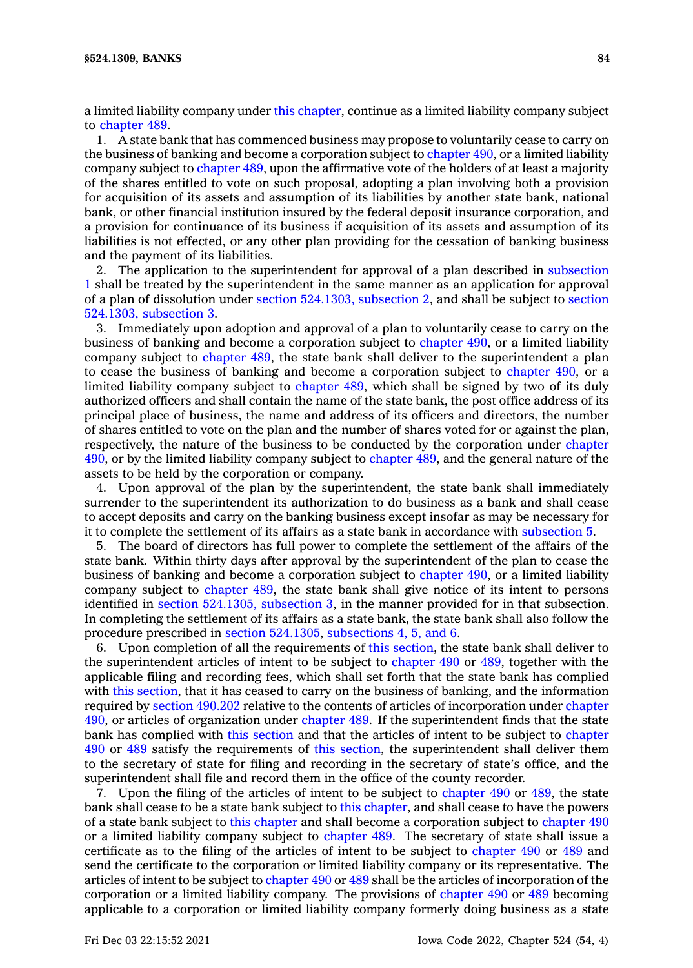<sup>a</sup> limited liability company under this [chapter](https://www.legis.iowa.gov/docs/code//524.pdf), continue as <sup>a</sup> limited liability company subject to [chapter](https://www.legis.iowa.gov/docs/code//489.pdf) 489.

1. A state bank that has commenced business may propose to voluntarily cease to carry on the business of banking and become <sup>a</sup> corporation subject to [chapter](https://www.legis.iowa.gov/docs/code//490.pdf) 490, or <sup>a</sup> limited liability company subject to [chapter](https://www.legis.iowa.gov/docs/code//489.pdf) 489, upon the affirmative vote of the holders of at least <sup>a</sup> majority of the shares entitled to vote on such proposal, adopting <sup>a</sup> plan involving both <sup>a</sup> provision for acquisition of its assets and assumption of its liabilities by another state bank, national bank, or other financial institution insured by the federal deposit insurance corporation, and <sup>a</sup> provision for continuance of its business if acquisition of its assets and assumption of its liabilities is not effected, or any other plan providing for the cessation of banking business and the payment of its liabilities.

2. The application to the superintendent for approval of <sup>a</sup> plan described in [subsection](https://www.legis.iowa.gov/docs/code/524.1309.pdf) [1](https://www.legis.iowa.gov/docs/code/524.1309.pdf) shall be treated by the superintendent in the same manner as an application for approval of <sup>a</sup> plan of dissolution under section [524.1303,](https://www.legis.iowa.gov/docs/code/524.1303.pdf) subsection 2, and shall be subject to [section](https://www.legis.iowa.gov/docs/code/524.1303.pdf) [524.1303,](https://www.legis.iowa.gov/docs/code/524.1303.pdf) subsection 3.

3. Immediately upon adoption and approval of <sup>a</sup> plan to voluntarily cease to carry on the business of banking and become <sup>a</sup> corporation subject to [chapter](https://www.legis.iowa.gov/docs/code//490.pdf) 490, or <sup>a</sup> limited liability company subject to [chapter](https://www.legis.iowa.gov/docs/code//489.pdf) 489, the state bank shall deliver to the superintendent <sup>a</sup> plan to cease the business of banking and become <sup>a</sup> corporation subject to [chapter](https://www.legis.iowa.gov/docs/code//490.pdf) 490, or <sup>a</sup> limited liability company subject to [chapter](https://www.legis.iowa.gov/docs/code//489.pdf) 489, which shall be signed by two of its duly authorized officers and shall contain the name of the state bank, the post office address of its principal place of business, the name and address of its officers and directors, the number of shares entitled to vote on the plan and the number of shares voted for or against the plan, respectively, the nature of the business to be conducted by the corporation under [chapter](https://www.legis.iowa.gov/docs/code//490.pdf) [490](https://www.legis.iowa.gov/docs/code//490.pdf), or by the limited liability company subject to [chapter](https://www.legis.iowa.gov/docs/code//489.pdf) 489, and the general nature of the assets to be held by the corporation or company.

4. Upon approval of the plan by the superintendent, the state bank shall immediately surrender to the superintendent its authorization to do business as <sup>a</sup> bank and shall cease to accept deposits and carry on the banking business except insofar as may be necessary for it to complete the settlement of its affairs as <sup>a</sup> state bank in accordance with [subsection](https://www.legis.iowa.gov/docs/code/524.1309.pdf) 5.

5. The board of directors has full power to complete the settlement of the affairs of the state bank. Within thirty days after approval by the superintendent of the plan to cease the business of banking and become <sup>a</sup> corporation subject to [chapter](https://www.legis.iowa.gov/docs/code//490.pdf) 490, or <sup>a</sup> limited liability company subject to [chapter](https://www.legis.iowa.gov/docs/code//489.pdf) 489, the state bank shall give notice of its intent to persons identified in section [524.1305,](https://www.legis.iowa.gov/docs/code/524.1305.pdf) subsection 3, in the manner provided for in that subsection. In completing the settlement of its affairs as <sup>a</sup> state bank, the state bank shall also follow the procedure prescribed in section [524.1305](https://www.legis.iowa.gov/docs/code/524.1305.pdf), [subsections](https://www.legis.iowa.gov/docs/code/524.1309.pdf) 4, 5, and 6.

6. Upon completion of all the requirements of this [section](https://www.legis.iowa.gov/docs/code/524.1309.pdf), the state bank shall deliver to the superintendent articles of intent to be subject to [chapter](https://www.legis.iowa.gov/docs/code//490.pdf) 490 or [489](https://www.legis.iowa.gov/docs/code//489.pdf), together with the applicable filing and recording fees, which shall set forth that the state bank has complied with this [section](https://www.legis.iowa.gov/docs/code/524.1309.pdf), that it has ceased to carry on the business of banking, and the information required by section [490.202](https://www.legis.iowa.gov/docs/code/490.202.pdf) relative to the contents of articles of incorporation under [chapter](https://www.legis.iowa.gov/docs/code//490.pdf) [490](https://www.legis.iowa.gov/docs/code//490.pdf), or articles of organization under [chapter](https://www.legis.iowa.gov/docs/code//489.pdf) 489. If the superintendent finds that the state bank has complied with this [section](https://www.legis.iowa.gov/docs/code/524.1309.pdf) and that the articles of intent to be subject to [chapter](https://www.legis.iowa.gov/docs/code//490.pdf) [490](https://www.legis.iowa.gov/docs/code//490.pdf) or [489](https://www.legis.iowa.gov/docs/code//489.pdf) satisfy the requirements of this [section](https://www.legis.iowa.gov/docs/code/524.1309.pdf), the superintendent shall deliver them to the secretary of state for filing and recording in the secretary of state's office, and the superintendent shall file and record them in the office of the county recorder.

7. Upon the filing of the articles of intent to be subject to [chapter](https://www.legis.iowa.gov/docs/code//490.pdf) 490 or [489](https://www.legis.iowa.gov/docs/code//489.pdf), the state bank shall cease to be <sup>a</sup> state bank subject to this [chapter](https://www.legis.iowa.gov/docs/code//524.pdf), and shall cease to have the powers of <sup>a</sup> state bank subject to this [chapter](https://www.legis.iowa.gov/docs/code//524.pdf) and shall become <sup>a</sup> corporation subject to [chapter](https://www.legis.iowa.gov/docs/code//490.pdf) 490 or <sup>a</sup> limited liability company subject to [chapter](https://www.legis.iowa.gov/docs/code//489.pdf) 489. The secretary of state shall issue <sup>a</sup> certificate as to the filing of the articles of intent to be subject to [chapter](https://www.legis.iowa.gov/docs/code//490.pdf) 490 or [489](https://www.legis.iowa.gov/docs/code//489.pdf) and send the certificate to the corporation or limited liability company or its representative. The articles of intent to be subject to [chapter](https://www.legis.iowa.gov/docs/code//490.pdf) 490 or [489](https://www.legis.iowa.gov/docs/code//489.pdf) shall be the articles of incorporation of the corporation or <sup>a</sup> limited liability company. The provisions of [chapter](https://www.legis.iowa.gov/docs/code//490.pdf) 490 or [489](https://www.legis.iowa.gov/docs/code//489.pdf) becoming applicable to <sup>a</sup> corporation or limited liability company formerly doing business as <sup>a</sup> state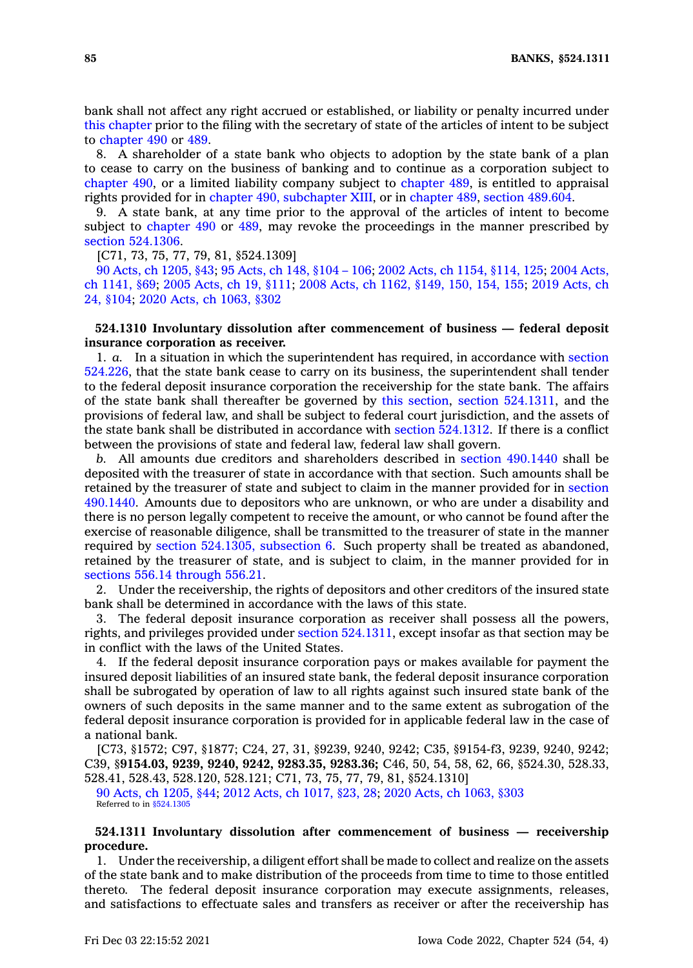bank shall not affect any right accrued or established, or liability or penalty incurred under this [chapter](https://www.legis.iowa.gov/docs/code//524.pdf) prior to the filing with the secretary of state of the articles of intent to be subject to [chapter](https://www.legis.iowa.gov/docs/code//490.pdf) 490 or [489](https://www.legis.iowa.gov/docs/code//489.pdf).

8. A shareholder of <sup>a</sup> state bank who objects to adoption by the state bank of <sup>a</sup> plan to cease to carry on the business of banking and to continue as <sup>a</sup> corporation subject to [chapter](https://www.legis.iowa.gov/docs/code//490.pdf) 490, or <sup>a</sup> limited liability company subject to [chapter](https://www.legis.iowa.gov/docs/code//489.pdf) 489, is entitled to appraisal rights provided for in chapter 490, [subchapter](https://www.legis.iowa.gov/docs/code//490.pdf) XIII, or in [chapter](https://www.legis.iowa.gov/docs/code//489.pdf) 489, section [489.604](https://www.legis.iowa.gov/docs/code/489.604.pdf).

9. A state bank, at any time prior to the approval of the articles of intent to become subject to [chapter](https://www.legis.iowa.gov/docs/code//490.pdf) 490 or [489](https://www.legis.iowa.gov/docs/code//489.pdf), may revoke the proceedings in the manner prescribed by section [524.1306](https://www.legis.iowa.gov/docs/code/524.1306.pdf).

[C71, 73, 75, 77, 79, 81, §524.1309]

90 Acts, ch [1205,](https://www.legis.iowa.gov/docs/acts/1990/CH1205.pdf) §43; 95 [Acts,](https://www.legis.iowa.gov/docs/acts/95/CH0148.pdf) ch 148, §104 – 106; 2002 Acts, ch 1154, [§114,](https://www.legis.iowa.gov/docs/acts/2002/CH1154.pdf) 125; 2004 [Acts,](https://www.legis.iowa.gov/docs/acts/2004/CH1141.pdf) ch [1141,](https://www.legis.iowa.gov/docs/acts/2004/CH1141.pdf) §69; 2005 [Acts,](https://www.legis.iowa.gov/docs/acts/2005/CH0019.pdf) ch 19, §111; 2008 Acts, ch 1162, [§149,](https://www.legis.iowa.gov/docs/acts/2008/CH1162.pdf) 150, 154, 155; 2019 [Acts,](https://www.legis.iowa.gov/docs/acts/2019/CH0024.pdf) ch 24, [§104](https://www.legis.iowa.gov/docs/acts/2019/CH0024.pdf); 2020 Acts, ch [1063,](https://www.legis.iowa.gov/docs/acts/2020/CH1063.pdf) §302

# **524.1310 Involuntary dissolution after commencement of business — federal deposit insurance corporation as receiver.**

1. *a.* In <sup>a</sup> situation in which the superintendent has required, in accordance with [section](https://www.legis.iowa.gov/docs/code/524.226.pdf) [524.226](https://www.legis.iowa.gov/docs/code/524.226.pdf), that the state bank cease to carry on its business, the superintendent shall tender to the federal deposit insurance corporation the receivership for the state bank. The affairs of the state bank shall thereafter be governed by this [section](https://www.legis.iowa.gov/docs/code/524.1310.pdf), section [524.1311](https://www.legis.iowa.gov/docs/code/524.1311.pdf), and the provisions of federal law, and shall be subject to federal court jurisdiction, and the assets of the state bank shall be distributed in accordance with section [524.1312](https://www.legis.iowa.gov/docs/code/524.1312.pdf). If there is <sup>a</sup> conflict between the provisions of state and federal law, federal law shall govern.

*b.* All amounts due creditors and shareholders described in section [490.1440](https://www.legis.iowa.gov/docs/code/490.1440.pdf) shall be deposited with the treasurer of state in accordance with that section. Such amounts shall be retained by the treasurer of state and subject to claim in the manner provided for in [section](https://www.legis.iowa.gov/docs/code/490.1440.pdf) [490.1440](https://www.legis.iowa.gov/docs/code/490.1440.pdf). Amounts due to depositors who are unknown, or who are under <sup>a</sup> disability and there is no person legally competent to receive the amount, or who cannot be found after the exercise of reasonable diligence, shall be transmitted to the treasurer of state in the manner required by section [524.1305,](https://www.legis.iowa.gov/docs/code/524.1305.pdf) subsection 6. Such property shall be treated as abandoned, retained by the treasurer of state, and is subject to claim, in the manner provided for in sections 556.14 [through](https://www.legis.iowa.gov/docs/code/556.14.pdf) 556.21.

2. Under the receivership, the rights of depositors and other creditors of the insured state bank shall be determined in accordance with the laws of this state.

3. The federal deposit insurance corporation as receiver shall possess all the powers, rights, and privileges provided under section [524.1311](https://www.legis.iowa.gov/docs/code/524.1311.pdf), except insofar as that section may be in conflict with the laws of the United States.

4. If the federal deposit insurance corporation pays or makes available for payment the insured deposit liabilities of an insured state bank, the federal deposit insurance corporation shall be subrogated by operation of law to all rights against such insured state bank of the owners of such deposits in the same manner and to the same extent as subrogation of the federal deposit insurance corporation is provided for in applicable federal law in the case of <sup>a</sup> national bank.

[C73, §1572; C97, §1877; C24, 27, 31, §9239, 9240, 9242; C35, §9154-f3, 9239, 9240, 9242; C39, §**9154.03, 9239, 9240, 9242, 9283.35, 9283.36;** C46, 50, 54, 58, 62, 66, §524.30, 528.33, 528.41, 528.43, 528.120, 528.121; C71, 73, 75, 77, 79, 81, §524.1310]

90 Acts, ch [1205,](https://www.legis.iowa.gov/docs/acts/1990/CH1205.pdf) §44; 2012 Acts, ch [1017,](https://www.legis.iowa.gov/docs/acts/2012/CH1017.pdf) §23, 28; 2020 Acts, ch [1063,](https://www.legis.iowa.gov/docs/acts/2020/CH1063.pdf) §303 Referred to in [§524.1305](https://www.legis.iowa.gov/docs/code/524.1305.pdf)

## **524.1311 Involuntary dissolution after commencement of business — receivership procedure.**

1. Under the receivership, <sup>a</sup> diligent effort shall be made to collect and realize on the assets of the state bank and to make distribution of the proceeds from time to time to those entitled thereto. The federal deposit insurance corporation may execute assignments, releases, and satisfactions to effectuate sales and transfers as receiver or after the receivership has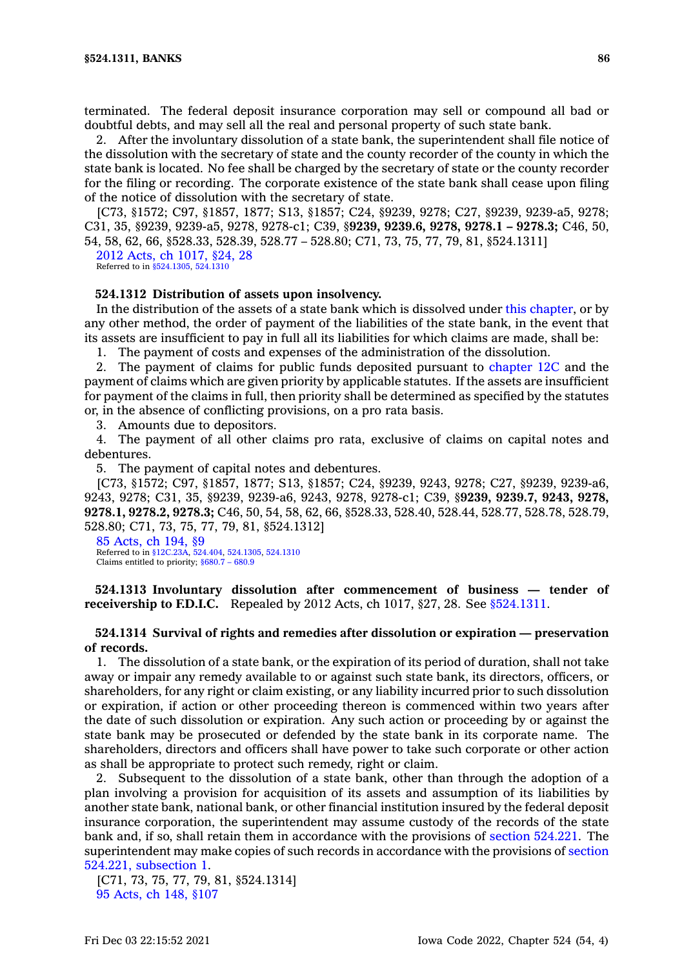terminated. The federal deposit insurance corporation may sell or compound all bad or doubtful debts, and may sell all the real and personal property of such state bank.

2. After the involuntary dissolution of <sup>a</sup> state bank, the superintendent shall file notice of the dissolution with the secretary of state and the county recorder of the county in which the state bank is located. No fee shall be charged by the secretary of state or the county recorder for the filing or recording. The corporate existence of the state bank shall cease upon filing of the notice of dissolution with the secretary of state.

[C73, §1572; C97, §1857, 1877; S13, §1857; C24, §9239, 9278; C27, §9239, 9239-a5, 9278; C31, 35, §9239, 9239-a5, 9278, 9278-c1; C39, §**9239, 9239.6, 9278, 9278.1 – 9278.3;** C46, 50, 54, 58, 62, 66, §528.33, 528.39, 528.77 – 528.80; C71, 73, 75, 77, 79, 81, §524.1311]

2012 Acts, ch [1017,](https://www.legis.iowa.gov/docs/acts/2012/CH1017.pdf) §24, 28 Referred to in [§524.1305](https://www.legis.iowa.gov/docs/code/524.1305.pdf), [524.1310](https://www.legis.iowa.gov/docs/code/524.1310.pdf)

#### **524.1312 Distribution of assets upon insolvency.**

In the distribution of the assets of <sup>a</sup> state bank which is dissolved under this [chapter](https://www.legis.iowa.gov/docs/code//524.pdf), or by any other method, the order of payment of the liabilities of the state bank, in the event that its assets are insufficient to pay in full all its liabilities for which claims are made, shall be:

1. The payment of costs and expenses of the administration of the dissolution.

2. The payment of claims for public funds deposited pursuant to [chapter](https://www.legis.iowa.gov/docs/code//12C.pdf) 12C and the payment of claims which are given priority by applicable statutes. If the assets are insufficient for payment of the claims in full, then priority shall be determined as specified by the statutes or, in the absence of conflicting provisions, on <sup>a</sup> pro rata basis.

3. Amounts due to depositors.

4. The payment of all other claims pro rata, exclusive of claims on capital notes and debentures.

5. The payment of capital notes and debentures.

[C73, §1572; C97, §1857, 1877; S13, §1857; C24, §9239, 9243, 9278; C27, §9239, 9239-a6, 9243, 9278; C31, 35, §9239, 9239-a6, 9243, 9278, 9278-c1; C39, §**9239, 9239.7, 9243, 9278, 9278.1, 9278.2, 9278.3;** C46, 50, 54, 58, 62, 66, §528.33, 528.40, 528.44, 528.77, 528.78, 528.79, 528.80; C71, 73, 75, 77, 79, 81, §524.1312]

85 [Acts,](https://www.legis.iowa.gov/docs/acts/1985/CH0194.pdf) ch 194, §9 Referred to in [§12C.23A](https://www.legis.iowa.gov/docs/code/12C.23A.pdf), [524.404](https://www.legis.iowa.gov/docs/code/524.404.pdf), [524.1305](https://www.legis.iowa.gov/docs/code/524.1305.pdf), [524.1310](https://www.legis.iowa.gov/docs/code/524.1310.pdf) Claims entitled to priority; [§680.7](https://www.legis.iowa.gov/docs/code/680.7.pdf) – 680.9

**524.1313 Involuntary dissolution after commencement of business — tender of receivership to F.D.I.C.** Repealed by 2012 Acts, ch 1017, §27, 28. See [§524.1311](https://www.legis.iowa.gov/docs/code/524.1311.pdf).

# **524.1314 Survival of rights and remedies after dissolution or expiration — preservation of records.**

1. The dissolution of <sup>a</sup> state bank, or the expiration of its period of duration, shall not take away or impair any remedy available to or against such state bank, its directors, officers, or shareholders, for any right or claim existing, or any liability incurred prior to such dissolution or expiration, if action or other proceeding thereon is commenced within two years after the date of such dissolution or expiration. Any such action or proceeding by or against the state bank may be prosecuted or defended by the state bank in its corporate name. The shareholders, directors and officers shall have power to take such corporate or other action as shall be appropriate to protect such remedy, right or claim.

2. Subsequent to the dissolution of <sup>a</sup> state bank, other than through the adoption of <sup>a</sup> plan involving <sup>a</sup> provision for acquisition of its assets and assumption of its liabilities by another state bank, national bank, or other financial institution insured by the federal deposit insurance corporation, the superintendent may assume custody of the records of the state bank and, if so, shall retain them in accordance with the provisions of section [524.221](https://www.legis.iowa.gov/docs/code/524.221.pdf). The superintendent may make copies of such records in accordance with the provisions of [section](https://www.legis.iowa.gov/docs/code/524.221.pdf) 524.221, [subsection](https://www.legis.iowa.gov/docs/code/524.221.pdf) 1.

[C71, 73, 75, 77, 79, 81, §524.1314] 95 [Acts,](https://www.legis.iowa.gov/docs/acts/1995/CH0148.pdf) ch 148, §107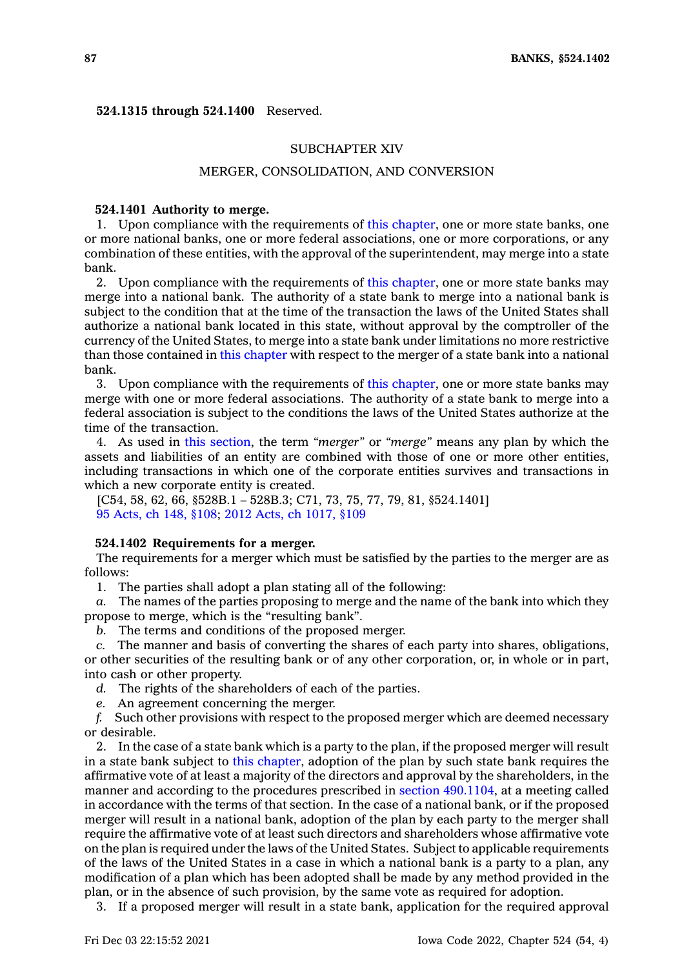### **524.1315 through 524.1400** Reserved.

### SUBCHAPTER XIV

## MERGER, CONSOLIDATION, AND CONVERSION

### **524.1401 Authority to merge.**

1. Upon compliance with the requirements of this [chapter](https://www.legis.iowa.gov/docs/code//524.pdf), one or more state banks, one or more national banks, one or more federal associations, one or more corporations, or any combination of these entities, with the approval of the superintendent, may merge into <sup>a</sup> state bank.

2. Upon compliance with the requirements of this [chapter](https://www.legis.iowa.gov/docs/code//524.pdf), one or more state banks may merge into <sup>a</sup> national bank. The authority of <sup>a</sup> state bank to merge into <sup>a</sup> national bank is subject to the condition that at the time of the transaction the laws of the United States shall authorize <sup>a</sup> national bank located in this state, without approval by the comptroller of the currency of the United States, to merge into <sup>a</sup> state bank under limitations no more restrictive than those contained in this [chapter](https://www.legis.iowa.gov/docs/code//524.pdf) with respect to the merger of <sup>a</sup> state bank into <sup>a</sup> national bank.

3. Upon compliance with the requirements of this [chapter](https://www.legis.iowa.gov/docs/code//524.pdf), one or more state banks may merge with one or more federal associations. The authority of <sup>a</sup> state bank to merge into <sup>a</sup> federal association is subject to the conditions the laws of the United States authorize at the time of the transaction.

4. As used in this [section](https://www.legis.iowa.gov/docs/code/524.1401.pdf), the term *"merger"* or *"merge"* means any plan by which the assets and liabilities of an entity are combined with those of one or more other entities, including transactions in which one of the corporate entities survives and transactions in which <sup>a</sup> new corporate entity is created.

[C54, 58, 62, 66, §528B.1 – 528B.3; C71, 73, 75, 77, 79, 81, §524.1401] 95 [Acts,](https://www.legis.iowa.gov/docs/acts/1995/CH0148.pdf) ch 148, §108; 2012 Acts, ch [1017,](https://www.legis.iowa.gov/docs/acts/2012/CH1017.pdf) §109

### **524.1402 Requirements for <sup>a</sup> merger.**

The requirements for <sup>a</sup> merger which must be satisfied by the parties to the merger are as follows:

1. The parties shall adopt <sup>a</sup> plan stating all of the following:

*a.* The names of the parties proposing to merge and the name of the bank into which they propose to merge, which is the "resulting bank".

*b.* The terms and conditions of the proposed merger.

*c.* The manner and basis of converting the shares of each party into shares, obligations, or other securities of the resulting bank or of any other corporation, or, in whole or in part, into cash or other property.

*d.* The rights of the shareholders of each of the parties.

*e.* An agreement concerning the merger.

*f.* Such other provisions with respect to the proposed merger which are deemed necessary or desirable.

2. In the case of <sup>a</sup> state bank which is <sup>a</sup> party to the plan, if the proposed merger will result in <sup>a</sup> state bank subject to this [chapter](https://www.legis.iowa.gov/docs/code//524.pdf), adoption of the plan by such state bank requires the affirmative vote of at least <sup>a</sup> majority of the directors and approval by the shareholders, in the manner and according to the procedures prescribed in section [490.1104](https://www.legis.iowa.gov/docs/code/490.1104.pdf), at <sup>a</sup> meeting called in accordance with the terms of that section. In the case of <sup>a</sup> national bank, or if the proposed merger will result in <sup>a</sup> national bank, adoption of the plan by each party to the merger shall require the affirmative vote of at least such directors and shareholders whose affirmative vote on the plan is required under the laws of the United States. Subject to applicable requirements of the laws of the United States in <sup>a</sup> case in which <sup>a</sup> national bank is <sup>a</sup> party to <sup>a</sup> plan, any modification of <sup>a</sup> plan which has been adopted shall be made by any method provided in the plan, or in the absence of such provision, by the same vote as required for adoption.

3. If <sup>a</sup> proposed merger will result in <sup>a</sup> state bank, application for the required approval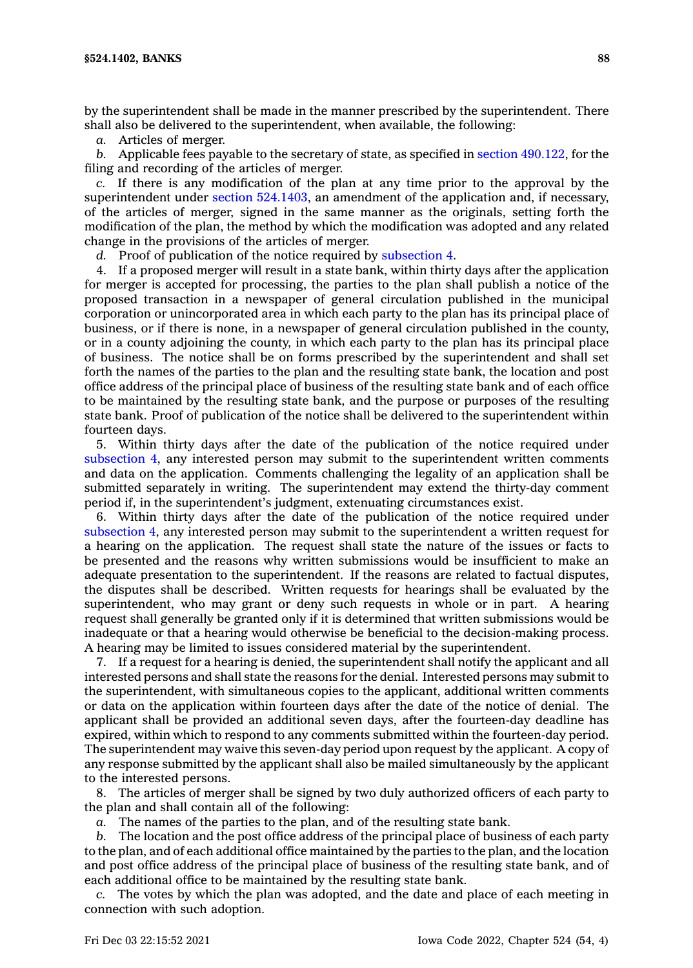by the superintendent shall be made in the manner prescribed by the superintendent. There shall also be delivered to the superintendent, when available, the following:

*a.* Articles of merger.

*b.* Applicable fees payable to the secretary of state, as specified in section [490.122](https://www.legis.iowa.gov/docs/code/490.122.pdf), for the filing and recording of the articles of merger.

*c.* If there is any modification of the plan at any time prior to the approval by the superintendent under section [524.1403](https://www.legis.iowa.gov/docs/code/524.1403.pdf), an amendment of the application and, if necessary, of the articles of merger, signed in the same manner as the originals, setting forth the modification of the plan, the method by which the modification was adopted and any related change in the provisions of the articles of merger.

*d.* Proof of publication of the notice required by [subsection](https://www.legis.iowa.gov/docs/code/524.1402.pdf) 4.

4. If <sup>a</sup> proposed merger will result in <sup>a</sup> state bank, within thirty days after the application for merger is accepted for processing, the parties to the plan shall publish <sup>a</sup> notice of the proposed transaction in <sup>a</sup> newspaper of general circulation published in the municipal corporation or unincorporated area in which each party to the plan has its principal place of business, or if there is none, in <sup>a</sup> newspaper of general circulation published in the county, or in <sup>a</sup> county adjoining the county, in which each party to the plan has its principal place of business. The notice shall be on forms prescribed by the superintendent and shall set forth the names of the parties to the plan and the resulting state bank, the location and post office address of the principal place of business of the resulting state bank and of each office to be maintained by the resulting state bank, and the purpose or purposes of the resulting state bank. Proof of publication of the notice shall be delivered to the superintendent within fourteen days.

5. Within thirty days after the date of the publication of the notice required under [subsection](https://www.legis.iowa.gov/docs/code/524.1402.pdf) 4, any interested person may submit to the superintendent written comments and data on the application. Comments challenging the legality of an application shall be submitted separately in writing. The superintendent may extend the thirty-day comment period if, in the superintendent's judgment, extenuating circumstances exist.

6. Within thirty days after the date of the publication of the notice required under [subsection](https://www.legis.iowa.gov/docs/code/524.1402.pdf) 4, any interested person may submit to the superintendent <sup>a</sup> written request for <sup>a</sup> hearing on the application. The request shall state the nature of the issues or facts to be presented and the reasons why written submissions would be insufficient to make an adequate presentation to the superintendent. If the reasons are related to factual disputes, the disputes shall be described. Written requests for hearings shall be evaluated by the superintendent, who may grant or deny such requests in whole or in part. A hearing request shall generally be granted only if it is determined that written submissions would be inadequate or that <sup>a</sup> hearing would otherwise be beneficial to the decision-making process. A hearing may be limited to issues considered material by the superintendent.

7. If <sup>a</sup> request for <sup>a</sup> hearing is denied, the superintendent shall notify the applicant and all interested persons and shall state the reasons for the denial. Interested persons may submit to the superintendent, with simultaneous copies to the applicant, additional written comments or data on the application within fourteen days after the date of the notice of denial. The applicant shall be provided an additional seven days, after the fourteen-day deadline has expired, within which to respond to any comments submitted within the fourteen-day period. The superintendent may waive this seven-day period upon request by the applicant. A copy of any response submitted by the applicant shall also be mailed simultaneously by the applicant to the interested persons.

8. The articles of merger shall be signed by two duly authorized officers of each party to the plan and shall contain all of the following:

*a.* The names of the parties to the plan, and of the resulting state bank.

*b.* The location and the post office address of the principal place of business of each party to the plan, and of each additional office maintained by the parties to the plan, and the location and post office address of the principal place of business of the resulting state bank, and of each additional office to be maintained by the resulting state bank.

*c.* The votes by which the plan was adopted, and the date and place of each meeting in connection with such adoption.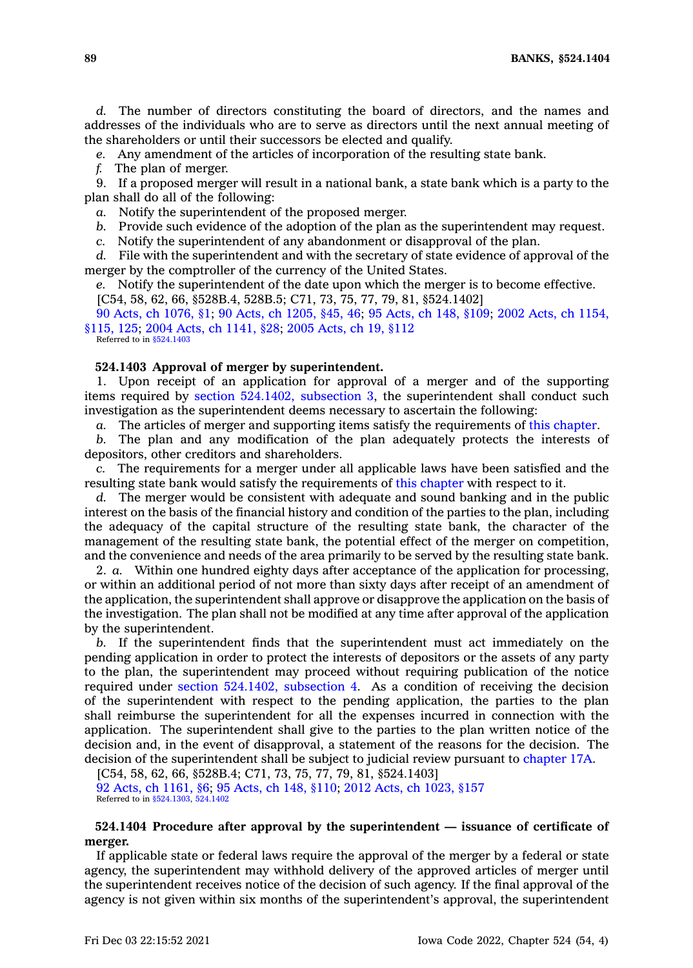**89 BANKS, §524.1404**

*d.* The number of directors constituting the board of directors, and the names and addresses of the individuals who are to serve as directors until the next annual meeting of the shareholders or until their successors be elected and qualify.

*e.* Any amendment of the articles of incorporation of the resulting state bank.

*f.* The plan of merger.

9. If <sup>a</sup> proposed merger will result in <sup>a</sup> national bank, <sup>a</sup> state bank which is <sup>a</sup> party to the plan shall do all of the following:

*a.* Notify the superintendent of the proposed merger.

*b.* Provide such evidence of the adoption of the plan as the superintendent may request.

*c.* Notify the superintendent of any abandonment or disapproval of the plan.

*d.* File with the superintendent and with the secretary of state evidence of approval of the merger by the comptroller of the currency of the United States.

*e.* Notify the superintendent of the date upon which the merger is to become effective. [C54, 58, 62, 66, §528B.4, 528B.5; C71, 73, 75, 77, 79, 81, §524.1402]

90 Acts, ch [1076,](https://www.legis.iowa.gov/docs/acts/1990/CH1076.pdf) §1; 90 Acts, ch [1205,](https://www.legis.iowa.gov/docs/acts/1990/CH1205.pdf) §45, 46; 95 [Acts,](https://www.legis.iowa.gov/docs/acts/1995/CH0148.pdf) ch 148, §109; 2002 Acts, ch [1154,](https://www.legis.iowa.gov/docs/acts/2002/CH1154.pdf) [§115,](https://www.legis.iowa.gov/docs/acts/2002/CH1154.pdf) 125; 2004 Acts, ch [1141,](https://www.legis.iowa.gov/docs/acts/2004/CH1141.pdf) §28; 2005 [Acts,](https://www.legis.iowa.gov/docs/acts/2005/CH0019.pdf) ch 19, §112 Referred to in [§524.1403](https://www.legis.iowa.gov/docs/code/524.1403.pdf)

#### **524.1403 Approval of merger by superintendent.**

1. Upon receipt of an application for approval of <sup>a</sup> merger and of the supporting items required by section [524.1402,](https://www.legis.iowa.gov/docs/code/524.1402.pdf) subsection 3, the superintendent shall conduct such investigation as the superintendent deems necessary to ascertain the following:

*a.* The articles of merger and supporting items satisfy the requirements of this [chapter](https://www.legis.iowa.gov/docs/code//524.pdf).

*b.* The plan and any modification of the plan adequately protects the interests of depositors, other creditors and shareholders.

*c.* The requirements for <sup>a</sup> merger under all applicable laws have been satisfied and the resulting state bank would satisfy the requirements of this [chapter](https://www.legis.iowa.gov/docs/code//524.pdf) with respect to it.

*d.* The merger would be consistent with adequate and sound banking and in the public interest on the basis of the financial history and condition of the parties to the plan, including the adequacy of the capital structure of the resulting state bank, the character of the management of the resulting state bank, the potential effect of the merger on competition, and the convenience and needs of the area primarily to be served by the resulting state bank.

2. *a.* Within one hundred eighty days after acceptance of the application for processing, or within an additional period of not more than sixty days after receipt of an amendment of the application, the superintendent shall approve or disapprove the application on the basis of the investigation. The plan shall not be modified at any time after approval of the application by the superintendent.

*b.* If the superintendent finds that the superintendent must act immediately on the pending application in order to protect the interests of depositors or the assets of any party to the plan, the superintendent may proceed without requiring publication of the notice required under section [524.1402,](https://www.legis.iowa.gov/docs/code/524.1402.pdf) subsection 4. As <sup>a</sup> condition of receiving the decision of the superintendent with respect to the pending application, the parties to the plan shall reimburse the superintendent for all the expenses incurred in connection with the application. The superintendent shall give to the parties to the plan written notice of the decision and, in the event of disapproval, <sup>a</sup> statement of the reasons for the decision. The decision of the superintendent shall be subject to judicial review pursuant to [chapter](https://www.legis.iowa.gov/docs/code//17A.pdf) 17A.

[C54, 58, 62, 66, §528B.4; C71, 73, 75, 77, 79, 81, §524.1403] 92 Acts, ch [1161,](https://www.legis.iowa.gov/docs/acts/1992/CH1161.pdf) §6; 95 [Acts,](https://www.legis.iowa.gov/docs/acts/95/CH0148.pdf) ch 148, §110; 2012 Acts, ch [1023,](https://www.legis.iowa.gov/docs/acts/2012/CH1023.pdf) §157 Referred to in [§524.1303](https://www.legis.iowa.gov/docs/code/524.1303.pdf), [524.1402](https://www.legis.iowa.gov/docs/code/524.1402.pdf)

### **524.1404 Procedure after approval by the superintendent — issuance of certificate of merger.**

If applicable state or federal laws require the approval of the merger by <sup>a</sup> federal or state agency, the superintendent may withhold delivery of the approved articles of merger until the superintendent receives notice of the decision of such agency. If the final approval of the agency is not given within six months of the superintendent's approval, the superintendent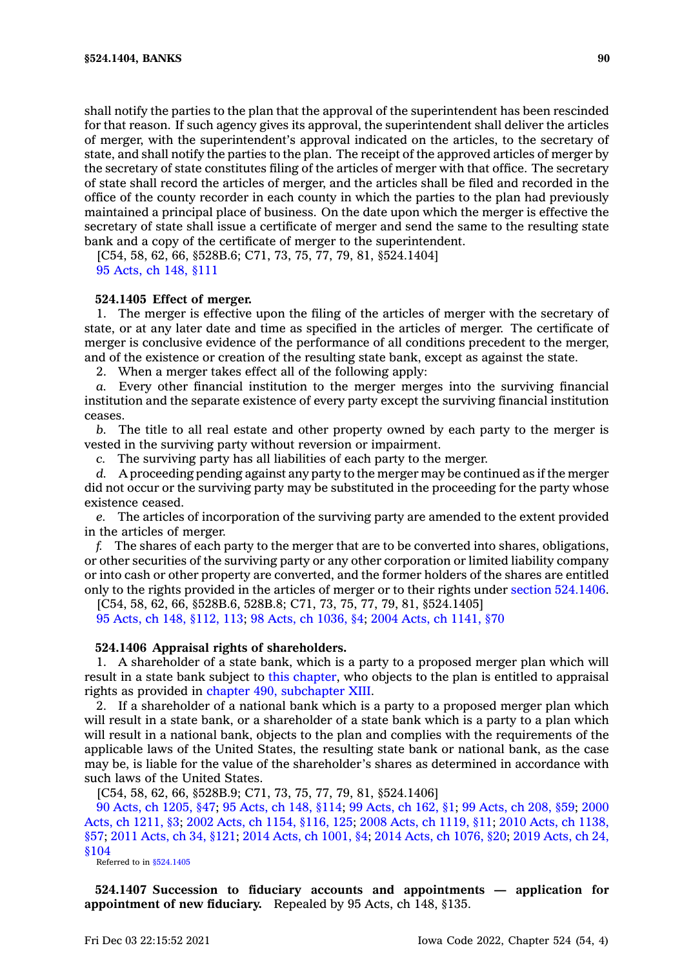shall notify the parties to the plan that the approval of the superintendent has been rescinded for that reason. If such agency gives its approval, the superintendent shall deliver the articles of merger, with the superintendent's approval indicated on the articles, to the secretary of state, and shall notify the parties to the plan. The receipt of the approved articles of merger by the secretary of state constitutes filing of the articles of merger with that office. The secretary of state shall record the articles of merger, and the articles shall be filed and recorded in the office of the county recorder in each county in which the parties to the plan had previously maintained <sup>a</sup> principal place of business. On the date upon which the merger is effective the secretary of state shall issue <sup>a</sup> certificate of merger and send the same to the resulting state bank and <sup>a</sup> copy of the certificate of merger to the superintendent.

[C54, 58, 62, 66, §528B.6; C71, 73, 75, 77, 79, 81, §524.1404] 95 [Acts,](https://www.legis.iowa.gov/docs/acts/1995/CH0148.pdf) ch 148, §111

### **524.1405 Effect of merger.**

1. The merger is effective upon the filing of the articles of merger with the secretary of state, or at any later date and time as specified in the articles of merger. The certificate of merger is conclusive evidence of the performance of all conditions precedent to the merger, and of the existence or creation of the resulting state bank, except as against the state.

2. When <sup>a</sup> merger takes effect all of the following apply:

*a.* Every other financial institution to the merger merges into the surviving financial institution and the separate existence of every party except the surviving financial institution ceases.

*b.* The title to all real estate and other property owned by each party to the merger is vested in the surviving party without reversion or impairment.

*c.* The surviving party has all liabilities of each party to the merger.

*d.* A proceeding pending against any party to the merger may be continued as if the merger did not occur or the surviving party may be substituted in the proceeding for the party whose existence ceased.

*e.* The articles of incorporation of the surviving party are amended to the extent provided in the articles of merger.

*f.* The shares of each party to the merger that are to be converted into shares, obligations, or other securities of the surviving party or any other corporation or limited liability company or into cash or other property are converted, and the former holders of the shares are entitled only to the rights provided in the articles of merger or to their rights under section [524.1406](https://www.legis.iowa.gov/docs/code/524.1406.pdf).

[C54, 58, 62, 66, §528B.6, 528B.8; C71, 73, 75, 77, 79, 81, §524.1405]

95 Acts, ch 148, [§112,](https://www.legis.iowa.gov/docs/acts/1995/CH0148.pdf) 113; 98 Acts, ch [1036,](https://www.legis.iowa.gov/docs/acts/1998/CH1036.pdf) §4; 2004 Acts, ch [1141,](https://www.legis.iowa.gov/docs/acts/2004/CH1141.pdf) §70

### **524.1406 Appraisal rights of shareholders.**

1. A shareholder of <sup>a</sup> state bank, which is <sup>a</sup> party to <sup>a</sup> proposed merger plan which will result in <sup>a</sup> state bank subject to this [chapter](https://www.legis.iowa.gov/docs/code//524.pdf), who objects to the plan is entitled to appraisal rights as provided in chapter 490, [subchapter](https://www.legis.iowa.gov/docs/code//490.pdf) XIII.

2. If <sup>a</sup> shareholder of <sup>a</sup> national bank which is <sup>a</sup> party to <sup>a</sup> proposed merger plan which will result in <sup>a</sup> state bank, or <sup>a</sup> shareholder of <sup>a</sup> state bank which is <sup>a</sup> party to <sup>a</sup> plan which will result in <sup>a</sup> national bank, objects to the plan and complies with the requirements of the applicable laws of the United States, the resulting state bank or national bank, as the case may be, is liable for the value of the shareholder's shares as determined in accordance with such laws of the United States.

[C54, 58, 62, 66, §528B.9; C71, 73, 75, 77, 79, 81, §524.1406]

90 Acts, ch [1205,](https://www.legis.iowa.gov/docs/acts/1990/CH1205.pdf) §47; 95 [Acts,](https://www.legis.iowa.gov/docs/acts/95/CH0148.pdf) ch 148, §114; 99 [Acts,](https://www.legis.iowa.gov/docs/acts/99/CH0162.pdf) ch 162, §1; 99 [Acts,](https://www.legis.iowa.gov/docs/acts/99/CH0208.pdf) ch 208, §59; [2000](https://www.legis.iowa.gov/docs/acts/2000/CH1211.pdf) Acts, ch [1211,](https://www.legis.iowa.gov/docs/acts/2000/CH1211.pdf) §3; 2002 Acts, ch 1154, [§116,](https://www.legis.iowa.gov/docs/acts/2002/CH1154.pdf) 125; 2008 Acts, ch [1119,](https://www.legis.iowa.gov/docs/acts/2008/CH1119.pdf) §11; 2010 Acts, ch [1138,](https://www.legis.iowa.gov/docs/acts/2010/CH1138.pdf) [§57](https://www.legis.iowa.gov/docs/acts/2010/CH1138.pdf); 2011 [Acts,](https://www.legis.iowa.gov/docs/acts/2011/CH0034.pdf) ch 34, §121; 2014 Acts, ch [1001,](https://www.legis.iowa.gov/docs/acts/2014/CH1001.pdf) §4; 2014 Acts, ch [1076,](https://www.legis.iowa.gov/docs/acts/2014/CH1076.pdf) §20; 2019 [Acts,](https://www.legis.iowa.gov/docs/acts/2019/CH0024.pdf) ch 24, [§104](https://www.legis.iowa.gov/docs/acts/2019/CH0024.pdf)

Referred to in [§524.1405](https://www.legis.iowa.gov/docs/code/524.1405.pdf)

**524.1407 Succession to fiduciary accounts and appointments — application for appointment of new fiduciary.** Repealed by 95 Acts, ch 148, §135.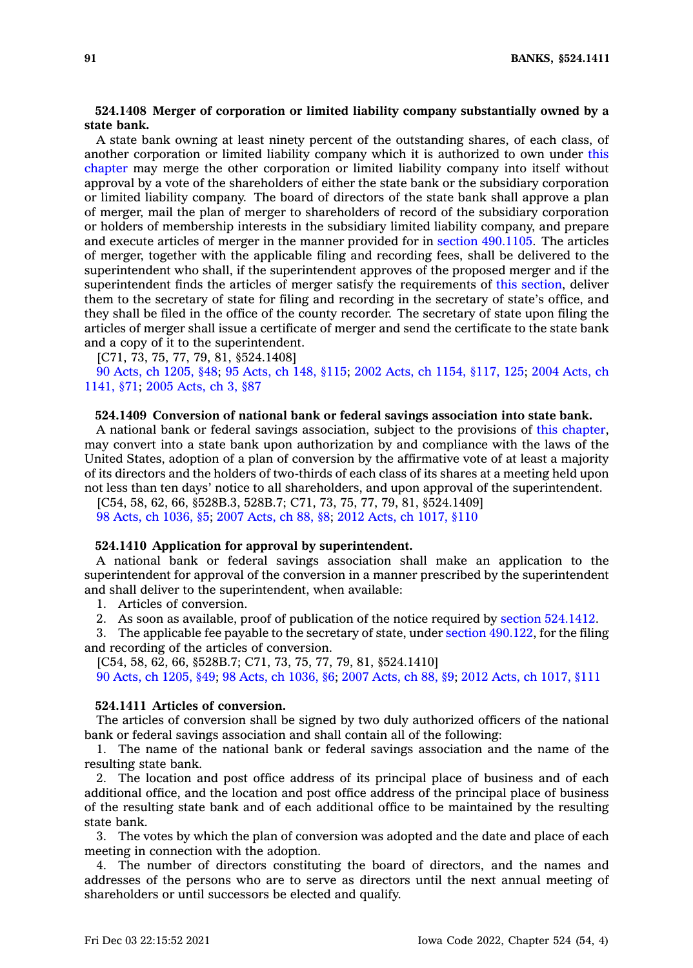# **524.1408 Merger of corporation or limited liability company substantially owned by <sup>a</sup> state bank.**

A state bank owning at least ninety percent of the outstanding shares, of each class, of another corporation or limited liability company which it is authorized to own under [this](https://www.legis.iowa.gov/docs/code//524.pdf) [chapter](https://www.legis.iowa.gov/docs/code//524.pdf) may merge the other corporation or limited liability company into itself without approval by <sup>a</sup> vote of the shareholders of either the state bank or the subsidiary corporation or limited liability company. The board of directors of the state bank shall approve <sup>a</sup> plan of merger, mail the plan of merger to shareholders of record of the subsidiary corporation or holders of membership interests in the subsidiary limited liability company, and prepare and execute articles of merger in the manner provided for in section [490.1105](https://www.legis.iowa.gov/docs/code/490.1105.pdf). The articles of merger, together with the applicable filing and recording fees, shall be delivered to the superintendent who shall, if the superintendent approves of the proposed merger and if the superintendent finds the articles of merger satisfy the requirements of this [section](https://www.legis.iowa.gov/docs/code/524.1408.pdf), deliver them to the secretary of state for filing and recording in the secretary of state's office, and they shall be filed in the office of the county recorder. The secretary of state upon filing the articles of merger shall issue <sup>a</sup> certificate of merger and send the certificate to the state bank and <sup>a</sup> copy of it to the superintendent.

[C71, 73, 75, 77, 79, 81, §524.1408]

90 Acts, ch [1205,](https://www.legis.iowa.gov/docs/acts/1990/CH1205.pdf) §48; 95 [Acts,](https://www.legis.iowa.gov/docs/acts/1995/CH0148.pdf) ch 148, §115; 2002 Acts, ch 1154, [§117,](https://www.legis.iowa.gov/docs/acts/2002/CH1154.pdf) 125; 2004 [Acts,](https://www.legis.iowa.gov/docs/acts/2004/CH1141.pdf) ch [1141,](https://www.legis.iowa.gov/docs/acts/2004/CH1141.pdf) §71; 2005 [Acts,](https://www.legis.iowa.gov/docs/acts/2005/CH0003.pdf) ch 3, §87

# **524.1409 Conversion of national bank or federal savings association into state bank.**

A national bank or federal savings association, subject to the provisions of this [chapter](https://www.legis.iowa.gov/docs/code//524.pdf), may convert into <sup>a</sup> state bank upon authorization by and compliance with the laws of the United States, adoption of <sup>a</sup> plan of conversion by the affirmative vote of at least <sup>a</sup> majority of its directors and the holders of two-thirds of each class of its shares at <sup>a</sup> meeting held upon not less than ten days' notice to all shareholders, and upon approval of the superintendent.

[C54, 58, 62, 66, §528B.3, 528B.7; C71, 73, 75, 77, 79, 81, §524.1409] 98 Acts, ch [1036,](https://www.legis.iowa.gov/docs/acts/1998/CH1036.pdf) §5; 2007 [Acts,](https://www.legis.iowa.gov/docs/acts/2007/CH0088.pdf) ch 88, §8; 2012 Acts, ch [1017,](https://www.legis.iowa.gov/docs/acts/2012/CH1017.pdf) §110

#### **524.1410 Application for approval by superintendent.**

A national bank or federal savings association shall make an application to the superintendent for approval of the conversion in <sup>a</sup> manner prescribed by the superintendent and shall deliver to the superintendent, when available:

1. Articles of conversion.

2. As soon as available, proof of publication of the notice required by section [524.1412](https://www.legis.iowa.gov/docs/code/524.1412.pdf).

3. The applicable fee payable to the secretary of state, under section [490.122](https://www.legis.iowa.gov/docs/code/490.122.pdf), for the filing and recording of the articles of conversion.

[C54, 58, 62, 66, §528B.7; C71, 73, 75, 77, 79, 81, §524.1410]

90 Acts, ch [1205,](https://www.legis.iowa.gov/docs/acts/1990/CH1205.pdf) §49; 98 Acts, ch [1036,](https://www.legis.iowa.gov/docs/acts/98/CH1036.pdf) §6; 2007 [Acts,](https://www.legis.iowa.gov/docs/acts/2007/CH0088.pdf) ch 88, §9; 2012 Acts, ch [1017,](https://www.legis.iowa.gov/docs/acts/2012/CH1017.pdf) §111

# **524.1411 Articles of conversion.**

The articles of conversion shall be signed by two duly authorized officers of the national bank or federal savings association and shall contain all of the following:

1. The name of the national bank or federal savings association and the name of the resulting state bank.

2. The location and post office address of its principal place of business and of each additional office, and the location and post office address of the principal place of business of the resulting state bank and of each additional office to be maintained by the resulting state bank.

3. The votes by which the plan of conversion was adopted and the date and place of each meeting in connection with the adoption.

4. The number of directors constituting the board of directors, and the names and addresses of the persons who are to serve as directors until the next annual meeting of shareholders or until successors be elected and qualify.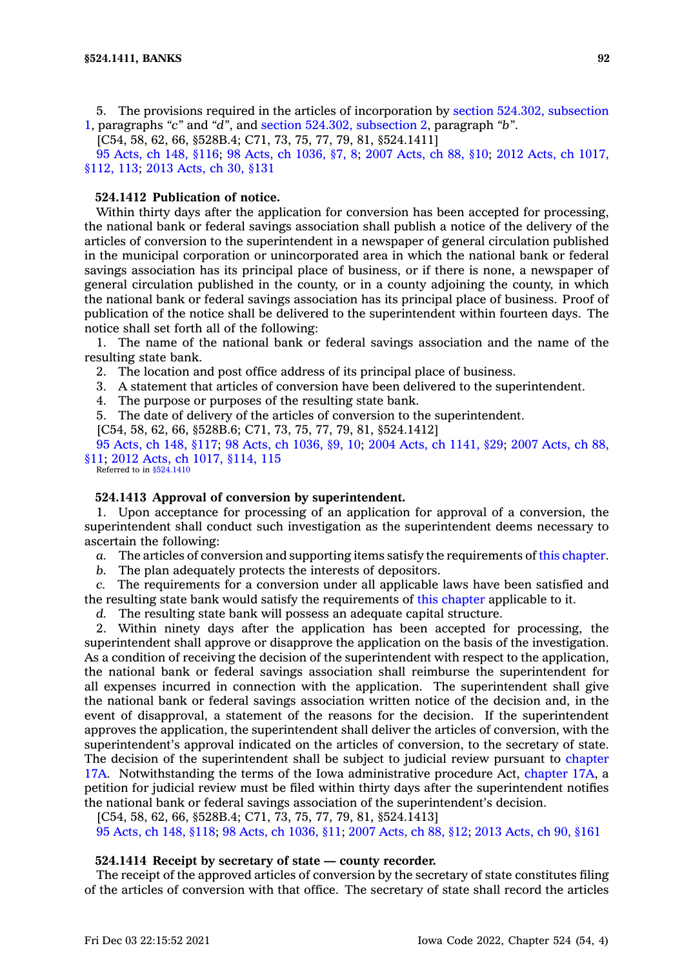5. The provisions required in the articles of incorporation by section 524.302, [subsection](https://www.legis.iowa.gov/docs/code/524.302.pdf) [1](https://www.legis.iowa.gov/docs/code/524.302.pdf), paragraphs *"c"* and *"d"*, and section 524.302, [subsection](https://www.legis.iowa.gov/docs/code/524.302.pdf) 2, paragraph *"b"*.

[C54, 58, 62, 66, §528B.4; C71, 73, 75, 77, 79, 81, §524.1411]

95 [Acts,](https://www.legis.iowa.gov/docs/acts/1995/CH0148.pdf) ch 148, §116; 98 Acts, ch [1036,](https://www.legis.iowa.gov/docs/acts/98/CH1036.pdf) §7, 8; 2007 [Acts,](https://www.legis.iowa.gov/docs/acts/2007/CH0088.pdf) ch 88, §10; 2012 Acts, ch [1017,](https://www.legis.iowa.gov/docs/acts/2012/CH1017.pdf) [§112,](https://www.legis.iowa.gov/docs/acts/2012/CH1017.pdf) 113; 2013 [Acts,](https://www.legis.iowa.gov/docs/acts/2013/CH0030.pdf) ch 30, §131

# **524.1412 Publication of notice.**

Within thirty days after the application for conversion has been accepted for processing, the national bank or federal savings association shall publish <sup>a</sup> notice of the delivery of the articles of conversion to the superintendent in <sup>a</sup> newspaper of general circulation published in the municipal corporation or unincorporated area in which the national bank or federal savings association has its principal place of business, or if there is none, <sup>a</sup> newspaper of general circulation published in the county, or in <sup>a</sup> county adjoining the county, in which the national bank or federal savings association has its principal place of business. Proof of publication of the notice shall be delivered to the superintendent within fourteen days. The notice shall set forth all of the following:

1. The name of the national bank or federal savings association and the name of the resulting state bank.

2. The location and post office address of its principal place of business.

3. A statement that articles of conversion have been delivered to the superintendent.

4. The purpose or purposes of the resulting state bank.

5. The date of delivery of the articles of conversion to the superintendent.

[C54, 58, 62, 66, §528B.6; C71, 73, 75, 77, 79, 81, §524.1412]

95 [Acts,](https://www.legis.iowa.gov/docs/acts/1995/CH0148.pdf) ch 148, §117; 98 Acts, ch [1036,](https://www.legis.iowa.gov/docs/acts/98/CH1036.pdf) §9, 10; 2004 Acts, ch [1141,](https://www.legis.iowa.gov/docs/acts/2004/CH1141.pdf) §29; 2007 [Acts,](https://www.legis.iowa.gov/docs/acts/2007/CH0088.pdf) ch 88, [§11](https://www.legis.iowa.gov/docs/acts/2007/CH0088.pdf); 2012 Acts, ch 1017, [§114,](https://www.legis.iowa.gov/docs/acts/2012/CH1017.pdf) 115 Referred to in [§524.1410](https://www.legis.iowa.gov/docs/code/524.1410.pdf)

# **524.1413 Approval of conversion by superintendent.**

1. Upon acceptance for processing of an application for approval of <sup>a</sup> conversion, the superintendent shall conduct such investigation as the superintendent deems necessary to ascertain the following:

*a.* The articles of conversion and supporting items satisfy the requirements of this [chapter](https://www.legis.iowa.gov/docs/code//524.pdf).

*b.* The plan adequately protects the interests of depositors.

*c.* The requirements for <sup>a</sup> conversion under all applicable laws have been satisfied and the resulting state bank would satisfy the requirements of this [chapter](https://www.legis.iowa.gov/docs/code//524.pdf) applicable to it.

*d.* The resulting state bank will possess an adequate capital structure.

2. Within ninety days after the application has been accepted for processing, the superintendent shall approve or disapprove the application on the basis of the investigation. As <sup>a</sup> condition of receiving the decision of the superintendent with respect to the application, the national bank or federal savings association shall reimburse the superintendent for all expenses incurred in connection with the application. The superintendent shall give the national bank or federal savings association written notice of the decision and, in the event of disapproval, <sup>a</sup> statement of the reasons for the decision. If the superintendent approves the application, the superintendent shall deliver the articles of conversion, with the superintendent's approval indicated on the articles of conversion, to the secretary of state. The decision of the superintendent shall be subject to judicial review pursuant to [chapter](https://www.legis.iowa.gov/docs/code//17A.pdf) [17A](https://www.legis.iowa.gov/docs/code//17A.pdf). Notwithstanding the terms of the Iowa administrative procedure Act, [chapter](https://www.legis.iowa.gov/docs/code//17A.pdf) 17A, <sup>a</sup> petition for judicial review must be filed within thirty days after the superintendent notifies the national bank or federal savings association of the superintendent's decision.

[C54, 58, 62, 66, §528B.4; C71, 73, 75, 77, 79, 81, §524.1413]

95 [Acts,](https://www.legis.iowa.gov/docs/acts/1995/CH0148.pdf) ch 148, §118; 98 Acts, ch [1036,](https://www.legis.iowa.gov/docs/acts/98/CH1036.pdf) §11; 2007 [Acts,](https://www.legis.iowa.gov/docs/acts/2007/CH0088.pdf) ch 88, §12; 2013 [Acts,](https://www.legis.iowa.gov/docs/acts/2013/CH0090.pdf) ch 90, §161

### **524.1414 Receipt by secretary of state — county recorder.**

The receipt of the approved articles of conversion by the secretary of state constitutes filing of the articles of conversion with that office. The secretary of state shall record the articles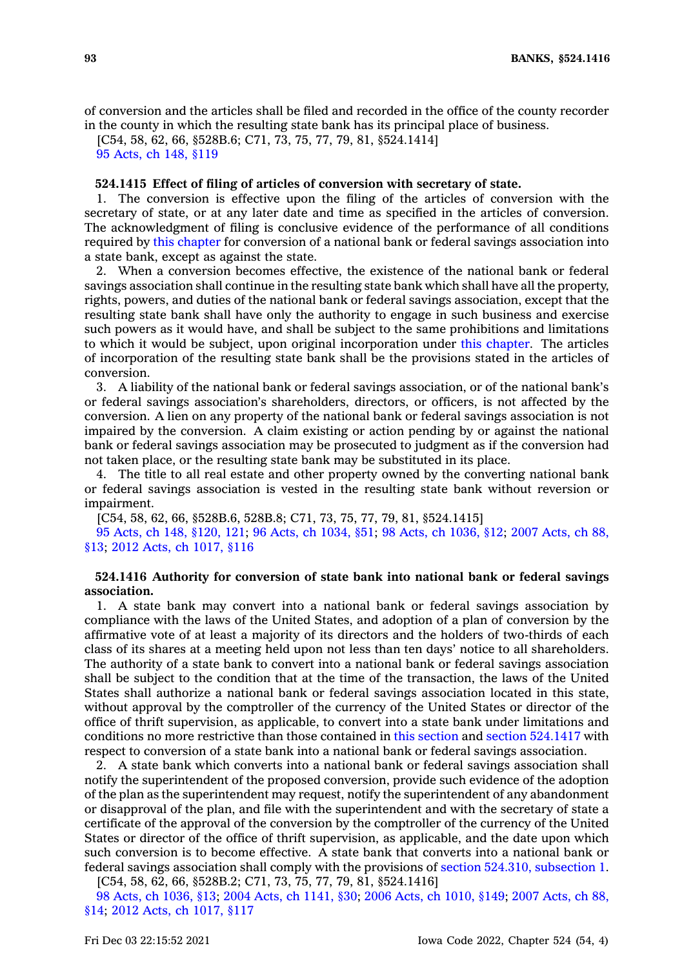of conversion and the articles shall be filed and recorded in the office of the county recorder in the county in which the resulting state bank has its principal place of business.

[C54, 58, 62, 66, §528B.6; C71, 73, 75, 77, 79, 81, §524.1414] 95 [Acts,](https://www.legis.iowa.gov/docs/acts/1995/CH0148.pdf) ch 148, §119

### **524.1415 Effect of filing of articles of conversion with secretary of state.**

1. The conversion is effective upon the filing of the articles of conversion with the secretary of state, or at any later date and time as specified in the articles of conversion. The acknowledgment of filing is conclusive evidence of the performance of all conditions required by this [chapter](https://www.legis.iowa.gov/docs/code//524.pdf) for conversion of <sup>a</sup> national bank or federal savings association into <sup>a</sup> state bank, except as against the state.

2. When <sup>a</sup> conversion becomes effective, the existence of the national bank or federal savings association shall continue in the resulting state bank which shall have all the property, rights, powers, and duties of the national bank or federal savings association, except that the resulting state bank shall have only the authority to engage in such business and exercise such powers as it would have, and shall be subject to the same prohibitions and limitations to which it would be subject, upon original incorporation under this [chapter](https://www.legis.iowa.gov/docs/code//524.pdf). The articles of incorporation of the resulting state bank shall be the provisions stated in the articles of conversion.

3. A liability of the national bank or federal savings association, or of the national bank's or federal savings association's shareholders, directors, or officers, is not affected by the conversion. A lien on any property of the national bank or federal savings association is not impaired by the conversion. A claim existing or action pending by or against the national bank or federal savings association may be prosecuted to judgment as if the conversion had not taken place, or the resulting state bank may be substituted in its place.

4. The title to all real estate and other property owned by the converting national bank or federal savings association is vested in the resulting state bank without reversion or impairment.

[C54, 58, 62, 66, §528B.6, 528B.8; C71, 73, 75, 77, 79, 81, §524.1415]

95 Acts, ch 148, [§120,](https://www.legis.iowa.gov/docs/acts/1995/CH0148.pdf) 121; 96 Acts, ch [1034,](https://www.legis.iowa.gov/docs/acts/96/CH1034.pdf) §51; 98 Acts, ch [1036,](https://www.legis.iowa.gov/docs/acts/98/CH1036.pdf) §12; 2007 [Acts,](https://www.legis.iowa.gov/docs/acts/2007/CH0088.pdf) ch 88, [§13](https://www.legis.iowa.gov/docs/acts/2007/CH0088.pdf); 2012 Acts, ch [1017,](https://www.legis.iowa.gov/docs/acts/2012/CH1017.pdf) §116

# **524.1416 Authority for conversion of state bank into national bank or federal savings association.**

1. A state bank may convert into <sup>a</sup> national bank or federal savings association by compliance with the laws of the United States, and adoption of <sup>a</sup> plan of conversion by the affirmative vote of at least <sup>a</sup> majority of its directors and the holders of two-thirds of each class of its shares at <sup>a</sup> meeting held upon not less than ten days' notice to all shareholders. The authority of <sup>a</sup> state bank to convert into <sup>a</sup> national bank or federal savings association shall be subject to the condition that at the time of the transaction, the laws of the United States shall authorize <sup>a</sup> national bank or federal savings association located in this state, without approval by the comptroller of the currency of the United States or director of the office of thrift supervision, as applicable, to convert into <sup>a</sup> state bank under limitations and conditions no more restrictive than those contained in this [section](https://www.legis.iowa.gov/docs/code/524.1416.pdf) and section [524.1417](https://www.legis.iowa.gov/docs/code/524.1417.pdf) with respect to conversion of <sup>a</sup> state bank into <sup>a</sup> national bank or federal savings association.

2. A state bank which converts into <sup>a</sup> national bank or federal savings association shall notify the superintendent of the proposed conversion, provide such evidence of the adoption of the plan as the superintendent may request, notify the superintendent of any abandonment or disapproval of the plan, and file with the superintendent and with the secretary of state <sup>a</sup> certificate of the approval of the conversion by the comptroller of the currency of the United States or director of the office of thrift supervision, as applicable, and the date upon which such conversion is to become effective. A state bank that converts into <sup>a</sup> national bank or federal savings association shall comply with the provisions of section 524.310, [subsection](https://www.legis.iowa.gov/docs/code/524.310.pdf) 1.

[C54, 58, 62, 66, §528B.2; C71, 73, 75, 77, 79, 81, §524.1416]

98 Acts, ch [1036,](https://www.legis.iowa.gov/docs/acts/1998/CH1036.pdf) §13; 2004 Acts, ch [1141,](https://www.legis.iowa.gov/docs/acts/2004/CH1141.pdf) §30; 2006 Acts, ch [1010,](https://www.legis.iowa.gov/docs/acts/2006/CH1010.pdf) §149; 2007 [Acts,](https://www.legis.iowa.gov/docs/acts/2007/CH0088.pdf) ch 88, [§14](https://www.legis.iowa.gov/docs/acts/2007/CH0088.pdf); 2012 Acts, ch [1017,](https://www.legis.iowa.gov/docs/acts/2012/CH1017.pdf) §117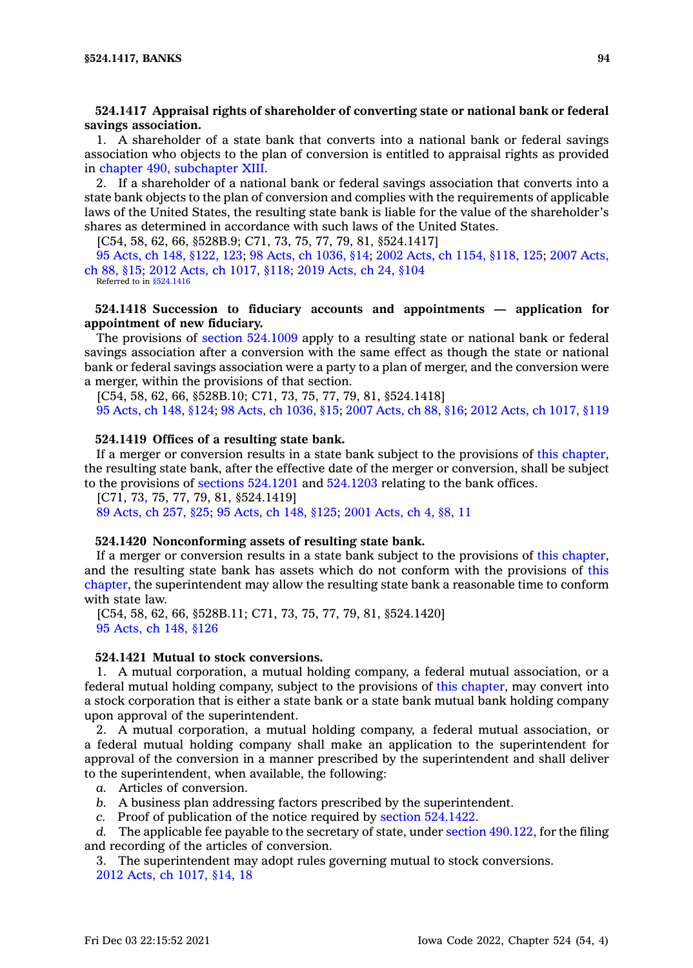# **524.1417 Appraisal rights of shareholder of converting state or national bank or federal savings association.**

1. A shareholder of <sup>a</sup> state bank that converts into <sup>a</sup> national bank or federal savings association who objects to the plan of conversion is entitled to appraisal rights as provided in chapter 490, [subchapter](https://www.legis.iowa.gov/docs/code//490.pdf) XIII.

2. If <sup>a</sup> shareholder of <sup>a</sup> national bank or federal savings association that converts into <sup>a</sup> state bank objects to the plan of conversion and complies with the requirements of applicable laws of the United States, the resulting state bank is liable for the value of the shareholder's shares as determined in accordance with such laws of the United States.

[C54, 58, 62, 66, §528B.9; C71, 73, 75, 77, 79, 81, §524.1417]

95 Acts, ch 148, [§122,](https://www.legis.iowa.gov/docs/acts/1995/CH0148.pdf) 123; 98 Acts, ch [1036,](https://www.legis.iowa.gov/docs/acts/98/CH1036.pdf) §14; 2002 Acts, ch 1154, [§118,](https://www.legis.iowa.gov/docs/acts/2002/CH1154.pdf) 125; 2007 [Acts,](https://www.legis.iowa.gov/docs/acts/2007/CH0088.pdf) ch 88, [§15](https://www.legis.iowa.gov/docs/acts/2007/CH0088.pdf); 2012 Acts, ch [1017,](https://www.legis.iowa.gov/docs/acts/2012/CH1017.pdf) §118; 2019 [Acts,](https://www.legis.iowa.gov/docs/acts/2019/CH0024.pdf) ch 24, §104 Referred to in [§524.1416](https://www.legis.iowa.gov/docs/code/524.1416.pdf)

## **524.1418 Succession to fiduciary accounts and appointments — application for appointment of new fiduciary.**

The provisions of section [524.1009](https://www.legis.iowa.gov/docs/code/524.1009.pdf) apply to <sup>a</sup> resulting state or national bank or federal savings association after <sup>a</sup> conversion with the same effect as though the state or national bank or federal savings association were <sup>a</sup> party to <sup>a</sup> plan of merger, and the conversion were <sup>a</sup> merger, within the provisions of that section.

[C54, 58, 62, 66, §528B.10; C71, 73, 75, 77, 79, 81, §524.1418] 95 [Acts,](https://www.legis.iowa.gov/docs/acts/1995/CH0148.pdf) ch 148, §124; 98 Acts, ch [1036,](https://www.legis.iowa.gov/docs/acts/98/CH1036.pdf) §15; 2007 [Acts,](https://www.legis.iowa.gov/docs/acts/2007/CH0088.pdf) ch 88, §16; 2012 Acts, ch [1017,](https://www.legis.iowa.gov/docs/acts/2012/CH1017.pdf) §119

#### **524.1419 Offices of <sup>a</sup> resulting state bank.**

If <sup>a</sup> merger or conversion results in <sup>a</sup> state bank subject to the provisions of this [chapter](https://www.legis.iowa.gov/docs/code//524.pdf), the resulting state bank, after the effective date of the merger or conversion, shall be subject to the provisions of sections [524.1201](https://www.legis.iowa.gov/docs/code/524.1201.pdf) and [524.1203](https://www.legis.iowa.gov/docs/code/524.1203.pdf) relating to the bank offices.

[C71, 73, 75, 77, 79, 81, §524.1419]

89 [Acts,](https://www.legis.iowa.gov/docs/acts/1989/CH0257.pdf) ch 257, §25; 95 [Acts,](https://www.legis.iowa.gov/docs/acts/1995/CH0148.pdf) ch 148, §125; 2001 [Acts,](https://www.legis.iowa.gov/docs/acts/2001/CH0004.pdf) ch 4, §8, 11

### **524.1420 Nonconforming assets of resulting state bank.**

If <sup>a</sup> merger or conversion results in <sup>a</sup> state bank subject to the provisions of this [chapter](https://www.legis.iowa.gov/docs/code//524.pdf), and the resulting state bank has assets which do not conform with the provisions of [this](https://www.legis.iowa.gov/docs/code//524.pdf) [chapter](https://www.legis.iowa.gov/docs/code//524.pdf), the superintendent may allow the resulting state bank <sup>a</sup> reasonable time to conform with state law.

[C54, 58, 62, 66, §528B.11; C71, 73, 75, 77, 79, 81, §524.1420] 95 [Acts,](https://www.legis.iowa.gov/docs/acts/1995/CH0148.pdf) ch 148, §126

## **524.1421 Mutual to stock conversions.**

1. A mutual corporation, <sup>a</sup> mutual holding company, <sup>a</sup> federal mutual association, or <sup>a</sup> federal mutual holding company, subject to the provisions of this [chapter](https://www.legis.iowa.gov/docs/code//524.pdf), may convert into <sup>a</sup> stock corporation that is either <sup>a</sup> state bank or <sup>a</sup> state bank mutual bank holding company upon approval of the superintendent.

2. A mutual corporation, <sup>a</sup> mutual holding company, <sup>a</sup> federal mutual association, or <sup>a</sup> federal mutual holding company shall make an application to the superintendent for approval of the conversion in <sup>a</sup> manner prescribed by the superintendent and shall deliver to the superintendent, when available, the following:

- *a.* Articles of conversion.
- *b.* A business plan addressing factors prescribed by the superintendent.
- *c.* Proof of publication of the notice required by section [524.1422](https://www.legis.iowa.gov/docs/code/524.1422.pdf).

*d.* The applicable fee payable to the secretary of state, under section [490.122](https://www.legis.iowa.gov/docs/code/490.122.pdf), for the filing and recording of the articles of conversion.

3. The superintendent may adopt rules governing mutual to stock conversions. 2012 Acts, ch [1017,](https://www.legis.iowa.gov/docs/acts/2012/CH1017.pdf) §14, 18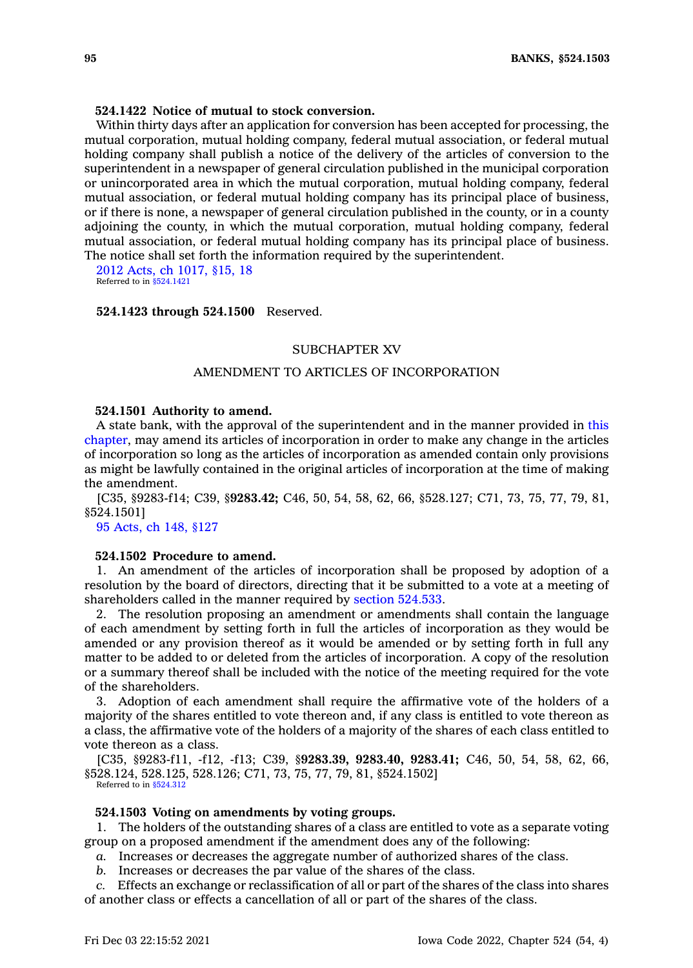## **524.1422 Notice of mutual to stock conversion.**

Within thirty days after an application for conversion has been accepted for processing, the mutual corporation, mutual holding company, federal mutual association, or federal mutual holding company shall publish <sup>a</sup> notice of the delivery of the articles of conversion to the superintendent in <sup>a</sup> newspaper of general circulation published in the municipal corporation or unincorporated area in which the mutual corporation, mutual holding company, federal mutual association, or federal mutual holding company has its principal place of business, or if there is none, <sup>a</sup> newspaper of general circulation published in the county, or in <sup>a</sup> county adjoining the county, in which the mutual corporation, mutual holding company, federal mutual association, or federal mutual holding company has its principal place of business. The notice shall set forth the information required by the superintendent.

2012 Acts, ch [1017,](https://www.legis.iowa.gov/docs/acts/2012/CH1017.pdf) §15, 18 Referred to in [§524.1421](https://www.legis.iowa.gov/docs/code/524.1421.pdf)

#### **524.1423 through 524.1500** Reserved.

### SUBCHAPTER XV

# AMENDMENT TO ARTICLES OF INCORPORATION

### **524.1501 Authority to amend.**

A state bank, with the approval of the superintendent and in the manner provided in [this](https://www.legis.iowa.gov/docs/code//524.pdf) [chapter](https://www.legis.iowa.gov/docs/code//524.pdf), may amend its articles of incorporation in order to make any change in the articles of incorporation so long as the articles of incorporation as amended contain only provisions as might be lawfully contained in the original articles of incorporation at the time of making the amendment.

[C35, §9283-f14; C39, §**9283.42;** C46, 50, 54, 58, 62, 66, §528.127; C71, 73, 75, 77, 79, 81, §524.1501]

95 [Acts,](https://www.legis.iowa.gov/docs/acts/1995/CH0148.pdf) ch 148, §127

## **524.1502 Procedure to amend.**

1. An amendment of the articles of incorporation shall be proposed by adoption of <sup>a</sup> resolution by the board of directors, directing that it be submitted to <sup>a</sup> vote at <sup>a</sup> meeting of shareholders called in the manner required by section [524.533](https://www.legis.iowa.gov/docs/code/524.533.pdf).

2. The resolution proposing an amendment or amendments shall contain the language of each amendment by setting forth in full the articles of incorporation as they would be amended or any provision thereof as it would be amended or by setting forth in full any matter to be added to or deleted from the articles of incorporation. A copy of the resolution or <sup>a</sup> summary thereof shall be included with the notice of the meeting required for the vote of the shareholders.

3. Adoption of each amendment shall require the affirmative vote of the holders of <sup>a</sup> majority of the shares entitled to vote thereon and, if any class is entitled to vote thereon as <sup>a</sup> class, the affirmative vote of the holders of <sup>a</sup> majority of the shares of each class entitled to vote thereon as <sup>a</sup> class.

[C35, §9283-f11, -f12, -f13; C39, §**9283.39, 9283.40, 9283.41;** C46, 50, 54, 58, 62, 66, §528.124, 528.125, 528.126; C71, 73, 75, 77, 79, 81, §524.1502] Referred to in [§524.312](https://www.legis.iowa.gov/docs/code/524.312.pdf)

#### **524.1503 Voting on amendments by voting groups.**

1. The holders of the outstanding shares of <sup>a</sup> class are entitled to vote as <sup>a</sup> separate voting group on <sup>a</sup> proposed amendment if the amendment does any of the following:

*a.* Increases or decreases the aggregate number of authorized shares of the class.

*b.* Increases or decreases the par value of the shares of the class.

*c.* Effects an exchange or reclassification of all or part of the shares of the class into shares of another class or effects <sup>a</sup> cancellation of all or part of the shares of the class.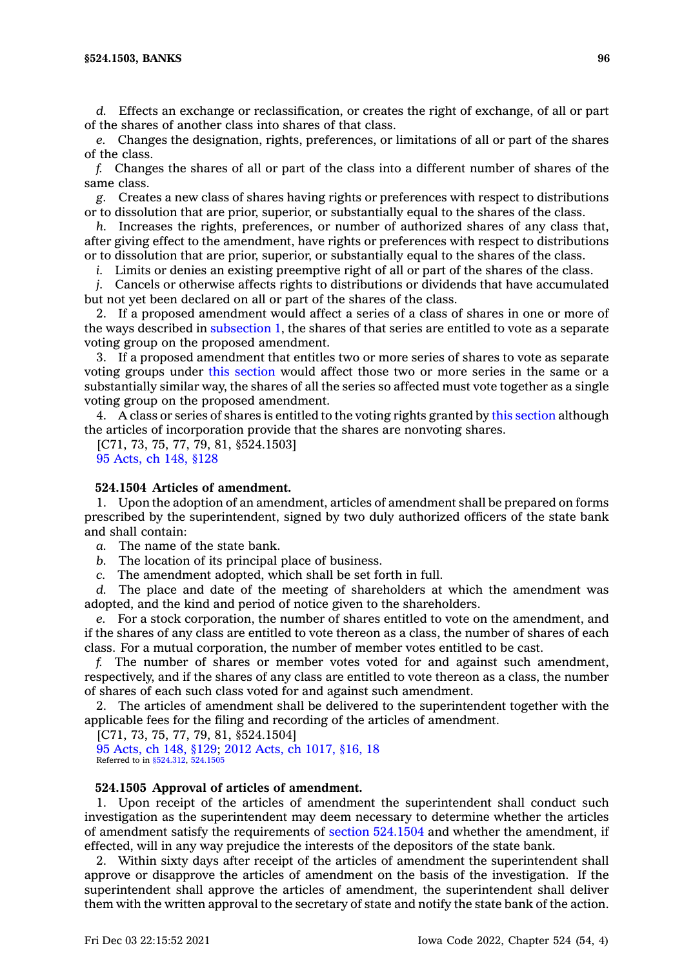*d.* Effects an exchange or reclassification, or creates the right of exchange, of all or part of the shares of another class into shares of that class.

*e.* Changes the designation, rights, preferences, or limitations of all or part of the shares of the class.

*f.* Changes the shares of all or part of the class into <sup>a</sup> different number of shares of the same class.

*g.* Creates <sup>a</sup> new class of shares having rights or preferences with respect to distributions or to dissolution that are prior, superior, or substantially equal to the shares of the class.

*h.* Increases the rights, preferences, or number of authorized shares of any class that, after giving effect to the amendment, have rights or preferences with respect to distributions or to dissolution that are prior, superior, or substantially equal to the shares of the class.

*i.* Limits or denies an existing preemptive right of all or part of the shares of the class.

*j.* Cancels or otherwise affects rights to distributions or dividends that have accumulated but not yet been declared on all or part of the shares of the class.

2. If <sup>a</sup> proposed amendment would affect <sup>a</sup> series of <sup>a</sup> class of shares in one or more of the ways described in [subsection](https://www.legis.iowa.gov/docs/code/524.1503.pdf) 1, the shares of that series are entitled to vote as <sup>a</sup> separate voting group on the proposed amendment.

3. If <sup>a</sup> proposed amendment that entitles two or more series of shares to vote as separate voting groups under this [section](https://www.legis.iowa.gov/docs/code/524.1503.pdf) would affect those two or more series in the same or <sup>a</sup> substantially similar way, the shares of all the series so affected must vote together as <sup>a</sup> single voting group on the proposed amendment.

4. A class or series of shares is entitled to the voting rights granted by this [section](https://www.legis.iowa.gov/docs/code/524.1503.pdf) although the articles of incorporation provide that the shares are nonvoting shares.

[C71, 73, 75, 77, 79, 81, §524.1503] 95 [Acts,](https://www.legis.iowa.gov/docs/acts/1995/CH0148.pdf) ch 148, §128

# **524.1504 Articles of amendment.**

1. Upon the adoption of an amendment, articles of amendment shall be prepared on forms prescribed by the superintendent, signed by two duly authorized officers of the state bank and shall contain:

*a.* The name of the state bank.

*b.* The location of its principal place of business.

*c.* The amendment adopted, which shall be set forth in full.

*d.* The place and date of the meeting of shareholders at which the amendment was adopted, and the kind and period of notice given to the shareholders.

*e.* For <sup>a</sup> stock corporation, the number of shares entitled to vote on the amendment, and if the shares of any class are entitled to vote thereon as <sup>a</sup> class, the number of shares of each class. For <sup>a</sup> mutual corporation, the number of member votes entitled to be cast.

*f.* The number of shares or member votes voted for and against such amendment, respectively, and if the shares of any class are entitled to vote thereon as <sup>a</sup> class, the number of shares of each such class voted for and against such amendment.

2. The articles of amendment shall be delivered to the superintendent together with the applicable fees for the filing and recording of the articles of amendment.

[C71, 73, 75, 77, 79, 81, §524.1504]

95 [Acts,](https://www.legis.iowa.gov/docs/acts/1995/CH0148.pdf) ch 148, §129; 2012 Acts, ch [1017,](https://www.legis.iowa.gov/docs/acts/2012/CH1017.pdf) §16, 18 Referred to in [§524.312](https://www.legis.iowa.gov/docs/code/524.312.pdf), [524.1505](https://www.legis.iowa.gov/docs/code/524.1505.pdf)

### **524.1505 Approval of articles of amendment.**

1. Upon receipt of the articles of amendment the superintendent shall conduct such investigation as the superintendent may deem necessary to determine whether the articles of amendment satisfy the requirements of section [524.1504](https://www.legis.iowa.gov/docs/code/524.1504.pdf) and whether the amendment, if effected, will in any way prejudice the interests of the depositors of the state bank.

2. Within sixty days after receipt of the articles of amendment the superintendent shall approve or disapprove the articles of amendment on the basis of the investigation. If the superintendent shall approve the articles of amendment, the superintendent shall deliver them with the written approval to the secretary of state and notify the state bank of the action.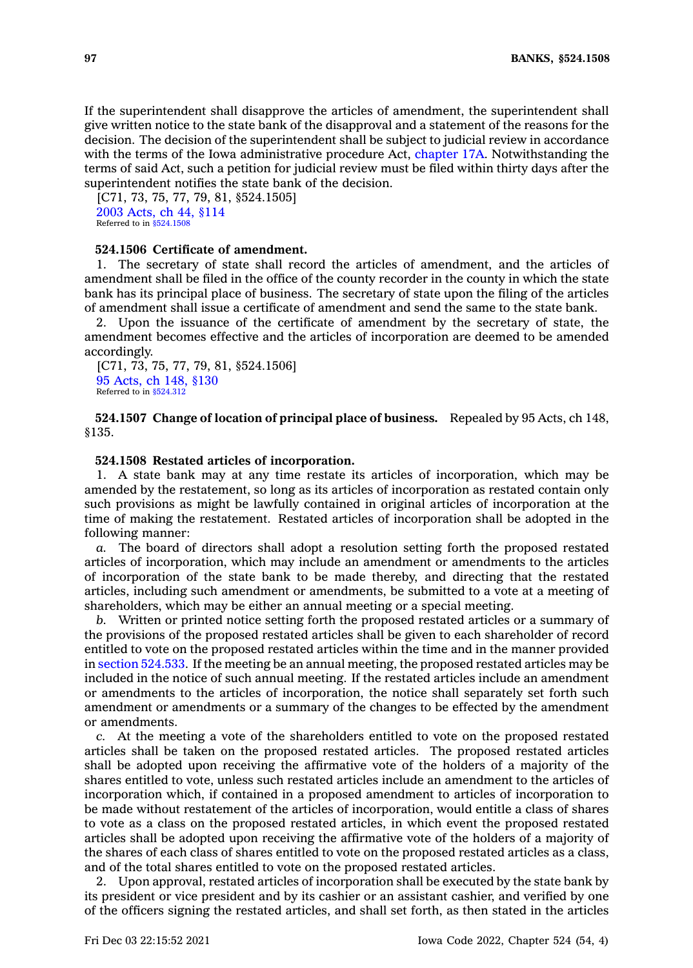If the superintendent shall disapprove the articles of amendment, the superintendent shall give written notice to the state bank of the disapproval and <sup>a</sup> statement of the reasons for the decision. The decision of the superintendent shall be subject to judicial review in accordance with the terms of the Iowa administrative procedure Act, [chapter](https://www.legis.iowa.gov/docs/code//17A.pdf) 17A. Notwithstanding the terms of said Act, such <sup>a</sup> petition for judicial review must be filed within thirty days after the superintendent notifies the state bank of the decision.

[C71, 73, 75, 77, 79, 81, \$524.1505] 2003 [Acts,](https://www.legis.iowa.gov/docs/acts/2003/CH0044.pdf) ch 44, §114 Referred to in [§524.1508](https://www.legis.iowa.gov/docs/code/524.1508.pdf)

### **524.1506 Certificate of amendment.**

1. The secretary of state shall record the articles of amendment, and the articles of amendment shall be filed in the office of the county recorder in the county in which the state bank has its principal place of business. The secretary of state upon the filing of the articles of amendment shall issue <sup>a</sup> certificate of amendment and send the same to the state bank.

2. Upon the issuance of the certificate of amendment by the secretary of state, the amendment becomes effective and the articles of incorporation are deemed to be amended accordingly.

[C71, 73, 75, 77, 79, 81, §524.1506] 95 [Acts,](https://www.legis.iowa.gov/docs/acts/1995/CH0148.pdf) ch 148, §130 Referred to in [§524.312](https://www.legis.iowa.gov/docs/code/524.312.pdf)

**524.1507 Change of location of principal place of business.** Repealed by 95 Acts, ch 148, §135.

### **524.1508 Restated articles of incorporation.**

1. A state bank may at any time restate its articles of incorporation, which may be amended by the restatement, so long as its articles of incorporation as restated contain only such provisions as might be lawfully contained in original articles of incorporation at the time of making the restatement. Restated articles of incorporation shall be adopted in the following manner:

*a.* The board of directors shall adopt <sup>a</sup> resolution setting forth the proposed restated articles of incorporation, which may include an amendment or amendments to the articles of incorporation of the state bank to be made thereby, and directing that the restated articles, including such amendment or amendments, be submitted to <sup>a</sup> vote at <sup>a</sup> meeting of shareholders, which may be either an annual meeting or a special meeting.

*b.* Written or printed notice setting forth the proposed restated articles or <sup>a</sup> summary of the provisions of the proposed restated articles shall be given to each shareholder of record entitled to vote on the proposed restated articles within the time and in the manner provided in section [524.533](https://www.legis.iowa.gov/docs/code/524.533.pdf). If the meeting be an annual meeting, the proposed restated articles may be included in the notice of such annual meeting. If the restated articles include an amendment or amendments to the articles of incorporation, the notice shall separately set forth such amendment or amendments or <sup>a</sup> summary of the changes to be effected by the amendment or amendments.

*c.* At the meeting <sup>a</sup> vote of the shareholders entitled to vote on the proposed restated articles shall be taken on the proposed restated articles. The proposed restated articles shall be adopted upon receiving the affirmative vote of the holders of <sup>a</sup> majority of the shares entitled to vote, unless such restated articles include an amendment to the articles of incorporation which, if contained in <sup>a</sup> proposed amendment to articles of incorporation to be made without restatement of the articles of incorporation, would entitle <sup>a</sup> class of shares to vote as <sup>a</sup> class on the proposed restated articles, in which event the proposed restated articles shall be adopted upon receiving the affirmative vote of the holders of <sup>a</sup> majority of the shares of each class of shares entitled to vote on the proposed restated articles as <sup>a</sup> class, and of the total shares entitled to vote on the proposed restated articles.

2. Upon approval, restated articles of incorporation shall be executed by the state bank by its president or vice president and by its cashier or an assistant cashier, and verified by one of the officers signing the restated articles, and shall set forth, as then stated in the articles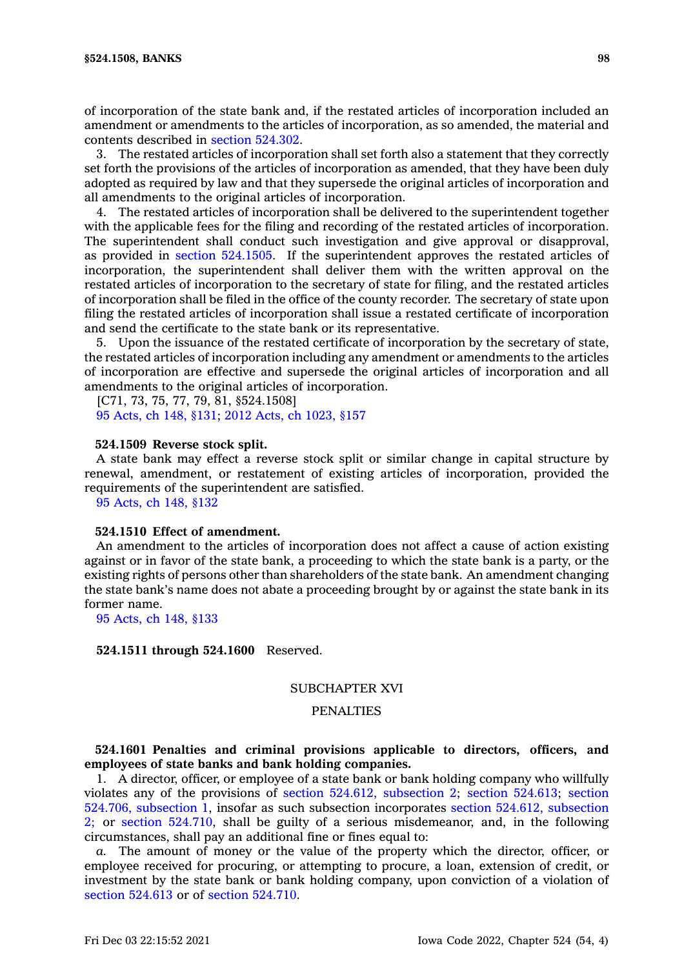of incorporation of the state bank and, if the restated articles of incorporation included an amendment or amendments to the articles of incorporation, as so amended, the material and contents described in section [524.302](https://www.legis.iowa.gov/docs/code/524.302.pdf).

3. The restated articles of incorporation shall set forth also <sup>a</sup> statement that they correctly set forth the provisions of the articles of incorporation as amended, that they have been duly adopted as required by law and that they supersede the original articles of incorporation and all amendments to the original articles of incorporation.

4. The restated articles of incorporation shall be delivered to the superintendent together with the applicable fees for the filing and recording of the restated articles of incorporation. The superintendent shall conduct such investigation and give approval or disapproval, as provided in section [524.1505](https://www.legis.iowa.gov/docs/code/524.1505.pdf). If the superintendent approves the restated articles of incorporation, the superintendent shall deliver them with the written approval on the restated articles of incorporation to the secretary of state for filing, and the restated articles of incorporation shall be filed in the office of the county recorder. The secretary of state upon filing the restated articles of incorporation shall issue <sup>a</sup> restated certificate of incorporation and send the certificate to the state bank or its representative.

5. Upon the issuance of the restated certificate of incorporation by the secretary of state, the restated articles of incorporation including any amendment or amendments to the articles of incorporation are effective and supersede the original articles of incorporation and all amendments to the original articles of incorporation.

[C71, 73, 75, 77, 79, 81, §524.1508] 95 [Acts,](https://www.legis.iowa.gov/docs/acts/1995/CH0148.pdf) ch 148, §131; 2012 Acts, ch [1023,](https://www.legis.iowa.gov/docs/acts/2012/CH1023.pdf) §157

### **524.1509 Reverse stock split.**

A state bank may effect <sup>a</sup> reverse stock split or similar change in capital structure by renewal, amendment, or restatement of existing articles of incorporation, provided the requirements of the superintendent are satisfied.

95 [Acts,](https://www.legis.iowa.gov/docs/acts/1995/CH0148.pdf) ch 148, §132

#### **524.1510 Effect of amendment.**

An amendment to the articles of incorporation does not affect <sup>a</sup> cause of action existing against or in favor of the state bank, <sup>a</sup> proceeding to which the state bank is <sup>a</sup> party, or the existing rights of persons other than shareholders of the state bank. An amendment changing the state bank's name does not abate <sup>a</sup> proceeding brought by or against the state bank in its former name.

95 [Acts,](https://www.legis.iowa.gov/docs/acts/1995/CH0148.pdf) ch 148, §133

### **524.1511 through 524.1600** Reserved.

# SUBCHAPTER XVI

# **PENALTIES**

# **524.1601 Penalties and criminal provisions applicable to directors, officers, and employees of state banks and bank holding companies.**

1. A director, officer, or employee of <sup>a</sup> state bank or bank holding company who willfully violates any of the provisions of section 524.612, [subsection](https://www.legis.iowa.gov/docs/code/524.612.pdf) 2; section [524.613](https://www.legis.iowa.gov/docs/code/524.613.pdf); [section](https://www.legis.iowa.gov/docs/code/524.706.pdf) 524.706, [subsection](https://www.legis.iowa.gov/docs/code/524.706.pdf) 1, insofar as such subsection incorporates section 524.612, [subsection](https://www.legis.iowa.gov/docs/code/524.612.pdf) [2;](https://www.legis.iowa.gov/docs/code/524.612.pdf) or section [524.710](https://www.legis.iowa.gov/docs/code/524.710.pdf), shall be guilty of <sup>a</sup> serious misdemeanor, and, in the following circumstances, shall pay an additional fine or fines equal to:

*a.* The amount of money or the value of the property which the director, officer, or employee received for procuring, or attempting to procure, <sup>a</sup> loan, extension of credit, or investment by the state bank or bank holding company, upon conviction of <sup>a</sup> violation of section [524.613](https://www.legis.iowa.gov/docs/code/524.613.pdf) or of section [524.710](https://www.legis.iowa.gov/docs/code/524.710.pdf).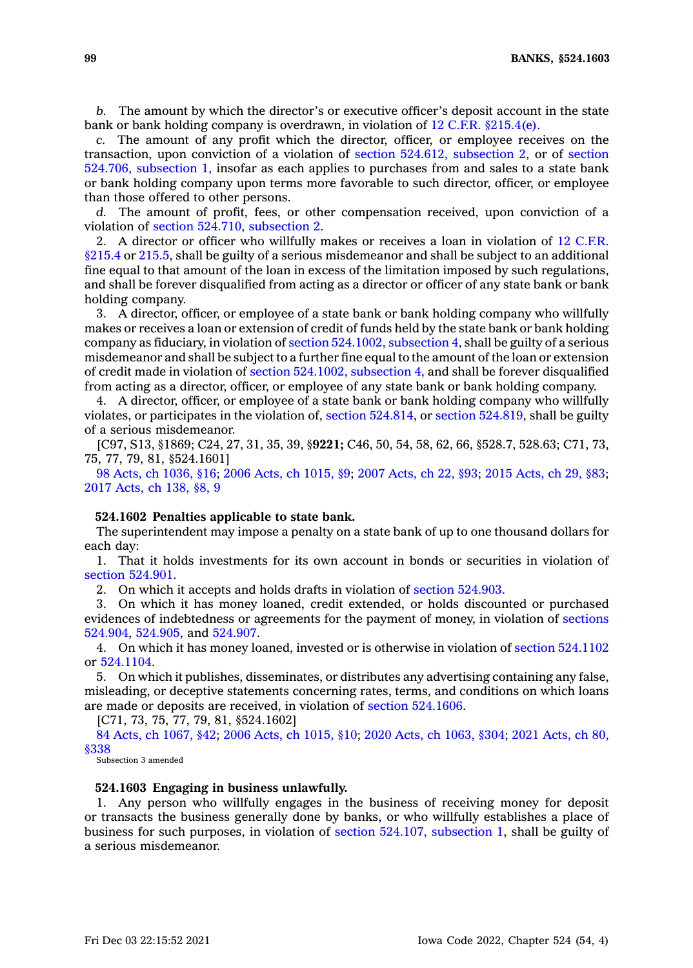*b.* The amount by which the director's or executive officer's deposit account in the state bank or bank holding company is overdrawn, in violation of  $12 \text{ C.F.R. }$  \$215.4(e).

*c.* The amount of any profit which the director, officer, or employee receives on the transaction, upon conviction of <sup>a</sup> violation of section 524.612, [subsection](https://www.legis.iowa.gov/docs/code/524.612.pdf) 2, or of [section](https://www.legis.iowa.gov/docs/code/524.706.pdf) 524.706, [subsection](https://www.legis.iowa.gov/docs/code/524.706.pdf) 1, insofar as each applies to purchases from and sales to <sup>a</sup> state bank or bank holding company upon terms more favorable to such director, officer, or employee than those offered to other persons.

*d.* The amount of profit, fees, or other compensation received, upon conviction of <sup>a</sup> violation of section 524.710, [subsection](https://www.legis.iowa.gov/docs/code/524.710.pdf) 2.

2. A director or officer who willfully makes or receives <sup>a</sup> loan in violation of 12 [C.F.R.](https://www.law.cornell.edu/cfr/text/12/215.4) [§215.4](https://www.law.cornell.edu/cfr/text/12/215.4) or [215.5](https://www.law.cornell.edu/cfr/text/12/215.5), shall be guilty of <sup>a</sup> serious misdemeanor and shall be subject to an additional fine equal to that amount of the loan in excess of the limitation imposed by such regulations, and shall be forever disqualified from acting as <sup>a</sup> director or officer of any state bank or bank holding company.

3. A director, officer, or employee of <sup>a</sup> state bank or bank holding company who willfully makes or receives <sup>a</sup> loan or extension of credit of funds held by the state bank or bank holding company as fiduciary, in violation of section [524.1002,](https://www.legis.iowa.gov/docs/code/524.1002.pdf) subsection 4, shall be guilty of <sup>a</sup> serious misdemeanor and shall be subject to <sup>a</sup> further fine equal to the amount of the loan or extension of credit made in violation of section [524.1002,](https://www.legis.iowa.gov/docs/code/524.1002.pdf) subsection 4, and shall be forever disqualified from acting as <sup>a</sup> director, officer, or employee of any state bank or bank holding company.

4. A director, officer, or employee of <sup>a</sup> state bank or bank holding company who willfully violates, or participates in the violation of, section [524.814](https://www.legis.iowa.gov/docs/code/524.814.pdf), or section [524.819](https://www.legis.iowa.gov/docs/code/524.819.pdf), shall be guilty of <sup>a</sup> serious misdemeanor.

[C97, S13, §1869; C24, 27, 31, 35, 39, §**9221;** C46, 50, 54, 58, 62, 66, §528.7, 528.63; C71, 73, 75, 77, 79, 81, §524.1601]

98 Acts, ch [1036,](https://www.legis.iowa.gov/docs/acts/1998/CH1036.pdf) §16; 2006 Acts, ch [1015,](https://www.legis.iowa.gov/docs/acts/2006/CH1015.pdf) §9; 2007 [Acts,](https://www.legis.iowa.gov/docs/acts/2007/CH0022.pdf) ch 22, §93; 2015 [Acts,](https://www.legis.iowa.gov/docs/acts/2015/CH0029.pdf) ch 29, §83; 2017 [Acts,](https://www.legis.iowa.gov/docs/acts/2017/CH0138.pdf) ch 138, §8, 9

## **524.1602 Penalties applicable to state bank.**

The superintendent may impose <sup>a</sup> penalty on <sup>a</sup> state bank of up to one thousand dollars for each day:

1. That it holds investments for its own account in bonds or securities in violation of section [524.901](https://www.legis.iowa.gov/docs/code/524.901.pdf).

2. On which it accepts and holds drafts in violation of section [524.903](https://www.legis.iowa.gov/docs/code/524.903.pdf).

3. On which it has money loaned, credit extended, or holds discounted or purchased evidences of indebtedness or agreements for the payment of money, in violation of [sections](https://www.legis.iowa.gov/docs/code/524.904.pdf) [524.904](https://www.legis.iowa.gov/docs/code/524.904.pdf), [524.905](https://www.legis.iowa.gov/docs/code/524.905.pdf), and [524.907](https://www.legis.iowa.gov/docs/code/524.907.pdf).

4. On which it has money loaned, invested or is otherwise in violation of section [524.1102](https://www.legis.iowa.gov/docs/code/524.1102.pdf) or [524.1104](https://www.legis.iowa.gov/docs/code/524.1104.pdf).

5. On which it publishes, disseminates, or distributes any advertising containing any false, misleading, or deceptive statements concerning rates, terms, and conditions on which loans are made or deposits are received, in violation of section [524.1606](https://www.legis.iowa.gov/docs/code/524.1606.pdf).

[C71, 73, 75, 77, 79, 81, §524.1602]

84 Acts, ch [1067,](https://www.legis.iowa.gov/docs/acts/1984/CH1067.pdf) §42; 2006 Acts, ch [1015,](https://www.legis.iowa.gov/docs/acts/2006/CH1015.pdf) §10; 2020 Acts, ch [1063,](https://www.legis.iowa.gov/docs/acts/2020/CH1063.pdf) §304; 2021 [Acts,](https://www.legis.iowa.gov/docs/acts/2021/CH0080.pdf) ch 80, [§338](https://www.legis.iowa.gov/docs/acts/2021/CH0080.pdf)

Subsection 3 amended

### **524.1603 Engaging in business unlawfully.**

1. Any person who willfully engages in the business of receiving money for deposit or transacts the business generally done by banks, or who willfully establishes <sup>a</sup> place of business for such purposes, in violation of section 524.107, [subsection](https://www.legis.iowa.gov/docs/code/524.107.pdf) 1, shall be guilty of <sup>a</sup> serious misdemeanor.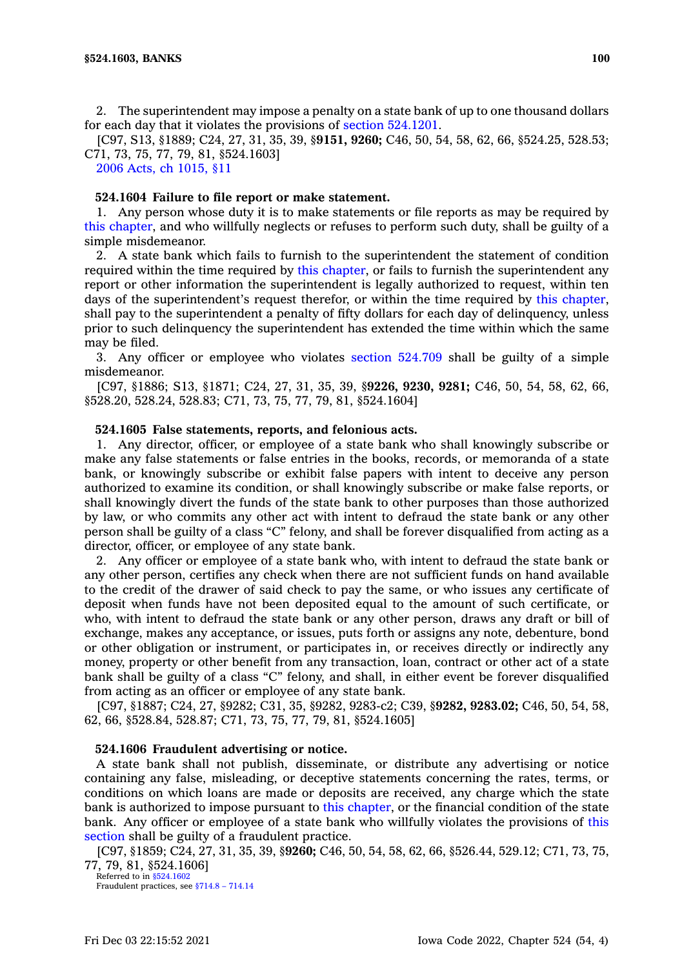2. The superintendent may impose <sup>a</sup> penalty on <sup>a</sup> state bank of up to one thousand dollars for each day that it violates the provisions of section [524.1201](https://www.legis.iowa.gov/docs/code/524.1201.pdf).

[C97, S13, §1889; C24, 27, 31, 35, 39, §**9151, 9260;** C46, 50, 54, 58, 62, 66, §524.25, 528.53; C71, 73, 75, 77, 79, 81, §524.1603]

2006 Acts, ch [1015,](https://www.legis.iowa.gov/docs/acts/2006/CH1015.pdf) §11

### **524.1604 Failure to file report or make statement.**

1. Any person whose duty it is to make statements or file reports as may be required by this [chapter](https://www.legis.iowa.gov/docs/code//524.pdf), and who willfully neglects or refuses to perform such duty, shall be guilty of <sup>a</sup> simple misdemeanor.

2. A state bank which fails to furnish to the superintendent the statement of condition required within the time required by this [chapter](https://www.legis.iowa.gov/docs/code//524.pdf), or fails to furnish the superintendent any report or other information the superintendent is legally authorized to request, within ten days of the superintendent's request therefor, or within the time required by this [chapter](https://www.legis.iowa.gov/docs/code//524.pdf), shall pay to the superintendent <sup>a</sup> penalty of fifty dollars for each day of delinquency, unless prior to such delinquency the superintendent has extended the time within which the same may be filed.

3. Any officer or employee who violates section [524.709](https://www.legis.iowa.gov/docs/code/524.709.pdf) shall be guilty of <sup>a</sup> simple misdemeanor.

[C97, §1886; S13, §1871; C24, 27, 31, 35, 39, §**9226, 9230, 9281;** C46, 50, 54, 58, 62, 66, §528.20, 528.24, 528.83; C71, 73, 75, 77, 79, 81, §524.1604]

#### **524.1605 False statements, reports, and felonious acts.**

1. Any director, officer, or employee of <sup>a</sup> state bank who shall knowingly subscribe or make any false statements or false entries in the books, records, or memoranda of <sup>a</sup> state bank, or knowingly subscribe or exhibit false papers with intent to deceive any person authorized to examine its condition, or shall knowingly subscribe or make false reports, or shall knowingly divert the funds of the state bank to other purposes than those authorized by law, or who commits any other act with intent to defraud the state bank or any other person shall be guilty of <sup>a</sup> class "C" felony, and shall be forever disqualified from acting as <sup>a</sup> director, officer, or employee of any state bank.

2. Any officer or employee of <sup>a</sup> state bank who, with intent to defraud the state bank or any other person, certifies any check when there are not sufficient funds on hand available to the credit of the drawer of said check to pay the same, or who issues any certificate of deposit when funds have not been deposited equal to the amount of such certificate, or who, with intent to defraud the state bank or any other person, draws any draft or bill of exchange, makes any acceptance, or issues, puts forth or assigns any note, debenture, bond or other obligation or instrument, or participates in, or receives directly or indirectly any money, property or other benefit from any transaction, loan, contract or other act of <sup>a</sup> state bank shall be guilty of <sup>a</sup> class "C" felony, and shall, in either event be forever disqualified from acting as an officer or employee of any state bank.

[C97, §1887; C24, 27, §9282; C31, 35, §9282, 9283-c2; C39, §**9282, 9283.02;** C46, 50, 54, 58, 62, 66, §528.84, 528.87; C71, 73, 75, 77, 79, 81, §524.1605]

#### **524.1606 Fraudulent advertising or notice.**

A state bank shall not publish, disseminate, or distribute any advertising or notice containing any false, misleading, or deceptive statements concerning the rates, terms, or conditions on which loans are made or deposits are received, any charge which the state bank is authorized to impose pursuant to this [chapter](https://www.legis.iowa.gov/docs/code//524.pdf), or the financial condition of the state bank. Any officer or employee of <sup>a</sup> state bank who willfully violates the provisions of [this](https://www.legis.iowa.gov/docs/code/524.1606.pdf) [section](https://www.legis.iowa.gov/docs/code/524.1606.pdf) shall be guilty of <sup>a</sup> fraudulent practice.

[C97, §1859; C24, 27, 31, 35, 39, §**9260;** C46, 50, 54, 58, 62, 66, §526.44, 529.12; C71, 73, 75, 77, 79, 81, §524.1606]

Referred to in [§524.1602](https://www.legis.iowa.gov/docs/code/524.1602.pdf) Fraudulent practices, see [§714.8](https://www.legis.iowa.gov/docs/code/714.8.pdf) – 714.14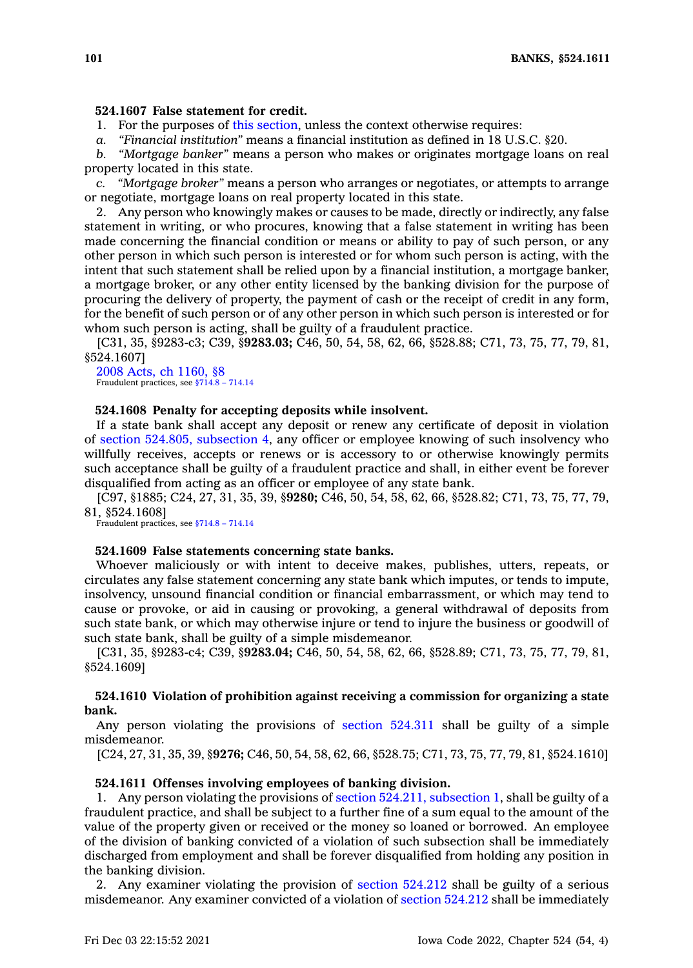## **524.1607 False statement for credit.**

1. For the purposes of this [section](https://www.legis.iowa.gov/docs/code/524.1607.pdf), unless the context otherwise requires:

*a. "Financial institution"* means <sup>a</sup> financial institution as defined in 18 U.S.C. §20.

*b. "Mortgage banker"* means <sup>a</sup> person who makes or originates mortgage loans on real property located in this state.

*c. "Mortgage broker"* means <sup>a</sup> person who arranges or negotiates, or attempts to arrange or negotiate, mortgage loans on real property located in this state.

2. Any person who knowingly makes or causes to be made, directly or indirectly, any false statement in writing, or who procures, knowing that <sup>a</sup> false statement in writing has been made concerning the financial condition or means or ability to pay of such person, or any other person in which such person is interested or for whom such person is acting, with the intent that such statement shall be relied upon by <sup>a</sup> financial institution, <sup>a</sup> mortgage banker, <sup>a</sup> mortgage broker, or any other entity licensed by the banking division for the purpose of procuring the delivery of property, the payment of cash or the receipt of credit in any form, for the benefit of such person or of any other person in which such person is interested or for whom such person is acting, shall be guilty of <sup>a</sup> fraudulent practice.

[C31, 35, §9283-c3; C39, §**9283.03;** C46, 50, 54, 58, 62, 66, §528.88; C71, 73, 75, 77, 79, 81, §524.1607]

2008 Acts, ch [1160,](https://www.legis.iowa.gov/docs/acts/2008/CH1160.pdf) §8 Fraudulent practices, see [§714.8](https://www.legis.iowa.gov/docs/code/714.8.pdf) – 714.14

## **524.1608 Penalty for accepting deposits while insolvent.**

If <sup>a</sup> state bank shall accept any deposit or renew any certificate of deposit in violation of section 524.805, [subsection](https://www.legis.iowa.gov/docs/code/524.805.pdf) 4, any officer or employee knowing of such insolvency who willfully receives, accepts or renews or is accessory to or otherwise knowingly permits such acceptance shall be guilty of <sup>a</sup> fraudulent practice and shall, in either event be forever disqualified from acting as an officer or employee of any state bank.

[C97, §1885; C24, 27, 31, 35, 39, §**9280;** C46, 50, 54, 58, 62, 66, §528.82; C71, 73, 75, 77, 79, 81, §524.1608]

Fraudulent practices, see [§714.8](https://www.legis.iowa.gov/docs/code/714.8.pdf) – 714.14

### **524.1609 False statements concerning state banks.**

Whoever maliciously or with intent to deceive makes, publishes, utters, repeats, or circulates any false statement concerning any state bank which imputes, or tends to impute, insolvency, unsound financial condition or financial embarrassment, or which may tend to cause or provoke, or aid in causing or provoking, <sup>a</sup> general withdrawal of deposits from such state bank, or which may otherwise injure or tend to injure the business or goodwill of such state bank, shall be guilty of <sup>a</sup> simple misdemeanor.

[C31, 35, §9283-c4; C39, §**9283.04;** C46, 50, 54, 58, 62, 66, §528.89; C71, 73, 75, 77, 79, 81, §524.1609]

## **524.1610 Violation of prohibition against receiving <sup>a</sup> commission for organizing <sup>a</sup> state bank.**

Any person violating the provisions of section [524.311](https://www.legis.iowa.gov/docs/code/524.311.pdf) shall be guilty of <sup>a</sup> simple misdemeanor.

[C24, 27, 31, 35, 39, §**9276;** C46, 50, 54, 58, 62, 66, §528.75; C71, 73, 75, 77, 79, 81, §524.1610]

#### **524.1611 Offenses involving employees of banking division.**

1. Any person violating the provisions of section 524.211, [subsection](https://www.legis.iowa.gov/docs/code/524.211.pdf) 1, shall be guilty of <sup>a</sup> fraudulent practice, and shall be subject to <sup>a</sup> further fine of <sup>a</sup> sum equal to the amount of the value of the property given or received or the money so loaned or borrowed. An employee of the division of banking convicted of <sup>a</sup> violation of such subsection shall be immediately discharged from employment and shall be forever disqualified from holding any position in the banking division.

2. Any examiner violating the provision of section [524.212](https://www.legis.iowa.gov/docs/code/524.212.pdf) shall be guilty of <sup>a</sup> serious misdemeanor. Any examiner convicted of <sup>a</sup> violation of section [524.212](https://www.legis.iowa.gov/docs/code/524.212.pdf) shall be immediately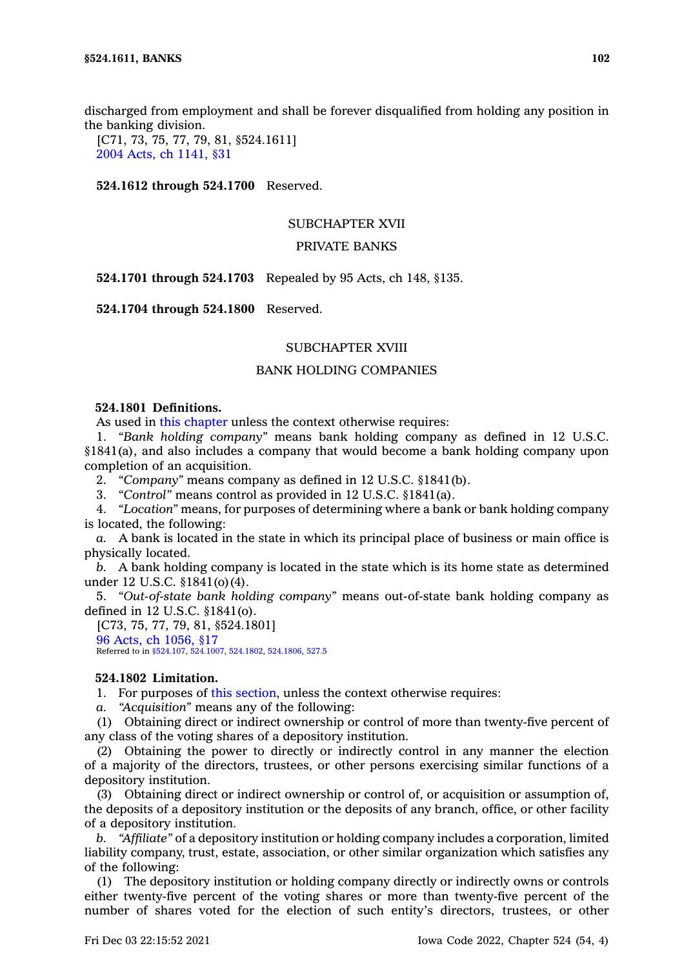discharged from employment and shall be forever disqualified from holding any position in the banking division.

[C71, 73, 75, 77, 79, 81, §524.1611] 2004 Acts, ch [1141,](https://www.legis.iowa.gov/docs/acts/2004/CH1141.pdf) §31

**524.1612 through 524.1700** Reserved.

## SUBCHAPTER XVII

# PRIVATE BANKS

**524.1701 through 524.1703** Repealed by 95 Acts, ch 148, §135.

**524.1704 through 524.1800** Reserved.

### SUBCHAPTER XVIII

# BANK HOLDING COMPANIES

# **524.1801 Definitions.**

As used in this [chapter](https://www.legis.iowa.gov/docs/code//524.pdf) unless the context otherwise requires:

1. *"Bank holding company"* means bank holding company as defined in 12 U.S.C. §1841(a), and also includes <sup>a</sup> company that would become <sup>a</sup> bank holding company upon completion of an acquisition.

2. *"Company"* means company as defined in 12 U.S.C. §1841(b).

3. *"Control"* means control as provided in 12 U.S.C. §1841(a).

4. *"Location"* means, for purposes of determining where <sup>a</sup> bank or bank holding company is located, the following:

*a.* A bank is located in the state in which its principal place of business or main office is physically located.

*b.* A bank holding company is located in the state which is its home state as determined under 12 U.S.C. §1841(o)(4).

5. *"Out-of-state bank holding company"* means out-of-state bank holding company as defined in 12 U.S.C. §1841(o).

[C73, 75, 77, 79, 81, §524.1801] 96 Acts, ch [1056,](https://www.legis.iowa.gov/docs/acts/1996/CH1056.pdf) §17 Referred to in [§524.107](https://www.legis.iowa.gov/docs/code/524.107.pdf), [524.1007](https://www.legis.iowa.gov/docs/code/524.1007.pdf), [524.1802](https://www.legis.iowa.gov/docs/code/524.1802.pdf), [524.1806](https://www.legis.iowa.gov/docs/code/524.1806.pdf), [527.5](https://www.legis.iowa.gov/docs/code/527.5.pdf)

## **524.1802 Limitation.**

1. For purposes of this [section](https://www.legis.iowa.gov/docs/code/524.1802.pdf), unless the context otherwise requires:

*a. "Acquisition"* means any of the following:

(1) Obtaining direct or indirect ownership or control of more than twenty-five percent of any class of the voting shares of <sup>a</sup> depository institution.

(2) Obtaining the power to directly or indirectly control in any manner the election of <sup>a</sup> majority of the directors, trustees, or other persons exercising similar functions of <sup>a</sup> depository institution.

(3) Obtaining direct or indirect ownership or control of, or acquisition or assumption of, the deposits of <sup>a</sup> depository institution or the deposits of any branch, office, or other facility of <sup>a</sup> depository institution.

*b. "Affiliate"* of <sup>a</sup> depository institution or holding company includes <sup>a</sup> corporation, limited liability company, trust, estate, association, or other similar organization which satisfies any of the following:

(1) The depository institution or holding company directly or indirectly owns or controls either twenty-five percent of the voting shares or more than twenty-five percent of the number of shares voted for the election of such entity's directors, trustees, or other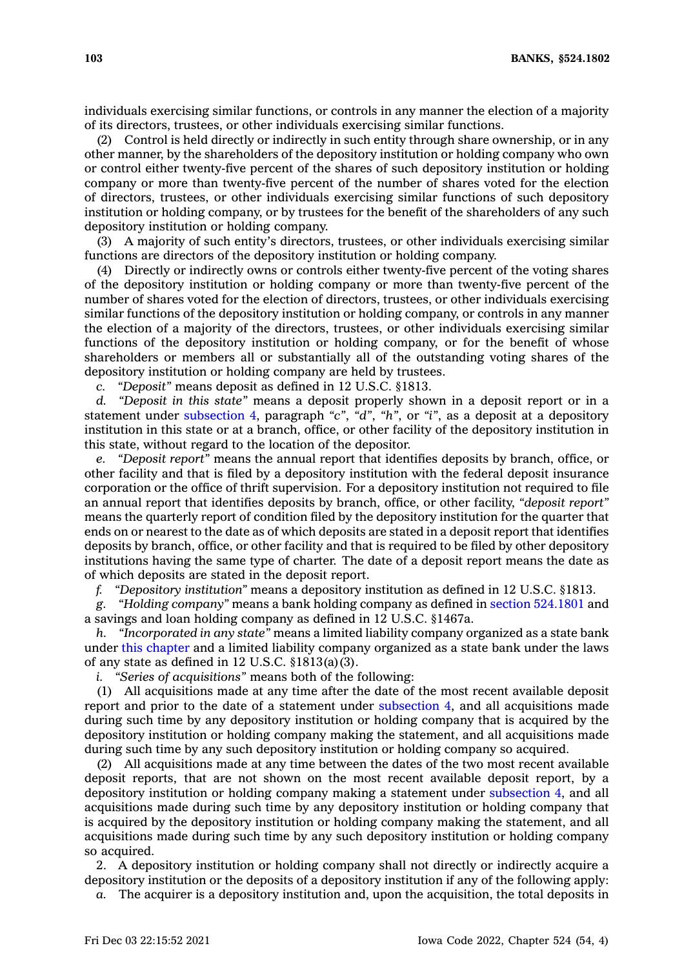individuals exercising similar functions, or controls in any manner the election of <sup>a</sup> majority of its directors, trustees, or other individuals exercising similar functions.

(2) Control is held directly or indirectly in such entity through share ownership, or in any other manner, by the shareholders of the depository institution or holding company who own or control either twenty-five percent of the shares of such depository institution or holding company or more than twenty-five percent of the number of shares voted for the election of directors, trustees, or other individuals exercising similar functions of such depository institution or holding company, or by trustees for the benefit of the shareholders of any such depository institution or holding company.

(3) A majority of such entity's directors, trustees, or other individuals exercising similar functions are directors of the depository institution or holding company.

(4) Directly or indirectly owns or controls either twenty-five percent of the voting shares of the depository institution or holding company or more than twenty-five percent of the number of shares voted for the election of directors, trustees, or other individuals exercising similar functions of the depository institution or holding company, or controls in any manner the election of <sup>a</sup> majority of the directors, trustees, or other individuals exercising similar functions of the depository institution or holding company, or for the benefit of whose shareholders or members all or substantially all of the outstanding voting shares of the depository institution or holding company are held by trustees.

*c. "Deposit"* means deposit as defined in 12 U.S.C. §1813.

*d. "Deposit in this state"* means <sup>a</sup> deposit properly shown in <sup>a</sup> deposit report or in <sup>a</sup> statement under [subsection](https://www.legis.iowa.gov/docs/code/524.1802.pdf) 4, paragraph *"c"*, *"d"*, *"h"*, or *"i"*, as <sup>a</sup> deposit at <sup>a</sup> depository institution in this state or at <sup>a</sup> branch, office, or other facility of the depository institution in this state, without regard to the location of the depositor.

*e. "Deposit report"* means the annual report that identifies deposits by branch, office, or other facility and that is filed by <sup>a</sup> depository institution with the federal deposit insurance corporation or the office of thrift supervision. For <sup>a</sup> depository institution not required to file an annual report that identifies deposits by branch, office, or other facility, *"deposit report"* means the quarterly report of condition filed by the depository institution for the quarter that ends on or nearest to the date as of which deposits are stated in <sup>a</sup> deposit report that identifies deposits by branch, office, or other facility and that is required to be filed by other depository institutions having the same type of charter. The date of <sup>a</sup> deposit report means the date as of which deposits are stated in the deposit report.

*f. "Depository institution"* means <sup>a</sup> depository institution as defined in 12 U.S.C. §1813.

*g. "Holding company"* means <sup>a</sup> bank holding company as defined in section [524.1801](https://www.legis.iowa.gov/docs/code/524.1801.pdf) and <sup>a</sup> savings and loan holding company as defined in 12 U.S.C. §1467a.

*h. "Incorporated in any state"* means <sup>a</sup> limited liability company organized as <sup>a</sup> state bank under this [chapter](https://www.legis.iowa.gov/docs/code//524.pdf) and <sup>a</sup> limited liability company organized as <sup>a</sup> state bank under the laws of any state as defined in 12 U.S.C. §1813(a)(3).

*i. "Series of acquisitions"* means both of the following:

(1) All acquisitions made at any time after the date of the most recent available deposit report and prior to the date of <sup>a</sup> statement under [subsection](https://www.legis.iowa.gov/docs/code/524.1802.pdf) 4, and all acquisitions made during such time by any depository institution or holding company that is acquired by the depository institution or holding company making the statement, and all acquisitions made during such time by any such depository institution or holding company so acquired.

(2) All acquisitions made at any time between the dates of the two most recent available deposit reports, that are not shown on the most recent available deposit report, by <sup>a</sup> depository institution or holding company making <sup>a</sup> statement under [subsection](https://www.legis.iowa.gov/docs/code/524.1802.pdf) 4, and all acquisitions made during such time by any depository institution or holding company that is acquired by the depository institution or holding company making the statement, and all acquisitions made during such time by any such depository institution or holding company so acquired.

2. A depository institution or holding company shall not directly or indirectly acquire <sup>a</sup> depository institution or the deposits of <sup>a</sup> depository institution if any of the following apply:

*a.* The acquirer is <sup>a</sup> depository institution and, upon the acquisition, the total deposits in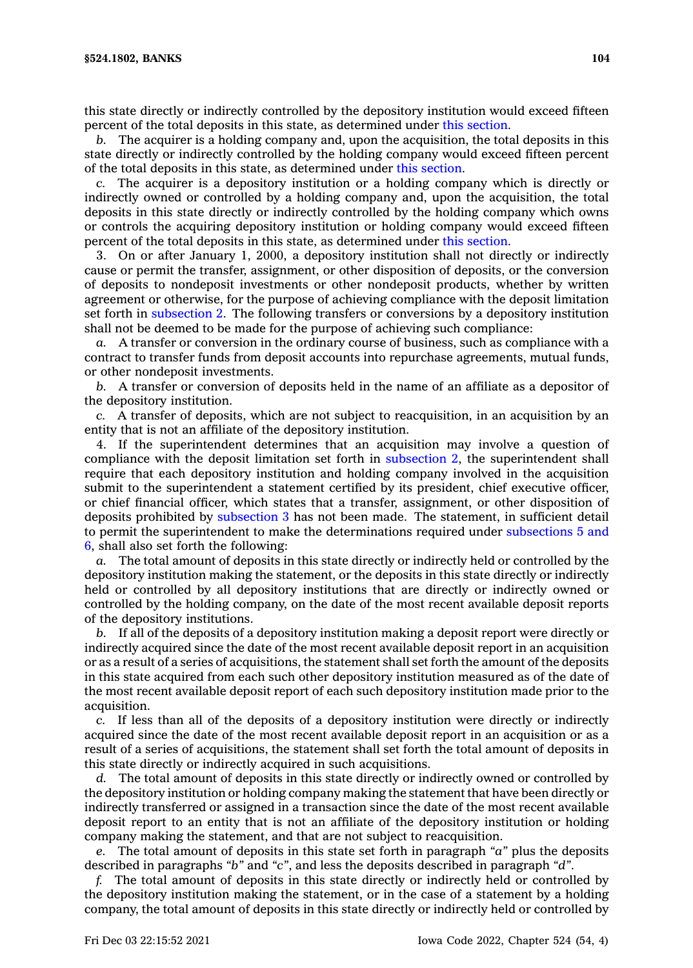this state directly or indirectly controlled by the depository institution would exceed fifteen percent of the total deposits in this state, as determined under this [section](https://www.legis.iowa.gov/docs/code/524.1802.pdf).

*b.* The acquirer is <sup>a</sup> holding company and, upon the acquisition, the total deposits in this state directly or indirectly controlled by the holding company would exceed fifteen percent of the total deposits in this state, as determined under this [section](https://www.legis.iowa.gov/docs/code/524.1802.pdf).

*c.* The acquirer is <sup>a</sup> depository institution or <sup>a</sup> holding company which is directly or indirectly owned or controlled by <sup>a</sup> holding company and, upon the acquisition, the total deposits in this state directly or indirectly controlled by the holding company which owns or controls the acquiring depository institution or holding company would exceed fifteen percent of the total deposits in this state, as determined under this [section](https://www.legis.iowa.gov/docs/code/524.1802.pdf).

3. On or after January 1, 2000, <sup>a</sup> depository institution shall not directly or indirectly cause or permit the transfer, assignment, or other disposition of deposits, or the conversion of deposits to nondeposit investments or other nondeposit products, whether by written agreement or otherwise, for the purpose of achieving compliance with the deposit limitation set forth in [subsection](https://www.legis.iowa.gov/docs/code/524.1802.pdf) 2. The following transfers or conversions by <sup>a</sup> depository institution shall not be deemed to be made for the purpose of achieving such compliance:

*a.* A transfer or conversion in the ordinary course of business, such as compliance with <sup>a</sup> contract to transfer funds from deposit accounts into repurchase agreements, mutual funds, or other nondeposit investments.

*b.* A transfer or conversion of deposits held in the name of an affiliate as <sup>a</sup> depositor of the depository institution.

*c.* A transfer of deposits, which are not subject to reacquisition, in an acquisition by an entity that is not an affiliate of the depository institution.

4. If the superintendent determines that an acquisition may involve <sup>a</sup> question of compliance with the deposit limitation set forth in [subsection](https://www.legis.iowa.gov/docs/code/524.1802.pdf) 2, the superintendent shall require that each depository institution and holding company involved in the acquisition submit to the superintendent <sup>a</sup> statement certified by its president, chief executive officer, or chief financial officer, which states that <sup>a</sup> transfer, assignment, or other disposition of deposits prohibited by [subsection](https://www.legis.iowa.gov/docs/code/524.1802.pdf) 3 has not been made. The statement, in sufficient detail to permit the superintendent to make the determinations required under [subsections](https://www.legis.iowa.gov/docs/code/524.1802.pdf) 5 and [6](https://www.legis.iowa.gov/docs/code/524.1802.pdf), shall also set forth the following:

*a.* The total amount of deposits in this state directly or indirectly held or controlled by the depository institution making the statement, or the deposits in this state directly or indirectly held or controlled by all depository institutions that are directly or indirectly owned or controlled by the holding company, on the date of the most recent available deposit reports of the depository institutions.

*b.* If all of the deposits of <sup>a</sup> depository institution making <sup>a</sup> deposit report were directly or indirectly acquired since the date of the most recent available deposit report in an acquisition or as <sup>a</sup> result of <sup>a</sup> series of acquisitions, the statement shall set forth the amount of the deposits in this state acquired from each such other depository institution measured as of the date of the most recent available deposit report of each such depository institution made prior to the acquisition.

*c.* If less than all of the deposits of <sup>a</sup> depository institution were directly or indirectly acquired since the date of the most recent available deposit report in an acquisition or as <sup>a</sup> result of <sup>a</sup> series of acquisitions, the statement shall set forth the total amount of deposits in this state directly or indirectly acquired in such acquisitions.

*d.* The total amount of deposits in this state directly or indirectly owned or controlled by the depository institution or holding company making the statement that have been directly or indirectly transferred or assigned in <sup>a</sup> transaction since the date of the most recent available deposit report to an entity that is not an affiliate of the depository institution or holding company making the statement, and that are not subject to reacquisition.

*e.* The total amount of deposits in this state set forth in paragraph *"a"* plus the deposits described in paragraphs *"b"* and *"c"*, and less the deposits described in paragraph *"d"*.

*f.* The total amount of deposits in this state directly or indirectly held or controlled by the depository institution making the statement, or in the case of <sup>a</sup> statement by <sup>a</sup> holding company, the total amount of deposits in this state directly or indirectly held or controlled by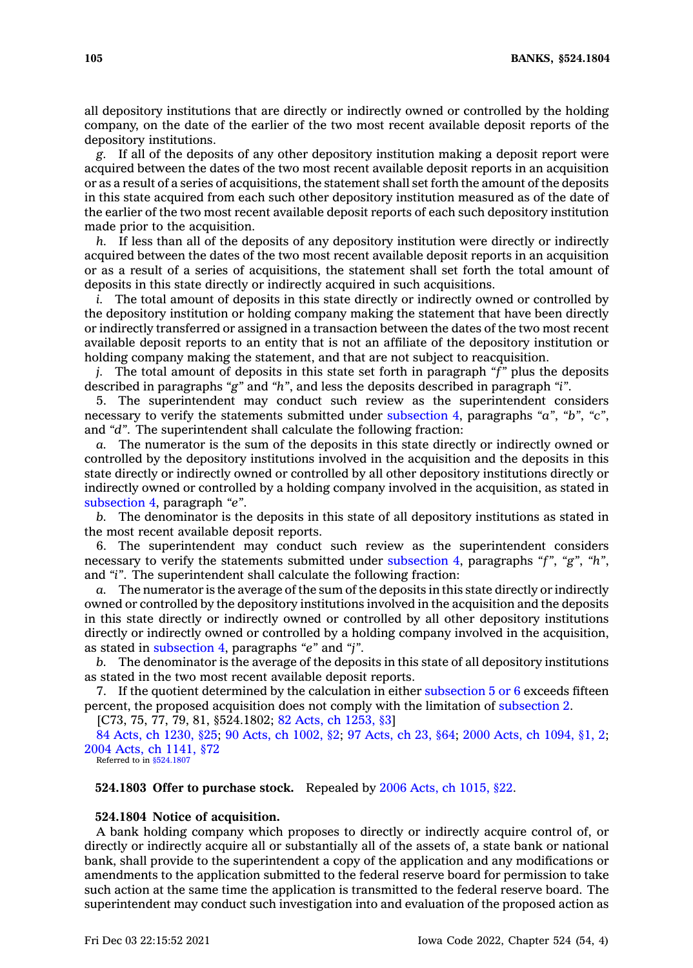all depository institutions that are directly or indirectly owned or controlled by the holding company, on the date of the earlier of the two most recent available deposit reports of the depository institutions.

*g.* If all of the deposits of any other depository institution making <sup>a</sup> deposit report were acquired between the dates of the two most recent available deposit reports in an acquisition or as <sup>a</sup> result of <sup>a</sup> series of acquisitions, the statement shall set forth the amount of the deposits in this state acquired from each such other depository institution measured as of the date of the earlier of the two most recent available deposit reports of each such depository institution made prior to the acquisition.

*h.* If less than all of the deposits of any depository institution were directly or indirectly acquired between the dates of the two most recent available deposit reports in an acquisition or as <sup>a</sup> result of <sup>a</sup> series of acquisitions, the statement shall set forth the total amount of deposits in this state directly or indirectly acquired in such acquisitions.

*i.* The total amount of deposits in this state directly or indirectly owned or controlled by the depository institution or holding company making the statement that have been directly or indirectly transferred or assigned in <sup>a</sup> transaction between the dates of the two most recent available deposit reports to an entity that is not an affiliate of the depository institution or holding company making the statement, and that are not subject to reacquisition.

*j.* The total amount of deposits in this state set forth in paragraph *"f"* plus the deposits described in paragraphs *"g"* and *"h"*, and less the deposits described in paragraph *"i"*.

5. The superintendent may conduct such review as the superintendent considers necessary to verify the statements submitted under [subsection](https://www.legis.iowa.gov/docs/code/524.1802.pdf) 4, paragraphs *"a"*, *"b"*, *"c"*, and *"d"*. The superintendent shall calculate the following fraction:

*a.* The numerator is the sum of the deposits in this state directly or indirectly owned or controlled by the depository institutions involved in the acquisition and the deposits in this state directly or indirectly owned or controlled by all other depository institutions directly or indirectly owned or controlled by <sup>a</sup> holding company involved in the acquisition, as stated in [subsection](https://www.legis.iowa.gov/docs/code/524.1802.pdf) 4, paragraph *"e"*.

*b.* The denominator is the deposits in this state of all depository institutions as stated in the most recent available deposit reports.

6. The superintendent may conduct such review as the superintendent considers necessary to verify the statements submitted under [subsection](https://www.legis.iowa.gov/docs/code/524.1802.pdf) 4, paragraphs *"f"*, *"g"*, *"h"*, and *"i"*. The superintendent shall calculate the following fraction:

The numerator is the average of the sum of the deposits in this state directly or indirectly owned or controlled by the depository institutions involved in the acquisition and the deposits in this state directly or indirectly owned or controlled by all other depository institutions directly or indirectly owned or controlled by <sup>a</sup> holding company involved in the acquisition, as stated in [subsection](https://www.legis.iowa.gov/docs/code/524.1802.pdf) 4, paragraphs *"e"* and *"j"*.

*b.* The denominator is the average of the deposits in this state of all depository institutions as stated in the two most recent available deposit reports.

7. If the quotient determined by the calculation in either [subsection](https://www.legis.iowa.gov/docs/code/524.1802.pdf)  $5$  or  $6$  exceeds fifteen percent, the proposed acquisition does not comply with the limitation of [subsection](https://www.legis.iowa.gov/docs/code/524.1802.pdf) 2.

[C73, 75, 77, 79, 81, §524.1802; 82 Acts, ch [1253,](https://www.legis.iowa.gov/docs/acts/1982/CH1253.pdf) §3]

84 Acts, ch [1230,](https://www.legis.iowa.gov/docs/acts/1984/CH1230.pdf) §25; 90 Acts, ch [1002,](https://www.legis.iowa.gov/docs/acts/1990/CH1002.pdf) §2; 97 [Acts,](https://www.legis.iowa.gov/docs/acts/1997/CH0023.pdf) ch 23, §64; 2000 Acts, ch [1094,](https://www.legis.iowa.gov/docs/acts/2000/CH1094.pdf) §1, 2; 2004 Acts, ch [1141,](https://www.legis.iowa.gov/docs/acts/2004/CH1141.pdf) §72

Referred to in [§524.1807](https://www.legis.iowa.gov/docs/code/524.1807.pdf)

**524.1803 Offer to purchase stock.** Repealed by 2006 Acts, ch [1015,](https://www.legis.iowa.gov/docs/acts/2006/CH1015.pdf) §22.

#### **524.1804 Notice of acquisition.**

A bank holding company which proposes to directly or indirectly acquire control of, or directly or indirectly acquire all or substantially all of the assets of, <sup>a</sup> state bank or national bank, shall provide to the superintendent <sup>a</sup> copy of the application and any modifications or amendments to the application submitted to the federal reserve board for permission to take such action at the same time the application is transmitted to the federal reserve board. The superintendent may conduct such investigation into and evaluation of the proposed action as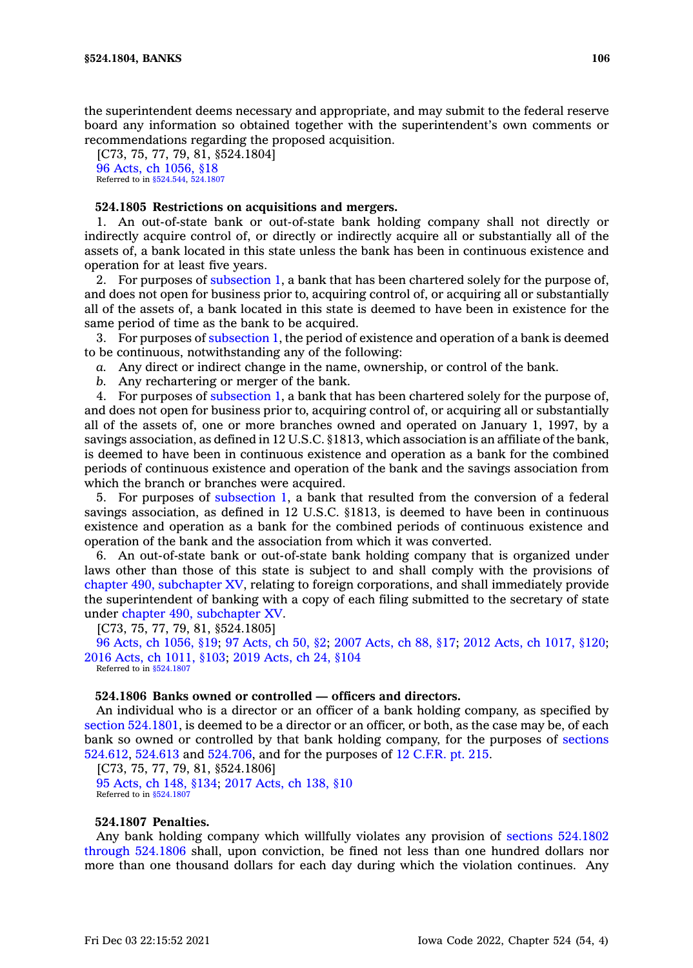the superintendent deems necessary and appropriate, and may submit to the federal reserve board any information so obtained together with the superintendent's own comments or recommendations regarding the proposed acquisition.

[C73, 75, 77, 79, 81, §524.1804] 96 Acts, ch [1056,](https://www.legis.iowa.gov/docs/acts/1996/CH1056.pdf) §18 Referred to in [§524.544](https://www.legis.iowa.gov/docs/code/524.544.pdf), [524.1807](https://www.legis.iowa.gov/docs/code/524.1807.pdf)

## **524.1805 Restrictions on acquisitions and mergers.**

1. An out-of-state bank or out-of-state bank holding company shall not directly or indirectly acquire control of, or directly or indirectly acquire all or substantially all of the assets of, <sup>a</sup> bank located in this state unless the bank has been in continuous existence and operation for at least five years.

2. For purposes of [subsection](https://www.legis.iowa.gov/docs/code/524.1805.pdf) 1, <sup>a</sup> bank that has been chartered solely for the purpose of, and does not open for business prior to, acquiring control of, or acquiring all or substantially all of the assets of, <sup>a</sup> bank located in this state is deemed to have been in existence for the same period of time as the bank to be acquired.

3. For purposes of [subsection](https://www.legis.iowa.gov/docs/code/524.1805.pdf) 1, the period of existence and operation of <sup>a</sup> bank is deemed to be continuous, notwithstanding any of the following:

*a.* Any direct or indirect change in the name, ownership, or control of the bank.

*b.* Any rechartering or merger of the bank.

4. For purposes of [subsection](https://www.legis.iowa.gov/docs/code/524.1805.pdf) 1, <sup>a</sup> bank that has been chartered solely for the purpose of, and does not open for business prior to, acquiring control of, or acquiring all or substantially all of the assets of, one or more branches owned and operated on January 1, 1997, by <sup>a</sup> savings association, as defined in 12 U.S.C. §1813, which association is an affiliate of the bank, is deemed to have been in continuous existence and operation as <sup>a</sup> bank for the combined periods of continuous existence and operation of the bank and the savings association from which the branch or branches were acquired.

5. For purposes of [subsection](https://www.legis.iowa.gov/docs/code/524.1805.pdf) 1, <sup>a</sup> bank that resulted from the conversion of <sup>a</sup> federal savings association, as defined in 12 U.S.C. §1813, is deemed to have been in continuous existence and operation as <sup>a</sup> bank for the combined periods of continuous existence and operation of the bank and the association from which it was converted.

6. An out-of-state bank or out-of-state bank holding company that is organized under laws other than those of this state is subject to and shall comply with the provisions of chapter 490, [subchapter](https://www.legis.iowa.gov/docs/code//490.pdf) XV, relating to foreign corporations, and shall immediately provide the superintendent of banking with <sup>a</sup> copy of each filing submitted to the secretary of state under chapter 490, [subchapter](https://www.legis.iowa.gov/docs/code//490.pdf) XV.

[C73, 75, 77, 79, 81, §524.1805]

96 Acts, ch [1056,](https://www.legis.iowa.gov/docs/acts/1996/CH1056.pdf) §19; 97 [Acts,](https://www.legis.iowa.gov/docs/acts/97/CH0050.pdf) ch 50, §2; 2007 [Acts,](https://www.legis.iowa.gov/docs/acts/2007/CH0088.pdf) ch 88, §17; 2012 Acts, ch [1017,](https://www.legis.iowa.gov/docs/acts/2012/CH1017.pdf) §120; 2016 Acts, ch [1011,](https://www.legis.iowa.gov/docs/acts/2016/CH1011.pdf) §103; 2019 [Acts,](https://www.legis.iowa.gov/docs/acts/2019/CH0024.pdf) ch 24, §104 Referred to in [§524.1807](https://www.legis.iowa.gov/docs/code/524.1807.pdf)

### **524.1806 Banks owned or controlled — officers and directors.**

An individual who is <sup>a</sup> director or an officer of <sup>a</sup> bank holding company, as specified by section [524.1801](https://www.legis.iowa.gov/docs/code/524.1801.pdf), is deemed to be <sup>a</sup> director or an officer, or both, as the case may be, of each bank so owned or controlled by that bank holding company, for the purposes of [sections](https://www.legis.iowa.gov/docs/code/524.612.pdf) [524.612](https://www.legis.iowa.gov/docs/code/524.612.pdf), [524.613](https://www.legis.iowa.gov/docs/code/524.613.pdf) and [524.706](https://www.legis.iowa.gov/docs/code/524.706.pdf), and for the purposes of 12 [C.F.R.](https://www.law.cornell.edu/cfr/text/12/part-215) pt. 215.

[C73, 75, 77, 79, 81, §524.1806] 95 [Acts,](https://www.legis.iowa.gov/docs/acts/1995/CH0148.pdf) ch 148, §134; 2017 [Acts,](https://www.legis.iowa.gov/docs/acts/2017/CH0138.pdf) ch 138, §10 Referred to in [§524.1807](https://www.legis.iowa.gov/docs/code/524.1807.pdf)

### **524.1807 Penalties.**

Any bank holding company which willfully violates any provision of sections [524.1802](https://www.legis.iowa.gov/docs/code/524.1802.pdf) [through](https://www.legis.iowa.gov/docs/code/524.1802.pdf) 524.1806 shall, upon conviction, be fined not less than one hundred dollars nor more than one thousand dollars for each day during which the violation continues. Any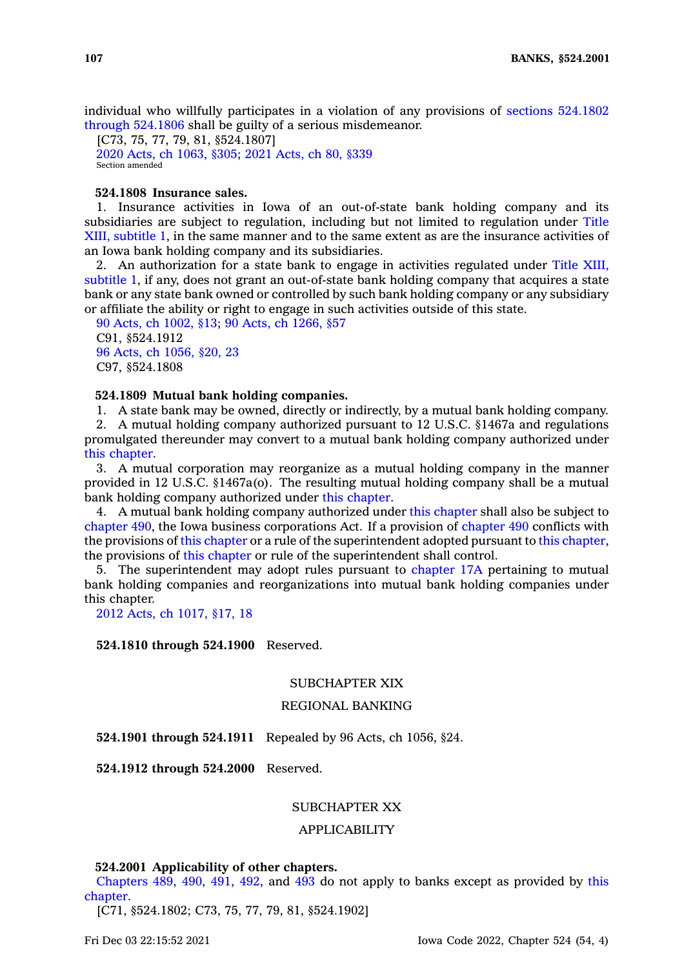individual who willfully participates in <sup>a</sup> violation of any provisions of sections [524.1802](https://www.legis.iowa.gov/docs/code/524.1802.pdf) [through](https://www.legis.iowa.gov/docs/code/524.1802.pdf) 524.1806 shall be guilty of <sup>a</sup> serious misdemeanor.

[C73, 75, 77, 79, 81, §524.1807] 2020 Acts, ch [1063,](https://www.legis.iowa.gov/docs/acts/2020/CH1063.pdf) §305; 2021 [Acts,](https://www.legis.iowa.gov/docs/acts/2021/CH0080.pdf) ch 80, §339 Section amended

## **524.1808 Insurance sales.**

1. Insurance activities in Iowa of an out-of-state bank holding company and its subsidiaries are subject to regulation, including but not limited to regulation under Title XIII, subtitle 1, in the same manner and to the same extent as are the insurance activities of an Iowa bank holding company and its subsidiaries.

2. An authorization for <sup>a</sup> state bank to engage in activities regulated under Title XIII, subtitle 1, if any, does not grant an out-of-state bank holding company that acquires <sup>a</sup> state bank or any state bank owned or controlled by such bank holding company or any subsidiary or affiliate the ability or right to engage in such activities outside of this state.

90 Acts, ch [1002,](https://www.legis.iowa.gov/docs/acts/1990/CH1002.pdf) §13; 90 Acts, ch [1266,](https://www.legis.iowa.gov/docs/acts/1990/CH1266.pdf) §57 C91, §524.1912 96 Acts, ch [1056,](https://www.legis.iowa.gov/docs/acts/1996/CH1056.pdf) §20, 23 C97, §524.1808

#### **524.1809 Mutual bank holding companies.**

1. A state bank may be owned, directly or indirectly, by <sup>a</sup> mutual bank holding company.

2. A mutual holding company authorized pursuant to 12 U.S.C. §1467a and regulations promulgated thereunder may convert to <sup>a</sup> mutual bank holding company authorized under this [chapter](https://www.legis.iowa.gov/docs/code//524.pdf).

3. A mutual corporation may reorganize as <sup>a</sup> mutual holding company in the manner provided in 12 U.S.C. §1467a(o). The resulting mutual holding company shall be <sup>a</sup> mutual bank holding company authorized under this [chapter](https://www.legis.iowa.gov/docs/code//524.pdf).

4. A mutual bank holding company authorized under this [chapter](https://www.legis.iowa.gov/docs/code//524.pdf) shall also be subject to [chapter](https://www.legis.iowa.gov/docs/code//490.pdf) 490, the Iowa business corporations Act. If <sup>a</sup> provision of [chapter](https://www.legis.iowa.gov/docs/code//490.pdf) 490 conflicts with the provisions of this [chapter](https://www.legis.iowa.gov/docs/code//524.pdf) or <sup>a</sup> rule of the superintendent adopted pursuant to this [chapter](https://www.legis.iowa.gov/docs/code//524.pdf), the provisions of this [chapter](https://www.legis.iowa.gov/docs/code//524.pdf) or rule of the superintendent shall control.

5. The superintendent may adopt rules pursuant to [chapter](https://www.legis.iowa.gov/docs/code//17A.pdf) 17A pertaining to mutual bank holding companies and reorganizations into mutual bank holding companies under this chapter.

2012 Acts, ch [1017,](https://www.legis.iowa.gov/docs/acts/2012/CH1017.pdf) §17, 18

### **524.1810 through 524.1900** Reserved.

# SUBCHAPTER XIX

### REGIONAL BANKING

**524.1901 through 524.1911** Repealed by 96 Acts, ch 1056, §24.

**524.1912 through 524.2000** Reserved.

## SUBCHAPTER XX

## APPLICABILITY

#### **524.2001 Applicability of other chapters.**

[Chapters](https://www.legis.iowa.gov/docs/code//489.pdf) 489, [490](https://www.legis.iowa.gov/docs/code//490.pdf), [491](https://www.legis.iowa.gov/docs/code//491.pdf), [492](https://www.legis.iowa.gov/docs/code//492.pdf), and [493](https://www.legis.iowa.gov/docs/code//493.pdf) do not apply to banks except as provided by [this](https://www.legis.iowa.gov/docs/code//524.pdf) [chapter](https://www.legis.iowa.gov/docs/code//524.pdf).

[C71, §524.1802; C73, 75, 77, 79, 81, §524.1902]